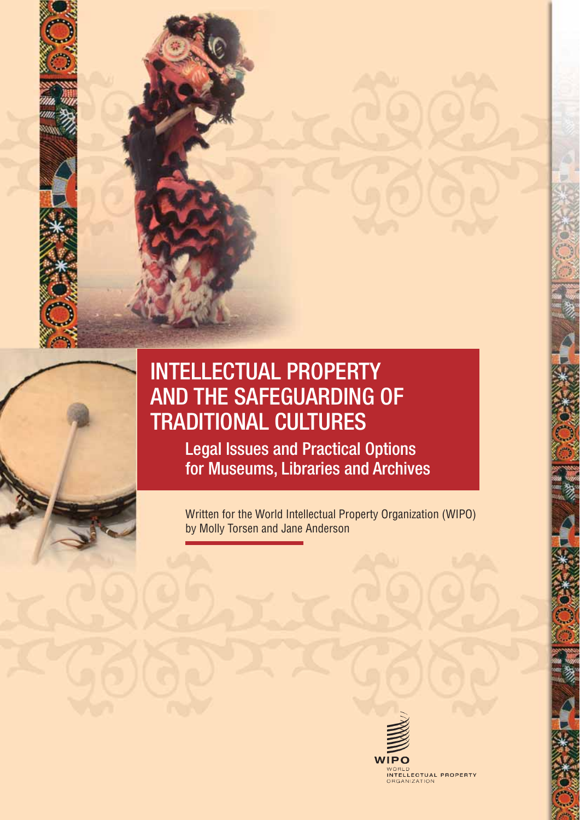

# INTELLECTUAL PROPERTY AND THE SAFEGUARDING OF TRADITIONAL CULTURES

Legal Issues and Practical Options for Museums, Libraries and Archives

Written for the World Intellectual Property Organization (WIPO) by Molly Torsen and Jane Anderson

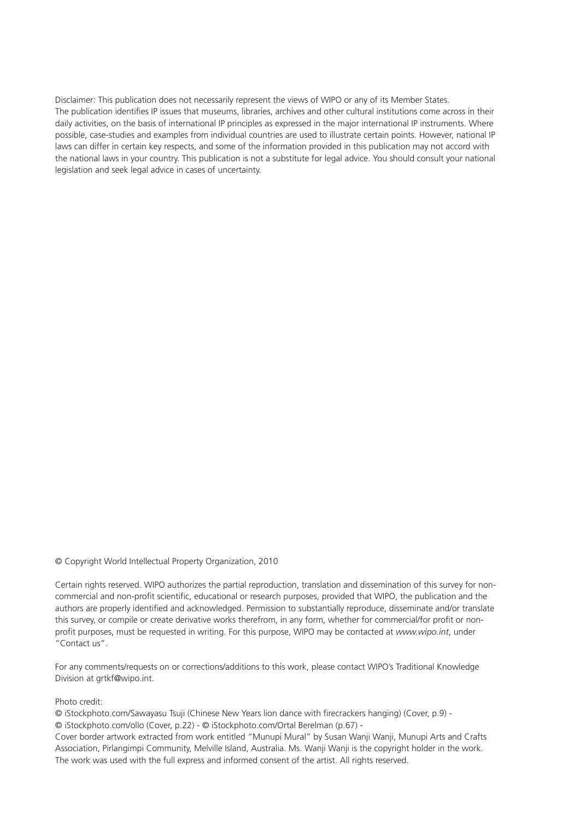Disclaimer: This publication does not necessarily represent the views of WIPO or any of its Member States. The publication identifies IP issues that museums, libraries, archives and other cultural institutions come across in their daily activities, on the basis of international IP principles as expressed in the major international IP instruments. Where possible, case-studies and examples from individual countries are used to illustrate certain points. However, national IP laws can differ in certain key respects, and some of the information provided in this publication may not accord with the national laws in your country. This publication is not a substitute for legal advice. You should consult your national legislation and seek legal advice in cases of uncertainty.

© Copyright World Intellectual Property Organization, 2010

Certain rights reserved. WIPO authorizes the partial reproduction, translation and dissemination of this survey for noncommercial and non-profit scientific, educational or research purposes, provided that WIPO, the publication and the authors are properly identified and acknowledged. Permission to substantially reproduce, disseminate and/or translate this survey, or compile or create derivative works therefrom, in any form, whether for commercial/for profit or nonprofit purposes, must be requested in writing. For this purpose, WIPO may be contacted at *www.wipo.int*, under "Contact us".

For any comments/requests on or corrections/additions to this work, please contact WIPO's Traditional Knowledge Division at grtkf@wipo.int.

#### Photo credit:

© iStockphoto.com/Sawayasu Tsuji (Chinese New Years lion dance with firecrackers hanging) (Cover, p.9) - © iStockphoto.com/ollo (Cover, p.22) - © iStockphoto.com/Ortal Berelman (p.67) -

Cover border artwork extracted from work entitled "Munupi Mural" by Susan Wanji Wanji, Munupi Arts and Crafts Association, Pirlangimpi Community, Melville Island, Australia. Ms. Wanji Wanji is the copyright holder in the work. The work was used with the full express and informed consent of the artist. All rights reserved.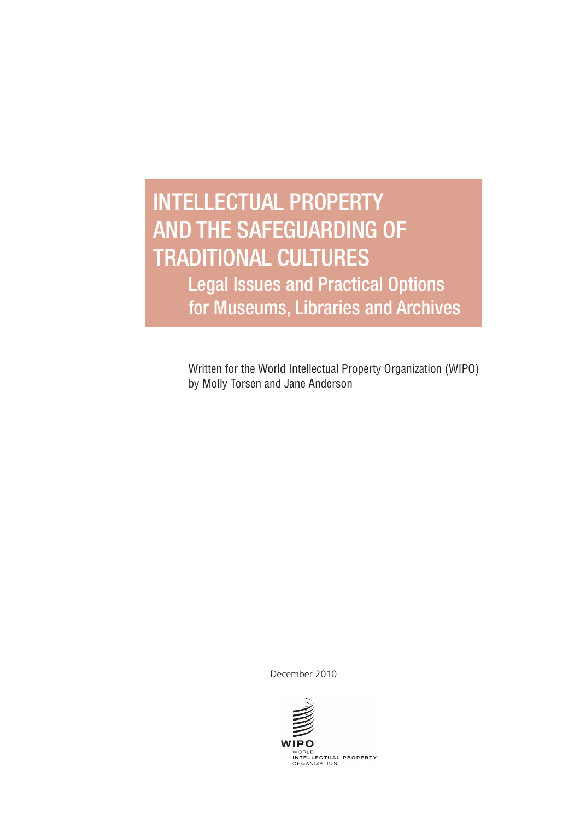# INTELLECTUAL PROPERTY AND THE SAFEGUARDING OF TRADITIONAL CULTURES

Legal Issues and Practical Options for Museums, Libraries and Archives

Written for the World Intellectual Property Organization (WIPO) by Molly Torsen and Jane Anderson

December 2010

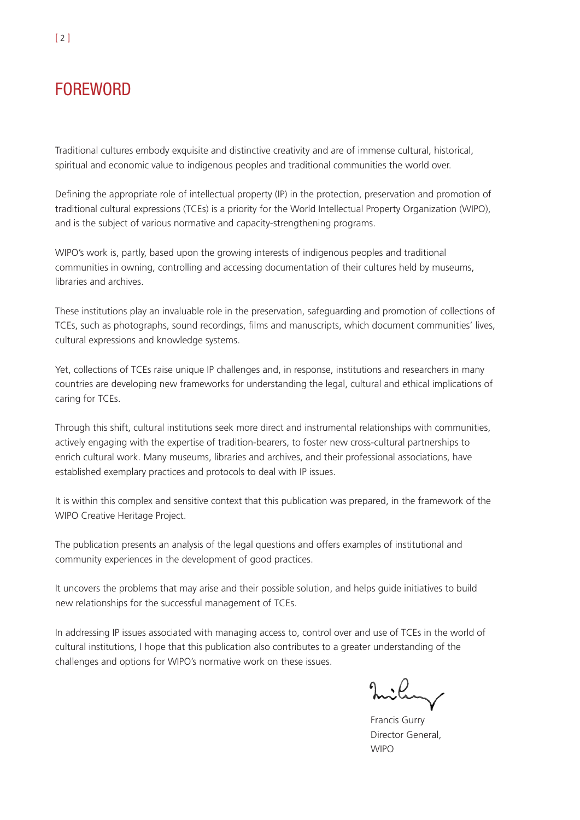# **FOREWORD**

Traditional cultures embody exquisite and distinctive creativity and are of immense cultural, historical, spiritual and economic value to indigenous peoples and traditional communities the world over.

Defining the appropriate role of intellectual property (IP) in the protection, preservation and promotion of traditional cultural expressions (TCEs) is a priority for the World Intellectual Property Organization (WIPO), and is the subject of various normative and capacity-strengthening programs.

WIPO's work is, partly, based upon the growing interests of indigenous peoples and traditional communities in owning, controlling and accessing documentation of their cultures held by museums, libraries and archives.

These institutions play an invaluable role in the preservation, safeguarding and promotion of collections of TCEs, such as photographs, sound recordings, films and manuscripts, which document communities' lives, cultural expressions and knowledge systems.

Yet, collections of TCEs raise unique IP challenges and, in response, institutions and researchers in many countries are developing new frameworks for understanding the legal, cultural and ethical implications of caring for TCEs.

Through this shift, cultural institutions seek more direct and instrumental relationships with communities, actively engaging with the expertise of tradition-bearers, to foster new cross-cultural partnerships to enrich cultural work. Many museums, libraries and archives, and their professional associations, have established exemplary practices and protocols to deal with IP issues.

It is within this complex and sensitive context that this publication was prepared, in the framework of the WIPO Creative Heritage Project.

The publication presents an analysis of the legal questions and offers examples of institutional and community experiences in the development of good practices.

It uncovers the problems that may arise and their possible solution, and helps guide initiatives to build new relationships for the successful management of TCEs.

In addressing IP issues associated with managing access to, control over and use of TCEs in the world of cultural institutions, I hope that this publication also contributes to a greater understanding of the challenges and options for WIPO's normative work on these issues.

nilum/

Francis Gurry Director General, WIPO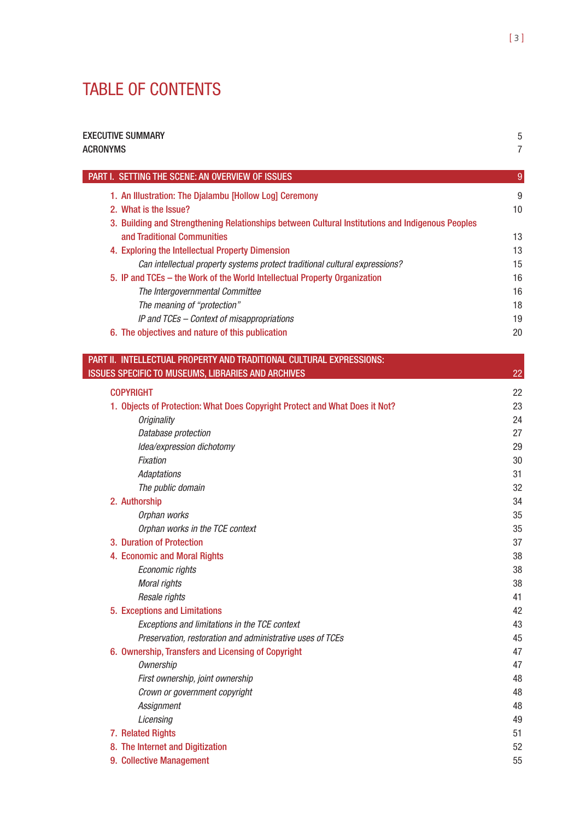# TABLE OF CONTENTS

| <b>EXECUTIVE SUMMARY</b>                                                                                                        | 5              |
|---------------------------------------------------------------------------------------------------------------------------------|----------------|
| <b>ACRONYMS</b>                                                                                                                 | 7              |
| <b>PART I. SETTING THE SCENE: AN OVERVIEW OF ISSUES</b>                                                                         | $\overline{9}$ |
| 1. An Illustration: The Djalambu [Hollow Log] Ceremony                                                                          | 9              |
| 2. What is the Issue?                                                                                                           | 10             |
| 3. Building and Strengthening Relationships between Cultural Institutions and Indigenous Peoples<br>and Traditional Communities | 13             |
| 4. Exploring the Intellectual Property Dimension                                                                                | 13             |
| Can intellectual property systems protect traditional cultural expressions?                                                     | 15             |
| 5. IP and TCEs - the Work of the World Intellectual Property Organization                                                       | 16             |
| The Intergovernmental Committee                                                                                                 | 16             |
| The meaning of "protection"                                                                                                     | 18             |
| IP and TCEs – Context of misappropriations                                                                                      | 19             |
| 6. The objectives and nature of this publication                                                                                | 20             |
| PART II. INTELLECTUAL PROPERTY AND TRADITIONAL CULTURAL EXPRESSIONS:                                                            |                |
| <b>ISSUES SPECIFIC TO MUSEUMS, LIBRARIES AND ARCHIVES</b>                                                                       | 22             |
| <b>COPYRIGHT</b>                                                                                                                | 22             |

|                                                                             | ∠∠ |
|-----------------------------------------------------------------------------|----|
| 1. Objects of Protection: What Does Copyright Protect and What Does it Not? | 23 |
| <b>Originality</b>                                                          | 24 |
| Database protection                                                         | 27 |
| Idea/expression dichotomy                                                   | 29 |
| Fixation                                                                    | 30 |
| <b>Adaptations</b>                                                          | 31 |
| The public domain                                                           | 32 |
| 2. Authorship                                                               | 34 |
| Orphan works                                                                | 35 |
| Orphan works in the TCE context                                             | 35 |
| 3. Duration of Protection                                                   | 37 |
| 4. Economic and Moral Rights                                                | 38 |
| Economic rights                                                             | 38 |
| Moral rights                                                                | 38 |
| Resale rights                                                               | 41 |
| 5. Exceptions and Limitations                                               | 42 |
| Exceptions and limitations in the TCE context                               | 43 |
| Preservation, restoration and administrative uses of TCEs                   | 45 |
| 6. Ownership, Transfers and Licensing of Copyright                          | 47 |
| Ownership                                                                   | 47 |
| First ownership, joint ownership                                            | 48 |
| Crown or government copyright                                               | 48 |
| Assignment                                                                  | 48 |
| Licensing                                                                   | 49 |
| 7. Related Rights                                                           | 51 |
| 8. The Internet and Digitization                                            | 52 |
| 9. Collective Management                                                    | 55 |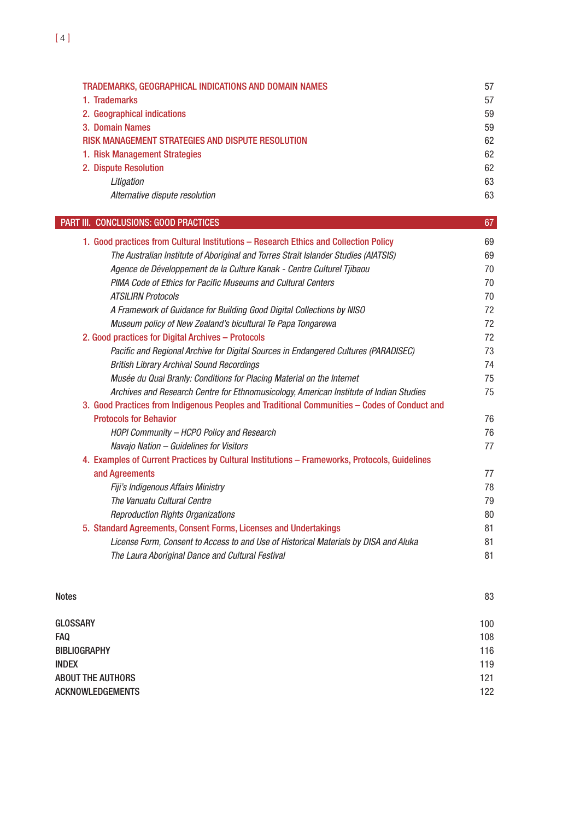| TRADEMARKS, GEOGRAPHICAL INDICATIONS AND DOMAIN NAMES | 57 |
|-------------------------------------------------------|----|
| 1. Trademarks                                         | 57 |
| 2. Geographical indications                           | 59 |
| 3. Domain Names                                       | 59 |
| RISK MANAGEMENT STRATEGIES AND DISPUTE RESOLUTION     | 62 |
| 1. Risk Management Strategies                         | 62 |
| 2. Dispute Resolution                                 | 62 |
| Litigation                                            | 63 |
| Alternative dispute resolution                        | 63 |

67

# **PART III. CONCLUSIONS: GOOD PRACTICES**

| 1. Good practices from Cultural Institutions - Research Ethics and Collection Policy          | 69 |
|-----------------------------------------------------------------------------------------------|----|
| The Australian Institute of Aboriginal and Torres Strait Islander Studies (AIATSIS)           | 69 |
| Agence de Développement de la Culture Kanak - Centre Culturel Tjibaou                         | 70 |
| PIMA Code of Ethics for Pacific Museums and Cultural Centers                                  | 70 |
| <b>ATSILIRN Protocols</b>                                                                     | 70 |
| A Framework of Guidance for Building Good Digital Collections by NISO                         | 72 |
| Museum policy of New Zealand's bicultural Te Papa Tongarewa                                   | 72 |
| 2. Good practices for Digital Archives - Protocols                                            | 72 |
| Pacific and Regional Archive for Digital Sources in Endangered Cultures (PARADISEC)           | 73 |
| <b>British Library Archival Sound Recordings</b>                                              | 74 |
| Musée du Quai Branly: Conditions for Placing Material on the Internet                         | 75 |
| Archives and Research Centre for Ethnomusicology, American Institute of Indian Studies        | 75 |
| 3. Good Practices from Indigenous Peoples and Traditional Communities - Codes of Conduct and  |    |
| <b>Protocols for Behavior</b>                                                                 | 76 |
| HOPI Community - HCPO Policy and Research                                                     | 76 |
| Navajo Nation - Guidelines for Visitors                                                       | 77 |
| 4. Examples of Current Practices by Cultural Institutions - Frameworks, Protocols, Guidelines |    |
| and Agreements                                                                                | 77 |
| Fiji's Indigenous Affairs Ministry                                                            | 78 |
| The Vanuatu Cultural Centre                                                                   | 79 |
| <b>Reproduction Rights Organizations</b>                                                      | 80 |
| 5. Standard Agreements, Consent Forms, Licenses and Undertakings                              | 81 |
| License Form, Consent to Access to and Use of Historical Materials by DISA and Aluka          | 81 |
| The Laura Aboriginal Dance and Cultural Festival                                              | 81 |
|                                                                                               |    |

| <b>Notes</b>             | 83  |
|--------------------------|-----|
| <b>GLOSSARY</b>          | 100 |
| <b>FAQ</b>               | 108 |
| <b>BIBLIOGRAPHY</b>      | 116 |
| <b>INDEX</b>             | 119 |
| <b>ABOUT THE AUTHORS</b> | 121 |
| <b>ACKNOWLEDGEMENTS</b>  | 122 |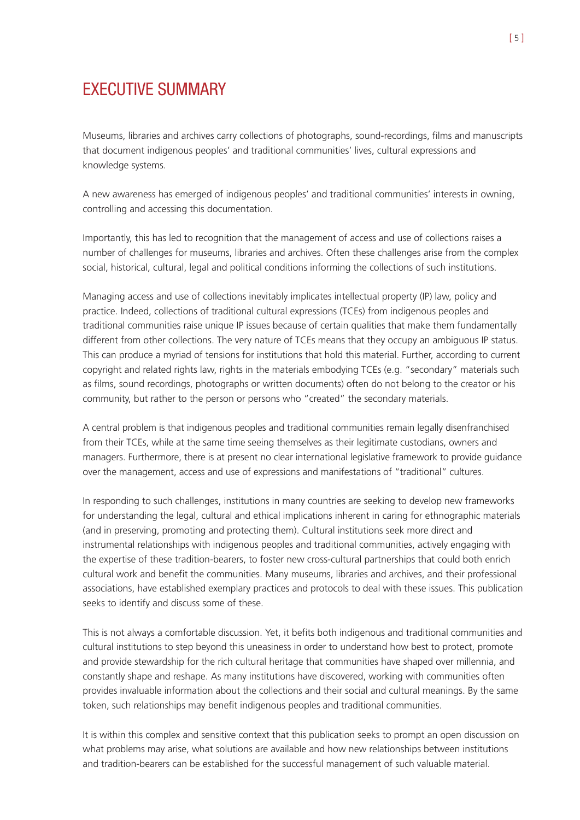# EXECUTIVE SUMMARY

Museums, libraries and archives carry collections of photographs, sound-recordings, films and manuscripts that document indigenous peoples' and traditional communities' lives, cultural expressions and knowledge systems.

A new awareness has emerged of indigenous peoples' and traditional communities' interests in owning, controlling and accessing this documentation.

Importantly, this has led to recognition that the management of access and use of collections raises a number of challenges for museums, libraries and archives. Often these challenges arise from the complex social, historical, cultural, legal and political conditions informing the collections of such institutions.

Managing access and use of collections inevitably implicates intellectual property (IP) law, policy and practice. Indeed, collections of traditional cultural expressions (TCEs) from indigenous peoples and traditional communities raise unique IP issues because of certain qualities that make them fundamentally different from other collections. The very nature of TCEs means that they occupy an ambiguous IP status. This can produce a myriad of tensions for institutions that hold this material. Further, according to current copyright and related rights law, rights in the materials embodying TCEs (e.g. "secondary" materials such as films, sound recordings, photographs or written documents) often do not belong to the creator or his community, but rather to the person or persons who "created" the secondary materials.

A central problem is that indigenous peoples and traditional communities remain legally disenfranchised from their TCEs, while at the same time seeing themselves as their legitimate custodians, owners and managers. Furthermore, there is at present no clear international legislative framework to provide guidance over the management, access and use of expressions and manifestations of "traditional" cultures.

In responding to such challenges, institutions in many countries are seeking to develop new frameworks for understanding the legal, cultural and ethical implications inherent in caring for ethnographic materials (and in preserving, promoting and protecting them). Cultural institutions seek more direct and instrumental relationships with indigenous peoples and traditional communities, actively engaging with the expertise of these tradition-bearers, to foster new cross-cultural partnerships that could both enrich cultural work and benefit the communities. Many museums, libraries and archives, and their professional associations, have established exemplary practices and protocols to deal with these issues. This publication seeks to identify and discuss some of these.

This is not always a comfortable discussion. Yet, it befits both indigenous and traditional communities and cultural institutions to step beyond this uneasiness in order to understand how best to protect, promote and provide stewardship for the rich cultural heritage that communities have shaped over millennia, and constantly shape and reshape. As many institutions have discovered, working with communities often provides invaluable information about the collections and their social and cultural meanings. By the same token, such relationships may benefit indigenous peoples and traditional communities.

It is within this complex and sensitive context that this publication seeks to prompt an open discussion on what problems may arise, what solutions are available and how new relationships between institutions and tradition-bearers can be established for the successful management of such valuable material.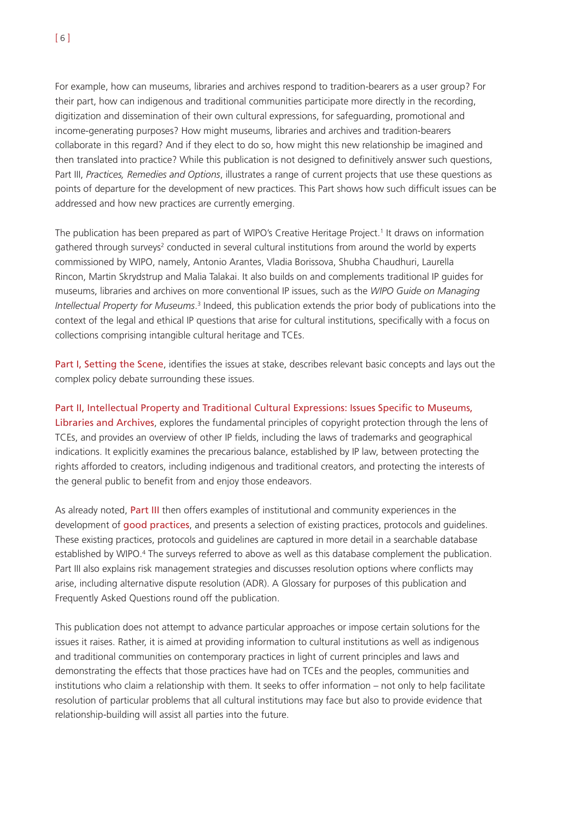For example, how can museums, libraries and archives respond to tradition-bearers as a user group? For their part, how can indigenous and traditional communities participate more directly in the recording, digitization and dissemination of their own cultural expressions, for safeguarding, promotional and income-generating purposes? How might museums, libraries and archives and tradition-bearers collaborate in this regard? And if they elect to do so, how might this new relationship be imagined and then translated into practice? While this publication is not designed to definitively answer such questions, Part III, *Practices, Remedies and Options*, illustrates a range of current projects that use these questions as points of departure for the development of new practices. This Part shows how such difficult issues can be addressed and how new practices are currently emerging.

The publication has been prepared as part of WIPO's Creative Heritage Project.<sup>1</sup> It draws on information gathered through surveys<sup>2</sup> conducted in several cultural institutions from around the world by experts commissioned by WIPO, namely, Antonio Arantes, Vladia Borissova, Shubha Chaudhuri, Laurella Rincon, Martin Skrydstrup and Malia Talakai. It also builds on and complements traditional IP guides for museums, libraries and archives on more conventional IP issues, such as the *WIPO Guide on Managing Intellectual Property for Museums.*<sup>3</sup> Indeed, this publication extends the prior body of publications into the context of the legal and ethical IP questions that arise for cultural institutions, specifically with a focus on collections comprising intangible cultural heritage and TCEs.

Part I, Setting the Scene, identifies the issues at stake, describes relevant basic concepts and lays out the complex policy debate surrounding these issues.

#### Part II, Intellectual Property and Traditional Cultural Expressions: Issues Specific to Museums,

Libraries and Archives, explores the fundamental principles of copyright protection through the lens of TCEs, and provides an overview of other IP fields, including the laws of trademarks and geographical indications. It explicitly examines the precarious balance, established by IP law, between protecting the rights afforded to creators, including indigenous and traditional creators, and protecting the interests of the general public to benefit from and enjoy those endeavors.

As already noted, Part III then offers examples of institutional and community experiences in the development of good practices, and presents a selection of existing practices, protocols and guidelines. These existing practices, protocols and guidelines are captured in more detail in a searchable database established by WIPO.<sup>4</sup> The surveys referred to above as well as this database complement the publication. Part III also explains risk management strategies and discusses resolution options where conflicts may arise, including alternative dispute resolution (ADR). A Glossary for purposes of this publication and Frequently Asked Questions round off the publication.

This publication does not attempt to advance particular approaches or impose certain solutions for the issues it raises. Rather, it is aimed at providing information to cultural institutions as well as indigenous and traditional communities on contemporary practices in light of current principles and laws and demonstrating the effects that those practices have had on TCEs and the peoples, communities and institutions who claim a relationship with them. It seeks to offer information – not only to help facilitate resolution of particular problems that all cultural institutions may face but also to provide evidence that relationship-building will assist all parties into the future.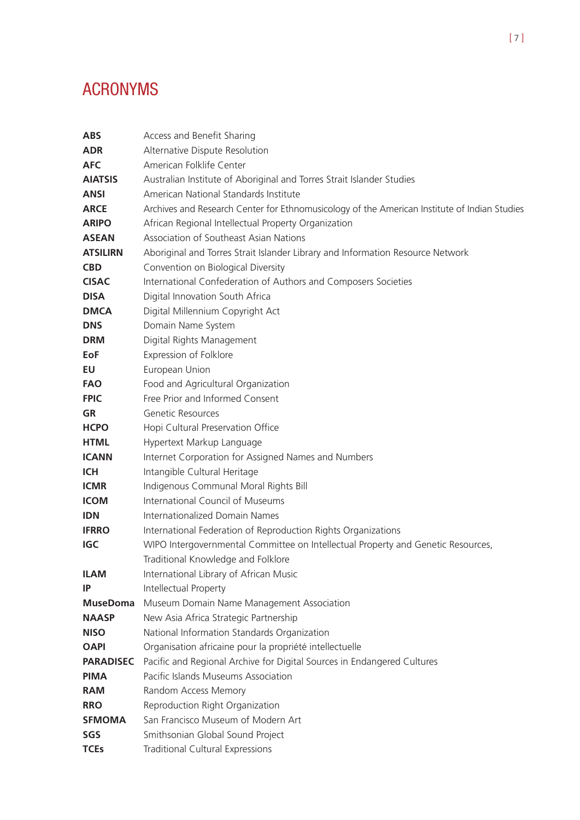# ACRONYMS

| <b>ABS</b>       | Access and Benefit Sharing                                                                   |
|------------------|----------------------------------------------------------------------------------------------|
| <b>ADR</b>       | Alternative Dispute Resolution                                                               |
| <b>AFC</b>       | American Folklife Center                                                                     |
| <b>AIATSIS</b>   | Australian Institute of Aboriginal and Torres Strait Islander Studies                        |
| <b>ANSI</b>      | American National Standards Institute                                                        |
| <b>ARCE</b>      | Archives and Research Center for Ethnomusicology of the American Institute of Indian Studies |
| <b>ARIPO</b>     | African Regional Intellectual Property Organization                                          |
| <b>ASEAN</b>     | Association of Southeast Asian Nations                                                       |
| <b>ATSILIRN</b>  | Aboriginal and Torres Strait Islander Library and Information Resource Network               |
| <b>CBD</b>       | Convention on Biological Diversity                                                           |
| <b>CISAC</b>     | International Confederation of Authors and Composers Societies                               |
| <b>DISA</b>      | Digital Innovation South Africa                                                              |
| <b>DMCA</b>      | Digital Millennium Copyright Act                                                             |
| <b>DNS</b>       | Domain Name System                                                                           |
| <b>DRM</b>       | Digital Rights Management                                                                    |
| <b>EoF</b>       | Expression of Folklore                                                                       |
| <b>EU</b>        | European Union                                                                               |
| <b>FAO</b>       | Food and Agricultural Organization                                                           |
| <b>FPIC</b>      | Free Prior and Informed Consent                                                              |
| GR               | Genetic Resources                                                                            |
| <b>HCPO</b>      | Hopi Cultural Preservation Office                                                            |
| <b>HTML</b>      | Hypertext Markup Language                                                                    |
| <b>ICANN</b>     | Internet Corporation for Assigned Names and Numbers                                          |
| <b>ICH</b>       | Intangible Cultural Heritage                                                                 |
| <b>ICMR</b>      | Indigenous Communal Moral Rights Bill                                                        |
| <b>ICOM</b>      | <b>International Council of Museums</b>                                                      |
| <b>IDN</b>       | Internationalized Domain Names                                                               |
| <b>IFRRO</b>     | International Federation of Reproduction Rights Organizations                                |
| IGC              | WIPO Intergovernmental Committee on Intellectual Property and Genetic Resources,             |
|                  | Traditional Knowledge and Folklore                                                           |
| <b>ILAM</b>      | International Library of African Music                                                       |
| IP               | Intellectual Property                                                                        |
| <b>MuseDoma</b>  | Museum Domain Name Management Association                                                    |
| <b>NAASP</b>     | New Asia Africa Strategic Partnership                                                        |
| <b>NISO</b>      | National Information Standards Organization                                                  |
| <b>OAPI</b>      | Organisation africaine pour la propriété intellectuelle                                      |
| <b>PARADISEC</b> | Pacific and Regional Archive for Digital Sources in Endangered Cultures                      |
| <b>PIMA</b>      | Pacific Islands Museums Association                                                          |
| <b>RAM</b>       | Random Access Memory                                                                         |
| <b>RRO</b>       | Reproduction Right Organization                                                              |
| <b>SFMOMA</b>    | San Francisco Museum of Modern Art                                                           |
| SGS              | Smithsonian Global Sound Project                                                             |
| <b>TCEs</b>      | <b>Traditional Cultural Expressions</b>                                                      |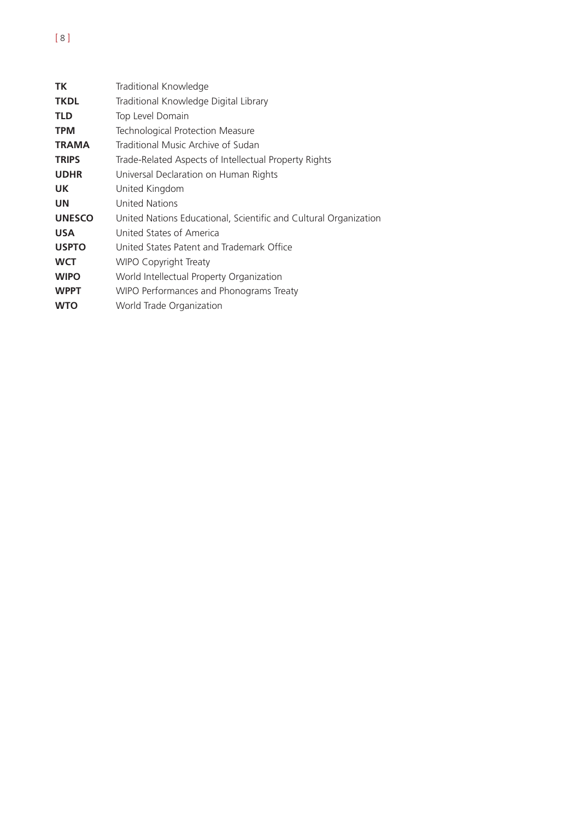# **TK** Traditional Knowledge **TKDL** Traditional Knowledge Digital Library **TLD** Top Level Domain **TPM** Technological Protection Measure **TRAMA** Traditional Music Archive of Sudan **TRIPS** Trade-Related Aspects of Intellectual Property Rights **UDHR** Universal Declaration on Human Rights **UK** United Kingdom **UN** United Nations **UNESCO** United Nations Educational, Scientific and Cultural Organization **USA** United States of America **USPTO** United States Patent and Trademark Office **WCT** WIPO Copyright Treaty **WIPO** World Intellectual Property Organization **WPPT** WIPO Performances and Phonograms Treaty **WTO** World Trade Organization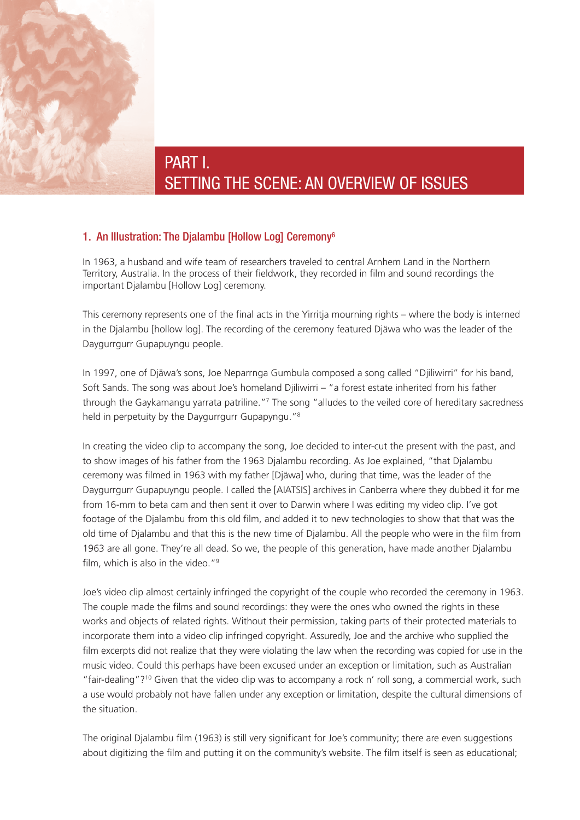

# PART I. SETTING THE SCENE: AN OVERVIEW OF ISSUES

# 1. An Illustration: The Djalambu [Hollow Log] Ceremony6

In 1963, a husband and wife team of researchers traveled to central Arnhem Land in the Northern Territory, Australia. In the process of their fieldwork, they recorded in film and sound recordings the important Djalambu [Hollow Log] ceremony.

This ceremony represents one of the final acts in the Yirritja mourning rights – where the body is interned in the Djalambu [hollow log]. The recording of the ceremony featured Djäwa who was the leader of the Daygurrgurr Gupapuyngu people.

In 1997, one of Djäwa's sons, Joe Neparrnga Gumbula composed a song called "Djiliwirri" for his band, Soft Sands. The song was about Joe's homeland Djiliwirri – "a forest estate inherited from his father through the Gaykamangu yarrata patriline."7 The song "alludes to the veiled core of hereditary sacredness held in perpetuity by the Daygurrgurr Gupapyngu."<sup>8</sup>

In creating the video clip to accompany the song, Joe decided to inter-cut the present with the past, and to show images of his father from the 1963 Djalambu recording. As Joe explained, "that Djalambu ceremony was filmed in 1963 with my father [Djäwa] who, during that time, was the leader of the Daygurrgurr Gupapuyngu people. I called the [AIATSIS] archives in Canberra where they dubbed it for me from 16-mm to beta cam and then sent it over to Darwin where I was editing my video clip. I've got footage of the Djalambu from this old film, and added it to new technologies to show that that was the old time of Djalambu and that this is the new time of Djalambu. All the people who were in the film from 1963 are all gone. They're all dead. So we, the people of this generation, have made another Djalambu film, which is also in the video."<sup>9</sup>

Joe's video clip almost certainly infringed the copyright of the couple who recorded the ceremony in 1963. The couple made the films and sound recordings: they were the ones who owned the rights in these works and objects of related rights. Without their permission, taking parts of their protected materials to incorporate them into a video clip infringed copyright. Assuredly, Joe and the archive who supplied the film excerpts did not realize that they were violating the law when the recording was copied for use in the music video. Could this perhaps have been excused under an exception or limitation, such as Australian "fair-dealing"?10 Given that the video clip was to accompany a rock n' roll song, a commercial work, such a use would probably not have fallen under any exception or limitation, despite the cultural dimensions of the situation.

The original Djalambu film (1963) is still very significant for Joe's community; there are even suggestions about digitizing the film and putting it on the community's website. The film itself is seen as educational;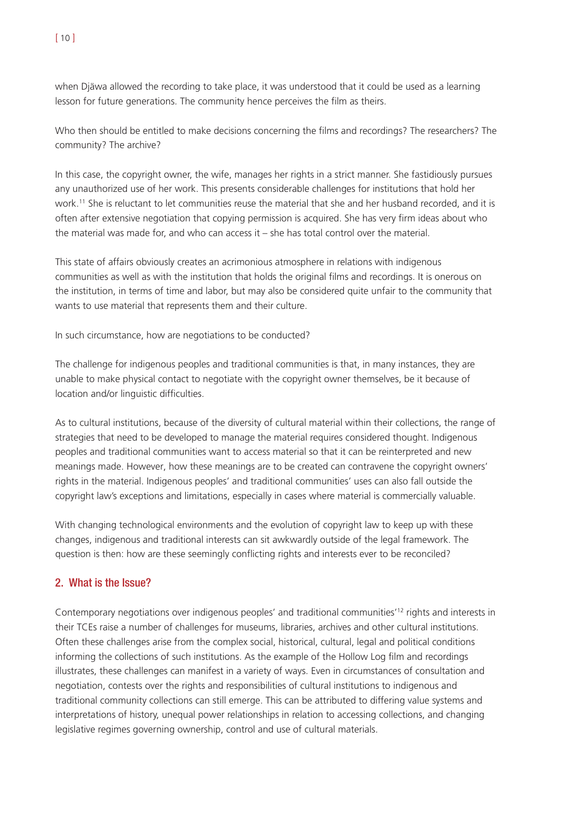when Djäwa allowed the recording to take place, it was understood that it could be used as a learning lesson for future generations. The community hence perceives the film as theirs.

Who then should be entitled to make decisions concerning the films and recordings? The researchers? The community? The archive?

In this case, the copyright owner, the wife, manages her rights in a strict manner. She fastidiously pursues any unauthorized use of her work. This presents considerable challenges for institutions that hold her work.11 She is reluctant to let communities reuse the material that she and her husband recorded, and it is often after extensive negotiation that copying permission is acquired. She has very firm ideas about who the material was made for, and who can access it – she has total control over the material.

This state of affairs obviously creates an acrimonious atmosphere in relations with indigenous communities as well as with the institution that holds the original films and recordings. It is onerous on the institution, in terms of time and labor, but may also be considered quite unfair to the community that wants to use material that represents them and their culture.

In such circumstance, how are negotiations to be conducted?

The challenge for indigenous peoples and traditional communities is that, in many instances, they are unable to make physical contact to negotiate with the copyright owner themselves, be it because of location and/or linguistic difficulties.

As to cultural institutions, because of the diversity of cultural material within their collections, the range of strategies that need to be developed to manage the material requires considered thought. Indigenous peoples and traditional communities want to access material so that it can be reinterpreted and new meanings made. However, how these meanings are to be created can contravene the copyright owners' rights in the material. Indigenous peoples' and traditional communities' uses can also fall outside the copyright law's exceptions and limitations, especially in cases where material is commercially valuable.

With changing technological environments and the evolution of copyright law to keep up with these changes, indigenous and traditional interests can sit awkwardly outside of the legal framework. The question is then: how are these seemingly conflicting rights and interests ever to be reconciled?

# 2. What is the Issue?

Contemporary negotiations over indigenous peoples' and traditional communities'12 rights and interests in their TCEs raise a number of challenges for museums, libraries, archives and other cultural institutions. Often these challenges arise from the complex social, historical, cultural, legal and political conditions informing the collections of such institutions. As the example of the Hollow Log film and recordings illustrates, these challenges can manifest in a variety of ways. Even in circumstances of consultation and negotiation, contests over the rights and responsibilities of cultural institutions to indigenous and traditional community collections can still emerge. This can be attributed to differing value systems and interpretations of history, unequal power relationships in relation to accessing collections, and changing legislative regimes governing ownership, control and use of cultural materials.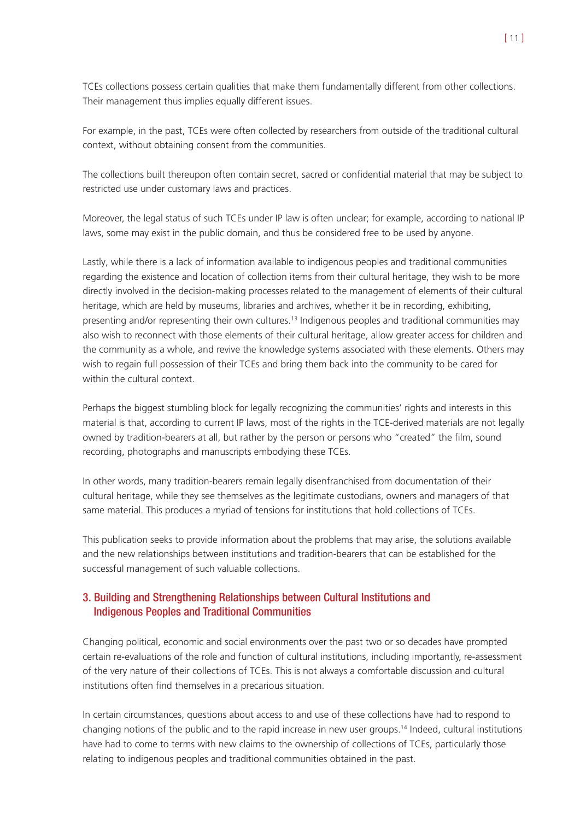TCEs collections possess certain qualities that make them fundamentally different from other collections. Their management thus implies equally different issues.

For example, in the past, TCEs were often collected by researchers from outside of the traditional cultural context, without obtaining consent from the communities.

The collections built thereupon often contain secret, sacred or confidential material that may be subject to restricted use under customary laws and practices.

Moreover, the legal status of such TCEs under IP law is often unclear; for example, according to national IP laws, some may exist in the public domain, and thus be considered free to be used by anyone.

Lastly, while there is a lack of information available to indigenous peoples and traditional communities regarding the existence and location of collection items from their cultural heritage, they wish to be more directly involved in the decision-making processes related to the management of elements of their cultural heritage, which are held by museums, libraries and archives, whether it be in recording, exhibiting, presenting and/or representing their own cultures.<sup>13</sup> Indigenous peoples and traditional communities may also wish to reconnect with those elements of their cultural heritage, allow greater access for children and the community as a whole, and revive the knowledge systems associated with these elements. Others may wish to regain full possession of their TCEs and bring them back into the community to be cared for within the cultural context.

Perhaps the biggest stumbling block for legally recognizing the communities' rights and interests in this material is that, according to current IP laws, most of the rights in the TCE-derived materials are not legally owned by tradition-bearers at all, but rather by the person or persons who "created" the film, sound recording, photographs and manuscripts embodying these TCEs.

In other words, many tradition-bearers remain legally disenfranchised from documentation of their cultural heritage, while they see themselves as the legitimate custodians, owners and managers of that same material. This produces a myriad of tensions for institutions that hold collections of TCEs.

This publication seeks to provide information about the problems that may arise, the solutions available and the new relationships between institutions and tradition-bearers that can be established for the successful management of such valuable collections.

# 3. Building and Strengthening Relationships between Cultural Institutions and Indigenous Peoples and Traditional Communities

Changing political, economic and social environments over the past two or so decades have prompted certain re-evaluations of the role and function of cultural institutions, including importantly, re-assessment of the very nature of their collections of TCEs. This is not always a comfortable discussion and cultural institutions often find themselves in a precarious situation.

In certain circumstances, questions about access to and use of these collections have had to respond to changing notions of the public and to the rapid increase in new user groups.14 Indeed, cultural institutions have had to come to terms with new claims to the ownership of collections of TCEs, particularly those relating to indigenous peoples and traditional communities obtained in the past.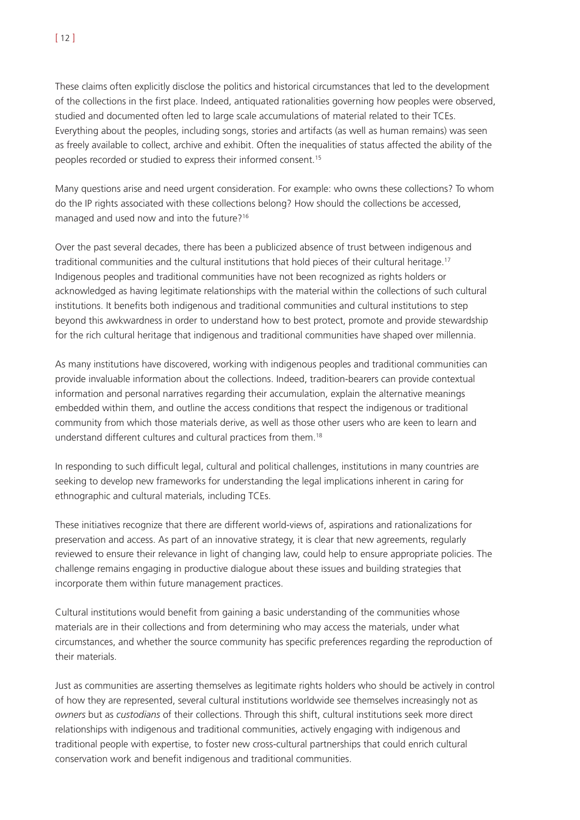These claims often explicitly disclose the politics and historical circumstances that led to the development of the collections in the first place. Indeed, antiquated rationalities governing how peoples were observed, studied and documented often led to large scale accumulations of material related to their TCEs. Everything about the peoples, including songs, stories and artifacts (as well as human remains) was seen as freely available to collect, archive and exhibit. Often the inequalities of status affected the ability of the peoples recorded or studied to express their informed consent.15

Many questions arise and need urgent consideration. For example: who owns these collections? To whom do the IP rights associated with these collections belong? How should the collections be accessed, managed and used now and into the future?16

Over the past several decades, there has been a publicized absence of trust between indigenous and traditional communities and the cultural institutions that hold pieces of their cultural heritage.17 Indigenous peoples and traditional communities have not been recognized as rights holders or acknowledged as having legitimate relationships with the material within the collections of such cultural institutions. It benefits both indigenous and traditional communities and cultural institutions to step beyond this awkwardness in order to understand how to best protect, promote and provide stewardship for the rich cultural heritage that indigenous and traditional communities have shaped over millennia.

As many institutions have discovered, working with indigenous peoples and traditional communities can provide invaluable information about the collections. Indeed, tradition-bearers can provide contextual information and personal narratives regarding their accumulation, explain the alternative meanings embedded within them, and outline the access conditions that respect the indigenous or traditional community from which those materials derive, as well as those other users who are keen to learn and understand different cultures and cultural practices from them.18

In responding to such difficult legal, cultural and political challenges, institutions in many countries are seeking to develop new frameworks for understanding the legal implications inherent in caring for ethnographic and cultural materials, including TCEs.

These initiatives recognize that there are different world-views of, aspirations and rationalizations for preservation and access. As part of an innovative strategy, it is clear that new agreements, regularly reviewed to ensure their relevance in light of changing law, could help to ensure appropriate policies. The challenge remains engaging in productive dialogue about these issues and building strategies that incorporate them within future management practices.

Cultural institutions would benefit from gaining a basic understanding of the communities whose materials are in their collections and from determining who may access the materials, under what circumstances, and whether the source community has specific preferences regarding the reproduction of their materials.

Just as communities are asserting themselves as legitimate rights holders who should be actively in control of how they are represented, several cultural institutions worldwide see themselves increasingly not as *owners* but as *custodians* of their collections. Through this shift, cultural institutions seek more direct relationships with indigenous and traditional communities, actively engaging with indigenous and traditional people with expertise, to foster new cross-cultural partnerships that could enrich cultural conservation work and benefit indigenous and traditional communities.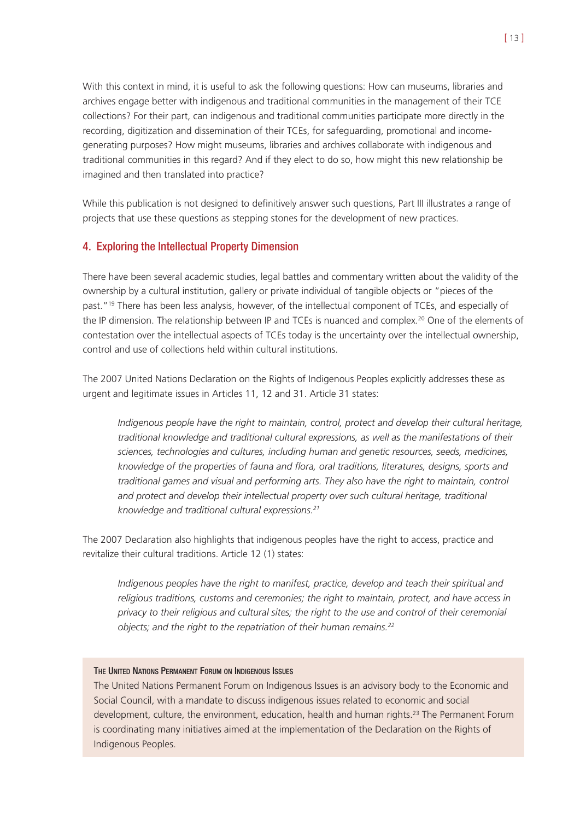With this context in mind, it is useful to ask the following questions: How can museums, libraries and archives engage better with indigenous and traditional communities in the management of their TCE collections? For their part, can indigenous and traditional communities participate more directly in the recording, digitization and dissemination of their TCEs, for safeguarding, promotional and incomegenerating purposes? How might museums, libraries and archives collaborate with indigenous and traditional communities in this regard? And if they elect to do so, how might this new relationship be imagined and then translated into practice?

While this publication is not designed to definitively answer such questions, Part III illustrates a range of projects that use these questions as stepping stones for the development of new practices.

# 4. Exploring the Intellectual Property Dimension

There have been several academic studies, legal battles and commentary written about the validity of the ownership by a cultural institution, gallery or private individual of tangible objects or "pieces of the past."<sup>19</sup> There has been less analysis, however, of the intellectual component of TCEs, and especially of the IP dimension. The relationship between IP and TCEs is nuanced and complex.<sup>20</sup> One of the elements of contestation over the intellectual aspects of TCEs today is the uncertainty over the intellectual ownership, control and use of collections held within cultural institutions.

The 2007 United Nations Declaration on the Rights of Indigenous Peoples explicitly addresses these as urgent and legitimate issues in Articles 11, 12 and 31. Article 31 states:

*Indigenous people have the right to maintain, control, protect and develop their cultural heritage, traditional knowledge and traditional cultural expressions, as well as the manifestations of their sciences, technologies and cultures, including human and genetic resources, seeds, medicines, knowledge of the properties of fauna and flora, oral traditions, literatures, designs, sports and traditional games and visual and performing arts. They also have the right to maintain, control and protect and develop their intellectual property over such cultural heritage, traditional knowledge and traditional cultural expressions.21*

The 2007 Declaration also highlights that indigenous peoples have the right to access, practice and revitalize their cultural traditions. Article 12 (1) states:

*Indigenous peoples have the right to manifest, practice, develop and teach their spiritual and religious traditions, customs and ceremonies; the right to maintain, protect, and have access in privacy to their religious and cultural sites; the right to the use and control of their ceremonial objects; and the right to the repatriation of their human remains.22*

#### THE UNITED NATIONS PERMANENT FORUM ON INDIGENOUS ISSUES

The United Nations Permanent Forum on Indigenous Issues is an advisory body to the Economic and Social Council, with a mandate to discuss indigenous issues related to economic and social development, culture, the environment, education, health and human rights.23 The Permanent Forum is coordinating many initiatives aimed at the implementation of the Declaration on the Rights of Indigenous Peoples.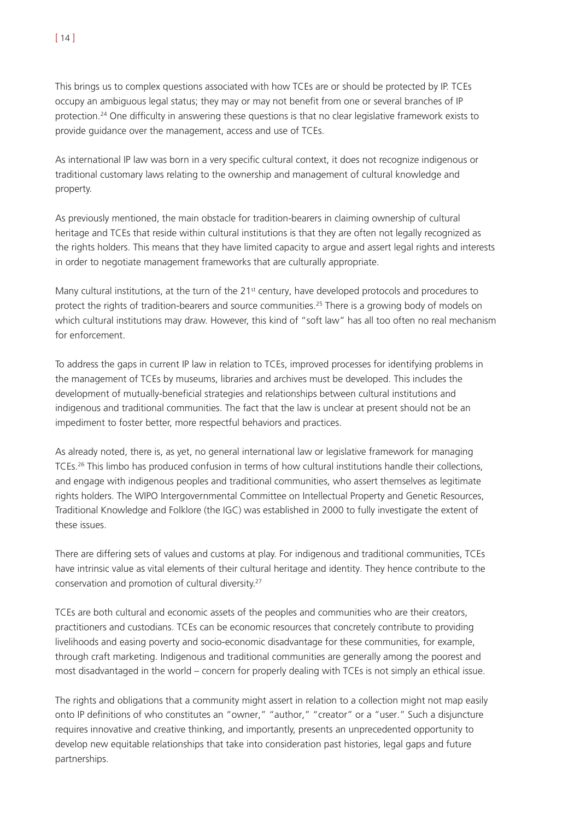This brings us to complex questions associated with how TCEs are or should be protected by IP. TCEs occupy an ambiguous legal status; they may or may not benefit from one or several branches of IP protection.24 One difficulty in answering these questions is that no clear legislative framework exists to provide guidance over the management, access and use of TCEs.

As international IP law was born in a very specific cultural context, it does not recognize indigenous or traditional customary laws relating to the ownership and management of cultural knowledge and property.

As previously mentioned, the main obstacle for tradition-bearers in claiming ownership of cultural heritage and TCEs that reside within cultural institutions is that they are often not legally recognized as the rights holders. This means that they have limited capacity to argue and assert legal rights and interests in order to negotiate management frameworks that are culturally appropriate.

Many cultural institutions, at the turn of the 21<sup>st</sup> century, have developed protocols and procedures to protect the rights of tradition-bearers and source communities.25 There is a growing body of models on which cultural institutions may draw. However, this kind of "soft law" has all too often no real mechanism for enforcement.

To address the gaps in current IP law in relation to TCEs, improved processes for identifying problems in the management of TCEs by museums, libraries and archives must be developed. This includes the development of mutually-beneficial strategies and relationships between cultural institutions and indigenous and traditional communities. The fact that the law is unclear at present should not be an impediment to foster better, more respectful behaviors and practices.

As already noted, there is, as yet, no general international law or legislative framework for managing TCEs.26 This limbo has produced confusion in terms of how cultural institutions handle their collections, and engage with indigenous peoples and traditional communities, who assert themselves as legitimate rights holders. The WIPO Intergovernmental Committee on Intellectual Property and Genetic Resources, Traditional Knowledge and Folklore (the IGC) was established in 2000 to fully investigate the extent of these issues.

There are differing sets of values and customs at play. For indigenous and traditional communities, TCEs have intrinsic value as vital elements of their cultural heritage and identity. They hence contribute to the conservation and promotion of cultural diversity.27

TCEs are both cultural and economic assets of the peoples and communities who are their creators, practitioners and custodians. TCEs can be economic resources that concretely contribute to providing livelihoods and easing poverty and socio-economic disadvantage for these communities, for example, through craft marketing. Indigenous and traditional communities are generally among the poorest and most disadvantaged in the world – concern for properly dealing with TCEs is not simply an ethical issue.

The rights and obligations that a community might assert in relation to a collection might not map easily onto IP definitions of who constitutes an "owner," "author," "creator" or a "user." Such a disjuncture requires innovative and creative thinking, and importantly, presents an unprecedented opportunity to develop new equitable relationships that take into consideration past histories, legal gaps and future partnerships.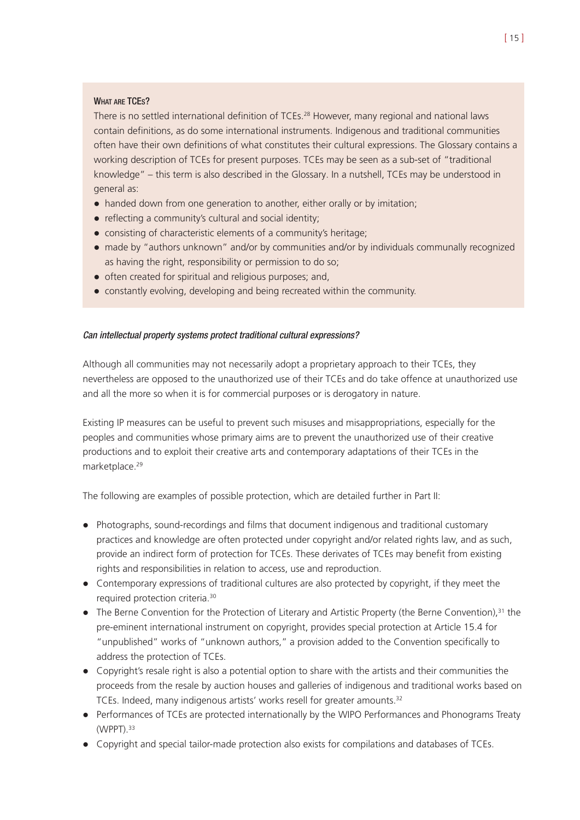### WHAT ARE TCES?

There is no settled international definition of TCEs.<sup>28</sup> However, many regional and national laws contain definitions, as do some international instruments. Indigenous and traditional communities often have their own definitions of what constitutes their cultural expressions. The Glossary contains a working description of TCEs for present purposes. TCEs may be seen as a sub-set of "traditional knowledge" – this term is also described in the Glossary. In a nutshell, TCEs may be understood in general as:

- handed down from one generation to another, either orally or by imitation;
- reflecting a community's cultural and social identity;
- ! consisting of characteristic elements of a community's heritage;
- ! made by "authors unknown" and/or by communities and/or by individuals communally recognized as having the right, responsibility or permission to do so;
- often created for spiritual and religious purposes; and,
- constantly evolving, developing and being recreated within the community.

### Can intellectual property systems protect traditional cultural expressions?

Although all communities may not necessarily adopt a proprietary approach to their TCEs, they nevertheless are opposed to the unauthorized use of their TCEs and do take offence at unauthorized use and all the more so when it is for commercial purposes or is derogatory in nature.

Existing IP measures can be useful to prevent such misuses and misappropriations, especially for the peoples and communities whose primary aims are to prevent the unauthorized use of their creative productions and to exploit their creative arts and contemporary adaptations of their TCEs in the marketplace.<sup>29</sup>

The following are examples of possible protection, which are detailed further in Part II:

- ! Photographs, sound-recordings and films that document indigenous and traditional customary practices and knowledge are often protected under copyright and/or related rights law, and as such, provide an indirect form of protection for TCEs. These derivates of TCEs may benefit from existing rights and responsibilities in relation to access, use and reproduction.
- ! Contemporary expressions of traditional cultures are also protected by copyright, if they meet the required protection criteria.30
- The Berne Convention for the Protection of Literary and Artistic Property (the Berne Convention),<sup>31</sup> the pre-eminent international instrument on copyright, provides special protection at Article 15.4 for "unpublished" works of "unknown authors," a provision added to the Convention specifically to address the protection of TCEs.
- Copyright's resale right is also a potential option to share with the artists and their communities the proceeds from the resale by auction houses and galleries of indigenous and traditional works based on TCEs. Indeed, many indigenous artists' works resell for greater amounts.<sup>32</sup>
- ! Performances of TCEs are protected internationally by the WIPO Performances and Phonograms Treaty (WPPT).33
- ! Copyright and special tailor-made protection also exists for compilations and databases of TCEs.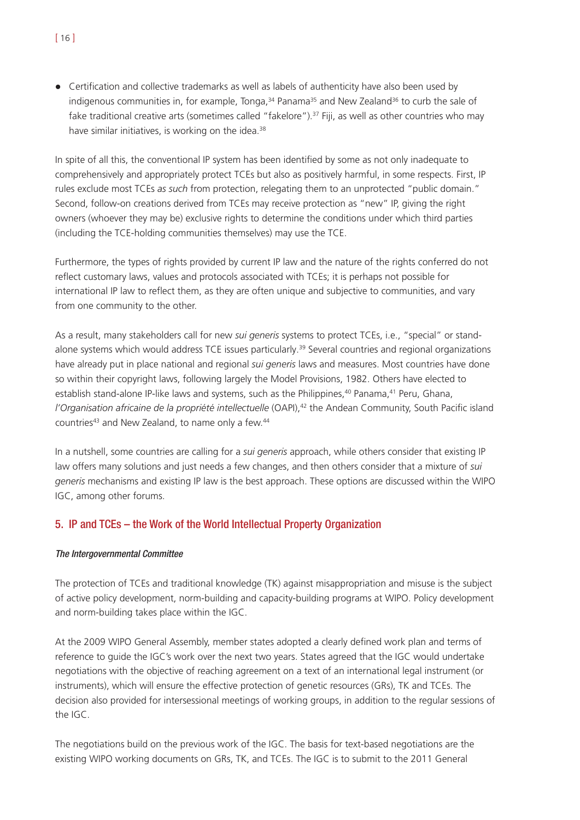• Certification and collective trademarks as well as labels of authenticity have also been used by indigenous communities in, for example, Tonga,  $34$  Panama<sup>35</sup> and New Zealand<sup>36</sup> to curb the sale of fake traditional creative arts (sometimes called "fakelore").<sup>37</sup> Fiji, as well as other countries who may have similar initiatives, is working on the idea.<sup>38</sup>

In spite of all this, the conventional IP system has been identified by some as not only inadequate to comprehensively and appropriately protect TCEs but also as positively harmful, in some respects. First, IP rules exclude most TCEs *as such* from protection, relegating them to an unprotected "public domain." Second, follow-on creations derived from TCEs may receive protection as "new" IP, giving the right owners (whoever they may be) exclusive rights to determine the conditions under which third parties (including the TCE-holding communities themselves) may use the TCE.

Furthermore, the types of rights provided by current IP law and the nature of the rights conferred do not reflect customary laws, values and protocols associated with TCEs; it is perhaps not possible for international IP law to reflect them, as they are often unique and subjective to communities, and vary from one community to the other.

As a result, many stakeholders call for new *sui generis* systems to protect TCEs, i.e., "special" or standalone systems which would address TCE issues particularly.<sup>39</sup> Several countries and regional organizations have already put in place national and regional *sui generis* laws and measures. Most countries have done so within their copyright laws, following largely the Model Provisions, 1982. Others have elected to establish stand-alone IP-like laws and systems, such as the Philippines,<sup>40</sup> Panama,<sup>41</sup> Peru, Ghana, *l'Organisation africaine de la propriété intellectuelle* (OAPI),<sup>42</sup> the Andean Community, South Pacific island countries<sup>43</sup> and New Zealand, to name only a few.<sup>44</sup>

In a nutshell, some countries are calling for a *sui generis* approach, while others consider that existing IP law offers many solutions and just needs a few changes, and then others consider that a mixture of *sui generis* mechanisms and existing IP law is the best approach. These options are discussed within the WIPO IGC, among other forums.

# 5. IP and TCEs – the Work of the World Intellectual Property Organization

#### The Intergovernmental Committee

The protection of TCEs and traditional knowledge (TK) against misappropriation and misuse is the subject of active policy development, norm-building and capacity-building programs at WIPO. Policy development and norm-building takes place within the IGC.

At the 2009 WIPO General Assembly, member states adopted a clearly defined work plan and terms of reference to guide the IGC's work over the next two years. States agreed that the IGC would undertake negotiations with the objective of reaching agreement on a text of an international legal instrument (or instruments), which will ensure the effective protection of genetic resources (GRs), TK and TCEs. The decision also provided for intersessional meetings of working groups, in addition to the regular sessions of the IGC.

The negotiations build on the previous work of the IGC. The basis for text-based negotiations are the existing WIPO working documents on GRs, TK, and TCEs. The IGC is to submit to the 2011 General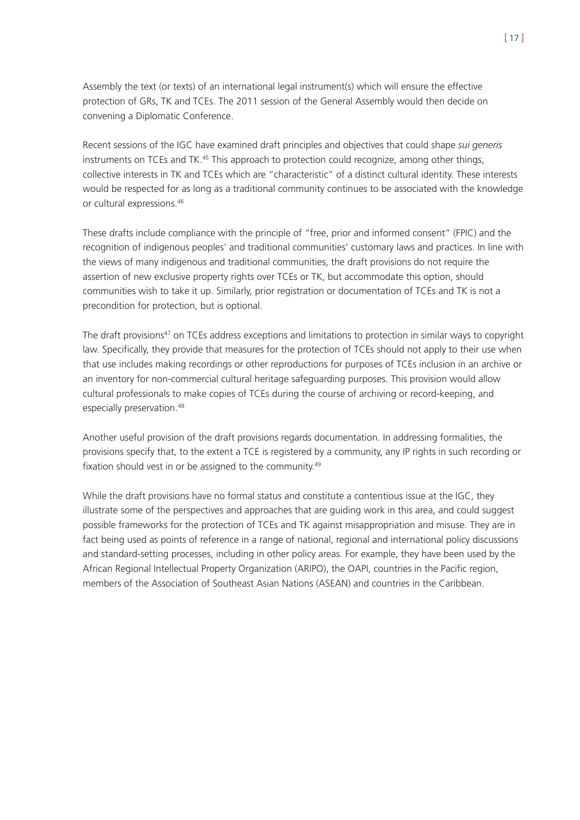Assembly the text (or texts) of an international legal instrument(s) which will ensure the effective protection of GRs, TK and TCEs. The 2011 session of the General Assembly would then decide on convening a Diplomatic Conference.

Recent sessions of the IGC have examined draft principles and objectives that could shape *sui generis* instruments on TCEs and TK.<sup>45</sup> This approach to protection could recognize, among other things, collective interests in TK and TCEs which are "characteristic" of a distinct cultural identity. These interests would be respected for as long as a traditional community continues to be associated with the knowledge or cultural expressions.46

These drafts include compliance with the principle of "free, prior and informed consent" (FPIC) and the recognition of indigenous peoples' and traditional communities' customary laws and practices. In line with the views of many indigenous and traditional communities, the draft provisions do not require the assertion of new exclusive property rights over TCEs or TK, but accommodate this option, should communities wish to take it up. Similarly, prior registration or documentation of TCEs and TK is not a precondition for protection, but is optional.

The draft provisions<sup>47</sup> on TCEs address exceptions and limitations to protection in similar ways to copyright law. Specifically, they provide that measures for the protection of TCEs should not apply to their use when that use includes making recordings or other reproductions for purposes of TCEs inclusion in an archive or an inventory for non-commercial cultural heritage safeguarding purposes. This provision would allow cultural professionals to make copies of TCEs during the course of archiving or record-keeping, and especially preservation.<sup>48</sup>

Another useful provision of the draft provisions regards documentation. In addressing formalities, the provisions specify that, to the extent a TCE is registered by a community, any IP rights in such recording or fixation should vest in or be assigned to the community.<sup>49</sup>

While the draft provisions have no formal status and constitute a contentious issue at the IGC, they illustrate some of the perspectives and approaches that are guiding work in this area, and could suggest possible frameworks for the protection of TCEs and TK against misappropriation and misuse. They are in fact being used as points of reference in a range of national, regional and international policy discussions and standard-setting processes, including in other policy areas. For example, they have been used by the African Regional Intellectual Property Organization (ARIPO), the OAPI, countries in the Pacific region, members of the Association of Southeast Asian Nations (ASEAN) and countries in the Caribbean.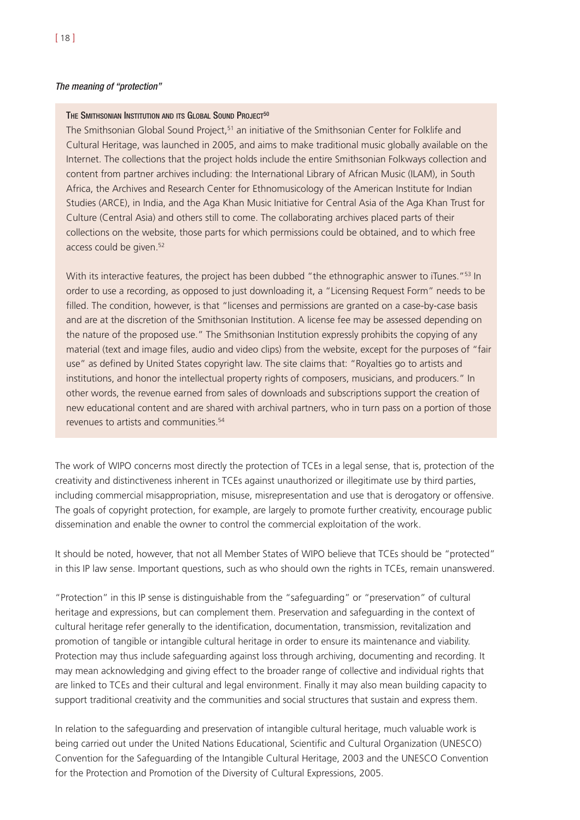#### THE SMITHSONIAN INSTITUTION AND ITS GLOBAL SOUND PROJECT<sup>50</sup>

The Smithsonian Global Sound Project,<sup>51</sup> an initiative of the Smithsonian Center for Folklife and Cultural Heritage, was launched in 2005, and aims to make traditional music globally available on the Internet. The collections that the project holds include the entire Smithsonian Folkways collection and content from partner archives including: the International Library of African Music (ILAM), in South Africa, the Archives and Research Center for Ethnomusicology of the American Institute for Indian Studies (ARCE), in India, and the Aga Khan Music Initiative for Central Asia of the Aga Khan Trust for Culture (Central Asia) and others still to come. The collaborating archives placed parts of their collections on the website, those parts for which permissions could be obtained, and to which free access could be given.<sup>52</sup>

With its interactive features, the project has been dubbed "the ethnographic answer to iTunes."<sup>53</sup> In order to use a recording, as opposed to just downloading it, a "Licensing Request Form" needs to be filled. The condition, however, is that "licenses and permissions are granted on a case-by-case basis and are at the discretion of the Smithsonian Institution. A license fee may be assessed depending on the nature of the proposed use." The Smithsonian Institution expressly prohibits the copying of any material (text and image files, audio and video clips) from the website, except for the purposes of "fair use" as defined by United States copyright law. The site claims that: "Royalties go to artists and institutions, and honor the intellectual property rights of composers, musicians, and producers." In other words, the revenue earned from sales of downloads and subscriptions support the creation of new educational content and are shared with archival partners, who in turn pass on a portion of those revenues to artists and communities.54

The work of WIPO concerns most directly the protection of TCEs in a legal sense, that is, protection of the creativity and distinctiveness inherent in TCEs against unauthorized or illegitimate use by third parties, including commercial misappropriation, misuse, misrepresentation and use that is derogatory or offensive. The goals of copyright protection, for example, are largely to promote further creativity, encourage public dissemination and enable the owner to control the commercial exploitation of the work.

It should be noted, however, that not all Member States of WIPO believe that TCEs should be "protected" in this IP law sense. Important questions, such as who should own the rights in TCEs, remain unanswered.

"Protection" in this IP sense is distinguishable from the "safeguarding" or "preservation" of cultural heritage and expressions, but can complement them. Preservation and safeguarding in the context of cultural heritage refer generally to the identification, documentation, transmission, revitalization and promotion of tangible or intangible cultural heritage in order to ensure its maintenance and viability. Protection may thus include safeguarding against loss through archiving, documenting and recording. It may mean acknowledging and giving effect to the broader range of collective and individual rights that are linked to TCEs and their cultural and legal environment. Finally it may also mean building capacity to support traditional creativity and the communities and social structures that sustain and express them.

In relation to the safeguarding and preservation of intangible cultural heritage, much valuable work is being carried out under the United Nations Educational, Scientific and Cultural Organization (UNESCO) Convention for the Safeguarding of the Intangible Cultural Heritage, 2003 and the UNESCO Convention for the Protection and Promotion of the Diversity of Cultural Expressions, 2005.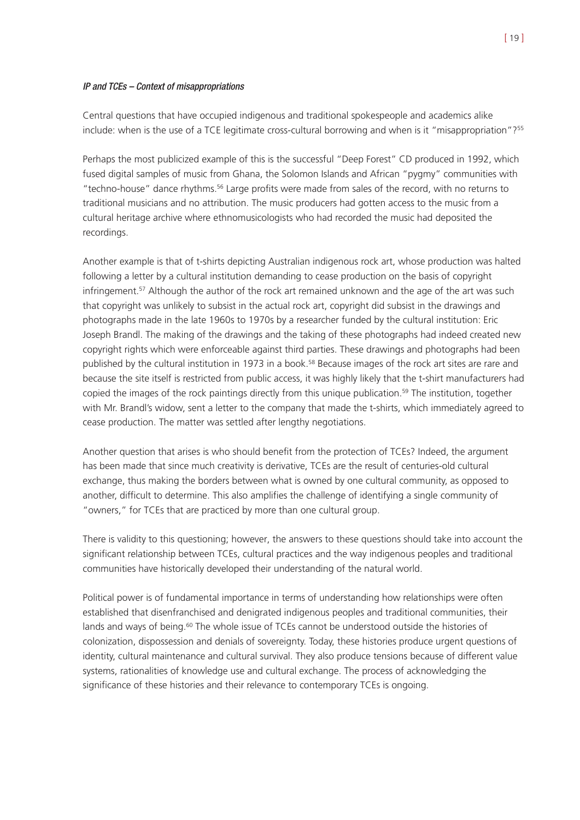#### IP and TCEs – Context of misappropriations

Central questions that have occupied indigenous and traditional spokespeople and academics alike include: when is the use of a TCE legitimate cross-cultural borrowing and when is it "misappropriation"?55

Perhaps the most publicized example of this is the successful "Deep Forest" CD produced in 1992, which fused digital samples of music from Ghana, the Solomon Islands and African "pygmy" communities with "techno-house" dance rhythms.56 Large profits were made from sales of the record, with no returns to traditional musicians and no attribution. The music producers had gotten access to the music from a cultural heritage archive where ethnomusicologists who had recorded the music had deposited the recordings.

Another example is that of t-shirts depicting Australian indigenous rock art, whose production was halted following a letter by a cultural institution demanding to cease production on the basis of copyright infringement.<sup>57</sup> Although the author of the rock art remained unknown and the age of the art was such that copyright was unlikely to subsist in the actual rock art, copyright did subsist in the drawings and photographs made in the late 1960s to 1970s by a researcher funded by the cultural institution: Eric Joseph Brandl. The making of the drawings and the taking of these photographs had indeed created new copyright rights which were enforceable against third parties. These drawings and photographs had been published by the cultural institution in 1973 in a book.<sup>58</sup> Because images of the rock art sites are rare and because the site itself is restricted from public access, it was highly likely that the t-shirt manufacturers had copied the images of the rock paintings directly from this unique publication.59 The institution, together with Mr. Brandl's widow, sent a letter to the company that made the t-shirts, which immediately agreed to cease production. The matter was settled after lengthy negotiations.

Another question that arises is who should benefit from the protection of TCEs? Indeed, the argument has been made that since much creativity is derivative, TCEs are the result of centuries-old cultural exchange, thus making the borders between what is owned by one cultural community, as opposed to another, difficult to determine. This also amplifies the challenge of identifying a single community of "owners," for TCEs that are practiced by more than one cultural group.

There is validity to this questioning; however, the answers to these questions should take into account the significant relationship between TCEs, cultural practices and the way indigenous peoples and traditional communities have historically developed their understanding of the natural world.

Political power is of fundamental importance in terms of understanding how relationships were often established that disenfranchised and denigrated indigenous peoples and traditional communities, their lands and ways of being.<sup>60</sup> The whole issue of TCEs cannot be understood outside the histories of colonization, dispossession and denials of sovereignty. Today, these histories produce urgent questions of identity, cultural maintenance and cultural survival. They also produce tensions because of different value systems, rationalities of knowledge use and cultural exchange. The process of acknowledging the significance of these histories and their relevance to contemporary TCEs is ongoing.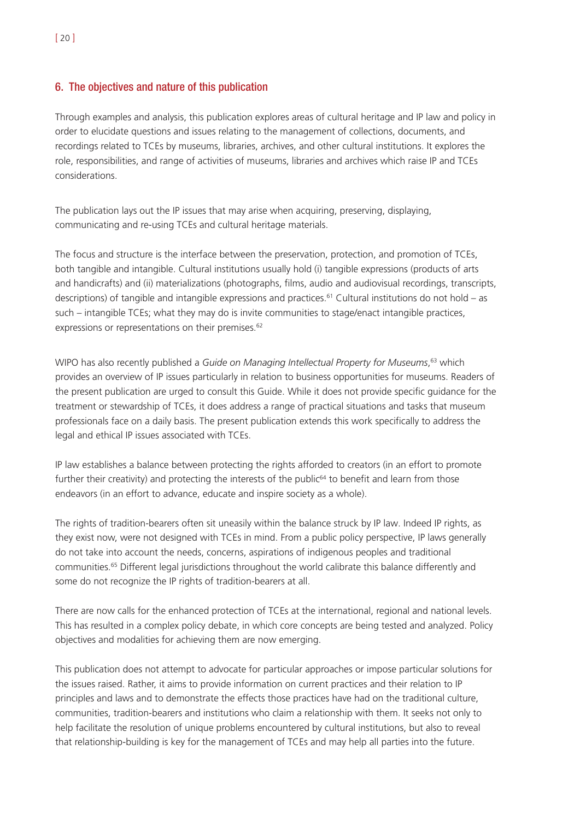# 6. The objectives and nature of this publication

Through examples and analysis, this publication explores areas of cultural heritage and IP law and policy in order to elucidate questions and issues relating to the management of collections, documents, and recordings related to TCEs by museums, libraries, archives, and other cultural institutions. It explores the role, responsibilities, and range of activities of museums, libraries and archives which raise IP and TCEs considerations.

The publication lays out the IP issues that may arise when acquiring, preserving, displaying, communicating and re-using TCEs and cultural heritage materials.

The focus and structure is the interface between the preservation, protection, and promotion of TCEs, both tangible and intangible. Cultural institutions usually hold (i) tangible expressions (products of arts and handicrafts) and (ii) materializations (photographs, films, audio and audiovisual recordings, transcripts, descriptions) of tangible and intangible expressions and practices.<sup>61</sup> Cultural institutions do not hold – as such – intangible TCEs; what they may do is invite communities to stage/enact intangible practices, expressions or representations on their premises.<sup>62</sup>

WIPO has also recently published a *Guide on Managing Intellectual Property for Museums*, <sup>63</sup> which provides an overview of IP issues particularly in relation to business opportunities for museums. Readers of the present publication are urged to consult this Guide. While it does not provide specific guidance for the treatment or stewardship of TCEs, it does address a range of practical situations and tasks that museum professionals face on a daily basis. The present publication extends this work specifically to address the legal and ethical IP issues associated with TCEs.

IP law establishes a balance between protecting the rights afforded to creators (in an effort to promote further their creativity) and protecting the interests of the public $64$  to benefit and learn from those endeavors (in an effort to advance, educate and inspire society as a whole).

The rights of tradition-bearers often sit uneasily within the balance struck by IP law. Indeed IP rights, as they exist now, were not designed with TCEs in mind. From a public policy perspective, IP laws generally do not take into account the needs, concerns, aspirations of indigenous peoples and traditional communities.65 Different legal jurisdictions throughout the world calibrate this balance differently and some do not recognize the IP rights of tradition-bearers at all.

There are now calls for the enhanced protection of TCEs at the international, regional and national levels. This has resulted in a complex policy debate, in which core concepts are being tested and analyzed. Policy objectives and modalities for achieving them are now emerging.

This publication does not attempt to advocate for particular approaches or impose particular solutions for the issues raised. Rather, it aims to provide information on current practices and their relation to IP principles and laws and to demonstrate the effects those practices have had on the traditional culture, communities, tradition-bearers and institutions who claim a relationship with them. It seeks not only to help facilitate the resolution of unique problems encountered by cultural institutions, but also to reveal that relationship-building is key for the management of TCEs and may help all parties into the future.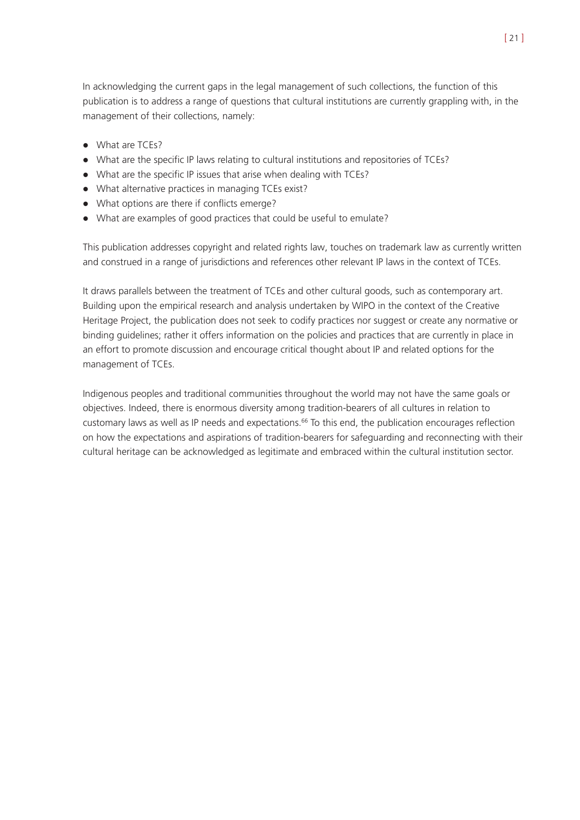In acknowledging the current gaps in the legal management of such collections, the function of this publication is to address a range of questions that cultural institutions are currently grappling with, in the management of their collections, namely:

- What are TCEs?
- ! What are the specific IP laws relating to cultural institutions and repositories of TCEs?
- . What are the specific IP issues that arise when dealing with TCEs?
- . What alternative practices in managing TCEs exist?
- ! What options are there if conflicts emerge?
- ! What are examples of good practices that could be useful to emulate?

This publication addresses copyright and related rights law, touches on trademark law as currently written and construed in a range of jurisdictions and references other relevant IP laws in the context of TCEs.

It draws parallels between the treatment of TCEs and other cultural goods, such as contemporary art. Building upon the empirical research and analysis undertaken by WIPO in the context of the Creative Heritage Project, the publication does not seek to codify practices nor suggest or create any normative or binding guidelines; rather it offers information on the policies and practices that are currently in place in an effort to promote discussion and encourage critical thought about IP and related options for the management of TCEs.

Indigenous peoples and traditional communities throughout the world may not have the same goals or objectives. Indeed, there is enormous diversity among tradition-bearers of all cultures in relation to customary laws as well as IP needs and expectations.<sup>66</sup> To this end, the publication encourages reflection on how the expectations and aspirations of tradition-bearers for safeguarding and reconnecting with their cultural heritage can be acknowledged as legitimate and embraced within the cultural institution sector.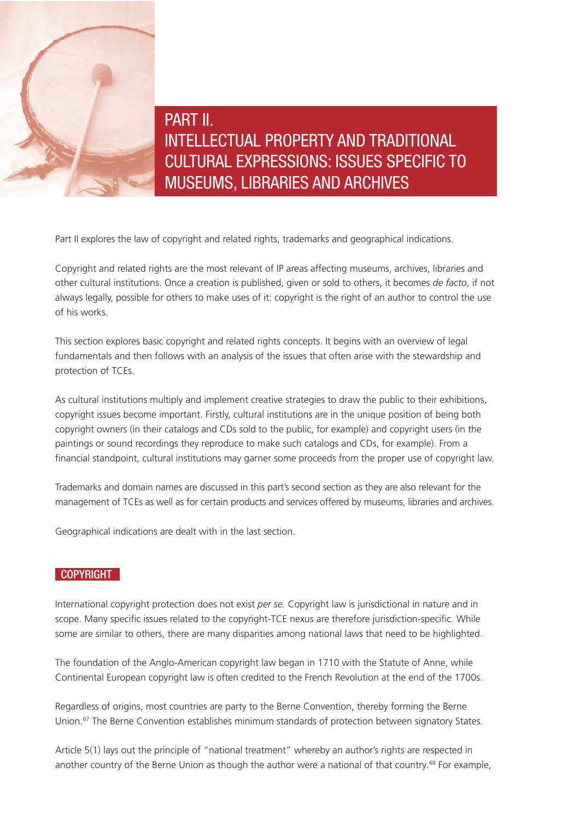

PART II. INTELLECTUAL PROPERTY AND TRADITIONAL CULTURAL EXPRESSIONS: ISSUES SPECIFIC TO MUSEUMS, LIBRARIES AND ARCHIVES

Part II explores the law of copyright and related rights, trademarks and geographical indications.

Copyright and related rights are the most relevant of IP areas affecting museums, archives, libraries and other cultural institutions. Once a creation is published, given or sold to others, it becomes *de facto*, if not always legally, possible for others to make uses of it: copyright is the right of an author to control the use of his works.

This section explores basic copyright and related rights concepts. It begins with an overview of legal fundamentals and then follows with an analysis of the issues that often arise with the stewardship and protection of TCEs.

As cultural institutions multiply and implement creative strategies to draw the public to their exhibitions, copyright issues become important. Firstly, cultural institutions are in the unique position of being both copyright owners (in their catalogs and CDs sold to the public, for example) and copyright users (in the paintings or sound recordings they reproduce to make such catalogs and CDs, for example). From a financial standpoint, cultural institutions may garner some proceeds from the proper use of copyright law.

Trademarks and domain names are discussed in this part's second section as they are also relevant for the management of TCEs as well as for certain products and services offered by museums, libraries and archives.

Geographical indications are dealt with in the last section.

# **COPYRIGHT**

International copyright protection does not exist *per se.* Copyright law is jurisdictional in nature and in scope. Many specific issues related to the copyright-TCE nexus are therefore jurisdiction-specific. While some are similar to others, there are many disparities among national laws that need to be highlighted.

The foundation of the Anglo-American copyright law began in 1710 with the Statute of Anne, while Continental European copyright law is often credited to the French Revolution at the end of the 1700s.

Regardless of origins, most countries are party to the Berne Convention, thereby forming the Berne Union.67 The Berne Convention establishes minimum standards of protection between signatory States.

Article 5(1) lays out the principle of "national treatment" whereby an author's rights are respected in another country of the Berne Union as though the author were a national of that country.<sup>68</sup> For example,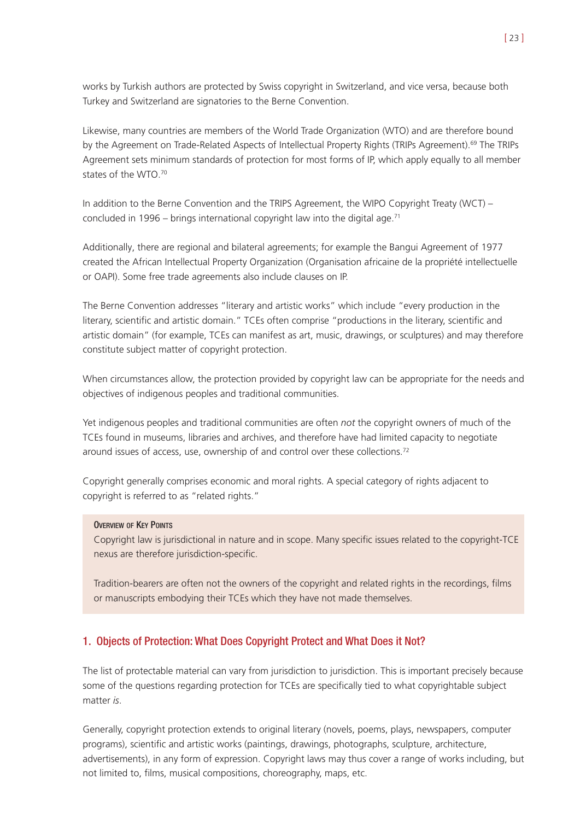works by Turkish authors are protected by Swiss copyright in Switzerland, and vice versa, because both Turkey and Switzerland are signatories to the Berne Convention.

Likewise, many countries are members of the World Trade Organization (WTO) and are therefore bound by the Agreement on Trade-Related Aspects of Intellectual Property Rights (TRIPs Agreement).<sup>69</sup> The TRIPs Agreement sets minimum standards of protection for most forms of IP, which apply equally to all member states of the WTO.70

In addition to the Berne Convention and the TRIPS Agreement, the WIPO Copyright Treaty (WCT) – concluded in 1996 – brings international copyright law into the digital age.<sup>71</sup>

Additionally, there are regional and bilateral agreements; for example the Bangui Agreement of 1977 created the African Intellectual Property Organization (Organisation africaine de la propriété intellectuelle or OAPI). Some free trade agreements also include clauses on IP.

The Berne Convention addresses "literary and artistic works" which include "every production in the literary, scientific and artistic domain." TCEs often comprise "productions in the literary, scientific and artistic domain" (for example, TCEs can manifest as art, music, drawings, or sculptures) and may therefore constitute subject matter of copyright protection.

When circumstances allow, the protection provided by copyright law can be appropriate for the needs and objectives of indigenous peoples and traditional communities.

Yet indigenous peoples and traditional communities are often *not* the copyright owners of much of the TCEs found in museums, libraries and archives, and therefore have had limited capacity to negotiate around issues of access, use, ownership of and control over these collections.<sup>72</sup>

Copyright generally comprises economic and moral rights. A special category of rights adjacent to copyright is referred to as "related rights."

#### OVERVIEW OF KEY POINTS

Copyright law is jurisdictional in nature and in scope. Many specific issues related to the copyright-TCE nexus are therefore jurisdiction-specific.

Tradition-bearers are often not the owners of the copyright and related rights in the recordings, films or manuscripts embodying their TCEs which they have not made themselves.

### 1. Objects of Protection: What Does Copyright Protect and What Does it Not?

The list of protectable material can vary from jurisdiction to jurisdiction. This is important precisely because some of the questions regarding protection for TCEs are specifically tied to what copyrightable subject matter *is*.

Generally, copyright protection extends to original literary (novels, poems, plays, newspapers, computer programs), scientific and artistic works (paintings, drawings, photographs, sculpture, architecture, advertisements), in any form of expression. Copyright laws may thus cover a range of works including, but not limited to, films, musical compositions, choreography, maps, etc.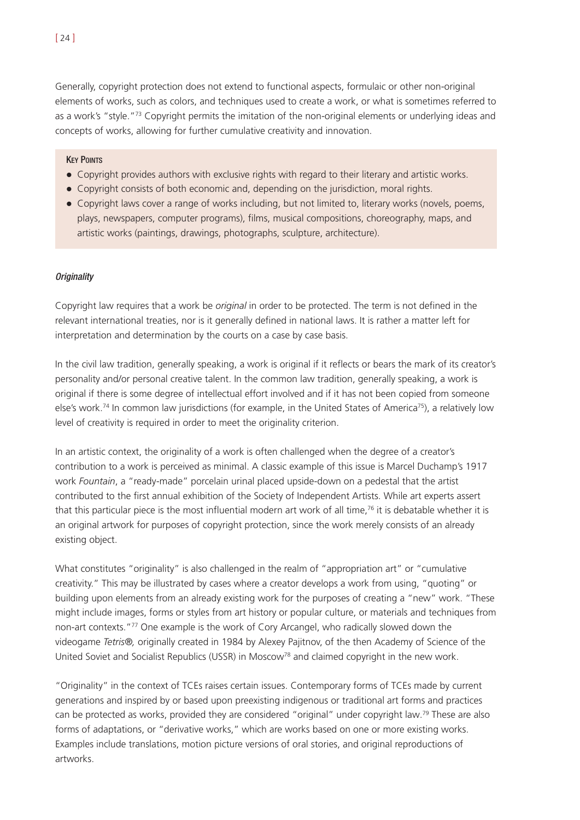Generally, copyright protection does not extend to functional aspects, formulaic or other non-original elements of works, such as colors, and techniques used to create a work, or what is sometimes referred to as a work's "style."<sup>73</sup> Copyright permits the imitation of the non-original elements or underlying ideas and concepts of works, allowing for further cumulative creativity and innovation.

#### **KEY POINTS**

- ! Copyright provides authors with exclusive rights with regard to their literary and artistic works.
- ! Copyright consists of both economic and, depending on the jurisdiction, moral rights.
- Copyright laws cover a range of works including, but not limited to, literary works (novels, poems, plays, newspapers, computer programs), films, musical compositions, choreography, maps, and artistic works (paintings, drawings, photographs, sculpture, architecture).

#### **Originality**

Copyright law requires that a work be *original* in order to be protected. The term is not defined in the relevant international treaties, nor is it generally defined in national laws. It is rather a matter left for interpretation and determination by the courts on a case by case basis.

In the civil law tradition, generally speaking, a work is original if it reflects or bears the mark of its creator's personality and/or personal creative talent. In the common law tradition, generally speaking, a work is original if there is some degree of intellectual effort involved and if it has not been copied from someone else's work.<sup>74</sup> In common law jurisdictions (for example, in the United States of America<sup>75</sup>), a relatively low level of creativity is required in order to meet the originality criterion.

In an artistic context, the originality of a work is often challenged when the degree of a creator's contribution to a work is perceived as minimal. A classic example of this issue is Marcel Duchamp's 1917 work *Fountain*, a "ready-made" porcelain urinal placed upside-down on a pedestal that the artist contributed to the first annual exhibition of the Society of Independent Artists. While art experts assert that this particular piece is the most influential modern art work of all time,<sup>76</sup> it is debatable whether it is an original artwork for purposes of copyright protection, since the work merely consists of an already existing object.

What constitutes "originality" is also challenged in the realm of "appropriation art" or "cumulative creativity." This may be illustrated by cases where a creator develops a work from using, "quoting" or building upon elements from an already existing work for the purposes of creating a "new" work. "These might include images, forms or styles from art history or popular culture, or materials and techniques from non-art contexts."77 One example is the work of Cory Arcangel, who radically slowed down the videogame *Tetris®,* originally created in 1984 by Alexey Pajitnov, of the then Academy of Science of the United Soviet and Socialist Republics (USSR) in Moscow<sup>78</sup> and claimed copyright in the new work.

"Originality" in the context of TCEs raises certain issues. Contemporary forms of TCEs made by current generations and inspired by or based upon preexisting indigenous or traditional art forms and practices can be protected as works, provided they are considered "original" under copyright law.79 These are also forms of adaptations, or "derivative works," which are works based on one or more existing works. Examples include translations, motion picture versions of oral stories, and original reproductions of artworks.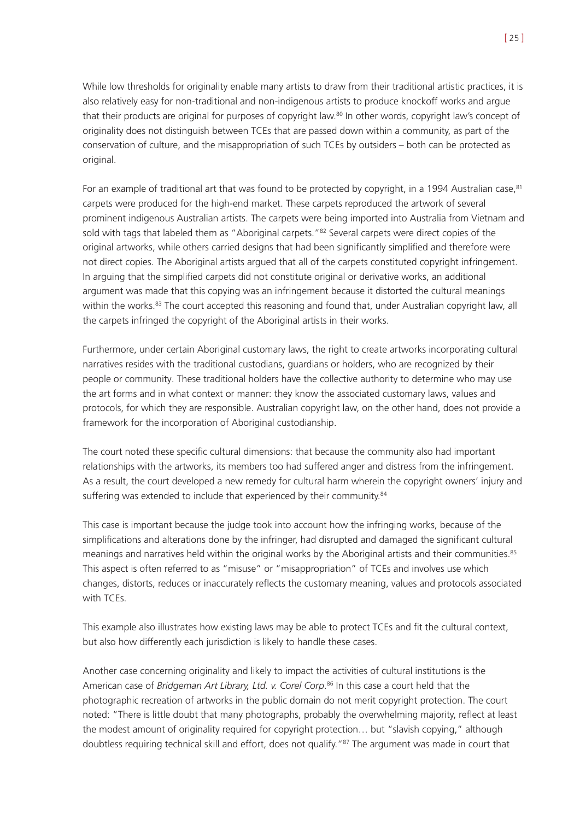While low thresholds for originality enable many artists to draw from their traditional artistic practices, it is also relatively easy for non-traditional and non-indigenous artists to produce knockoff works and argue that their products are original for purposes of copyright law.80 In other words, copyright law's concept of originality does not distinguish between TCEs that are passed down within a community, as part of the conservation of culture, and the misappropriation of such TCEs by outsiders – both can be protected as original.

For an example of traditional art that was found to be protected by copyright, in a 1994 Australian case, <sup>81</sup> carpets were produced for the high-end market. These carpets reproduced the artwork of several prominent indigenous Australian artists. The carpets were being imported into Australia from Vietnam and sold with tags that labeled them as "Aboriginal carpets."<sup>82</sup> Several carpets were direct copies of the original artworks, while others carried designs that had been significantly simplified and therefore were not direct copies. The Aboriginal artists argued that all of the carpets constituted copyright infringement. In arguing that the simplified carpets did not constitute original or derivative works, an additional argument was made that this copying was an infringement because it distorted the cultural meanings within the works.<sup>83</sup> The court accepted this reasoning and found that, under Australian copyright law, all the carpets infringed the copyright of the Aboriginal artists in their works.

Furthermore, under certain Aboriginal customary laws, the right to create artworks incorporating cultural narratives resides with the traditional custodians, guardians or holders, who are recognized by their people or community. These traditional holders have the collective authority to determine who may use the art forms and in what context or manner: they know the associated customary laws, values and protocols, for which they are responsible. Australian copyright law, on the other hand, does not provide a framework for the incorporation of Aboriginal custodianship.

The court noted these specific cultural dimensions: that because the community also had important relationships with the artworks, its members too had suffered anger and distress from the infringement. As a result, the court developed a new remedy for cultural harm wherein the copyright owners' injury and suffering was extended to include that experienced by their community.<sup>84</sup>

This case is important because the judge took into account how the infringing works, because of the simplifications and alterations done by the infringer, had disrupted and damaged the significant cultural meanings and narratives held within the original works by the Aboriginal artists and their communities.<sup>85</sup> This aspect is often referred to as "misuse" or "misappropriation" of TCEs and involves use which changes, distorts, reduces or inaccurately reflects the customary meaning, values and protocols associated with TCEs.

This example also illustrates how existing laws may be able to protect TCEs and fit the cultural context, but also how differently each jurisdiction is likely to handle these cases.

Another case concerning originality and likely to impact the activities of cultural institutions is the American case of *Bridgeman Art Library, Ltd. v. Corel Corp*. <sup>86</sup> In this case a court held that the photographic recreation of artworks in the public domain do not merit copyright protection. The court noted: "There is little doubt that many photographs, probably the overwhelming majority, reflect at least the modest amount of originality required for copyright protection… but "slavish copying," although doubtless requiring technical skill and effort, does not qualify."<sup>87</sup> The argument was made in court that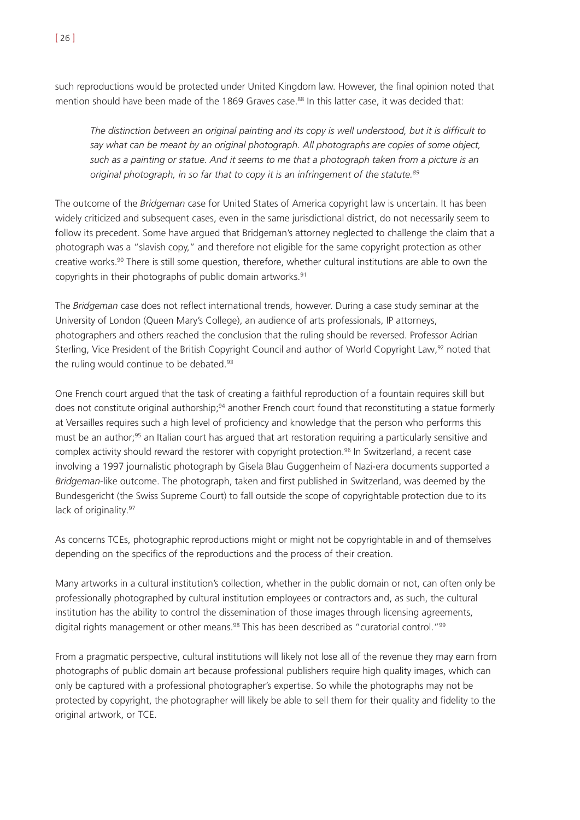such reproductions would be protected under United Kingdom law. However, the final opinion noted that mention should have been made of the 1869 Graves case.<sup>88</sup> In this latter case, it was decided that:

*The distinction between an original painting and its copy is well understood, but it is difficult to say what can be meant by an original photograph. All photographs are copies of some object, such as a painting or statue. And it seems to me that a photograph taken from a picture is an original photograph, in so far that to copy it is an infringement of the statute.89*

The outcome of the *Bridgeman* case for United States of America copyright law is uncertain. It has been widely criticized and subsequent cases, even in the same jurisdictional district, do not necessarily seem to follow its precedent. Some have argued that Bridgeman's attorney neglected to challenge the claim that a photograph was a "slavish copy," and therefore not eligible for the same copyright protection as other creative works.90 There is still some question, therefore, whether cultural institutions are able to own the copyrights in their photographs of public domain artworks.91

The *Bridgeman* case does not reflect international trends, however. During a case study seminar at the University of London (Queen Mary's College), an audience of arts professionals, IP attorneys, photographers and others reached the conclusion that the ruling should be reversed. Professor Adrian Sterling, Vice President of the British Copyright Council and author of World Copyright Law,<sup>92</sup> noted that the ruling would continue to be debated.<sup>93</sup>

One French court argued that the task of creating a faithful reproduction of a fountain requires skill but does not constitute original authorship;<sup>94</sup> another French court found that reconstituting a statue formerly at Versailles requires such a high level of proficiency and knowledge that the person who performs this must be an author;<sup>95</sup> an Italian court has argued that art restoration requiring a particularly sensitive and complex activity should reward the restorer with copyright protection.<sup>96</sup> In Switzerland, a recent case involving a 1997 journalistic photograph by Gisela Blau Guggenheim of Nazi-era documents supported a *Bridgeman*-like outcome. The photograph, taken and first published in Switzerland, was deemed by the Bundesgericht (the Swiss Supreme Court) to fall outside the scope of copyrightable protection due to its lack of originality.<sup>97</sup>

As concerns TCEs, photographic reproductions might or might not be copyrightable in and of themselves depending on the specifics of the reproductions and the process of their creation.

Many artworks in a cultural institution's collection, whether in the public domain or not, can often only be professionally photographed by cultural institution employees or contractors and, as such, the cultural institution has the ability to control the dissemination of those images through licensing agreements, digital rights management or other means.<sup>98</sup> This has been described as "curatorial control."<sup>99</sup>

From a pragmatic perspective, cultural institutions will likely not lose all of the revenue they may earn from photographs of public domain art because professional publishers require high quality images, which can only be captured with a professional photographer's expertise. So while the photographs may not be protected by copyright, the photographer will likely be able to sell them for their quality and fidelity to the original artwork, or TCE.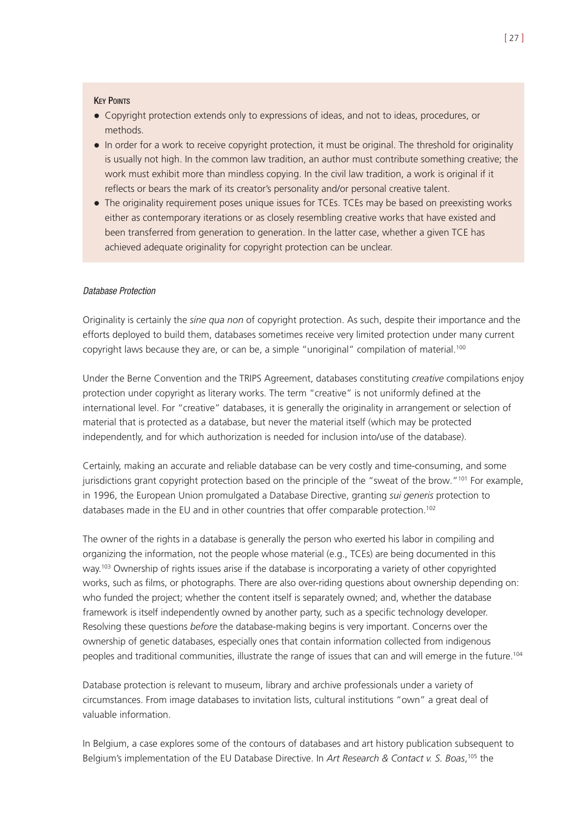#### **KEY POINTS**

- ! Copyright protection extends only to expressions of ideas, and not to ideas, procedures, or methods.
- In order for a work to receive copyright protection, it must be original. The threshold for originality is usually not high. In the common law tradition, an author must contribute something creative; the work must exhibit more than mindless copying. In the civil law tradition, a work is original if it reflects or bears the mark of its creator's personality and/or personal creative talent.
- The originality requirement poses unique issues for TCEs. TCEs may be based on preexisting works either as contemporary iterations or as closely resembling creative works that have existed and been transferred from generation to generation. In the latter case, whether a given TCE has achieved adequate originality for copyright protection can be unclear.

#### Database Protection

Originality is certainly the *sine qua non* of copyright protection. As such, despite their importance and the efforts deployed to build them, databases sometimes receive very limited protection under many current copyright laws because they are, or can be, a simple "unoriginal" compilation of material.<sup>100</sup>

Under the Berne Convention and the TRIPS Agreement, databases constituting *creative* compilations enjoy protection under copyright as literary works. The term "creative" is not uniformly defined at the international level. For "creative" databases, it is generally the originality in arrangement or selection of material that is protected as a database, but never the material itself (which may be protected independently, and for which authorization is needed for inclusion into/use of the database).

Certainly, making an accurate and reliable database can be very costly and time-consuming, and some jurisdictions grant copyright protection based on the principle of the "sweat of the brow."101 For example, in 1996, the European Union promulgated a Database Directive, granting *sui generis* protection to databases made in the EU and in other countries that offer comparable protection.<sup>102</sup>

The owner of the rights in a database is generally the person who exerted his labor in compiling and organizing the information, not the people whose material (e.g., TCEs) are being documented in this way.<sup>103</sup> Ownership of rights issues arise if the database is incorporating a variety of other copyrighted works, such as films, or photographs. There are also over-riding questions about ownership depending on: who funded the project; whether the content itself is separately owned; and, whether the database framework is itself independently owned by another party, such as a specific technology developer. Resolving these questions *before* the database-making begins is very important. Concerns over the ownership of genetic databases, especially ones that contain information collected from indigenous peoples and traditional communities, illustrate the range of issues that can and will emerge in the future.104

Database protection is relevant to museum, library and archive professionals under a variety of circumstances. From image databases to invitation lists, cultural institutions "own" a great deal of valuable information.

In Belgium, a case explores some of the contours of databases and art history publication subsequent to Belgium's implementation of the EU Database Directive. In *Art Research & Contact v. S. Boas*, <sup>105</sup> the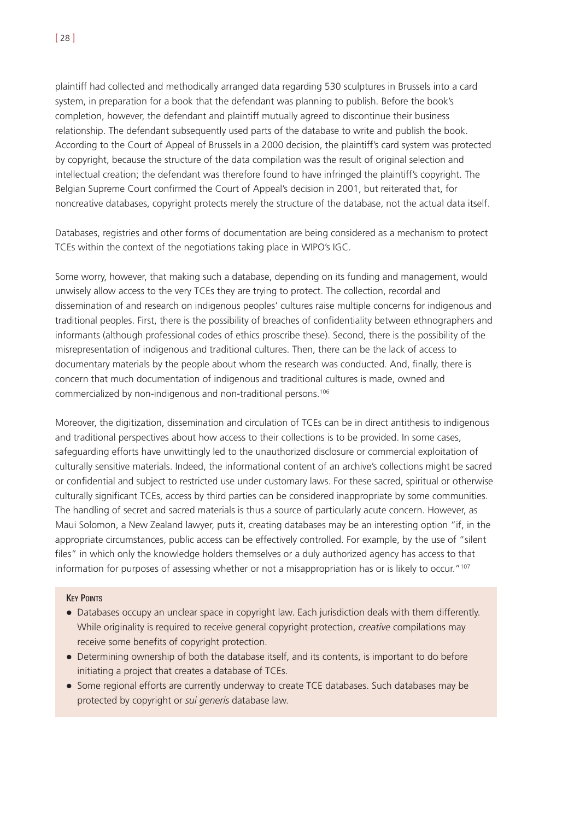plaintiff had collected and methodically arranged data regarding 530 sculptures in Brussels into a card system, in preparation for a book that the defendant was planning to publish. Before the book's completion, however, the defendant and plaintiff mutually agreed to discontinue their business relationship. The defendant subsequently used parts of the database to write and publish the book. According to the Court of Appeal of Brussels in a 2000 decision, the plaintiff's card system was protected by copyright, because the structure of the data compilation was the result of original selection and intellectual creation; the defendant was therefore found to have infringed the plaintiff's copyright. The Belgian Supreme Court confirmed the Court of Appeal's decision in 2001, but reiterated that, for noncreative databases, copyright protects merely the structure of the database, not the actual data itself.

Databases, registries and other forms of documentation are being considered as a mechanism to protect TCEs within the context of the negotiations taking place in WIPO's IGC.

Some worry, however, that making such a database, depending on its funding and management, would unwisely allow access to the very TCEs they are trying to protect. The collection, recordal and dissemination of and research on indigenous peoples' cultures raise multiple concerns for indigenous and traditional peoples. First, there is the possibility of breaches of confidentiality between ethnographers and informants (although professional codes of ethics proscribe these). Second, there is the possibility of the misrepresentation of indigenous and traditional cultures. Then, there can be the lack of access to documentary materials by the people about whom the research was conducted. And, finally, there is concern that much documentation of indigenous and traditional cultures is made, owned and commercialized by non-indigenous and non-traditional persons.106

Moreover, the digitization, dissemination and circulation of TCEs can be in direct antithesis to indigenous and traditional perspectives about how access to their collections is to be provided. In some cases, safeguarding efforts have unwittingly led to the unauthorized disclosure or commercial exploitation of culturally sensitive materials. Indeed, the informational content of an archive's collections might be sacred or confidential and subject to restricted use under customary laws. For these sacred, spiritual or otherwise culturally significant TCEs, access by third parties can be considered inappropriate by some communities. The handling of secret and sacred materials is thus a source of particularly acute concern. However, as Maui Solomon, a New Zealand lawyer, puts it, creating databases may be an interesting option "if, in the appropriate circumstances, public access can be effectively controlled. For example, by the use of "silent files" in which only the knowledge holders themselves or a duly authorized agency has access to that information for purposes of assessing whether or not a misappropriation has or is likely to occur."<sup>107</sup>

#### **KEY POINTS**

- Databases occupy an unclear space in copyright law. Each jurisdiction deals with them differently. While originality is required to receive general copyright protection, *creative* compilations may receive some benefits of copyright protection.
- ! Determining ownership of both the database itself, and its contents, is important to do before initiating a project that creates a database of TCEs.
- ! Some regional efforts are currently underway to create TCE databases. Such databases may be protected by copyright or *sui generis* database law.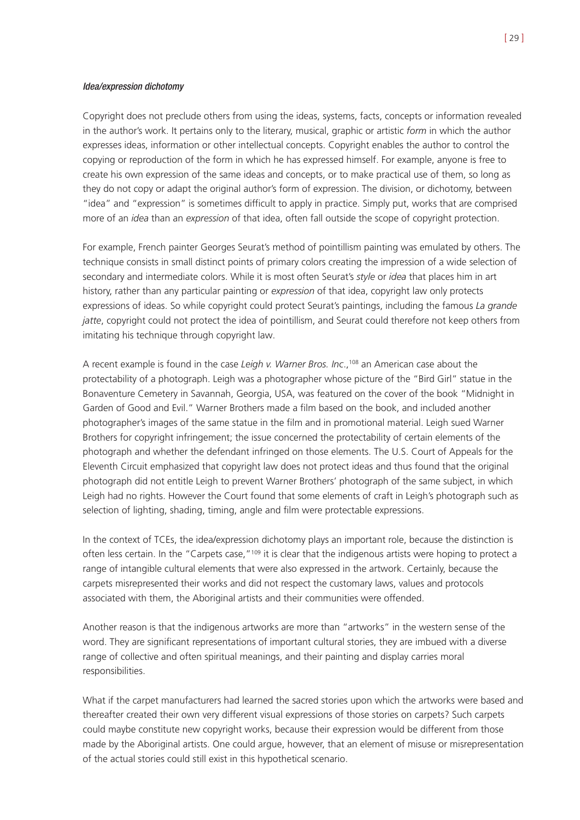#### Idea/expression dichotomy

Copyright does not preclude others from using the ideas, systems, facts, concepts or information revealed in the author's work. It pertains only to the literary, musical, graphic or artistic *form* in which the author expresses ideas, information or other intellectual concepts. Copyright enables the author to control the copying or reproduction of the form in which he has expressed himself. For example, anyone is free to create his own expression of the same ideas and concepts, or to make practical use of them, so long as they do not copy or adapt the original author's form of expression. The division, or dichotomy, between "idea" and "expression" is sometimes difficult to apply in practice. Simply put, works that are comprised more of an *idea* than an *expression* of that idea, often fall outside the scope of copyright protection.

For example, French painter Georges Seurat's method of pointillism painting was emulated by others. The technique consists in small distinct points of primary colors creating the impression of a wide selection of secondary and intermediate colors. While it is most often Seurat's *style* or *idea* that places him in art history, rather than any particular painting or *expression* of that idea, copyright law only protects expressions of ideas. So while copyright could protect Seurat's paintings, including the famous *La grande jatte*, copyright could not protect the idea of pointillism, and Seurat could therefore not keep others from imitating his technique through copyright law.

A recent example is found in the case *Leigh v. Warner Bros. Inc*.,108 an American case about the protectability of a photograph. Leigh was a photographer whose picture of the "Bird Girl" statue in the Bonaventure Cemetery in Savannah, Georgia, USA, was featured on the cover of the book "Midnight in Garden of Good and Evil." Warner Brothers made a film based on the book, and included another photographer's images of the same statue in the film and in promotional material. Leigh sued Warner Brothers for copyright infringement; the issue concerned the protectability of certain elements of the photograph and whether the defendant infringed on those elements. The U.S. Court of Appeals for the Eleventh Circuit emphasized that copyright law does not protect ideas and thus found that the original photograph did not entitle Leigh to prevent Warner Brothers' photograph of the same subject, in which Leigh had no rights. However the Court found that some elements of craft in Leigh's photograph such as selection of lighting, shading, timing, angle and film were protectable expressions.

In the context of TCEs, the idea/expression dichotomy plays an important role, because the distinction is often less certain. In the "Carpets case,"<sup>109</sup> it is clear that the indigenous artists were hoping to protect a range of intangible cultural elements that were also expressed in the artwork. Certainly, because the carpets misrepresented their works and did not respect the customary laws, values and protocols associated with them, the Aboriginal artists and their communities were offended.

Another reason is that the indigenous artworks are more than "artworks" in the western sense of the word. They are significant representations of important cultural stories, they are imbued with a diverse range of collective and often spiritual meanings, and their painting and display carries moral responsibilities.

What if the carpet manufacturers had learned the sacred stories upon which the artworks were based and thereafter created their own very different visual expressions of those stories on carpets? Such carpets could maybe constitute new copyright works, because their expression would be different from those made by the Aboriginal artists. One could argue, however, that an element of misuse or misrepresentation of the actual stories could still exist in this hypothetical scenario.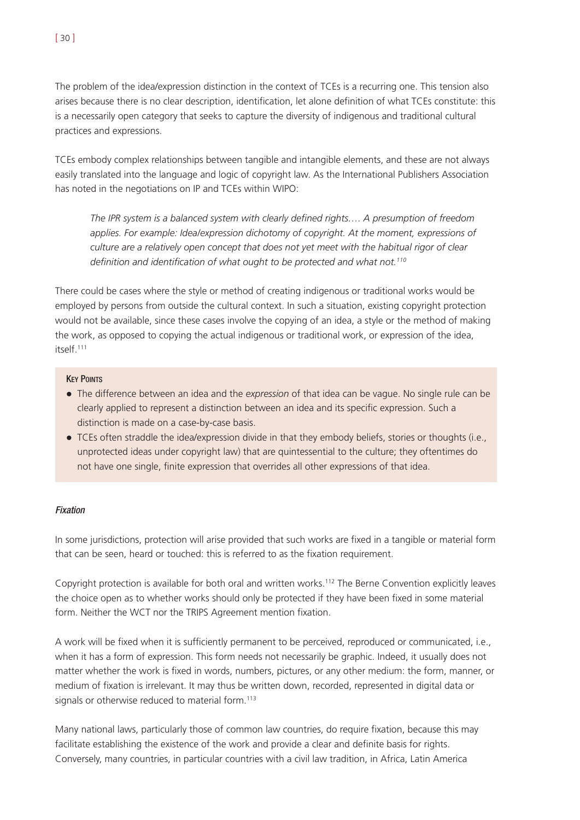The problem of the idea/expression distinction in the context of TCEs is a recurring one. This tension also arises because there is no clear description, identification, let alone definition of what TCEs constitute: this is a necessarily open category that seeks to capture the diversity of indigenous and traditional cultural practices and expressions.

TCEs embody complex relationships between tangible and intangible elements, and these are not always easily translated into the language and logic of copyright law. As the International Publishers Association has noted in the negotiations on IP and TCEs within WIPO:

*The IPR system is a balanced system with clearly defined rights…. A presumption of freedom applies. For example: Idea/expression dichotomy of copyright. At the moment, expressions of culture are a relatively open concept that does not yet meet with the habitual rigor of clear definition and identification of what ought to be protected and what not.110*

There could be cases where the style or method of creating indigenous or traditional works would be employed by persons from outside the cultural context. In such a situation, existing copyright protection would not be available, since these cases involve the copying of an idea, a style or the method of making the work, as opposed to copying the actual indigenous or traditional work, or expression of the idea, itself.111

#### **KEY POINTS**

- ! The difference between an idea and the *expression* of that idea can be vague. No single rule can be clearly applied to represent a distinction between an idea and its specific expression. Such a distinction is made on a case-by-case basis.
- ! TCEs often straddle the idea/expression divide in that they embody beliefs, stories or thoughts (i.e., unprotected ideas under copyright law) that are quintessential to the culture; they oftentimes do not have one single, finite expression that overrides all other expressions of that idea.

# Fixation

In some jurisdictions, protection will arise provided that such works are fixed in a tangible or material form that can be seen, heard or touched: this is referred to as the fixation requirement.

Copyright protection is available for both oral and written works.112 The Berne Convention explicitly leaves the choice open as to whether works should only be protected if they have been fixed in some material form. Neither the WCT nor the TRIPS Agreement mention fixation.

A work will be fixed when it is sufficiently permanent to be perceived, reproduced or communicated, i.e., when it has a form of expression. This form needs not necessarily be graphic. Indeed, it usually does not matter whether the work is fixed in words, numbers, pictures, or any other medium: the form, manner, or medium of fixation is irrelevant. It may thus be written down, recorded, represented in digital data or signals or otherwise reduced to material form.<sup>113</sup>

Many national laws, particularly those of common law countries, do require fixation, because this may facilitate establishing the existence of the work and provide a clear and definite basis for rights. Conversely, many countries, in particular countries with a civil law tradition, in Africa, Latin America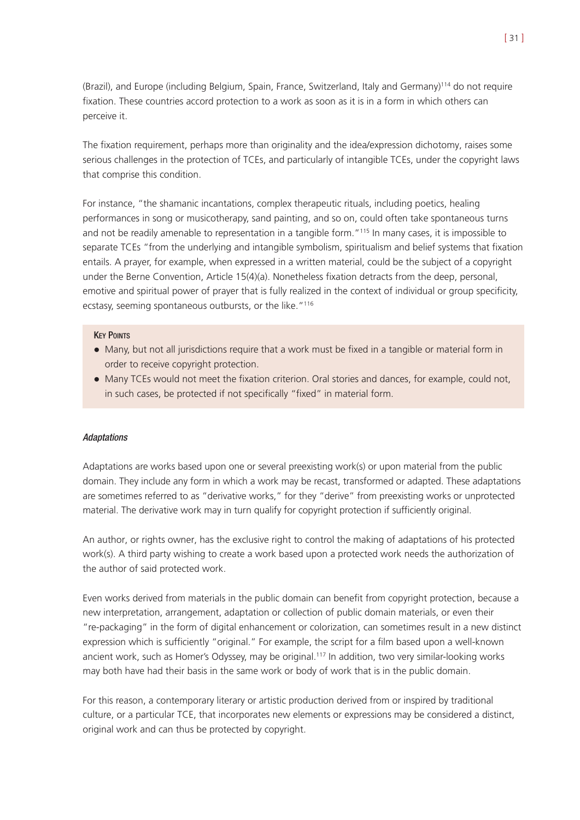(Brazil), and Europe (including Belgium, Spain, France, Switzerland, Italy and Germany)114 do not require fixation. These countries accord protection to a work as soon as it is in a form in which others can perceive it.

The fixation requirement, perhaps more than originality and the idea/expression dichotomy, raises some serious challenges in the protection of TCEs, and particularly of intangible TCEs, under the copyright laws that comprise this condition.

For instance, "the shamanic incantations, complex therapeutic rituals, including poetics, healing performances in song or musicotherapy, sand painting, and so on, could often take spontaneous turns and not be readily amenable to representation in a tangible form."115 In many cases, it is impossible to separate TCEs "from the underlying and intangible symbolism, spiritualism and belief systems that fixation entails. A prayer, for example, when expressed in a written material, could be the subject of a copyright under the Berne Convention, Article 15(4)(a). Nonetheless fixation detracts from the deep, personal, emotive and spiritual power of prayer that is fully realized in the context of individual or group specificity, ecstasy, seeming spontaneous outbursts, or the like."<sup>116</sup>

#### **KEY POINTS**

- ! Many, but not all jurisdictions require that a work must be fixed in a tangible or material form in order to receive copyright protection.
- Many TCEs would not meet the fixation criterion. Oral stories and dances, for example, could not, in such cases, be protected if not specifically "fixed" in material form.

#### **Adaptations**

Adaptations are works based upon one or several preexisting work(s) or upon material from the public domain. They include any form in which a work may be recast, transformed or adapted. These adaptations are sometimes referred to as "derivative works," for they "derive" from preexisting works or unprotected material. The derivative work may in turn qualify for copyright protection if sufficiently original.

An author, or rights owner, has the exclusive right to control the making of adaptations of his protected work(s). A third party wishing to create a work based upon a protected work needs the authorization of the author of said protected work.

Even works derived from materials in the public domain can benefit from copyright protection, because a new interpretation, arrangement, adaptation or collection of public domain materials, or even their "re-packaging" in the form of digital enhancement or colorization, can sometimes result in a new distinct expression which is sufficiently "original." For example, the script for a film based upon a well-known ancient work, such as Homer's Odyssey, may be original.<sup>117</sup> In addition, two very similar-looking works may both have had their basis in the same work or body of work that is in the public domain.

For this reason, a contemporary literary or artistic production derived from or inspired by traditional culture, or a particular TCE, that incorporates new elements or expressions may be considered a distinct, original work and can thus be protected by copyright.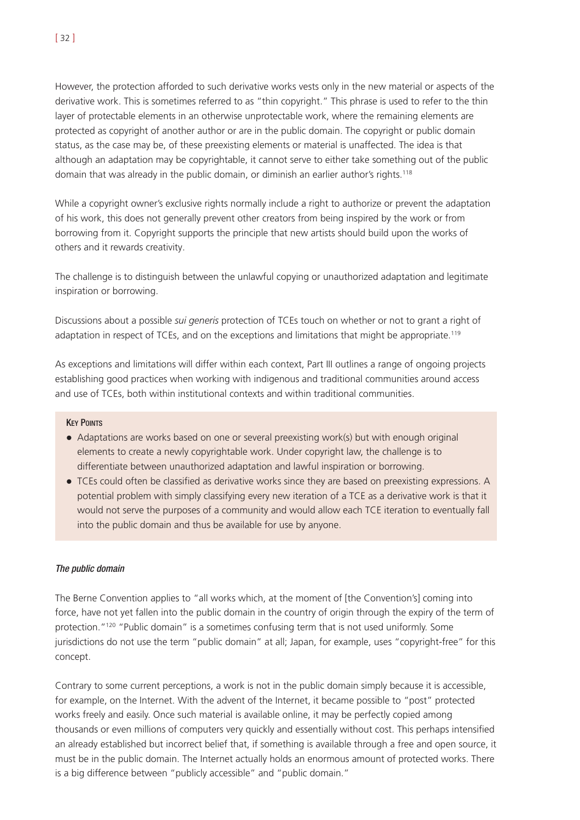However, the protection afforded to such derivative works vests only in the new material or aspects of the derivative work. This is sometimes referred to as "thin copyright." This phrase is used to refer to the thin layer of protectable elements in an otherwise unprotectable work, where the remaining elements are protected as copyright of another author or are in the public domain. The copyright or public domain status, as the case may be, of these preexisting elements or material is unaffected. The idea is that although an adaptation may be copyrightable, it cannot serve to either take something out of the public domain that was already in the public domain, or diminish an earlier author's rights.<sup>118</sup>

While a copyright owner's exclusive rights normally include a right to authorize or prevent the adaptation of his work, this does not generally prevent other creators from being inspired by the work or from borrowing from it. Copyright supports the principle that new artists should build upon the works of others and it rewards creativity.

The challenge is to distinguish between the unlawful copying or unauthorized adaptation and legitimate inspiration or borrowing.

Discussions about a possible *sui generis* protection of TCEs touch on whether or not to grant a right of adaptation in respect of TCEs, and on the exceptions and limitations that might be appropriate.<sup>119</sup>

As exceptions and limitations will differ within each context, Part III outlines a range of ongoing projects establishing good practices when working with indigenous and traditional communities around access and use of TCEs, both within institutional contexts and within traditional communities.

#### **KEY POINTS**

- Adaptations are works based on one or several preexisting work(s) but with enough original elements to create a newly copyrightable work. Under copyright law, the challenge is to differentiate between unauthorized adaptation and lawful inspiration or borrowing.
- TCEs could often be classified as derivative works since they are based on preexisting expressions. A potential problem with simply classifying every new iteration of a TCE as a derivative work is that it would not serve the purposes of a community and would allow each TCE iteration to eventually fall into the public domain and thus be available for use by anyone.

#### The public domain

The Berne Convention applies to "all works which, at the moment of [the Convention's] coming into force, have not yet fallen into the public domain in the country of origin through the expiry of the term of protection."<sup>120</sup> "Public domain" is a sometimes confusing term that is not used uniformly. Some jurisdictions do not use the term "public domain" at all; Japan, for example, uses "copyright-free" for this concept.

Contrary to some current perceptions, a work is not in the public domain simply because it is accessible, for example, on the Internet. With the advent of the Internet, it became possible to "post" protected works freely and easily. Once such material is available online, it may be perfectly copied among thousands or even millions of computers very quickly and essentially without cost. This perhaps intensified an already established but incorrect belief that, if something is available through a free and open source, it must be in the public domain. The Internet actually holds an enormous amount of protected works. There is a big difference between "publicly accessible" and "public domain."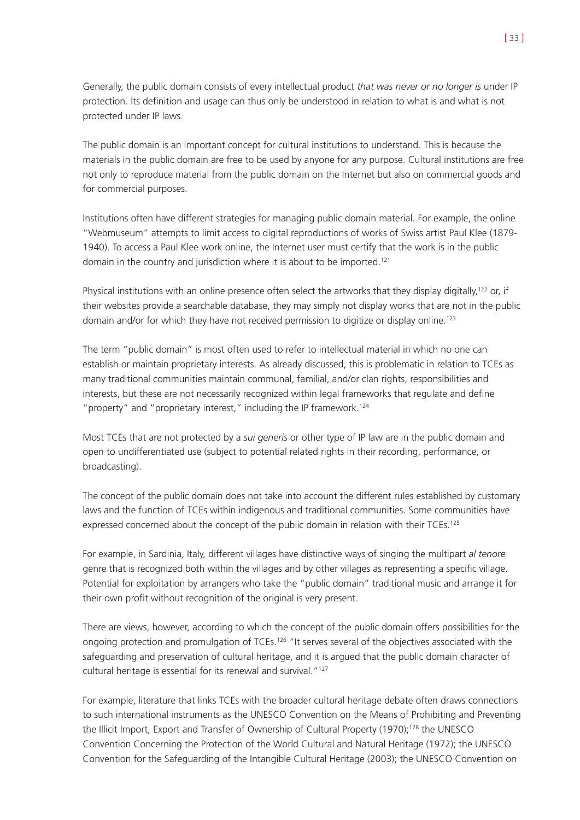Generally, the public domain consists of every intellectual product *that was never or no longer is* under IP protection. Its definition and usage can thus only be understood in relation to what is and what is not protected under IP laws.

The public domain is an important concept for cultural institutions to understand. This is because the materials in the public domain are free to be used by anyone for any purpose. Cultural institutions are free not only to reproduce material from the public domain on the Internet but also on commercial goods and for commercial purposes.

Institutions often have different strategies for managing public domain material. For example, the online "Webmuseum" attempts to limit access to digital reproductions of works of Swiss artist Paul Klee (1879- 1940). To access a Paul Klee work online, the Internet user must certify that the work is in the public domain in the country and jurisdiction where it is about to be imported.<sup>121</sup>

Physical institutions with an online presence often select the artworks that they display digitally,<sup>122</sup> or, if their websites provide a searchable database, they may simply not display works that are not in the public domain and/or for which they have not received permission to digitize or display online.<sup>123</sup>

The term "public domain" is most often used to refer to intellectual material in which no one can establish or maintain proprietary interests. As already discussed, this is problematic in relation to TCEs as many traditional communities maintain communal, familial, and/or clan rights, responsibilities and interests, but these are not necessarily recognized within legal frameworks that regulate and define "property" and "proprietary interest," including the IP framework.<sup>124</sup>

Most TCEs that are not protected by a *sui generis* or other type of IP law are in the public domain and open to undifferentiated use (subject to potential related rights in their recording, performance, or broadcasting).

The concept of the public domain does not take into account the different rules established by customary laws and the function of TCEs within indigenous and traditional communities. Some communities have expressed concerned about the concept of the public domain in relation with their TCEs.<sup>125</sup>

For example, in Sardinia, Italy, different villages have distinctive ways of singing the multipart *al tenore* genre that is recognized both within the villages and by other villages as representing a specific village. Potential for exploitation by arrangers who take the "public domain" traditional music and arrange it for their own profit without recognition of the original is very present.

There are views, however, according to which the concept of the public domain offers possibilities for the ongoing protection and promulgation of TCEs.<sup>126</sup> "It serves several of the objectives associated with the safeguarding and preservation of cultural heritage, and it is argued that the public domain character of cultural heritage is essential for its renewal and survival."127

For example, literature that links TCEs with the broader cultural heritage debate often draws connections to such international instruments as the UNESCO Convention on the Means of Prohibiting and Preventing the Illicit Import, Export and Transfer of Ownership of Cultural Property (1970);128 the UNESCO Convention Concerning the Protection of the World Cultural and Natural Heritage (1972); the UNESCO Convention for the Safeguarding of the Intangible Cultural Heritage (2003); the UNESCO Convention on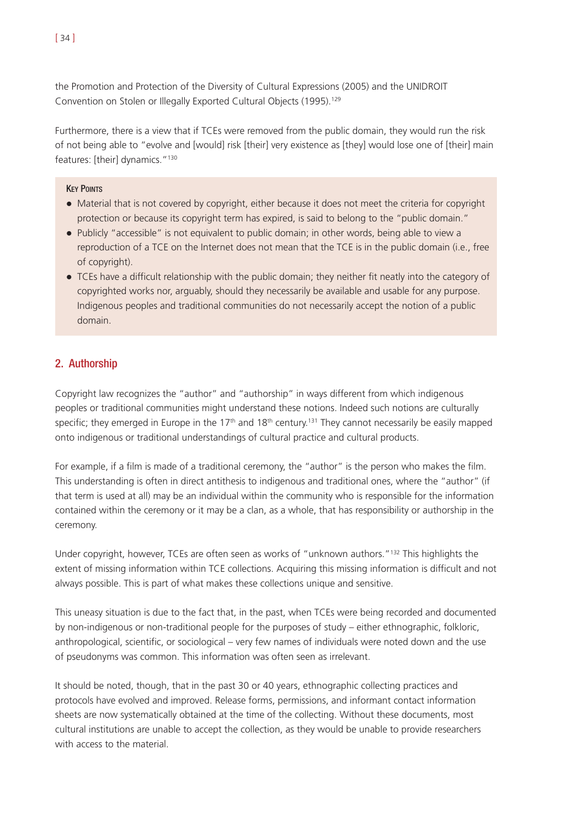the Promotion and Protection of the Diversity of Cultural Expressions (2005) and the UNIDROIT Convention on Stolen or Illegally Exported Cultural Objects (1995).129

Furthermore, there is a view that if TCEs were removed from the public domain, they would run the risk of not being able to "evolve and [would] risk [their] very existence as [they] would lose one of [their] main features: [their] dynamics."130

### **KEY POINTS**

- ! Material that is not covered by copyright, either because it does not meet the criteria for copyright protection or because its copyright term has expired, is said to belong to the "public domain."
- Publicly "accessible" is not equivalent to public domain; in other words, being able to view a reproduction of a TCE on the Internet does not mean that the TCE is in the public domain (i.e., free of copyright).
- ! TCEs have a difficult relationship with the public domain; they neither fit neatly into the category of copyrighted works nor, arguably, should they necessarily be available and usable for any purpose. Indigenous peoples and traditional communities do not necessarily accept the notion of a public domain.

# 2. Authorship

Copyright law recognizes the "author" and "authorship" in ways different from which indigenous peoples or traditional communities might understand these notions. Indeed such notions are culturally specific; they emerged in Europe in the 17<sup>th</sup> and 18<sup>th</sup> century.<sup>131</sup> They cannot necessarily be easily mapped onto indigenous or traditional understandings of cultural practice and cultural products.

For example, if a film is made of a traditional ceremony, the "author" is the person who makes the film. This understanding is often in direct antithesis to indigenous and traditional ones, where the "author" (if that term is used at all) may be an individual within the community who is responsible for the information contained within the ceremony or it may be a clan, as a whole, that has responsibility or authorship in the ceremony.

Under copyright, however, TCEs are often seen as works of "unknown authors."132 This highlights the extent of missing information within TCE collections. Acquiring this missing information is difficult and not always possible. This is part of what makes these collections unique and sensitive.

This uneasy situation is due to the fact that, in the past, when TCEs were being recorded and documented by non-indigenous or non-traditional people for the purposes of study – either ethnographic, folkloric, anthropological, scientific, or sociological – very few names of individuals were noted down and the use of pseudonyms was common. This information was often seen as irrelevant.

It should be noted, though, that in the past 30 or 40 years, ethnographic collecting practices and protocols have evolved and improved. Release forms, permissions, and informant contact information sheets are now systematically obtained at the time of the collecting. Without these documents, most cultural institutions are unable to accept the collection, as they would be unable to provide researchers with access to the material.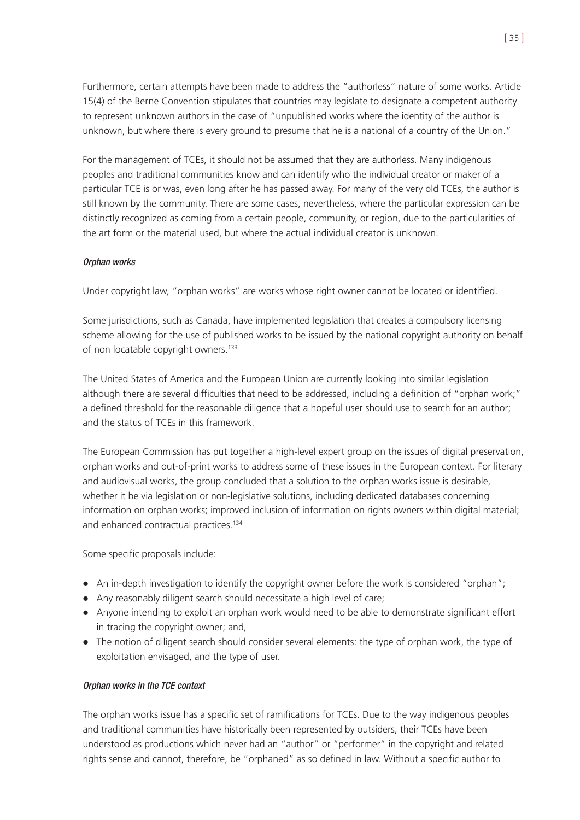Furthermore, certain attempts have been made to address the "authorless" nature of some works. Article 15(4) of the Berne Convention stipulates that countries may legislate to designate a competent authority to represent unknown authors in the case of "unpublished works where the identity of the author is unknown, but where there is every ground to presume that he is a national of a country of the Union."

For the management of TCEs, it should not be assumed that they are authorless. Many indigenous peoples and traditional communities know and can identify who the individual creator or maker of a particular TCE is or was, even long after he has passed away. For many of the very old TCEs, the author is still known by the community. There are some cases, nevertheless, where the particular expression can be distinctly recognized as coming from a certain people, community, or region, due to the particularities of the art form or the material used, but where the actual individual creator is unknown.

## Orphan works

Under copyright law, "orphan works" are works whose right owner cannot be located or identified.

Some jurisdictions, such as Canada, have implemented legislation that creates a compulsory licensing scheme allowing for the use of published works to be issued by the national copyright authority on behalf of non locatable copyright owners.<sup>133</sup>

The United States of America and the European Union are currently looking into similar legislation although there are several difficulties that need to be addressed, including a definition of "orphan work;" a defined threshold for the reasonable diligence that a hopeful user should use to search for an author; and the status of TCEs in this framework.

The European Commission has put together a high-level expert group on the issues of digital preservation, orphan works and out-of-print works to address some of these issues in the European context. For literary and audiovisual works, the group concluded that a solution to the orphan works issue is desirable, whether it be via legislation or non-legislative solutions, including dedicated databases concerning information on orphan works; improved inclusion of information on rights owners within digital material; and enhanced contractual practices.134

Some specific proposals include:

- An in-depth investigation to identify the copyright owner before the work is considered "orphan";
- Any reasonably diligent search should necessitate a high level of care;
- ! Anyone intending to exploit an orphan work would need to be able to demonstrate significant effort in tracing the copyright owner; and,
- The notion of diligent search should consider several elements: the type of orphan work, the type of exploitation envisaged, and the type of user.

#### Orphan works in the TCE context

The orphan works issue has a specific set of ramifications for TCEs. Due to the way indigenous peoples and traditional communities have historically been represented by outsiders, their TCEs have been understood as productions which never had an "author" or "performer" in the copyright and related rights sense and cannot, therefore, be "orphaned" as so defined in law. Without a specific author to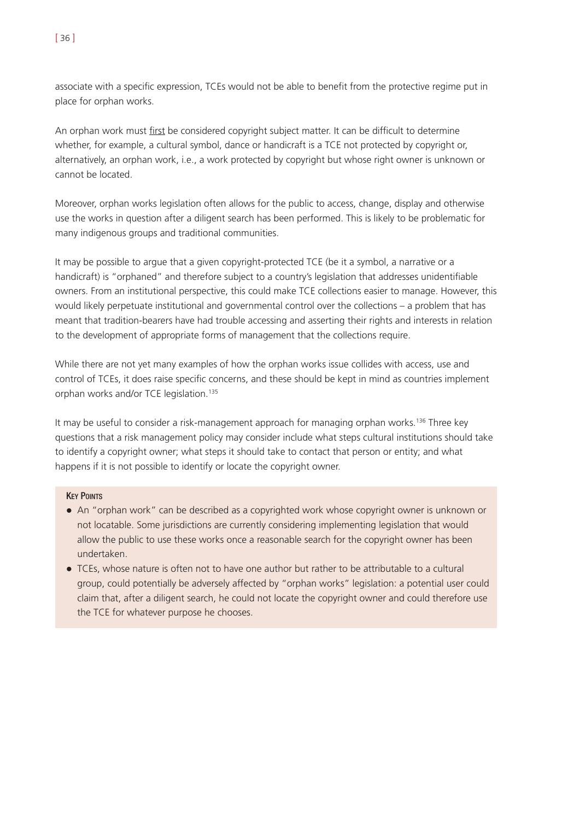associate with a specific expression, TCEs would not be able to benefit from the protective regime put in place for orphan works.

An orphan work must first be considered copyright subject matter. It can be difficult to determine whether, for example, a cultural symbol, dance or handicraft is a TCE not protected by copyright or, alternatively, an orphan work, i.e., a work protected by copyright but whose right owner is unknown or cannot be located.

Moreover, orphan works legislation often allows for the public to access, change, display and otherwise use the works in question after a diligent search has been performed. This is likely to be problematic for many indigenous groups and traditional communities.

It may be possible to argue that a given copyright-protected TCE (be it a symbol, a narrative or a handicraft) is "orphaned" and therefore subject to a country's legislation that addresses unidentifiable owners. From an institutional perspective, this could make TCE collections easier to manage. However, this would likely perpetuate institutional and governmental control over the collections – a problem that has meant that tradition-bearers have had trouble accessing and asserting their rights and interests in relation to the development of appropriate forms of management that the collections require.

While there are not yet many examples of how the orphan works issue collides with access, use and control of TCEs, it does raise specific concerns, and these should be kept in mind as countries implement orphan works and/or TCE legislation.135

It may be useful to consider a risk-management approach for managing orphan works.136 Three key questions that a risk management policy may consider include what steps cultural institutions should take to identify a copyright owner; what steps it should take to contact that person or entity; and what happens if it is not possible to identify or locate the copyright owner.

## **KEY POINTS**

- ! An "orphan work" can be described as a copyrighted work whose copyright owner is unknown or not locatable. Some jurisdictions are currently considering implementing legislation that would allow the public to use these works once a reasonable search for the copyright owner has been undertaken.
- ! TCEs, whose nature is often not to have one author but rather to be attributable to a cultural group, could potentially be adversely affected by "orphan works" legislation: a potential user could claim that, after a diligent search, he could not locate the copyright owner and could therefore use the TCE for whatever purpose he chooses.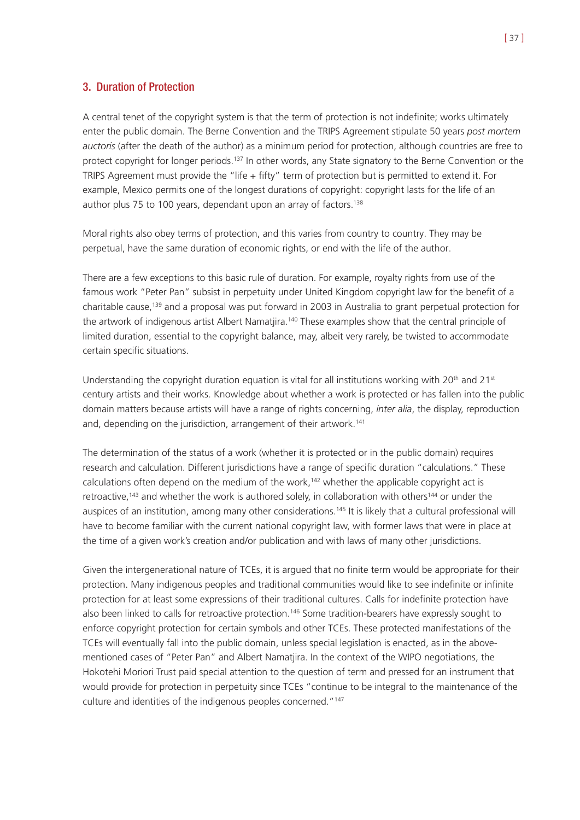## 3. Duration of Protection

A central tenet of the copyright system is that the term of protection is not indefinite; works ultimately enter the public domain. The Berne Convention and the TRIPS Agreement stipulate 50 years *post mortem auctoris* (after the death of the author) as a minimum period for protection, although countries are free to protect copyright for longer periods.<sup>137</sup> In other words, any State signatory to the Berne Convention or the TRIPS Agreement must provide the "life + fifty" term of protection but is permitted to extend it. For example, Mexico permits one of the longest durations of copyright: copyright lasts for the life of an author plus 75 to 100 years, dependant upon an array of factors.<sup>138</sup>

Moral rights also obey terms of protection, and this varies from country to country. They may be perpetual, have the same duration of economic rights, or end with the life of the author.

There are a few exceptions to this basic rule of duration. For example, royalty rights from use of the famous work "Peter Pan" subsist in perpetuity under United Kingdom copyright law for the benefit of a charitable cause,<sup>139</sup> and a proposal was put forward in 2003 in Australia to grant perpetual protection for the artwork of indigenous artist Albert Namatjira.<sup>140</sup> These examples show that the central principle of limited duration, essential to the copyright balance, may, albeit very rarely, be twisted to accommodate certain specific situations.

Understanding the copyright duration equation is vital for all institutions working with  $20<sup>th</sup>$  and  $21<sup>st</sup>$ century artists and their works. Knowledge about whether a work is protected or has fallen into the public domain matters because artists will have a range of rights concerning, *inter alia*, the display, reproduction and, depending on the jurisdiction, arrangement of their artwork.<sup>141</sup>

The determination of the status of a work (whether it is protected or in the public domain) requires research and calculation. Different jurisdictions have a range of specific duration "calculations." These calculations often depend on the medium of the work,<sup>142</sup> whether the applicable copyright act is retroactive,<sup>143</sup> and whether the work is authored solely, in collaboration with others<sup>144</sup> or under the auspices of an institution, among many other considerations.<sup>145</sup> It is likely that a cultural professional will have to become familiar with the current national copyright law, with former laws that were in place at the time of a given work's creation and/or publication and with laws of many other jurisdictions.

Given the intergenerational nature of TCEs, it is argued that no finite term would be appropriate for their protection. Many indigenous peoples and traditional communities would like to see indefinite or infinite protection for at least some expressions of their traditional cultures. Calls for indefinite protection have also been linked to calls for retroactive protection.<sup>146</sup> Some tradition-bearers have expressly sought to enforce copyright protection for certain symbols and other TCEs. These protected manifestations of the TCEs will eventually fall into the public domain, unless special legislation is enacted, as in the abovementioned cases of "Peter Pan" and Albert Namatjira. In the context of the WIPO negotiations, the Hokotehi Moriori Trust paid special attention to the question of term and pressed for an instrument that would provide for protection in perpetuity since TCEs "continue to be integral to the maintenance of the culture and identities of the indigenous peoples concerned."147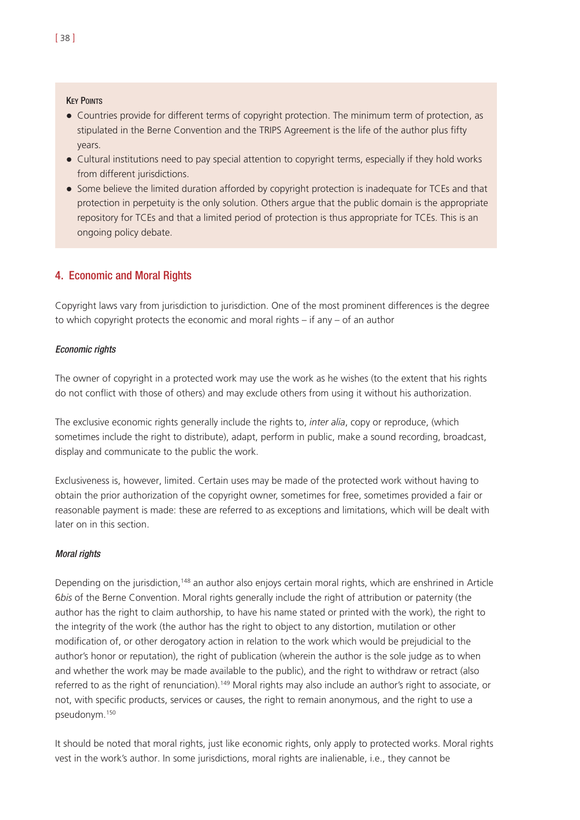#### **KEY POINTS**

- ! Countries provide for different terms of copyright protection. The minimum term of protection, as stipulated in the Berne Convention and the TRIPS Agreement is the life of the author plus fifty years.
- Cultural institutions need to pay special attention to copyright terms, especially if they hold works from different jurisdictions.
- ! Some believe the limited duration afforded by copyright protection is inadequate for TCEs and that protection in perpetuity is the only solution. Others argue that the public domain is the appropriate repository for TCEs and that a limited period of protection is thus appropriate for TCEs. This is an ongoing policy debate.

# 4. Economic and Moral Rights

Copyright laws vary from jurisdiction to jurisdiction. One of the most prominent differences is the degree to which copyright protects the economic and moral rights – if any – of an author

#### Economic rights

The owner of copyright in a protected work may use the work as he wishes (to the extent that his rights do not conflict with those of others) and may exclude others from using it without his authorization.

The exclusive economic rights generally include the rights to, *inter alia*, copy or reproduce, (which sometimes include the right to distribute), adapt, perform in public, make a sound recording, broadcast, display and communicate to the public the work.

Exclusiveness is, however, limited. Certain uses may be made of the protected work without having to obtain the prior authorization of the copyright owner, sometimes for free, sometimes provided a fair or reasonable payment is made: these are referred to as exceptions and limitations, which will be dealt with later on in this section.

#### Moral rights

Depending on the jurisdiction,148 an author also enjoys certain moral rights, which are enshrined in Article 6*bis* of the Berne Convention. Moral rights generally include the right of attribution or paternity (the author has the right to claim authorship, to have his name stated or printed with the work), the right to the integrity of the work (the author has the right to object to any distortion, mutilation or other modification of, or other derogatory action in relation to the work which would be prejudicial to the author's honor or reputation), the right of publication (wherein the author is the sole judge as to when and whether the work may be made available to the public), and the right to withdraw or retract (also referred to as the right of renunciation).149 Moral rights may also include an author's right to associate, or not, with specific products, services or causes, the right to remain anonymous, and the right to use a pseudonym.150

It should be noted that moral rights, just like economic rights, only apply to protected works. Moral rights vest in the work's author. In some jurisdictions, moral rights are inalienable, i.e., they cannot be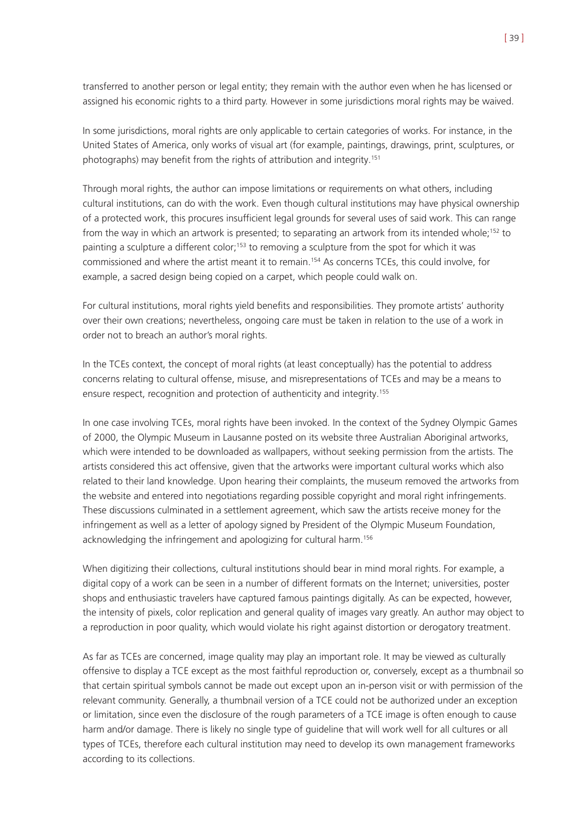transferred to another person or legal entity; they remain with the author even when he has licensed or assigned his economic rights to a third party. However in some jurisdictions moral rights may be waived.

In some jurisdictions, moral rights are only applicable to certain categories of works. For instance, in the United States of America, only works of visual art (for example, paintings, drawings, print, sculptures, or photographs) may benefit from the rights of attribution and integrity.151

Through moral rights, the author can impose limitations or requirements on what others, including cultural institutions, can do with the work. Even though cultural institutions may have physical ownership of a protected work, this procures insufficient legal grounds for several uses of said work. This can range from the way in which an artwork is presented; to separating an artwork from its intended whole:<sup>152</sup> to painting a sculpture a different color;<sup>153</sup> to removing a sculpture from the spot for which it was commissioned and where the artist meant it to remain.154 As concerns TCEs, this could involve, for example, a sacred design being copied on a carpet, which people could walk on.

For cultural institutions, moral rights yield benefits and responsibilities. They promote artists' authority over their own creations; nevertheless, ongoing care must be taken in relation to the use of a work in order not to breach an author's moral rights.

In the TCEs context, the concept of moral rights (at least conceptually) has the potential to address concerns relating to cultural offense, misuse, and misrepresentations of TCEs and may be a means to ensure respect, recognition and protection of authenticity and integrity.155

In one case involving TCEs, moral rights have been invoked. In the context of the Sydney Olympic Games of 2000, the Olympic Museum in Lausanne posted on its website three Australian Aboriginal artworks, which were intended to be downloaded as wallpapers, without seeking permission from the artists. The artists considered this act offensive, given that the artworks were important cultural works which also related to their land knowledge. Upon hearing their complaints, the museum removed the artworks from the website and entered into negotiations regarding possible copyright and moral right infringements. These discussions culminated in a settlement agreement, which saw the artists receive money for the infringement as well as a letter of apology signed by President of the Olympic Museum Foundation, acknowledging the infringement and apologizing for cultural harm.<sup>156</sup>

When digitizing their collections, cultural institutions should bear in mind moral rights. For example, a digital copy of a work can be seen in a number of different formats on the Internet; universities, poster shops and enthusiastic travelers have captured famous paintings digitally. As can be expected, however, the intensity of pixels, color replication and general quality of images vary greatly. An author may object to a reproduction in poor quality, which would violate his right against distortion or derogatory treatment.

As far as TCEs are concerned, image quality may play an important role. It may be viewed as culturally offensive to display a TCE except as the most faithful reproduction or, conversely, except as a thumbnail so that certain spiritual symbols cannot be made out except upon an in-person visit or with permission of the relevant community. Generally, a thumbnail version of a TCE could not be authorized under an exception or limitation, since even the disclosure of the rough parameters of a TCE image is often enough to cause harm and/or damage. There is likely no single type of guideline that will work well for all cultures or all types of TCEs, therefore each cultural institution may need to develop its own management frameworks according to its collections.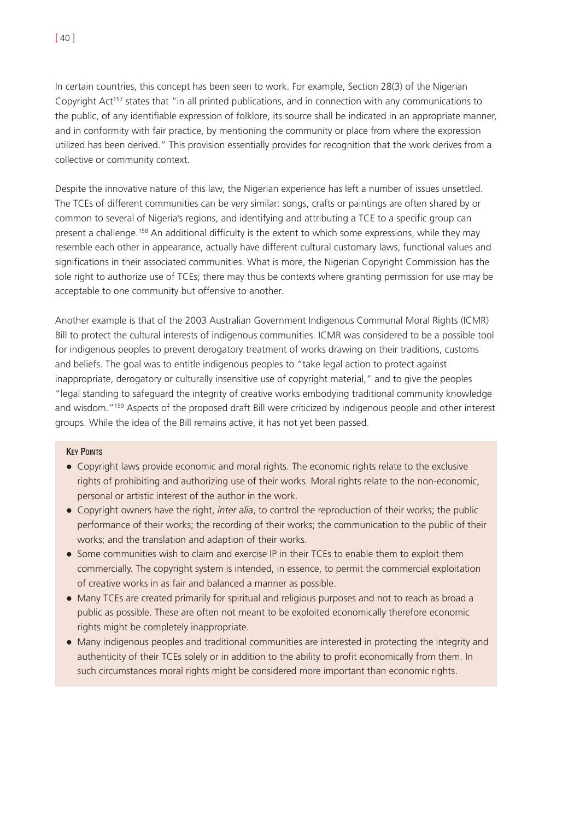[ 40 ]

In certain countries, this concept has been seen to work. For example, Section 28(3) of the Nigerian Copyright Act<sup>157</sup> states that "in all printed publications, and in connection with any communications to the public, of any identifiable expression of folklore, its source shall be indicated in an appropriate manner, and in conformity with fair practice, by mentioning the community or place from where the expression utilized has been derived." This provision essentially provides for recognition that the work derives from a collective or community context.

Despite the innovative nature of this law, the Nigerian experience has left a number of issues unsettled. The TCEs of different communities can be very similar: songs, crafts or paintings are often shared by or common to several of Nigeria's regions, and identifying and attributing a TCE to a specific group can present a challenge.158 An additional difficulty is the extent to which some expressions, while they may resemble each other in appearance, actually have different cultural customary laws, functional values and significations in their associated communities. What is more, the Nigerian Copyright Commission has the sole right to authorize use of TCEs; there may thus be contexts where granting permission for use may be acceptable to one community but offensive to another.

Another example is that of the 2003 Australian Government Indigenous Communal Moral Rights (ICMR) Bill to protect the cultural interests of indigenous communities. ICMR was considered to be a possible tool for indigenous peoples to prevent derogatory treatment of works drawing on their traditions, customs and beliefs. The goal was to entitle indigenous peoples to "take legal action to protect against inappropriate, derogatory or culturally insensitive use of copyright material," and to give the peoples "legal standing to safeguard the integrity of creative works embodying traditional community knowledge and wisdom."159 Aspects of the proposed draft Bill were criticized by indigenous people and other interest groups. While the idea of the Bill remains active, it has not yet been passed.

## **KEY POINTS**

- ! Copyright laws provide economic and moral rights. The economic rights relate to the exclusive rights of prohibiting and authorizing use of their works. Moral rights relate to the non-economic, personal or artistic interest of the author in the work.
- ! Copyright owners have the right, *inter alia*, to control the reproduction of their works; the public performance of their works; the recording of their works; the communication to the public of their works; and the translation and adaption of their works.
- Some communities wish to claim and exercise IP in their TCEs to enable them to exploit them commercially. The copyright system is intended, in essence, to permit the commercial exploitation of creative works in as fair and balanced a manner as possible.
- ! Many TCEs are created primarily for spiritual and religious purposes and not to reach as broad a public as possible. These are often not meant to be exploited economically therefore economic rights might be completely inappropriate.
- ! Many indigenous peoples and traditional communities are interested in protecting the integrity and authenticity of their TCEs solely or in addition to the ability to profit economically from them. In such circumstances moral rights might be considered more important than economic rights.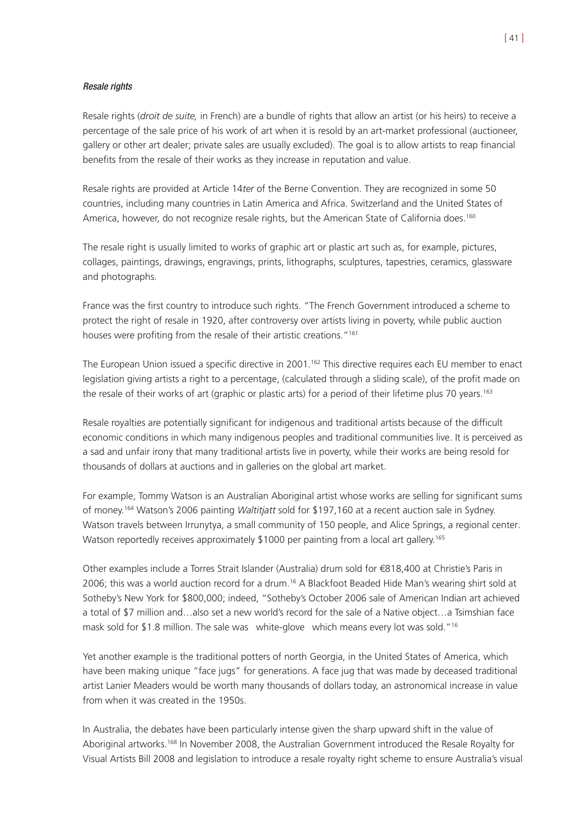#### Resale rights

Resale rights (*droit de suite,* in French) are a bundle of rights that allow an artist (or his heirs) to receive a percentage of the sale price of his work of art when it is resold by an art-market professional (auctioneer, gallery or other art dealer; private sales are usually excluded). The goal is to allow artists to reap financial benefits from the resale of their works as they increase in reputation and value.

Resale rights are provided at Article 14*ter* of the Berne Convention. They are recognized in some 50 countries, including many countries in Latin America and Africa. Switzerland and the United States of America, however, do not recognize resale rights, but the American State of California does.<sup>160</sup>

The resale right is usually limited to works of graphic art or plastic art such as, for example, pictures, collages, paintings, drawings, engravings, prints, lithographs, sculptures, tapestries, ceramics, glassware and photographs.

France was the first country to introduce such rights. "The French Government introduced a scheme to protect the right of resale in 1920, after controversy over artists living in poverty, while public auction houses were profiting from the resale of their artistic creations."<sup>161</sup>

The European Union issued a specific directive in 2001.<sup>162</sup> This directive requires each EU member to enact legislation giving artists a right to a percentage, (calculated through a sliding scale), of the profit made on the resale of their works of art (graphic or plastic arts) for a period of their lifetime plus 70 years.163

Resale royalties are potentially significant for indigenous and traditional artists because of the difficult economic conditions in which many indigenous peoples and traditional communities live. It is perceived as a sad and unfair irony that many traditional artists live in poverty, while their works are being resold for thousands of dollars at auctions and in galleries on the global art market.

For example, Tommy Watson is an Australian Aboriginal artist whose works are selling for significant sums of money.164 Watson's 2006 painting *Waltitjatt* sold for \$197,160 at a recent auction sale in Sydney. Watson travels between Irrunytya, a small community of 150 people, and Alice Springs, a regional center. Watson reportedly receives approximately \$1000 per painting from a local art gallery.<sup>165</sup>

Other examples include a Torres Strait Islander (Australia) drum sold for €818,400 at Christie's Paris in 2006; this was a world auction record for a drum.16 A Blackfoot Beaded Hide Man's wearing shirt sold at Sotheby's New York for \$800,000; indeed, "Sotheby's October 2006 sale of American Indian art achieved a total of \$7 million and…also set a new world's record for the sale of a Native object…a Tsimshian face mask sold for \$1.8 million. The sale was white-glove which means every lot was sold."16

Yet another example is the traditional potters of north Georgia, in the United States of America, which have been making unique "face jugs" for generations. A face jug that was made by deceased traditional artist Lanier Meaders would be worth many thousands of dollars today, an astronomical increase in value from when it was created in the 1950s.

In Australia, the debates have been particularly intense given the sharp upward shift in the value of Aboriginal artworks.168 In November 2008, the Australian Government introduced the Resale Royalty for Visual Artists Bill 2008 and legislation to introduce a resale royalty right scheme to ensure Australia's visual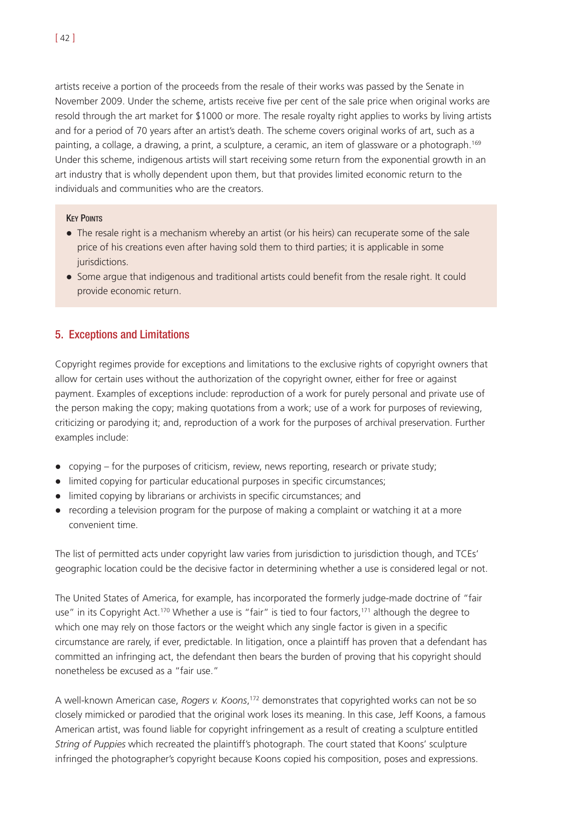artists receive a portion of the proceeds from the resale of their works was passed by the Senate in November 2009. Under the scheme, artists receive five per cent of the sale price when original works are resold through the art market for \$1000 or more. The resale royalty right applies to works by living artists and for a period of 70 years after an artist's death. The scheme covers original works of art, such as a painting, a collage, a drawing, a print, a sculpture, a ceramic, an item of glassware or a photograph.169 Under this scheme, indigenous artists will start receiving some return from the exponential growth in an art industry that is wholly dependent upon them, but that provides limited economic return to the individuals and communities who are the creators.

## **KEY POINTS**

- The resale right is a mechanism whereby an artist (or his heirs) can recuperate some of the sale price of his creations even after having sold them to third parties; it is applicable in some jurisdictions.
- ! Some argue that indigenous and traditional artists could benefit from the resale right. It could provide economic return.

# 5. Exceptions and Limitations

Copyright regimes provide for exceptions and limitations to the exclusive rights of copyright owners that allow for certain uses without the authorization of the copyright owner, either for free or against payment. Examples of exceptions include: reproduction of a work for purely personal and private use of the person making the copy; making quotations from a work; use of a work for purposes of reviewing, criticizing or parodying it; and, reproduction of a work for the purposes of archival preservation. Further examples include:

- copying for the purposes of criticism, review, news reporting, research or private study;
- ! limited copying for particular educational purposes in specific circumstances;
- limited copying by librarians or archivists in specific circumstances; and
- recording a television program for the purpose of making a complaint or watching it at a more convenient time.

The list of permitted acts under copyright law varies from jurisdiction to jurisdiction though, and TCEs' geographic location could be the decisive factor in determining whether a use is considered legal or not.

The United States of America, for example, has incorporated the formerly judge-made doctrine of "fair use" in its Copyright Act.<sup>170</sup> Whether a use is "fair" is tied to four factors,<sup>171</sup> although the degree to which one may rely on those factors or the weight which any single factor is given in a specific circumstance are rarely, if ever, predictable. In litigation, once a plaintiff has proven that a defendant has committed an infringing act, the defendant then bears the burden of proving that his copyright should nonetheless be excused as a "fair use."

A well-known American case, *Rogers v. Koons*, <sup>172</sup> demonstrates that copyrighted works can not be so closely mimicked or parodied that the original work loses its meaning. In this case, Jeff Koons, a famous American artist, was found liable for copyright infringement as a result of creating a sculpture entitled *String of Puppies* which recreated the plaintiff's photograph. The court stated that Koons' sculpture infringed the photographer's copyright because Koons copied his composition, poses and expressions.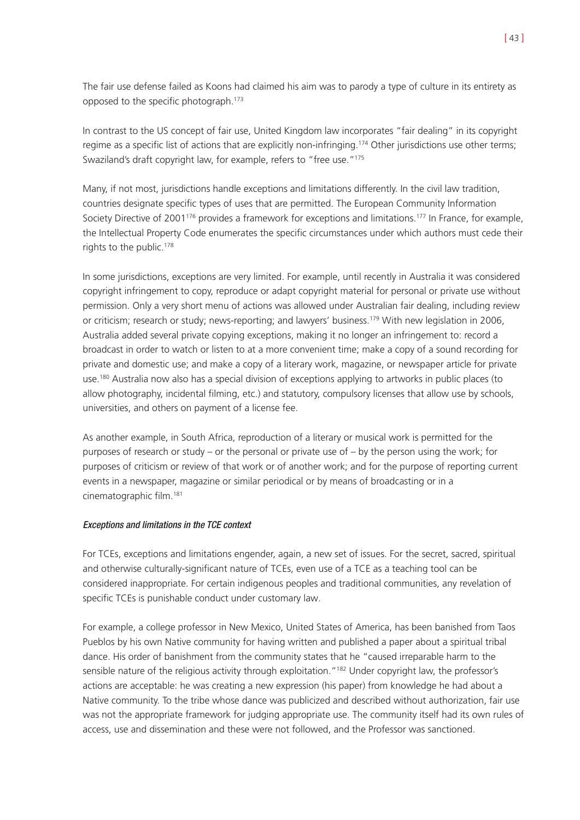The fair use defense failed as Koons had claimed his aim was to parody a type of culture in its entirety as opposed to the specific photograph.173

In contrast to the US concept of fair use, United Kingdom law incorporates "fair dealing" in its copyright regime as a specific list of actions that are explicitly non-infringing.<sup>174</sup> Other jurisdictions use other terms; Swaziland's draft copyright law, for example, refers to "free use."175

Many, if not most, jurisdictions handle exceptions and limitations differently. In the civil law tradition, countries designate specific types of uses that are permitted. The European Community Information Society Directive of 2001<sup>176</sup> provides a framework for exceptions and limitations.<sup>177</sup> In France, for example, the Intellectual Property Code enumerates the specific circumstances under which authors must cede their rights to the public.<sup>178</sup>

In some jurisdictions, exceptions are very limited. For example, until recently in Australia it was considered copyright infringement to copy, reproduce or adapt copyright material for personal or private use without permission. Only a very short menu of actions was allowed under Australian fair dealing, including review or criticism; research or study; news-reporting; and lawyers' business.<sup>179</sup> With new legislation in 2006, Australia added several private copying exceptions, making it no longer an infringement to: record a broadcast in order to watch or listen to at a more convenient time; make a copy of a sound recording for private and domestic use; and make a copy of a literary work, magazine, or newspaper article for private use.180 Australia now also has a special division of exceptions applying to artworks in public places (to allow photography, incidental filming, etc.) and statutory, compulsory licenses that allow use by schools, universities, and others on payment of a license fee.

As another example, in South Africa, reproduction of a literary or musical work is permitted for the purposes of research or study – or the personal or private use of – by the person using the work; for purposes of criticism or review of that work or of another work; and for the purpose of reporting current events in a newspaper, magazine or similar periodical or by means of broadcasting or in a cinematographic film.181

## Exceptions and limitations in the TCE context

For TCEs, exceptions and limitations engender, again, a new set of issues. For the secret, sacred, spiritual and otherwise culturally-significant nature of TCEs, even use of a TCE as a teaching tool can be considered inappropriate. For certain indigenous peoples and traditional communities, any revelation of specific TCEs is punishable conduct under customary law.

For example, a college professor in New Mexico, United States of America, has been banished from Taos Pueblos by his own Native community for having written and published a paper about a spiritual tribal dance. His order of banishment from the community states that he "caused irreparable harm to the sensible nature of the religious activity through exploitation."<sup>182</sup> Under copyright law, the professor's actions are acceptable: he was creating a new expression (his paper) from knowledge he had about a Native community. To the tribe whose dance was publicized and described without authorization, fair use was not the appropriate framework for judging appropriate use. The community itself had its own rules of access, use and dissemination and these were not followed, and the Professor was sanctioned.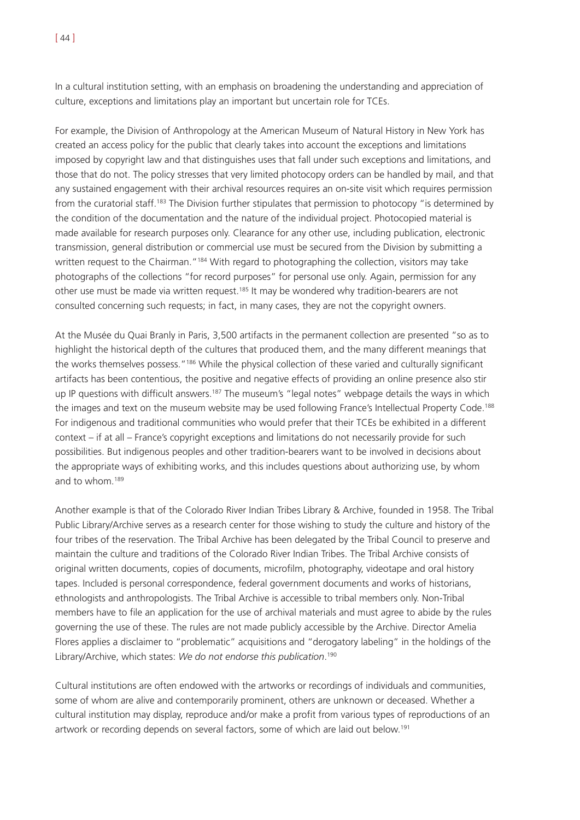In a cultural institution setting, with an emphasis on broadening the understanding and appreciation of culture, exceptions and limitations play an important but uncertain role for TCEs.

For example, the Division of Anthropology at the American Museum of Natural History in New York has created an access policy for the public that clearly takes into account the exceptions and limitations imposed by copyright law and that distinguishes uses that fall under such exceptions and limitations, and those that do not. The policy stresses that very limited photocopy orders can be handled by mail, and that any sustained engagement with their archival resources requires an on-site visit which requires permission from the curatorial staff.<sup>183</sup> The Division further stipulates that permission to photocopy "is determined by the condition of the documentation and the nature of the individual project. Photocopied material is made available for research purposes only. Clearance for any other use, including publication, electronic transmission, general distribution or commercial use must be secured from the Division by submitting a written request to the Chairman."<sup>184</sup> With regard to photographing the collection, visitors may take photographs of the collections "for record purposes" for personal use only. Again, permission for any other use must be made via written request.<sup>185</sup> It may be wondered why tradition-bearers are not consulted concerning such requests; in fact, in many cases, they are not the copyright owners.

At the Musée du Quai Branly in Paris, 3,500 artifacts in the permanent collection are presented "so as to highlight the historical depth of the cultures that produced them, and the many different meanings that the works themselves possess."186 While the physical collection of these varied and culturally significant artifacts has been contentious, the positive and negative effects of providing an online presence also stir up IP questions with difficult answers.<sup>187</sup> The museum's "legal notes" webpage details the ways in which the images and text on the museum website may be used following France's Intellectual Property Code.188 For indigenous and traditional communities who would prefer that their TCEs be exhibited in a different context – if at all – France's copyright exceptions and limitations do not necessarily provide for such possibilities. But indigenous peoples and other tradition-bearers want to be involved in decisions about the appropriate ways of exhibiting works, and this includes questions about authorizing use, by whom and to whom.189

Another example is that of the Colorado River Indian Tribes Library & Archive, founded in 1958. The Tribal Public Library/Archive serves as a research center for those wishing to study the culture and history of the four tribes of the reservation. The Tribal Archive has been delegated by the Tribal Council to preserve and maintain the culture and traditions of the Colorado River Indian Tribes. The Tribal Archive consists of original written documents, copies of documents, microfilm, photography, videotape and oral history tapes. Included is personal correspondence, federal government documents and works of historians, ethnologists and anthropologists. The Tribal Archive is accessible to tribal members only. Non-Tribal members have to file an application for the use of archival materials and must agree to abide by the rules governing the use of these. The rules are not made publicly accessible by the Archive. Director Amelia Flores applies a disclaimer to "problematic" acquisitions and "derogatory labeling" in the holdings of the Library/Archive, which states: *We do not endorse this publication*. 190

Cultural institutions are often endowed with the artworks or recordings of individuals and communities, some of whom are alive and contemporarily prominent, others are unknown or deceased. Whether a cultural institution may display, reproduce and/or make a profit from various types of reproductions of an artwork or recording depends on several factors, some of which are laid out below.<sup>191</sup>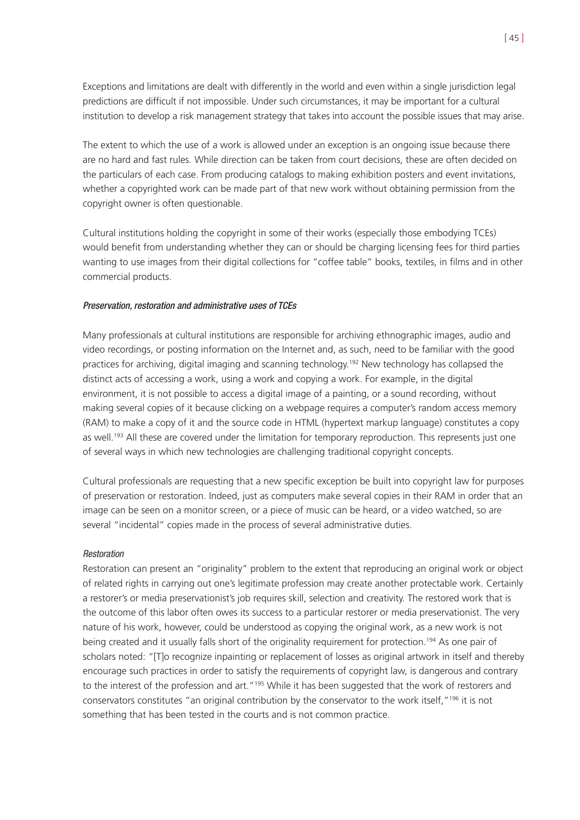Exceptions and limitations are dealt with differently in the world and even within a single jurisdiction legal predictions are difficult if not impossible. Under such circumstances, it may be important for a cultural institution to develop a risk management strategy that takes into account the possible issues that may arise.

The extent to which the use of a work is allowed under an exception is an ongoing issue because there are no hard and fast rules. While direction can be taken from court decisions, these are often decided on the particulars of each case. From producing catalogs to making exhibition posters and event invitations, whether a copyrighted work can be made part of that new work without obtaining permission from the copyright owner is often questionable.

Cultural institutions holding the copyright in some of their works (especially those embodying TCEs) would benefit from understanding whether they can or should be charging licensing fees for third parties wanting to use images from their digital collections for "coffee table" books, textiles, in films and in other commercial products.

#### Preservation, restoration and administrative uses of TCEs

Many professionals at cultural institutions are responsible for archiving ethnographic images, audio and video recordings, or posting information on the Internet and, as such, need to be familiar with the good practices for archiving, digital imaging and scanning technology.<sup>192</sup> New technology has collapsed the distinct acts of accessing a work, using a work and copying a work. For example, in the digital environment, it is not possible to access a digital image of a painting, or a sound recording, without making several copies of it because clicking on a webpage requires a computer's random access memory (RAM) to make a copy of it and the source code in HTML (hypertext markup language) constitutes a copy as well.<sup>193</sup> All these are covered under the limitation for temporary reproduction. This represents just one of several ways in which new technologies are challenging traditional copyright concepts.

Cultural professionals are requesting that a new specific exception be built into copyright law for purposes of preservation or restoration. Indeed, just as computers make several copies in their RAM in order that an image can be seen on a monitor screen, or a piece of music can be heard, or a video watched, so are several "incidental" copies made in the process of several administrative duties.

#### Restoration

Restoration can present an "originality" problem to the extent that reproducing an original work or object of related rights in carrying out one's legitimate profession may create another protectable work. Certainly a restorer's or media preservationist's job requires skill, selection and creativity. The restored work that is the outcome of this labor often owes its success to a particular restorer or media preservationist. The very nature of his work, however, could be understood as copying the original work, as a new work is not being created and it usually falls short of the originality requirement for protection.<sup>194</sup> As one pair of scholars noted: "[T]o recognize inpainting or replacement of losses as original artwork in itself and thereby encourage such practices in order to satisfy the requirements of copyright law, is dangerous and contrary to the interest of the profession and art."<sup>195</sup> While it has been suggested that the work of restorers and conservators constitutes "an original contribution by the conservator to the work itself,"196 it is not something that has been tested in the courts and is not common practice.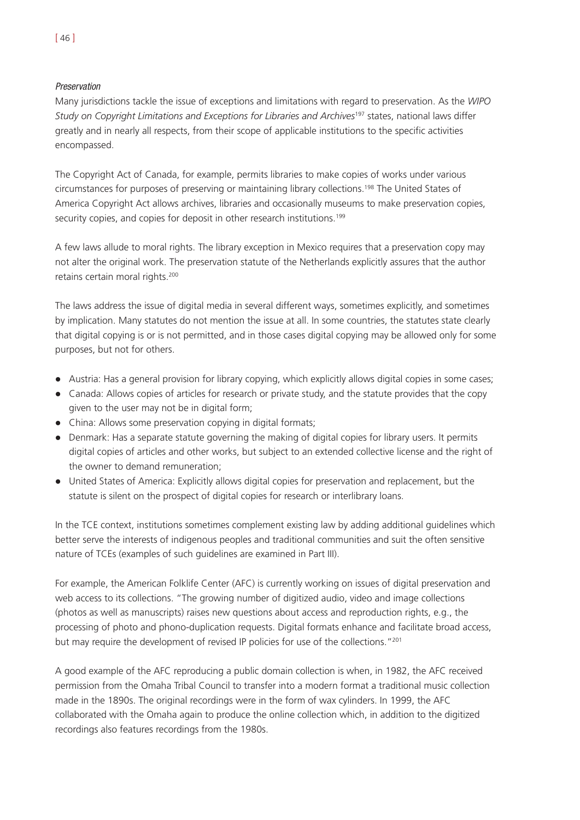## Preservation

Many jurisdictions tackle the issue of exceptions and limitations with regard to preservation. As the *WIPO Study on Copyright Limitations and Exceptions for Libraries and Archives*<sup>197</sup> states, national laws differ greatly and in nearly all respects, from their scope of applicable institutions to the specific activities encompassed.

The Copyright Act of Canada, for example, permits libraries to make copies of works under various circumstances for purposes of preserving or maintaining library collections.198 The United States of America Copyright Act allows archives, libraries and occasionally museums to make preservation copies, security copies, and copies for deposit in other research institutions.<sup>199</sup>

A few laws allude to moral rights. The library exception in Mexico requires that a preservation copy may not alter the original work. The preservation statute of the Netherlands explicitly assures that the author retains certain moral rights.<sup>200</sup>

The laws address the issue of digital media in several different ways, sometimes explicitly, and sometimes by implication. Many statutes do not mention the issue at all. In some countries, the statutes state clearly that digital copying is or is not permitted, and in those cases digital copying may be allowed only for some purposes, but not for others.

- ! Austria: Has a general provision for library copying, which explicitly allows digital copies in some cases;
- Canada: Allows copies of articles for research or private study, and the statute provides that the copy given to the user may not be in digital form;
- China: Allows some preservation copying in digital formats;
- Denmark: Has a separate statute governing the making of digital copies for library users. It permits digital copies of articles and other works, but subject to an extended collective license and the right of the owner to demand remuneration;
- United States of America: Explicitly allows digital copies for preservation and replacement, but the statute is silent on the prospect of digital copies for research or interlibrary loans.

In the TCE context, institutions sometimes complement existing law by adding additional guidelines which better serve the interests of indigenous peoples and traditional communities and suit the often sensitive nature of TCEs (examples of such guidelines are examined in Part III).

For example, the American Folklife Center (AFC) is currently working on issues of digital preservation and web access to its collections. "The growing number of digitized audio, video and image collections (photos as well as manuscripts) raises new questions about access and reproduction rights, e.g., the processing of photo and phono-duplication requests. Digital formats enhance and facilitate broad access, but may require the development of revised IP policies for use of the collections."<sup>201</sup>

A good example of the AFC reproducing a public domain collection is when, in 1982, the AFC received permission from the Omaha Tribal Council to transfer into a modern format a traditional music collection made in the 1890s. The original recordings were in the form of wax cylinders. In 1999, the AFC collaborated with the Omaha again to produce the online collection which, in addition to the digitized recordings also features recordings from the 1980s.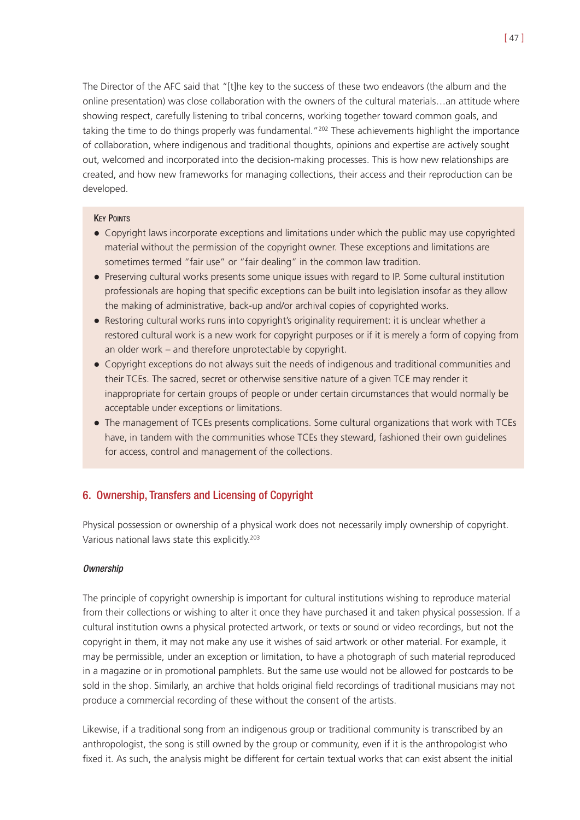The Director of the AFC said that "[t]he key to the success of these two endeavors (the album and the online presentation) was close collaboration with the owners of the cultural materials…an attitude where showing respect, carefully listening to tribal concerns, working together toward common goals, and taking the time to do things properly was fundamental."<sup>202</sup> These achievements highlight the importance of collaboration, where indigenous and traditional thoughts, opinions and expertise are actively sought out, welcomed and incorporated into the decision-making processes. This is how new relationships are created, and how new frameworks for managing collections, their access and their reproduction can be developed.

## **KEY POINTS**

- Copyright laws incorporate exceptions and limitations under which the public may use copyrighted material without the permission of the copyright owner. These exceptions and limitations are sometimes termed "fair use" or "fair dealing" in the common law tradition.
- ! Preserving cultural works presents some unique issues with regard to IP. Some cultural institution professionals are hoping that specific exceptions can be built into legislation insofar as they allow the making of administrative, back-up and/or archival copies of copyrighted works.
- ! Restoring cultural works runs into copyright's originality requirement: it is unclear whether a restored cultural work is a new work for copyright purposes or if it is merely a form of copying from an older work – and therefore unprotectable by copyright.
- ! Copyright exceptions do not always suit the needs of indigenous and traditional communities and their TCEs. The sacred, secret or otherwise sensitive nature of a given TCE may render it inappropriate for certain groups of people or under certain circumstances that would normally be acceptable under exceptions or limitations.
- ! The management of TCEs presents complications. Some cultural organizations that work with TCEs have, in tandem with the communities whose TCEs they steward, fashioned their own guidelines for access, control and management of the collections.

# 6. Ownership, Transfers and Licensing of Copyright

Physical possession or ownership of a physical work does not necessarily imply ownership of copyright. Various national laws state this explicitly.203

#### **Ownership**

The principle of copyright ownership is important for cultural institutions wishing to reproduce material from their collections or wishing to alter it once they have purchased it and taken physical possession. If a cultural institution owns a physical protected artwork, or texts or sound or video recordings, but not the copyright in them, it may not make any use it wishes of said artwork or other material. For example, it may be permissible, under an exception or limitation, to have a photograph of such material reproduced in a magazine or in promotional pamphlets. But the same use would not be allowed for postcards to be sold in the shop. Similarly, an archive that holds original field recordings of traditional musicians may not produce a commercial recording of these without the consent of the artists.

Likewise, if a traditional song from an indigenous group or traditional community is transcribed by an anthropologist, the song is still owned by the group or community, even if it is the anthropologist who fixed it. As such, the analysis might be different for certain textual works that can exist absent the initial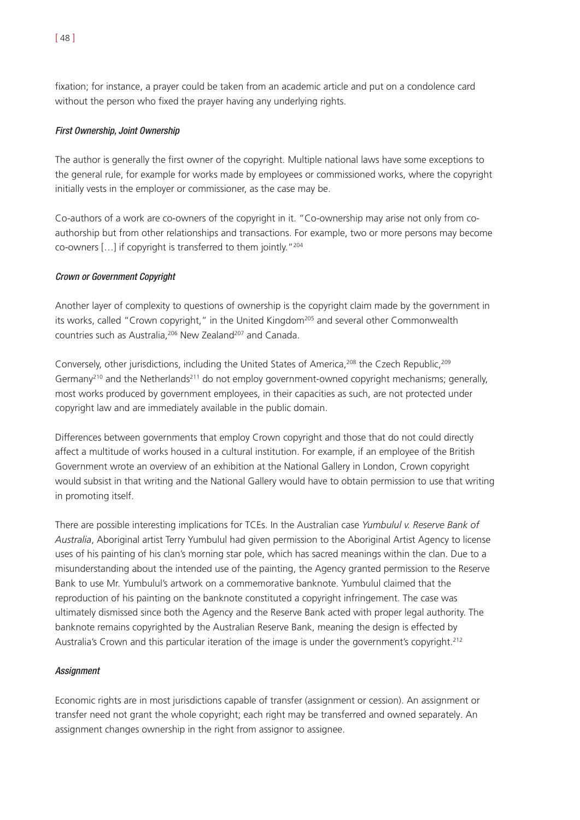fixation; for instance, a prayer could be taken from an academic article and put on a condolence card without the person who fixed the prayer having any underlying rights.

## First Ownership, Joint Ownership

The author is generally the first owner of the copyright. Multiple national laws have some exceptions to the general rule, for example for works made by employees or commissioned works, where the copyright initially vests in the employer or commissioner, as the case may be.

Co-authors of a work are co-owners of the copyright in it. "Co-ownership may arise not only from coauthorship but from other relationships and transactions. For example, two or more persons may become co-owners […] if copyright is transferred to them jointly."204

## Crown or Government Copyright

Another layer of complexity to questions of ownership is the copyright claim made by the government in its works, called "Crown copyright," in the United Kingdom<sup>205</sup> and several other Commonwealth countries such as Australia, <sup>206</sup> New Zealand<sup>207</sup> and Canada.

Conversely, other jurisdictions, including the United States of America,<sup>208</sup> the Czech Republic,<sup>209</sup> Germany<sup>210</sup> and the Netherlands<sup>211</sup> do not employ government-owned copyright mechanisms; generally, most works produced by government employees, in their capacities as such, are not protected under copyright law and are immediately available in the public domain.

Differences between governments that employ Crown copyright and those that do not could directly affect a multitude of works housed in a cultural institution. For example, if an employee of the British Government wrote an overview of an exhibition at the National Gallery in London, Crown copyright would subsist in that writing and the National Gallery would have to obtain permission to use that writing in promoting itself.

There are possible interesting implications for TCEs. In the Australian case *Yumbulul v. Reserve Bank of Australia*, Aboriginal artist Terry Yumbulul had given permission to the Aboriginal Artist Agency to license uses of his painting of his clan's morning star pole, which has sacred meanings within the clan. Due to a misunderstanding about the intended use of the painting, the Agency granted permission to the Reserve Bank to use Mr. Yumbulul's artwork on a commemorative banknote. Yumbulul claimed that the reproduction of his painting on the banknote constituted a copyright infringement. The case was ultimately dismissed since both the Agency and the Reserve Bank acted with proper legal authority. The banknote remains copyrighted by the Australian Reserve Bank, meaning the design is effected by Australia's Crown and this particular iteration of the image is under the government's copyright.<sup>212</sup>

#### **Assignment**

Economic rights are in most jurisdictions capable of transfer (assignment or cession). An assignment or transfer need not grant the whole copyright; each right may be transferred and owned separately. An assignment changes ownership in the right from assignor to assignee.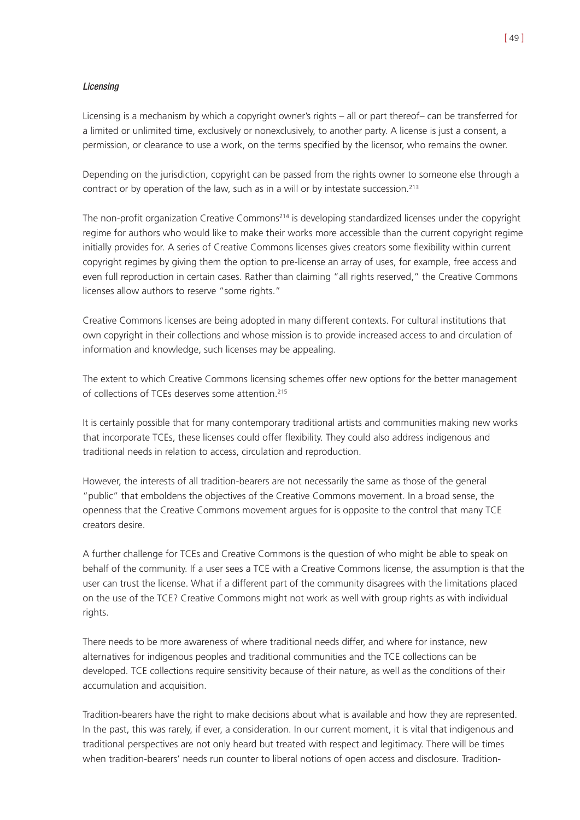## **Licensing**

Licensing is a mechanism by which a copyright owner's rights – all or part thereof– can be transferred for a limited or unlimited time, exclusively or nonexclusively, to another party. A license is just a consent, a permission, or clearance to use a work, on the terms specified by the licensor, who remains the owner.

Depending on the jurisdiction, copyright can be passed from the rights owner to someone else through a contract or by operation of the law, such as in a will or by intestate succession.213

The non-profit organization Creative Commons<sup>214</sup> is developing standardized licenses under the copyright regime for authors who would like to make their works more accessible than the current copyright regime initially provides for. A series of Creative Commons licenses gives creators some flexibility within current copyright regimes by giving them the option to pre-license an array of uses, for example, free access and even full reproduction in certain cases. Rather than claiming "all rights reserved," the Creative Commons licenses allow authors to reserve "some rights."

Creative Commons licenses are being adopted in many different contexts. For cultural institutions that own copyright in their collections and whose mission is to provide increased access to and circulation of information and knowledge, such licenses may be appealing.

The extent to which Creative Commons licensing schemes offer new options for the better management of collections of TCEs deserves some attention.<sup>215</sup>

It is certainly possible that for many contemporary traditional artists and communities making new works that incorporate TCEs, these licenses could offer flexibility. They could also address indigenous and traditional needs in relation to access, circulation and reproduction.

However, the interests of all tradition-bearers are not necessarily the same as those of the general "public" that emboldens the objectives of the Creative Commons movement. In a broad sense, the openness that the Creative Commons movement argues for is opposite to the control that many TCE creators desire.

A further challenge for TCEs and Creative Commons is the question of who might be able to speak on behalf of the community. If a user sees a TCE with a Creative Commons license, the assumption is that the user can trust the license. What if a different part of the community disagrees with the limitations placed on the use of the TCE? Creative Commons might not work as well with group rights as with individual rights.

There needs to be more awareness of where traditional needs differ, and where for instance, new alternatives for indigenous peoples and traditional communities and the TCE collections can be developed. TCE collections require sensitivity because of their nature, as well as the conditions of their accumulation and acquisition.

Tradition-bearers have the right to make decisions about what is available and how they are represented. In the past, this was rarely, if ever, a consideration. In our current moment, it is vital that indigenous and traditional perspectives are not only heard but treated with respect and legitimacy. There will be times when tradition-bearers' needs run counter to liberal notions of open access and disclosure. Tradition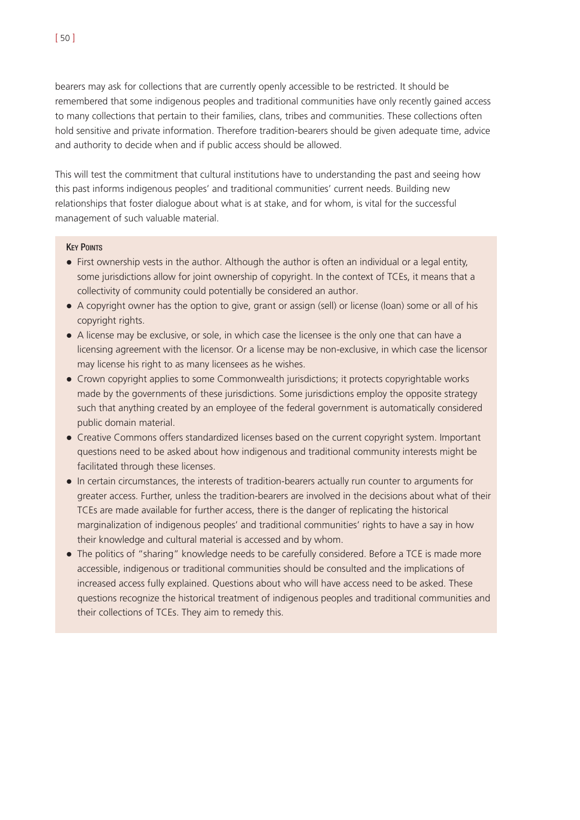bearers may ask for collections that are currently openly accessible to be restricted. It should be remembered that some indigenous peoples and traditional communities have only recently gained access to many collections that pertain to their families, clans, tribes and communities. These collections often hold sensitive and private information. Therefore tradition-bearers should be given adequate time, advice and authority to decide when and if public access should be allowed.

This will test the commitment that cultural institutions have to understanding the past and seeing how this past informs indigenous peoples' and traditional communities' current needs. Building new relationships that foster dialogue about what is at stake, and for whom, is vital for the successful management of such valuable material.

#### **KEY POINTS**

- ! First ownership vests in the author. Although the author is often an individual or a legal entity, some jurisdictions allow for joint ownership of copyright. In the context of TCEs, it means that a collectivity of community could potentially be considered an author.
- ! A copyright owner has the option to give, grant or assign (sell) or license (loan) some or all of his copyright rights.
- A license may be exclusive, or sole, in which case the licensee is the only one that can have a licensing agreement with the licensor. Or a license may be non-exclusive, in which case the licensor may license his right to as many licensees as he wishes.
- Crown copyright applies to some Commonwealth jurisdictions; it protects copyrightable works made by the governments of these jurisdictions. Some jurisdictions employ the opposite strategy such that anything created by an employee of the federal government is automatically considered public domain material.
- ! Creative Commons offers standardized licenses based on the current copyright system. Important questions need to be asked about how indigenous and traditional community interests might be facilitated through these licenses.
- ! In certain circumstances, the interests of tradition-bearers actually run counter to arguments for greater access. Further, unless the tradition-bearers are involved in the decisions about what of their TCEs are made available for further access, there is the danger of replicating the historical marginalization of indigenous peoples' and traditional communities' rights to have a say in how their knowledge and cultural material is accessed and by whom.
- ! The politics of "sharing" knowledge needs to be carefully considered. Before a TCE is made more accessible, indigenous or traditional communities should be consulted and the implications of increased access fully explained. Questions about who will have access need to be asked. These questions recognize the historical treatment of indigenous peoples and traditional communities and their collections of TCEs. They aim to remedy this.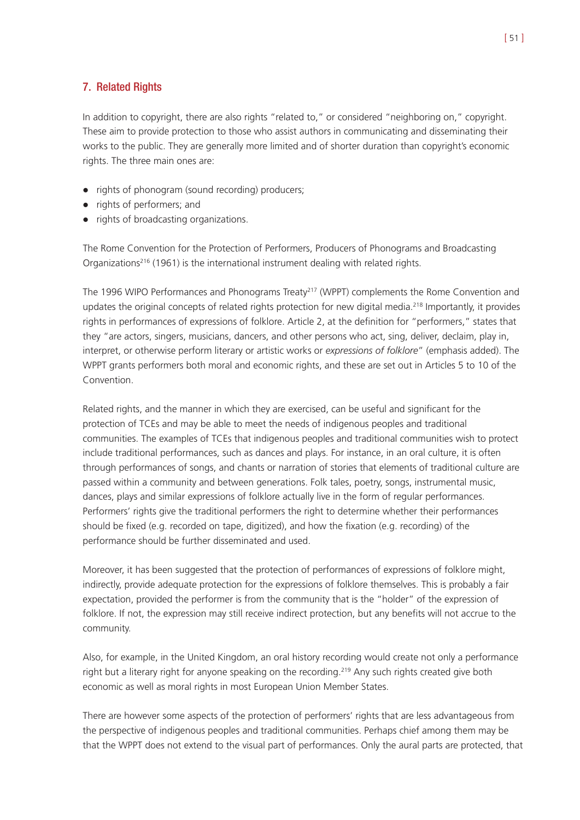# 7. Related Rights

In addition to copyright, there are also rights "related to," or considered "neighboring on," copyright. These aim to provide protection to those who assist authors in communicating and disseminating their works to the public. They are generally more limited and of shorter duration than copyright's economic rights. The three main ones are:

- rights of phonogram (sound recording) producers;
- rights of performers; and
- rights of broadcasting organizations.

The Rome Convention for the Protection of Performers, Producers of Phonograms and Broadcasting Organizations<sup>216</sup> (1961) is the international instrument dealing with related rights.

The 1996 WIPO Performances and Phonograms Treaty<sup>217</sup> (WPPT) complements the Rome Convention and updates the original concepts of related rights protection for new digital media.<sup>218</sup> Importantly, it provides rights in performances of expressions of folklore. Article 2, at the definition for "performers," states that they "are actors, singers, musicians, dancers, and other persons who act, sing, deliver, declaim, play in, interpret, or otherwise perform literary or artistic works or *expressions of folklore*" (emphasis added). The WPPT grants performers both moral and economic rights, and these are set out in Articles 5 to 10 of the Convention.

Related rights, and the manner in which they are exercised, can be useful and significant for the protection of TCEs and may be able to meet the needs of indigenous peoples and traditional communities. The examples of TCEs that indigenous peoples and traditional communities wish to protect include traditional performances, such as dances and plays. For instance, in an oral culture, it is often through performances of songs, and chants or narration of stories that elements of traditional culture are passed within a community and between generations. Folk tales, poetry, songs, instrumental music, dances, plays and similar expressions of folklore actually live in the form of regular performances. Performers' rights give the traditional performers the right to determine whether their performances should be fixed (e.g. recorded on tape, digitized), and how the fixation (e.g. recording) of the performance should be further disseminated and used.

Moreover, it has been suggested that the protection of performances of expressions of folklore might, indirectly, provide adequate protection for the expressions of folklore themselves. This is probably a fair expectation, provided the performer is from the community that is the "holder" of the expression of folklore. If not, the expression may still receive indirect protection, but any benefits will not accrue to the community.

Also, for example, in the United Kingdom, an oral history recording would create not only a performance right but a literary right for anyone speaking on the recording.<sup>219</sup> Any such rights created give both economic as well as moral rights in most European Union Member States.

There are however some aspects of the protection of performers' rights that are less advantageous from the perspective of indigenous peoples and traditional communities. Perhaps chief among them may be that the WPPT does not extend to the visual part of performances. Only the aural parts are protected, that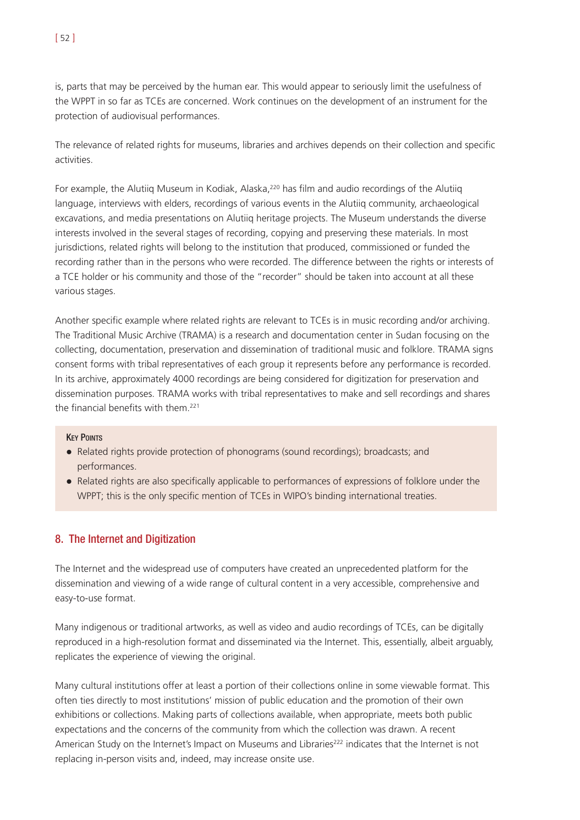is, parts that may be perceived by the human ear. This would appear to seriously limit the usefulness of the WPPT in so far as TCEs are concerned. Work continues on the development of an instrument for the protection of audiovisual performances.

The relevance of related rights for museums, libraries and archives depends on their collection and specific activities.

For example, the Alutiig Museum in Kodiak, Alaska,<sup>220</sup> has film and audio recordings of the Alutiig language, interviews with elders, recordings of various events in the Alutiiq community, archaeological excavations, and media presentations on Alutiiq heritage projects. The Museum understands the diverse interests involved in the several stages of recording, copying and preserving these materials. In most jurisdictions, related rights will belong to the institution that produced, commissioned or funded the recording rather than in the persons who were recorded. The difference between the rights or interests of a TCE holder or his community and those of the "recorder" should be taken into account at all these various stages.

Another specific example where related rights are relevant to TCEs is in music recording and/or archiving. The Traditional Music Archive (TRAMA) is a research and documentation center in Sudan focusing on the collecting, documentation, preservation and dissemination of traditional music and folklore. TRAMA signs consent forms with tribal representatives of each group it represents before any performance is recorded. In its archive, approximately 4000 recordings are being considered for digitization for preservation and dissemination purposes. TRAMA works with tribal representatives to make and sell recordings and shares the financial benefits with them.221

#### **KEY POINTS**

- ! Related rights provide protection of phonograms (sound recordings); broadcasts; and performances.
- ! Related rights are also specifically applicable to performances of expressions of folklore under the WPPT; this is the only specific mention of TCEs in WIPO's binding international treaties.

## 8. The Internet and Digitization

The Internet and the widespread use of computers have created an unprecedented platform for the dissemination and viewing of a wide range of cultural content in a very accessible, comprehensive and easy-to-use format.

Many indigenous or traditional artworks, as well as video and audio recordings of TCEs, can be digitally reproduced in a high-resolution format and disseminated via the Internet. This, essentially, albeit arguably, replicates the experience of viewing the original.

Many cultural institutions offer at least a portion of their collections online in some viewable format. This often ties directly to most institutions' mission of public education and the promotion of their own exhibitions or collections. Making parts of collections available, when appropriate, meets both public expectations and the concerns of the community from which the collection was drawn. A recent American Study on the Internet's Impact on Museums and Libraries<sup>222</sup> indicates that the Internet is not replacing in-person visits and, indeed, may increase onsite use.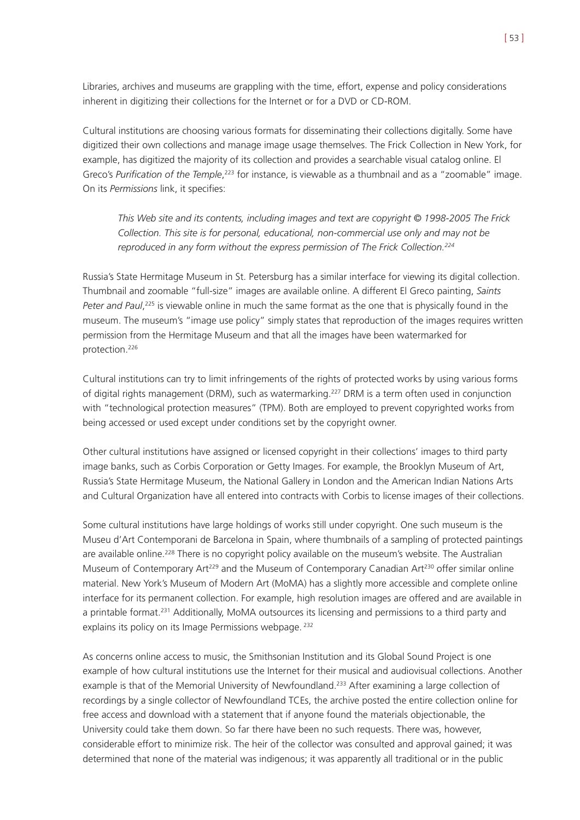Libraries, archives and museums are grappling with the time, effort, expense and policy considerations inherent in digitizing their collections for the Internet or for a DVD or CD-ROM.

Cultural institutions are choosing various formats for disseminating their collections digitally. Some have digitized their own collections and manage image usage themselves. The Frick Collection in New York, for example, has digitized the majority of its collection and provides a searchable visual catalog online. El Greco's Purification of the Temple,<sup>223</sup> for instance, is viewable as a thumbnail and as a "zoomable" image. On its *Permissions* link, it specifies:

*This Web site and its contents, including images and text are copyright © 1998-2005 The Frick Collection. This site is for personal, educational, non-commercial use only and may not be reproduced in any form without the express permission of The Frick Collection.224*

Russia's State Hermitage Museum in St. Petersburg has a similar interface for viewing its digital collection. Thumbnail and zoomable "full-size" images are available online. A different El Greco painting, *Saints Peter and Paul*, <sup>225</sup> is viewable online in much the same format as the one that is physically found in the museum. The museum's "image use policy" simply states that reproduction of the images requires written permission from the Hermitage Museum and that all the images have been watermarked for protection.226

Cultural institutions can try to limit infringements of the rights of protected works by using various forms of digital rights management (DRM), such as watermarking.<sup>227</sup> DRM is a term often used in conjunction with "technological protection measures" (TPM). Both are employed to prevent copyrighted works from being accessed or used except under conditions set by the copyright owner.

Other cultural institutions have assigned or licensed copyright in their collections' images to third party image banks, such as Corbis Corporation or Getty Images. For example, the Brooklyn Museum of Art, Russia's State Hermitage Museum, the National Gallery in London and the American Indian Nations Arts and Cultural Organization have all entered into contracts with Corbis to license images of their collections.

Some cultural institutions have large holdings of works still under copyright. One such museum is the Museu d'Art Contemporani de Barcelona in Spain, where thumbnails of a sampling of protected paintings are available online.<sup>228</sup> There is no copyright policy available on the museum's website. The Australian Museum of Contemporary Art<sup>229</sup> and the Museum of Contemporary Canadian Art<sup>230</sup> offer similar online material. New York's Museum of Modern Art (MoMA) has a slightly more accessible and complete online interface for its permanent collection. For example, high resolution images are offered and are available in a printable format.<sup>231</sup> Additionally, MoMA outsources its licensing and permissions to a third party and explains its policy on its Image Permissions webpage. <sup>232</sup>

As concerns online access to music, the Smithsonian Institution and its Global Sound Project is one example of how cultural institutions use the Internet for their musical and audiovisual collections. Another example is that of the Memorial University of Newfoundland.<sup>233</sup> After examining a large collection of recordings by a single collector of Newfoundland TCEs, the archive posted the entire collection online for free access and download with a statement that if anyone found the materials objectionable, the University could take them down. So far there have been no such requests. There was, however, considerable effort to minimize risk. The heir of the collector was consulted and approval gained; it was determined that none of the material was indigenous; it was apparently all traditional or in the public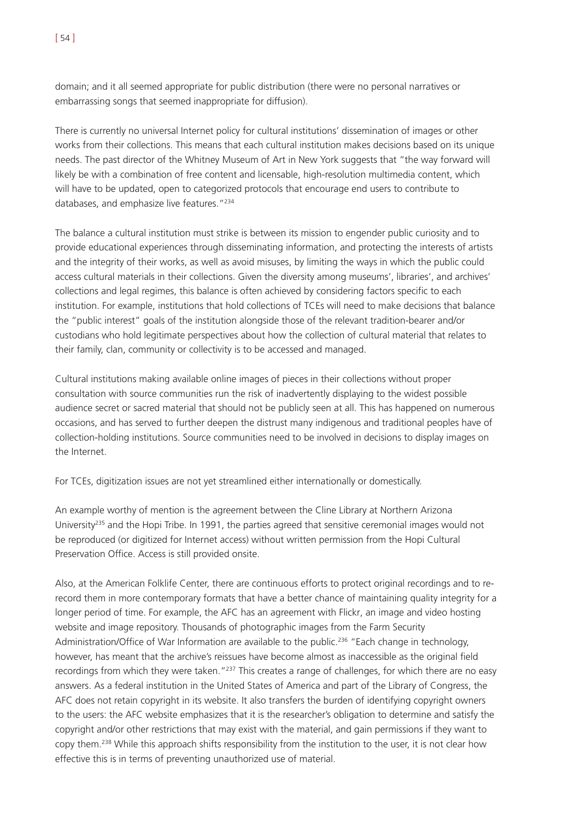domain; and it all seemed appropriate for public distribution (there were no personal narratives or embarrassing songs that seemed inappropriate for diffusion).

There is currently no universal Internet policy for cultural institutions' dissemination of images or other works from their collections. This means that each cultural institution makes decisions based on its unique needs. The past director of the Whitney Museum of Art in New York suggests that "the way forward will likely be with a combination of free content and licensable, high-resolution multimedia content, which will have to be updated, open to categorized protocols that encourage end users to contribute to databases, and emphasize live features."234

The balance a cultural institution must strike is between its mission to engender public curiosity and to provide educational experiences through disseminating information, and protecting the interests of artists and the integrity of their works, as well as avoid misuses, by limiting the ways in which the public could access cultural materials in their collections. Given the diversity among museums', libraries', and archives' collections and legal regimes, this balance is often achieved by considering factors specific to each institution. For example, institutions that hold collections of TCEs will need to make decisions that balance the "public interest" goals of the institution alongside those of the relevant tradition-bearer and/or custodians who hold legitimate perspectives about how the collection of cultural material that relates to their family, clan, community or collectivity is to be accessed and managed.

Cultural institutions making available online images of pieces in their collections without proper consultation with source communities run the risk of inadvertently displaying to the widest possible audience secret or sacred material that should not be publicly seen at all. This has happened on numerous occasions, and has served to further deepen the distrust many indigenous and traditional peoples have of collection-holding institutions. Source communities need to be involved in decisions to display images on the Internet.

For TCEs, digitization issues are not yet streamlined either internationally or domestically.

An example worthy of mention is the agreement between the Cline Library at Northern Arizona University<sup>235</sup> and the Hopi Tribe. In 1991, the parties agreed that sensitive ceremonial images would not be reproduced (or digitized for Internet access) without written permission from the Hopi Cultural Preservation Office. Access is still provided onsite.

Also, at the American Folklife Center, there are continuous efforts to protect original recordings and to rerecord them in more contemporary formats that have a better chance of maintaining quality integrity for a longer period of time. For example, the AFC has an agreement with Flickr, an image and video hosting website and image repository. Thousands of photographic images from the Farm Security Administration/Office of War Information are available to the public.<sup>236</sup> "Each change in technology, however, has meant that the archive's reissues have become almost as inaccessible as the original field recordings from which they were taken."<sup>237</sup> This creates a range of challenges, for which there are no easy answers. As a federal institution in the United States of America and part of the Library of Congress, the AFC does not retain copyright in its website. It also transfers the burden of identifying copyright owners to the users: the AFC website emphasizes that it is the researcher's obligation to determine and satisfy the copyright and/or other restrictions that may exist with the material, and gain permissions if they want to copy them.238 While this approach shifts responsibility from the institution to the user, it is not clear how effective this is in terms of preventing unauthorized use of material.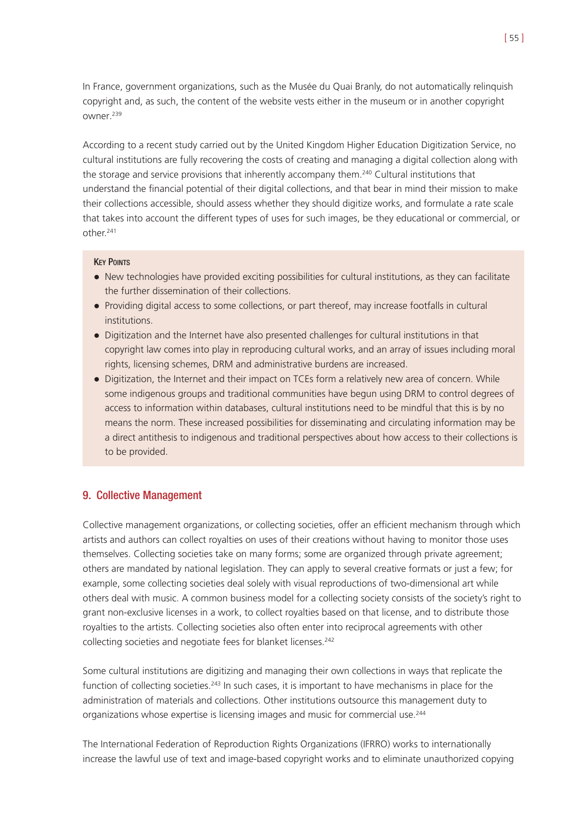In France, government organizations, such as the Musée du Quai Branly, do not automatically relinquish copyright and, as such, the content of the website vests either in the museum or in another copyright owner.239

According to a recent study carried out by the United Kingdom Higher Education Digitization Service, no cultural institutions are fully recovering the costs of creating and managing a digital collection along with the storage and service provisions that inherently accompany them.<sup>240</sup> Cultural institutions that understand the financial potential of their digital collections, and that bear in mind their mission to make their collections accessible, should assess whether they should digitize works, and formulate a rate scale that takes into account the different types of uses for such images, be they educational or commercial, or other.241

## **KEY POINTS**

- New technologies have provided exciting possibilities for cultural institutions, as they can facilitate the further dissemination of their collections.
- Providing digital access to some collections, or part thereof, may increase footfalls in cultural institutions.
- ! Digitization and the Internet have also presented challenges for cultural institutions in that copyright law comes into play in reproducing cultural works, and an array of issues including moral rights, licensing schemes, DRM and administrative burdens are increased.
- ! Digitization, the Internet and their impact on TCEs form a relatively new area of concern. While some indigenous groups and traditional communities have begun using DRM to control degrees of access to information within databases, cultural institutions need to be mindful that this is by no means the norm. These increased possibilities for disseminating and circulating information may be a direct antithesis to indigenous and traditional perspectives about how access to their collections is to be provided.

# 9. Collective Management

Collective management organizations, or collecting societies, offer an efficient mechanism through which artists and authors can collect royalties on uses of their creations without having to monitor those uses themselves. Collecting societies take on many forms; some are organized through private agreement; others are mandated by national legislation. They can apply to several creative formats or just a few; for example, some collecting societies deal solely with visual reproductions of two-dimensional art while others deal with music. A common business model for a collecting society consists of the society's right to grant non-exclusive licenses in a work, to collect royalties based on that license, and to distribute those royalties to the artists. Collecting societies also often enter into reciprocal agreements with other collecting societies and negotiate fees for blanket licenses.<sup>242</sup>

Some cultural institutions are digitizing and managing their own collections in ways that replicate the function of collecting societies.<sup>243</sup> In such cases, it is important to have mechanisms in place for the administration of materials and collections. Other institutions outsource this management duty to organizations whose expertise is licensing images and music for commercial use.<sup>244</sup>

The International Federation of Reproduction Rights Organizations (IFRRO) works to internationally increase the lawful use of text and image-based copyright works and to eliminate unauthorized copying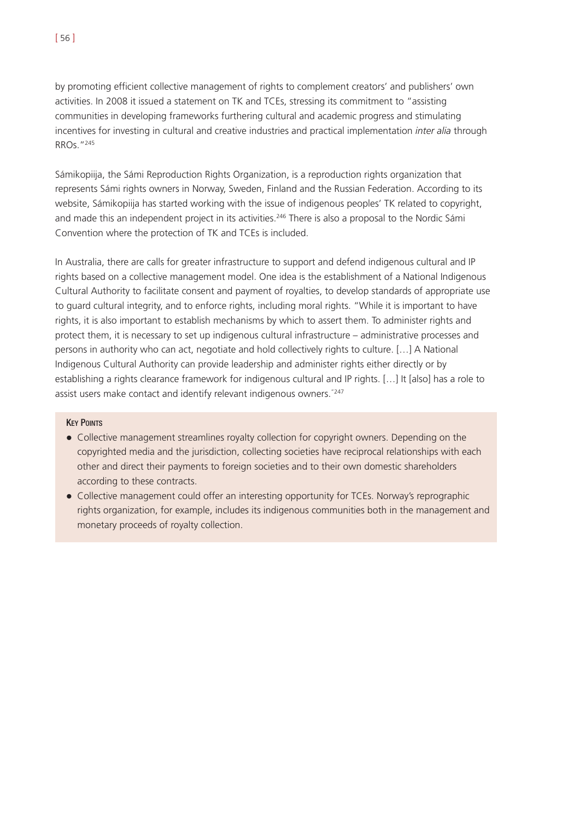by promoting efficient collective management of rights to complement creators' and publishers' own activities. In 2008 it issued a statement on TK and TCEs, stressing its commitment to "assisting communities in developing frameworks furthering cultural and academic progress and stimulating incentives for investing in cultural and creative industries and practical implementation *inter alia* through RROs."245

Sámikopiija, the Sámi Reproduction Rights Organization, is a reproduction rights organization that represents Sámi rights owners in Norway, Sweden, Finland and the Russian Federation. According to its website, Sámikopiija has started working with the issue of indigenous peoples' TK related to copyright, and made this an independent project in its activities.<sup>246</sup> There is also a proposal to the Nordic Sámi Convention where the protection of TK and TCEs is included.

In Australia, there are calls for greater infrastructure to support and defend indigenous cultural and IP rights based on a collective management model. One idea is the establishment of a National Indigenous Cultural Authority to facilitate consent and payment of royalties, to develop standards of appropriate use to guard cultural integrity, and to enforce rights, including moral rights. "While it is important to have rights, it is also important to establish mechanisms by which to assert them. To administer rights and protect them, it is necessary to set up indigenous cultural infrastructure – administrative processes and persons in authority who can act, negotiate and hold collectively rights to culture. […] A National Indigenous Cultural Authority can provide leadership and administer rights either directly or by establishing a rights clearance framework for indigenous cultural and IP rights. […] It [also] has a role to assist users make contact and identify relevant indigenous owners."247

## **KEY POINTS**

- ! Collective management streamlines royalty collection for copyright owners. Depending on the copyrighted media and the jurisdiction, collecting societies have reciprocal relationships with each other and direct their payments to foreign societies and to their own domestic shareholders according to these contracts.
- ! Collective management could offer an interesting opportunity for TCEs. Norway's reprographic rights organization, for example, includes its indigenous communities both in the management and monetary proceeds of royalty collection.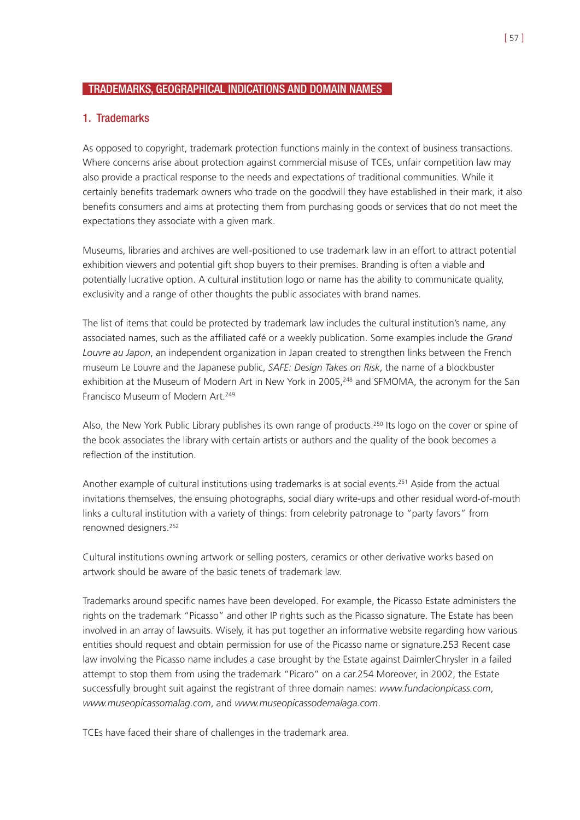# TRADEMARKS, GEOGRAPHICAL INDICATIONS AND DOMAIN NAMES

## 1. Trademarks

As opposed to copyright, trademark protection functions mainly in the context of business transactions. Where concerns arise about protection against commercial misuse of TCEs, unfair competition law may also provide a practical response to the needs and expectations of traditional communities. While it certainly benefits trademark owners who trade on the goodwill they have established in their mark, it also benefits consumers and aims at protecting them from purchasing goods or services that do not meet the expectations they associate with a given mark.

Museums, libraries and archives are well-positioned to use trademark law in an effort to attract potential exhibition viewers and potential gift shop buyers to their premises. Branding is often a viable and potentially lucrative option. A cultural institution logo or name has the ability to communicate quality, exclusivity and a range of other thoughts the public associates with brand names.

The list of items that could be protected by trademark law includes the cultural institution's name, any associated names, such as the affiliated café or a weekly publication. Some examples include the *Grand Louvre au Japon*, an independent organization in Japan created to strengthen links between the French museum Le Louvre and the Japanese public, *SAFE: Design Takes on Risk*, the name of a blockbuster exhibition at the Museum of Modern Art in New York in 2005,<sup>248</sup> and SFMOMA, the acronym for the San Francisco Museum of Modern Art.249

Also, the New York Public Library publishes its own range of products.250 Its logo on the cover or spine of the book associates the library with certain artists or authors and the quality of the book becomes a reflection of the institution.

Another example of cultural institutions using trademarks is at social events.<sup>251</sup> Aside from the actual invitations themselves, the ensuing photographs, social diary write-ups and other residual word-of-mouth links a cultural institution with a variety of things: from celebrity patronage to "party favors" from renowned designers.252

Cultural institutions owning artwork or selling posters, ceramics or other derivative works based on artwork should be aware of the basic tenets of trademark law.

Trademarks around specific names have been developed. For example, the Picasso Estate administers the rights on the trademark "Picasso" and other IP rights such as the Picasso signature. The Estate has been involved in an array of lawsuits. Wisely, it has put together an informative website regarding how various entities should request and obtain permission for use of the Picasso name or signature.253 Recent case law involving the Picasso name includes a case brought by the Estate against DaimlerChrysler in a failed attempt to stop them from using the trademark "Picaro" on a car.254 Moreover, in 2002, the Estate successfully brought suit against the registrant of three domain names: *www.fundacionpicass.com*, *www.museopicassomalag.com*, and *www.museopicassodemalaga.com*.

TCEs have faced their share of challenges in the trademark area.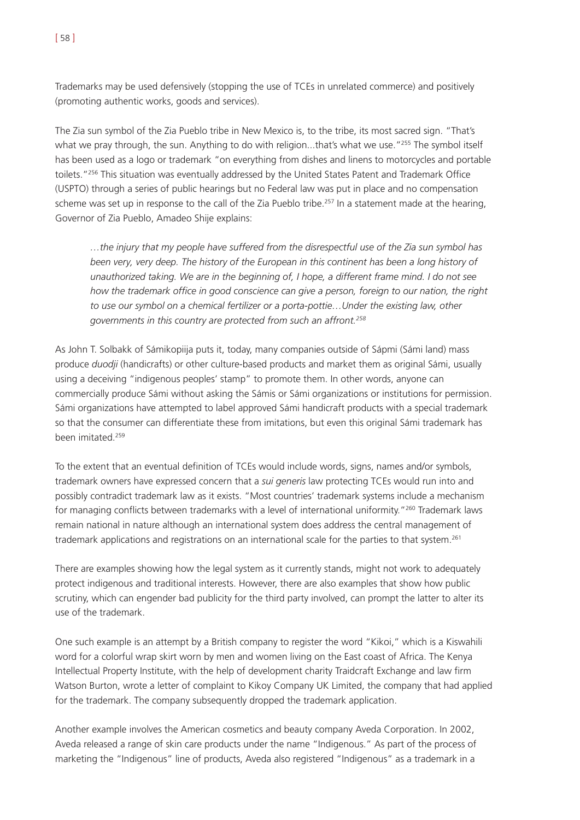Trademarks may be used defensively (stopping the use of TCEs in unrelated commerce) and positively (promoting authentic works, goods and services).

The Zia sun symbol of the Zia Pueblo tribe in New Mexico is, to the tribe, its most sacred sign. "That's what we pray through, the sun. Anything to do with religion...that's what we use."<sup>255</sup> The symbol itself has been used as a logo or trademark "on everything from dishes and linens to motorcycles and portable toilets."256 This situation was eventually addressed by the United States Patent and Trademark Office (USPTO) through a series of public hearings but no Federal law was put in place and no compensation scheme was set up in response to the call of the Zia Pueblo tribe.<sup>257</sup> In a statement made at the hearing, Governor of Zia Pueblo, Amadeo Shije explains:

*…the injury that my people have suffered from the disrespectful use of the Zia sun symbol has been very, very deep. The history of the European in this continent has been a long history of unauthorized taking. We are in the beginning of, I hope, a different frame mind. I do not see how the trademark office in good conscience can give a person, foreign to our nation, the right to use our symbol on a chemical fertilizer or a porta-pottie…Under the existing law, other governments in this country are protected from such an affront.258*

As John T. Solbakk of Sámikopiija puts it, today, many companies outside of Sápmi (Sámi land) mass produce *duodji* (handicrafts) or other culture-based products and market them as original Sámi, usually using a deceiving "indigenous peoples' stamp" to promote them. In other words, anyone can commercially produce Sámi without asking the Sámis or Sámi organizations or institutions for permission. Sámi organizations have attempted to label approved Sámi handicraft products with a special trademark so that the consumer can differentiate these from imitations, but even this original Sámi trademark has been imitated.259

To the extent that an eventual definition of TCEs would include words, signs, names and/or symbols, trademark owners have expressed concern that a *sui generis* law protecting TCEs would run into and possibly contradict trademark law as it exists. "Most countries' trademark systems include a mechanism for managing conflicts between trademarks with a level of international uniformity."260 Trademark laws remain national in nature although an international system does address the central management of trademark applications and registrations on an international scale for the parties to that system.261

There are examples showing how the legal system as it currently stands, might not work to adequately protect indigenous and traditional interests. However, there are also examples that show how public scrutiny, which can engender bad publicity for the third party involved, can prompt the latter to alter its use of the trademark.

One such example is an attempt by a British company to register the word "Kikoi," which is a Kiswahili word for a colorful wrap skirt worn by men and women living on the East coast of Africa. The Kenya Intellectual Property Institute, with the help of development charity Traidcraft Exchange and law firm Watson Burton, wrote a letter of complaint to Kikoy Company UK Limited, the company that had applied for the trademark. The company subsequently dropped the trademark application.

Another example involves the American cosmetics and beauty company Aveda Corporation. In 2002, Aveda released a range of skin care products under the name "Indigenous." As part of the process of marketing the "Indigenous" line of products, Aveda also registered "Indigenous" as a trademark in a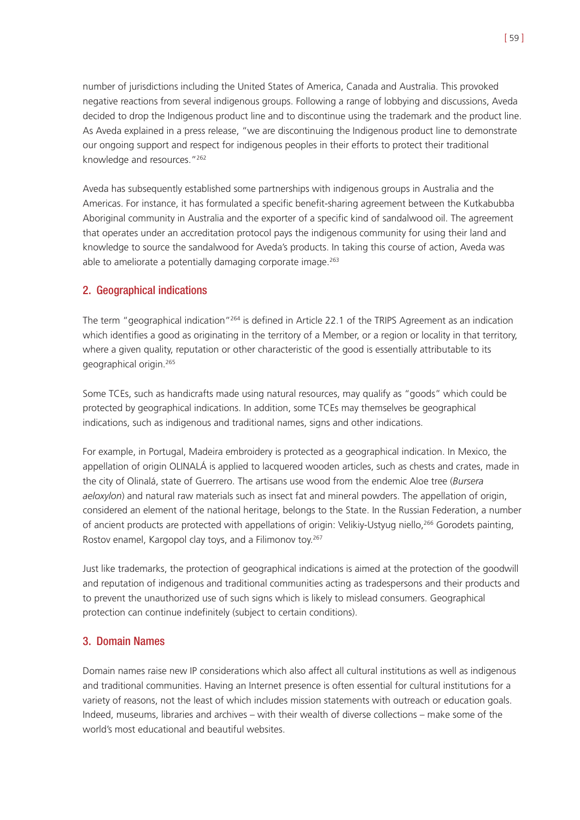number of jurisdictions including the United States of America, Canada and Australia. This provoked negative reactions from several indigenous groups. Following a range of lobbying and discussions, Aveda decided to drop the Indigenous product line and to discontinue using the trademark and the product line. As Aveda explained in a press release, "we are discontinuing the Indigenous product line to demonstrate our ongoing support and respect for indigenous peoples in their efforts to protect their traditional knowledge and resources."262

Aveda has subsequently established some partnerships with indigenous groups in Australia and the Americas. For instance, it has formulated a specific benefit-sharing agreement between the Kutkabubba Aboriginal community in Australia and the exporter of a specific kind of sandalwood oil. The agreement that operates under an accreditation protocol pays the indigenous community for using their land and knowledge to source the sandalwood for Aveda's products. In taking this course of action, Aveda was able to ameliorate a potentially damaging corporate image.<sup>263</sup>

# 2. Geographical indications

The term "geographical indication"264 is defined in Article 22.1 of the TRIPS Agreement as an indication which identifies a good as originating in the territory of a Member, or a region or locality in that territory, where a given quality, reputation or other characteristic of the good is essentially attributable to its geographical origin.265

Some TCEs, such as handicrafts made using natural resources, may qualify as "goods" which could be protected by geographical indications. In addition, some TCEs may themselves be geographical indications, such as indigenous and traditional names, signs and other indications.

For example, in Portugal, Madeira embroidery is protected as a geographical indication. In Mexico, the appellation of origin OLINALÁ is applied to lacquered wooden articles, such as chests and crates, made in the city of Olinalá, state of Guerrero. The artisans use wood from the endemic Aloe tree (*Bursera aeloxylon*) and natural raw materials such as insect fat and mineral powders. The appellation of origin, considered an element of the national heritage, belongs to the State. In the Russian Federation, a number of ancient products are protected with appellations of origin: Velikiy-Ustyug niello,<sup>266</sup> Gorodets painting, Rostov enamel, Kargopol clay toys, and a Filimonov toy.<sup>267</sup>

Just like trademarks, the protection of geographical indications is aimed at the protection of the goodwill and reputation of indigenous and traditional communities acting as tradespersons and their products and to prevent the unauthorized use of such signs which is likely to mislead consumers. Geographical protection can continue indefinitely (subject to certain conditions).

# 3. Domain Names

Domain names raise new IP considerations which also affect all cultural institutions as well as indigenous and traditional communities. Having an Internet presence is often essential for cultural institutions for a variety of reasons, not the least of which includes mission statements with outreach or education goals. Indeed, museums, libraries and archives – with their wealth of diverse collections – make some of the world's most educational and beautiful websites.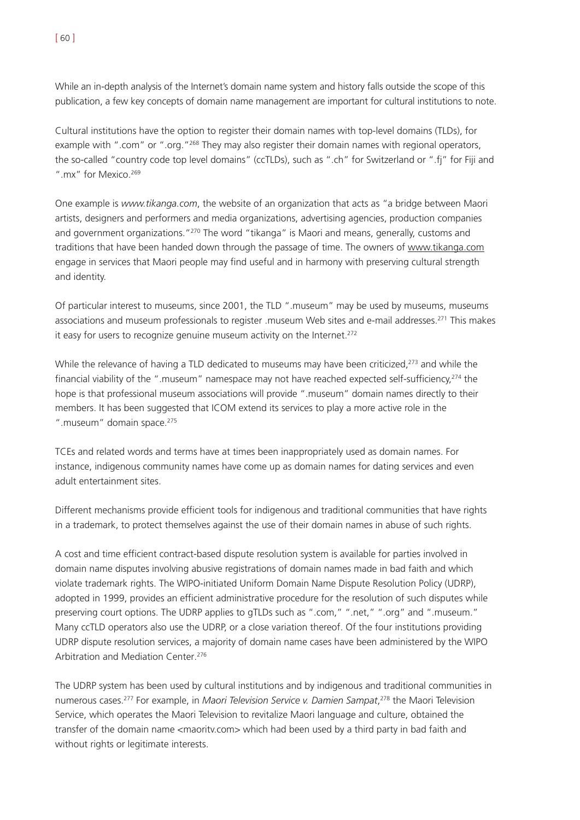While an in-depth analysis of the Internet's domain name system and history falls outside the scope of this publication, a few key concepts of domain name management are important for cultural institutions to note.

Cultural institutions have the option to register their domain names with top-level domains (TLDs), for example with ".com" or ".org."<sup>268</sup> They may also register their domain names with regional operators, the so-called "country code top level domains" (ccTLDs), such as ".ch" for Switzerland or ".fj" for Fiji and ".mx" for Mexico.<sup>269</sup>

One example is *www.tikanga.com*, the website of an organization that acts as "a bridge between Maori artists, designers and performers and media organizations, advertising agencies, production companies and government organizations."<sup>270</sup> The word "tikanga" is Maori and means, generally, customs and traditions that have been handed down through the passage of time. The owners of www.tikanga.com engage in services that Maori people may find useful and in harmony with preserving cultural strength and identity.

Of particular interest to museums, since 2001, the TLD ".museum" may be used by museums, museums associations and museum professionals to register .museum Web sites and e-mail addresses.<sup>271</sup> This makes it easy for users to recognize genuine museum activity on the Internet.<sup>272</sup>

While the relevance of having a TLD dedicated to museums may have been criticized,<sup>273</sup> and while the financial viability of the ".museum" namespace may not have reached expected self-sufficiency.<sup>274</sup> the hope is that professional museum associations will provide ".museum" domain names directly to their members. It has been suggested that ICOM extend its services to play a more active role in the ".museum" domain space.<sup>275</sup>

TCEs and related words and terms have at times been inappropriately used as domain names. For instance, indigenous community names have come up as domain names for dating services and even adult entertainment sites.

Different mechanisms provide efficient tools for indigenous and traditional communities that have rights in a trademark, to protect themselves against the use of their domain names in abuse of such rights.

A cost and time efficient contract-based dispute resolution system is available for parties involved in domain name disputes involving abusive registrations of domain names made in bad faith and which violate trademark rights. The WIPO-initiated Uniform Domain Name Dispute Resolution Policy (UDRP), adopted in 1999, provides an efficient administrative procedure for the resolution of such disputes while preserving court options. The UDRP applies to gTLDs such as ".com," ".net," ".org" and ".museum." Many ccTLD operators also use the UDRP, or a close variation thereof. Of the four institutions providing UDRP dispute resolution services, a majority of domain name cases have been administered by the WIPO Arbitration and Mediation Center.276

The UDRP system has been used by cultural institutions and by indigenous and traditional communities in numerous cases.277 For example, in *Maori Television Service v. Damien Sampat*, <sup>278</sup> the Maori Television Service, which operates the Maori Television to revitalize Maori language and culture, obtained the transfer of the domain name <maoritv.com> which had been used by a third party in bad faith and without rights or legitimate interests.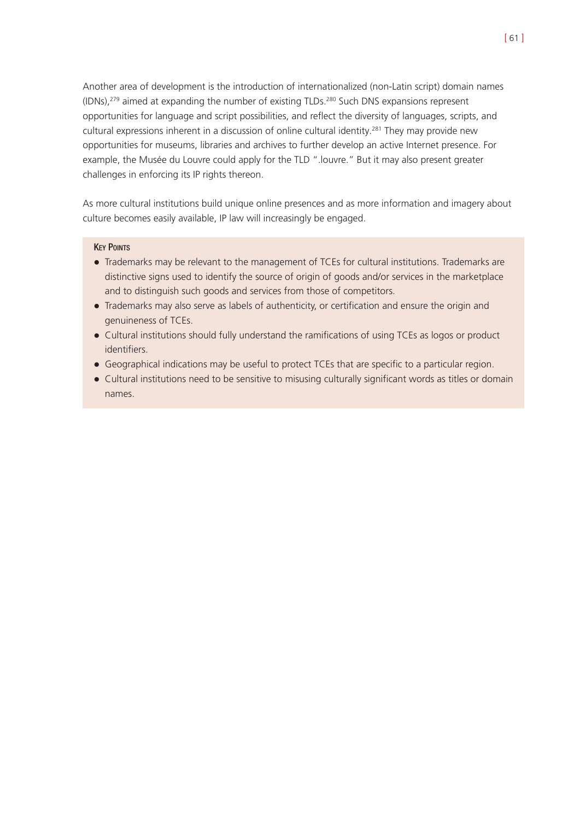Another area of development is the introduction of internationalized (non-Latin script) domain names  $(IDNs),<sup>279</sup>$  aimed at expanding the number of existing TLDs.<sup>280</sup> Such DNS expansions represent opportunities for language and script possibilities, and reflect the diversity of languages, scripts, and cultural expressions inherent in a discussion of online cultural identity.<sup>281</sup> They may provide new opportunities for museums, libraries and archives to further develop an active Internet presence. For example, the Musée du Louvre could apply for the TLD ".louvre." But it may also present greater challenges in enforcing its IP rights thereon.

As more cultural institutions build unique online presences and as more information and imagery about culture becomes easily available, IP law will increasingly be engaged.

#### **KEY POINTS**

- ! Trademarks may be relevant to the management of TCEs for cultural institutions. Trademarks are distinctive signs used to identify the source of origin of goods and/or services in the marketplace and to distinguish such goods and services from those of competitors.
- ! Trademarks may also serve as labels of authenticity, or certification and ensure the origin and genuineness of TCEs.
- ! Cultural institutions should fully understand the ramifications of using TCEs as logos or product identifiers.
- ! Geographical indications may be useful to protect TCEs that are specific to a particular region.
- Cultural institutions need to be sensitive to misusing culturally significant words as titles or domain names.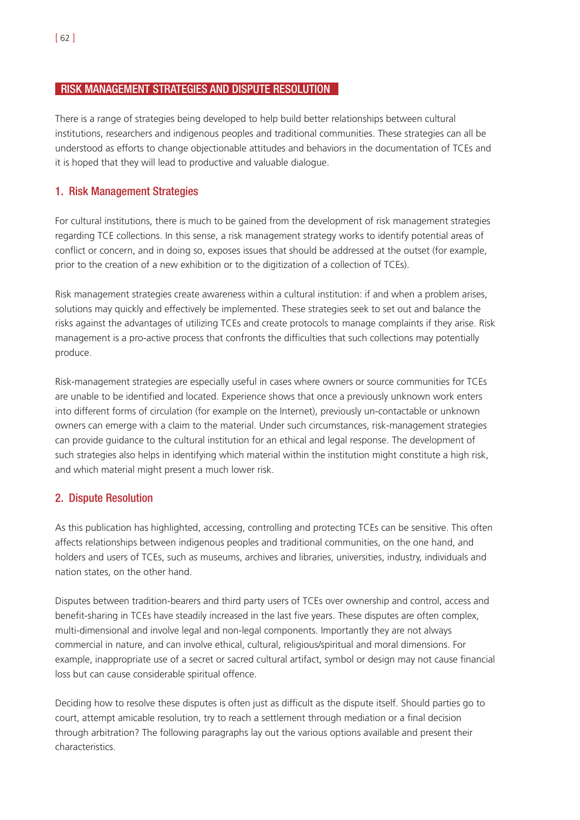## RISK MANAGEMENT STRATEGIES AND DISPUTE RESOLUTION

There is a range of strategies being developed to help build better relationships between cultural institutions, researchers and indigenous peoples and traditional communities. These strategies can all be understood as efforts to change objectionable attitudes and behaviors in the documentation of TCEs and it is hoped that they will lead to productive and valuable dialogue.

# 1. Risk Management Strategies

For cultural institutions, there is much to be gained from the development of risk management strategies regarding TCE collections. In this sense, a risk management strategy works to identify potential areas of conflict or concern, and in doing so, exposes issues that should be addressed at the outset (for example, prior to the creation of a new exhibition or to the digitization of a collection of TCEs).

Risk management strategies create awareness within a cultural institution: if and when a problem arises, solutions may quickly and effectively be implemented. These strategies seek to set out and balance the risks against the advantages of utilizing TCEs and create protocols to manage complaints if they arise. Risk management is a pro-active process that confronts the difficulties that such collections may potentially produce.

Risk-management strategies are especially useful in cases where owners or source communities for TCEs are unable to be identified and located. Experience shows that once a previously unknown work enters into different forms of circulation (for example on the Internet), previously un-contactable or unknown owners can emerge with a claim to the material. Under such circumstances, risk-management strategies can provide guidance to the cultural institution for an ethical and legal response. The development of such strategies also helps in identifying which material within the institution might constitute a high risk, and which material might present a much lower risk.

# 2. Dispute Resolution

As this publication has highlighted, accessing, controlling and protecting TCEs can be sensitive. This often affects relationships between indigenous peoples and traditional communities, on the one hand, and holders and users of TCEs, such as museums, archives and libraries, universities, industry, individuals and nation states, on the other hand.

Disputes between tradition-bearers and third party users of TCEs over ownership and control, access and benefit-sharing in TCEs have steadily increased in the last five years. These disputes are often complex, multi-dimensional and involve legal and non-legal components. Importantly they are not always commercial in nature, and can involve ethical, cultural, religious/spiritual and moral dimensions. For example, inappropriate use of a secret or sacred cultural artifact, symbol or design may not cause financial loss but can cause considerable spiritual offence.

Deciding how to resolve these disputes is often just as difficult as the dispute itself. Should parties go to court, attempt amicable resolution, try to reach a settlement through mediation or a final decision through arbitration? The following paragraphs lay out the various options available and present their characteristics.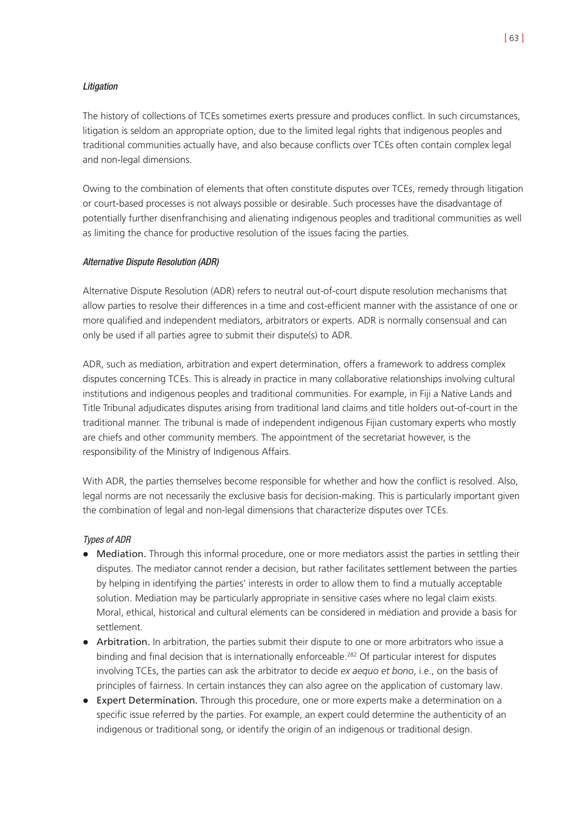The history of collections of TCEs sometimes exerts pressure and produces conflict. In such circumstances, litigation is seldom an appropriate option, due to the limited legal rights that indigenous peoples and traditional communities actually have, and also because conflicts over TCEs often contain complex legal and non-legal dimensions.

Owing to the combination of elements that often constitute disputes over TCEs, remedy through litigation or court-based processes is not always possible or desirable. Such processes have the disadvantage of potentially further disenfranchising and alienating indigenous peoples and traditional communities as well as limiting the chance for productive resolution of the issues facing the parties.

## Alternative Dispute Resolution (ADR)

Alternative Dispute Resolution (ADR) refers to neutral out-of-court dispute resolution mechanisms that allow parties to resolve their differences in a time and cost-efficient manner with the assistance of one or more qualified and independent mediators, arbitrators or experts. ADR is normally consensual and can only be used if all parties agree to submit their dispute(s) to ADR.

ADR, such as mediation, arbitration and expert determination, offers a framework to address complex disputes concerning TCEs. This is already in practice in many collaborative relationships involving cultural institutions and indigenous peoples and traditional communities. For example, in Fiji a Native Lands and Title Tribunal adjudicates disputes arising from traditional land claims and title holders out-of-court in the traditional manner. The tribunal is made of independent indigenous Fijian customary experts who mostly are chiefs and other community members. The appointment of the secretariat however, is the responsibility of the Ministry of Indigenous Affairs.

With ADR, the parties themselves become responsible for whether and how the conflict is resolved. Also, legal norms are not necessarily the exclusive basis for decision-making. This is particularly important given the combination of legal and non-legal dimensions that characterize disputes over TCEs.

## Types of ADR

- Mediation. Through this informal procedure, one or more mediators assist the parties in settling their disputes. The mediator cannot render a decision, but rather facilitates settlement between the parties by helping in identifying the parties' interests in order to allow them to find a mutually acceptable solution. Mediation may be particularly appropriate in sensitive cases where no legal claim exists. Moral, ethical, historical and cultural elements can be considered in mediation and provide a basis for settlement.
- Arbitration. In arbitration, the parties submit their dispute to one or more arbitrators who issue a binding and final decision that is internationally enforceable.<sup>282</sup> Of particular interest for disputes involving TCEs, the parties can ask the arbitrator to decide *ex aequo et bono*, i.e., on the basis of principles of fairness. In certain instances they can also agree on the application of customary law.
- Expert Determination. Through this procedure, one or more experts make a determination on a specific issue referred by the parties. For example, an expert could determine the authenticity of an indigenous or traditional song, or identify the origin of an indigenous or traditional design.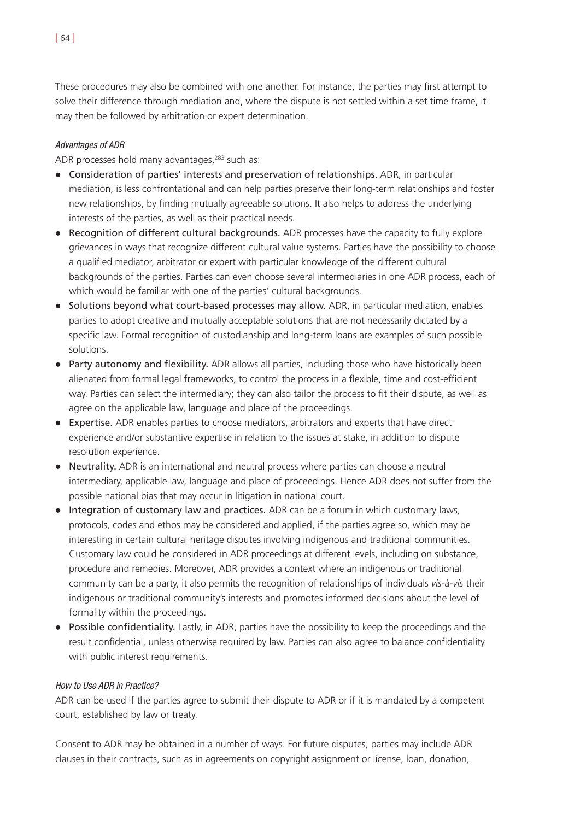These procedures may also be combined with one another. For instance, the parties may first attempt to solve their difference through mediation and, where the dispute is not settled within a set time frame, it may then be followed by arbitration or expert determination.

## Advantages of ADR

ADR processes hold many advantages,<sup>283</sup> such as:

- ! Consideration of parties' interests and preservation of relationships. ADR, in particular mediation, is less confrontational and can help parties preserve their long-term relationships and foster new relationships, by finding mutually agreeable solutions. It also helps to address the underlying interests of the parties, as well as their practical needs.
- Recognition of different cultural backgrounds. ADR processes have the capacity to fully explore grievances in ways that recognize different cultural value systems. Parties have the possibility to choose a qualified mediator, arbitrator or expert with particular knowledge of the different cultural backgrounds of the parties. Parties can even choose several intermediaries in one ADR process, each of which would be familiar with one of the parties' cultural backgrounds.
- Solutions beyond what court-based processes may allow. ADR, in particular mediation, enables parties to adopt creative and mutually acceptable solutions that are not necessarily dictated by a specific law. Formal recognition of custodianship and long-term loans are examples of such possible solutions.
- Party autonomy and flexibility. ADR allows all parties, including those who have historically been alienated from formal legal frameworks, to control the process in a flexible, time and cost-efficient way. Parties can select the intermediary; they can also tailor the process to fit their dispute, as well as agree on the applicable law, language and place of the proceedings.
- ! Expertise. ADR enables parties to choose mediators, arbitrators and experts that have direct experience and/or substantive expertise in relation to the issues at stake, in addition to dispute resolution experience.
- ! Neutrality. ADR is an international and neutral process where parties can choose a neutral intermediary, applicable law, language and place of proceedings. Hence ADR does not suffer from the possible national bias that may occur in litigation in national court.
- Integration of customary law and practices. ADR can be a forum in which customary laws, protocols, codes and ethos may be considered and applied, if the parties agree so, which may be interesting in certain cultural heritage disputes involving indigenous and traditional communities. Customary law could be considered in ADR proceedings at different levels, including on substance, procedure and remedies. Moreover, ADR provides a context where an indigenous or traditional community can be a party, it also permits the recognition of relationships of individuals *vis-à-vis* their indigenous or traditional community's interests and promotes informed decisions about the level of formality within the proceedings.
- Possible confidentiality. Lastly, in ADR, parties have the possibility to keep the proceedings and the result confidential, unless otherwise required by law. Parties can also agree to balance confidentiality with public interest requirements.

#### How to Use ADR in Practice?

ADR can be used if the parties agree to submit their dispute to ADR or if it is mandated by a competent court, established by law or treaty.

Consent to ADR may be obtained in a number of ways. For future disputes, parties may include ADR clauses in their contracts, such as in agreements on copyright assignment or license, loan, donation,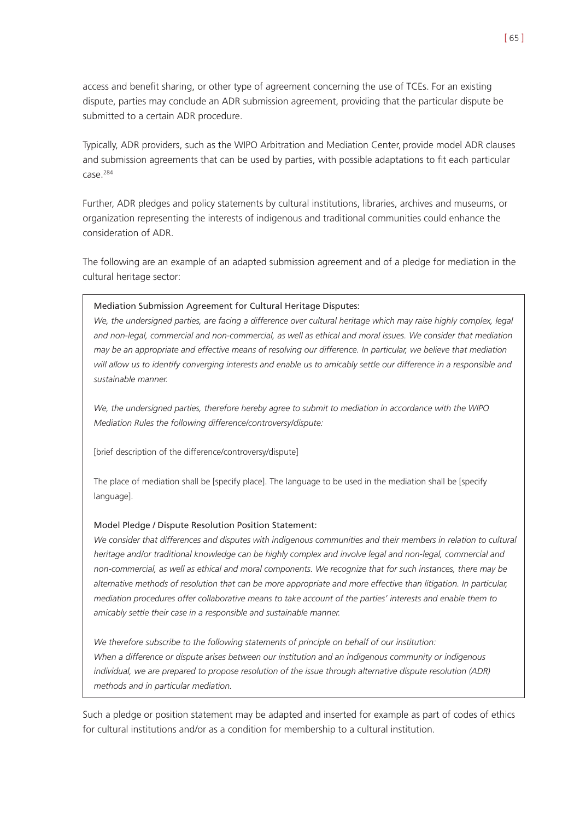access and benefit sharing, or other type of agreement concerning the use of TCEs. For an existing dispute, parties may conclude an ADR submission agreement, providing that the particular dispute be submitted to a certain ADR procedure.

Typically, ADR providers, such as the WIPO Arbitration and Mediation Center, provide model ADR clauses and submission agreements that can be used by parties, with possible adaptations to fit each particular case.284

Further, ADR pledges and policy statements by cultural institutions, libraries, archives and museums, or organization representing the interests of indigenous and traditional communities could enhance the consideration of ADR.

The following are an example of an adapted submission agreement and of a pledge for mediation in the cultural heritage sector:

## Mediation Submission Agreement for Cultural Heritage Disputes:

*We, the undersigned parties, are facing a difference over cultural heritage which may raise highly complex, legal and non-legal, commercial and non-commercial, as well as ethical and moral issues. We consider that mediation may be an appropriate and effective means of resolving our difference. In particular, we believe that mediation will allow us to identify converging interests and enable us to amicably settle our difference in a responsible and sustainable manner.*

*We, the undersigned parties, therefore hereby agree to submit to mediation in accordance with the WIPO Mediation Rules the following difference/controversy/dispute:*

[brief description of the difference/controversy/dispute]

The place of mediation shall be [specify place]. The language to be used in the mediation shall be [specify language].

#### Model Pledge / Dispute Resolution Position Statement:

*We consider that differences and disputes with indigenous communities and their members in relation to cultural heritage and/or traditional knowledge can be highly complex and involve legal and non-legal, commercial and non-commercial, as well as ethical and moral components. We recognize that for such instances, there may be alternative methods of resolution that can be more appropriate and more effective than litigation. In particular, mediation procedures offer collaborative means to take account of the parties' interests and enable them to amicably settle their case in a responsible and sustainable manner.*

*We therefore subscribe to the following statements of principle on behalf of our institution: When a difference or dispute arises between our institution and an indigenous community or indigenous individual, we are prepared to propose resolution of the issue through alternative dispute resolution (ADR) methods and in particular mediation.*

Such a pledge or position statement may be adapted and inserted for example as part of codes of ethics for cultural institutions and/or as a condition for membership to a cultural institution.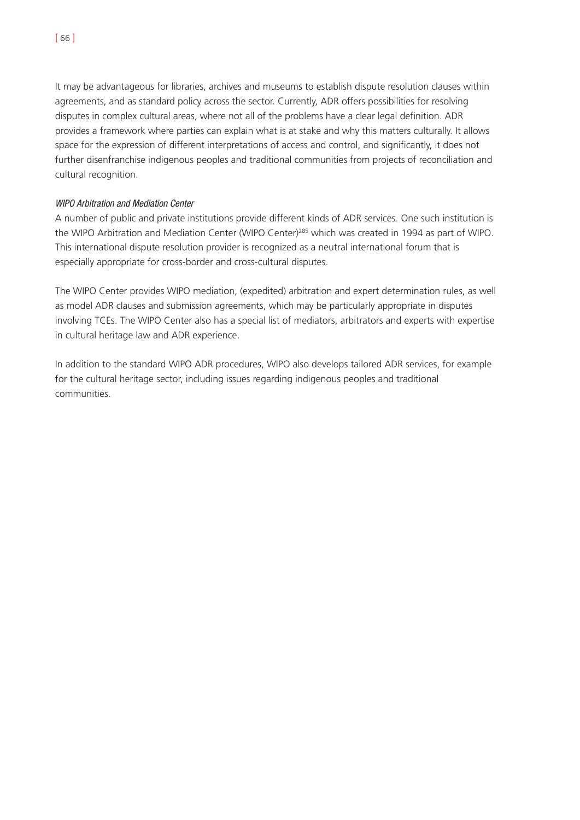[ 66 ]

It may be advantageous for libraries, archives and museums to establish dispute resolution clauses within agreements, and as standard policy across the sector. Currently, ADR offers possibilities for resolving disputes in complex cultural areas, where not all of the problems have a clear legal definition. ADR provides a framework where parties can explain what is at stake and why this matters culturally. It allows space for the expression of different interpretations of access and control, and significantly, it does not further disenfranchise indigenous peoples and traditional communities from projects of reconciliation and cultural recognition.

# WIPO Arbitration and Mediation Center

A number of public and private institutions provide different kinds of ADR services. One such institution is the WIPO Arbitration and Mediation Center (WIPO Center)285 which was created in 1994 as part of WIPO. This international dispute resolution provider is recognized as a neutral international forum that is especially appropriate for cross-border and cross-cultural disputes.

The WIPO Center provides WIPO mediation, (expedited) arbitration and expert determination rules, as well as model ADR clauses and submission agreements, which may be particularly appropriate in disputes involving TCEs. The WIPO Center also has a special list of mediators, arbitrators and experts with expertise in cultural heritage law and ADR experience.

In addition to the standard WIPO ADR procedures, WIPO also develops tailored ADR services, for example for the cultural heritage sector, including issues regarding indigenous peoples and traditional communities.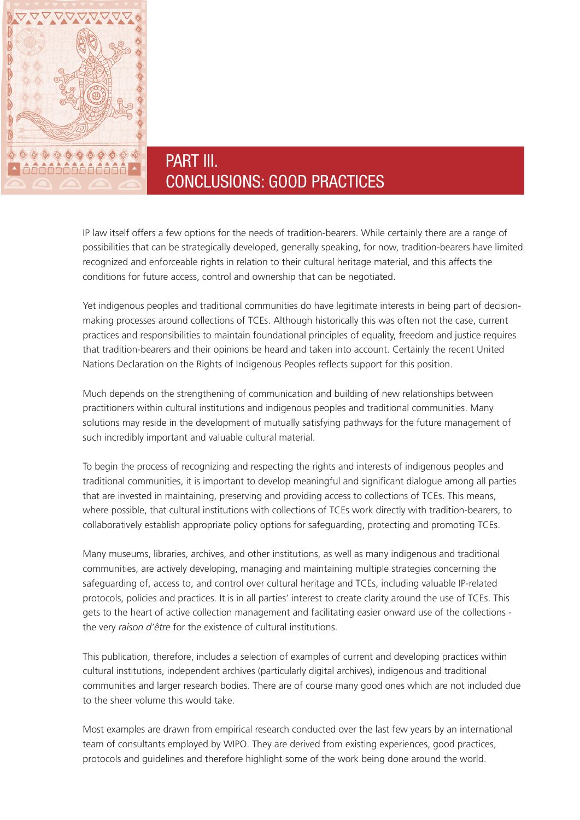

# PART III. CONCLUSIONS: GOOD PRACTICES

IP law itself offers a few options for the needs of tradition-bearers. While certainly there are a range of possibilities that can be strategically developed, generally speaking, for now, tradition-bearers have limited recognized and enforceable rights in relation to their cultural heritage material, and this affects the conditions for future access, control and ownership that can be negotiated.

Yet indigenous peoples and traditional communities do have legitimate interests in being part of decisionmaking processes around collections of TCEs. Although historically this was often not the case, current practices and responsibilities to maintain foundational principles of equality, freedom and justice requires that tradition-bearers and their opinions be heard and taken into account. Certainly the recent United Nations Declaration on the Rights of Indigenous Peoples reflects support for this position.

Much depends on the strengthening of communication and building of new relationships between practitioners within cultural institutions and indigenous peoples and traditional communities. Many solutions may reside in the development of mutually satisfying pathways for the future management of such incredibly important and valuable cultural material.

To begin the process of recognizing and respecting the rights and interests of indigenous peoples and traditional communities, it is important to develop meaningful and significant dialogue among all parties that are invested in maintaining, preserving and providing access to collections of TCEs. This means, where possible, that cultural institutions with collections of TCEs work directly with tradition-bearers, to collaboratively establish appropriate policy options for safeguarding, protecting and promoting TCEs.

Many museums, libraries, archives, and other institutions, as well as many indigenous and traditional communities, are actively developing, managing and maintaining multiple strategies concerning the safeguarding of, access to, and control over cultural heritage and TCEs, including valuable IP-related protocols, policies and practices. It is in all parties' interest to create clarity around the use of TCEs. This gets to the heart of active collection management and facilitating easier onward use of the collections the very *raison d'être* for the existence of cultural institutions.

This publication, therefore, includes a selection of examples of current and developing practices within cultural institutions, independent archives (particularly digital archives), indigenous and traditional communities and larger research bodies. There are of course many good ones which are not included due to the sheer volume this would take.

Most examples are drawn from empirical research conducted over the last few years by an international team of consultants employed by WIPO. They are derived from existing experiences, good practices, protocols and guidelines and therefore highlight some of the work being done around the world.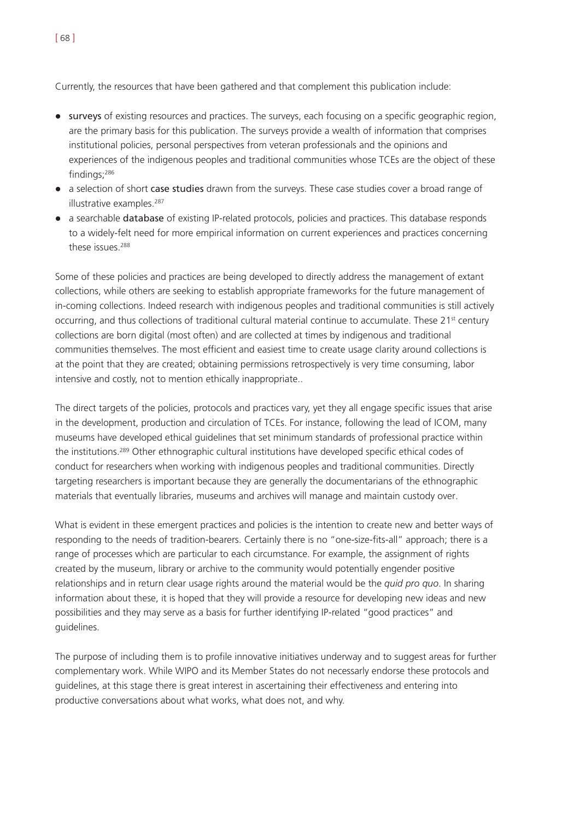Currently, the resources that have been gathered and that complement this publication include:

- surveys of existing resources and practices. The surveys, each focusing on a specific geographic region, are the primary basis for this publication. The surveys provide a wealth of information that comprises institutional policies, personal perspectives from veteran professionals and the opinions and experiences of the indigenous peoples and traditional communities whose TCEs are the object of these findings;286
- a selection of short case studies drawn from the surveys. These case studies cover a broad range of illustrative examples.<sup>287</sup>
- a searchable database of existing IP-related protocols, policies and practices. This database responds to a widely-felt need for more empirical information on current experiences and practices concerning these issues.288

Some of these policies and practices are being developed to directly address the management of extant collections, while others are seeking to establish appropriate frameworks for the future management of in-coming collections. Indeed research with indigenous peoples and traditional communities is still actively occurring, and thus collections of traditional cultural material continue to accumulate. These 21<sup>st</sup> century collections are born digital (most often) and are collected at times by indigenous and traditional communities themselves. The most efficient and easiest time to create usage clarity around collections is at the point that they are created; obtaining permissions retrospectively is very time consuming, labor intensive and costly, not to mention ethically inappropriate..

The direct targets of the policies, protocols and practices vary, yet they all engage specific issues that arise in the development, production and circulation of TCEs. For instance, following the lead of ICOM, many museums have developed ethical guidelines that set minimum standards of professional practice within the institutions.289 Other ethnographic cultural institutions have developed specific ethical codes of conduct for researchers when working with indigenous peoples and traditional communities. Directly targeting researchers is important because they are generally the documentarians of the ethnographic materials that eventually libraries, museums and archives will manage and maintain custody over.

What is evident in these emergent practices and policies is the intention to create new and better ways of responding to the needs of tradition-bearers. Certainly there is no "one-size-fits-all" approach; there is a range of processes which are particular to each circumstance. For example, the assignment of rights created by the museum, library or archive to the community would potentially engender positive relationships and in return clear usage rights around the material would be the *quid pro quo*. In sharing information about these, it is hoped that they will provide a resource for developing new ideas and new possibilities and they may serve as a basis for further identifying IP-related "good practices" and guidelines.

The purpose of including them is to profile innovative initiatives underway and to suggest areas for further complementary work. While WIPO and its Member States do not necessarly endorse these protocols and guidelines, at this stage there is great interest in ascertaining their effectiveness and entering into productive conversations about what works, what does not, and why.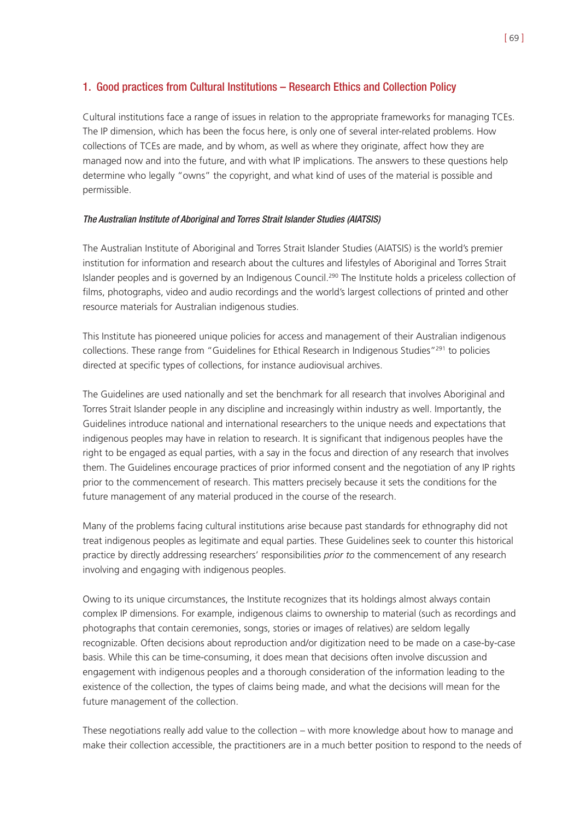# 1. Good practices from Cultural Institutions – Research Ethics and Collection Policy

Cultural institutions face a range of issues in relation to the appropriate frameworks for managing TCEs. The IP dimension, which has been the focus here, is only one of several inter-related problems. How collections of TCEs are made, and by whom, as well as where they originate, affect how they are managed now and into the future, and with what IP implications. The answers to these questions help determine who legally "owns" the copyright, and what kind of uses of the material is possible and permissible.

## The Australian Institute of Aboriginal and Torres Strait Islander Studies (AIATSIS)

The Australian Institute of Aboriginal and Torres Strait Islander Studies (AIATSIS) is the world's premier institution for information and research about the cultures and lifestyles of Aboriginal and Torres Strait Islander peoples and is governed by an Indigenous Council.<sup>290</sup> The Institute holds a priceless collection of films, photographs, video and audio recordings and the world's largest collections of printed and other resource materials for Australian indigenous studies.

This Institute has pioneered unique policies for access and management of their Australian indigenous collections. These range from "Guidelines for Ethical Research in Indigenous Studies"291 to policies directed at specific types of collections, for instance audiovisual archives.

The Guidelines are used nationally and set the benchmark for all research that involves Aboriginal and Torres Strait Islander people in any discipline and increasingly within industry as well. Importantly, the Guidelines introduce national and international researchers to the unique needs and expectations that indigenous peoples may have in relation to research. It is significant that indigenous peoples have the right to be engaged as equal parties, with a say in the focus and direction of any research that involves them. The Guidelines encourage practices of prior informed consent and the negotiation of any IP rights prior to the commencement of research. This matters precisely because it sets the conditions for the future management of any material produced in the course of the research.

Many of the problems facing cultural institutions arise because past standards for ethnography did not treat indigenous peoples as legitimate and equal parties. These Guidelines seek to counter this historical practice by directly addressing researchers' responsibilities *prior to* the commencement of any research involving and engaging with indigenous peoples.

Owing to its unique circumstances, the Institute recognizes that its holdings almost always contain complex IP dimensions. For example, indigenous claims to ownership to material (such as recordings and photographs that contain ceremonies, songs, stories or images of relatives) are seldom legally recognizable. Often decisions about reproduction and/or digitization need to be made on a case-by-case basis. While this can be time-consuming, it does mean that decisions often involve discussion and engagement with indigenous peoples and a thorough consideration of the information leading to the existence of the collection, the types of claims being made, and what the decisions will mean for the future management of the collection.

These negotiations really add value to the collection – with more knowledge about how to manage and make their collection accessible, the practitioners are in a much better position to respond to the needs of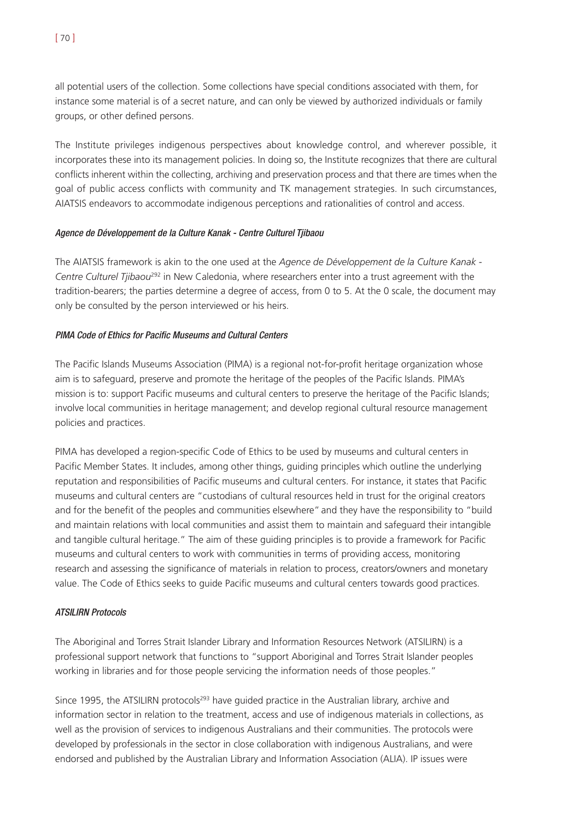all potential users of the collection. Some collections have special conditions associated with them, for instance some material is of a secret nature, and can only be viewed by authorized individuals or family groups, or other defined persons.

The Institute privileges indigenous perspectives about knowledge control, and wherever possible, it incorporates these into its management policies. In doing so, the Institute recognizes that there are cultural conflicts inherent within the collecting, archiving and preservation process and that there are times when the goal of public access conflicts with community and TK management strategies. In such circumstances, AIATSIS endeavors to accommodate indigenous perceptions and rationalities of control and access.

## Agence de Développement de la Culture Kanak - Centre Culturel Tjibaou

The AIATSIS framework is akin to the one used at the *Agence de Développement de la Culture Kanak - Centre Culturel Tjibaou*<sup>292</sup> in New Caledonia, where researchers enter into a trust agreement with the tradition-bearers; the parties determine a degree of access, from 0 to 5. At the 0 scale, the document may only be consulted by the person interviewed or his heirs.

# PIMA Code of Ethics for Pacific Museums and Cultural Centers

The Pacific Islands Museums Association (PIMA) is a regional not-for-profit heritage organization whose aim is to safeguard, preserve and promote the heritage of the peoples of the Pacific Islands. PIMA's mission is to: support Pacific museums and cultural centers to preserve the heritage of the Pacific Islands; involve local communities in heritage management; and develop regional cultural resource management policies and practices.

PIMA has developed a region-specific Code of Ethics to be used by museums and cultural centers in Pacific Member States. It includes, among other things, guiding principles which outline the underlying reputation and responsibilities of Pacific museums and cultural centers. For instance, it states that Pacific museums and cultural centers are "custodians of cultural resources held in trust for the original creators and for the benefit of the peoples and communities elsewhere" and they have the responsibility to "build and maintain relations with local communities and assist them to maintain and safeguard their intangible and tangible cultural heritage." The aim of these guiding principles is to provide a framework for Pacific museums and cultural centers to work with communities in terms of providing access, monitoring research and assessing the significance of materials in relation to process, creators/owners and monetary value. The Code of Ethics seeks to guide Pacific museums and cultural centers towards good practices.

# ATSILIRN Protocols

The Aboriginal and Torres Strait Islander Library and Information Resources Network (ATSILIRN) is a professional support network that functions to "support Aboriginal and Torres Strait Islander peoples working in libraries and for those people servicing the information needs of those peoples."

Since 1995, the ATSILIRN protocols<sup>293</sup> have quided practice in the Australian library, archive and information sector in relation to the treatment, access and use of indigenous materials in collections, as well as the provision of services to indigenous Australians and their communities. The protocols were developed by professionals in the sector in close collaboration with indigenous Australians, and were endorsed and published by the Australian Library and Information Association (ALIA). IP issues were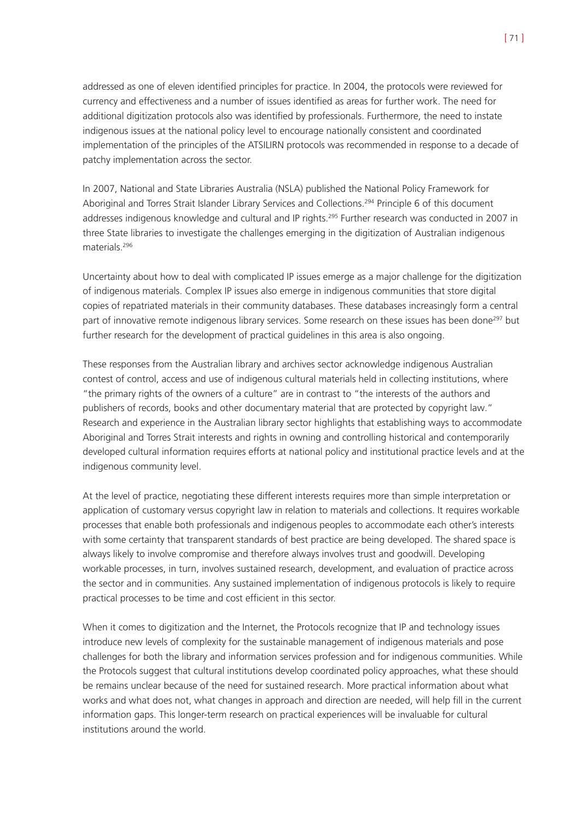addressed as one of eleven identified principles for practice. In 2004, the protocols were reviewed for currency and effectiveness and a number of issues identified as areas for further work. The need for additional digitization protocols also was identified by professionals. Furthermore, the need to instate indigenous issues at the national policy level to encourage nationally consistent and coordinated implementation of the principles of the ATSILIRN protocols was recommended in response to a decade of patchy implementation across the sector.

In 2007, National and State Libraries Australia (NSLA) published the National Policy Framework for Aboriginal and Torres Strait Islander Library Services and Collections.<sup>294</sup> Principle 6 of this document addresses indigenous knowledge and cultural and IP rights.<sup>295</sup> Further research was conducted in 2007 in three State libraries to investigate the challenges emerging in the digitization of Australian indigenous materials<sup>296</sup>

Uncertainty about how to deal with complicated IP issues emerge as a major challenge for the digitization of indigenous materials. Complex IP issues also emerge in indigenous communities that store digital copies of repatriated materials in their community databases. These databases increasingly form a central part of innovative remote indigenous library services. Some research on these issues has been done<sup>297</sup> but further research for the development of practical guidelines in this area is also ongoing.

These responses from the Australian library and archives sector acknowledge indigenous Australian contest of control, access and use of indigenous cultural materials held in collecting institutions, where "the primary rights of the owners of a culture" are in contrast to "the interests of the authors and publishers of records, books and other documentary material that are protected by copyright law." Research and experience in the Australian library sector highlights that establishing ways to accommodate Aboriginal and Torres Strait interests and rights in owning and controlling historical and contemporarily developed cultural information requires efforts at national policy and institutional practice levels and at the indigenous community level.

At the level of practice, negotiating these different interests requires more than simple interpretation or application of customary versus copyright law in relation to materials and collections. It requires workable processes that enable both professionals and indigenous peoples to accommodate each other's interests with some certainty that transparent standards of best practice are being developed. The shared space is always likely to involve compromise and therefore always involves trust and goodwill. Developing workable processes, in turn, involves sustained research, development, and evaluation of practice across the sector and in communities. Any sustained implementation of indigenous protocols is likely to require practical processes to be time and cost efficient in this sector.

When it comes to digitization and the Internet, the Protocols recognize that IP and technology issues introduce new levels of complexity for the sustainable management of indigenous materials and pose challenges for both the library and information services profession and for indigenous communities. While the Protocols suggest that cultural institutions develop coordinated policy approaches, what these should be remains unclear because of the need for sustained research. More practical information about what works and what does not, what changes in approach and direction are needed, will help fill in the current information gaps. This longer-term research on practical experiences will be invaluable for cultural institutions around the world.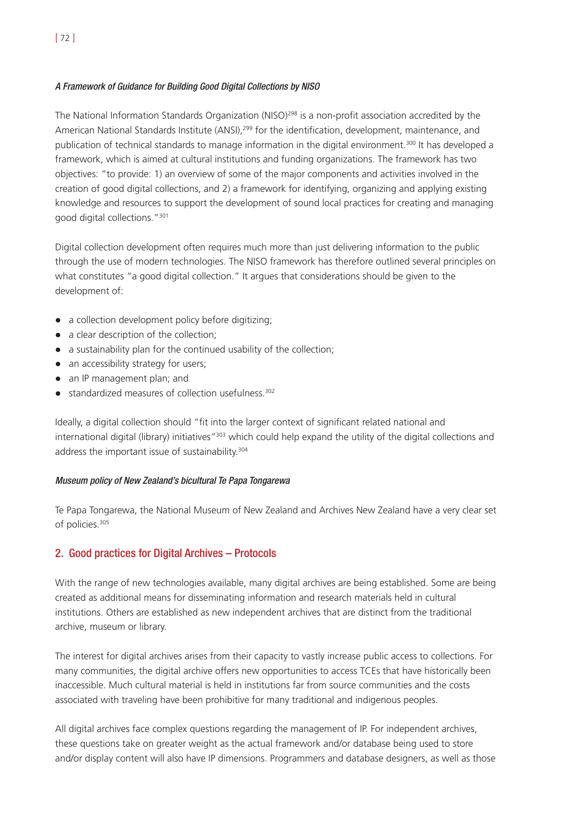# A Framework of Guidance for Building Good Digital Collections by NISO

The National Information Standards Organization (NISO)<sup>298</sup> is a non-profit association accredited by the American National Standards Institute (ANSI),<sup>299</sup> for the identification, development, maintenance, and publication of technical standards to manage information in the digital environment.300 It has developed a framework, which is aimed at cultural institutions and funding organizations. The framework has two objectives: "to provide: 1) an overview of some of the major components and activities involved in the creation of good digital collections, and 2) a framework for identifying, organizing and applying existing knowledge and resources to support the development of sound local practices for creating and managing good digital collections."301

Digital collection development often requires much more than just delivering information to the public through the use of modern technologies. The NISO framework has therefore outlined several principles on what constitutes "a good digital collection." It argues that considerations should be given to the development of:

- a collection development policy before digitizing;
- a clear description of the collection;
- a sustainability plan for the continued usability of the collection;
- an accessibility strategy for users;
- an IP management plan; and
- $\bullet$  standardized measures of collection usefulness.<sup>302</sup>

Ideally, a digital collection should "fit into the larger context of significant related national and international digital (library) initiatives"<sup>303</sup> which could help expand the utility of the digital collections and address the important issue of sustainability.<sup>304</sup>

# Museum policy of New Zealand's bicultural Te Papa Tongarewa

Te Papa Tongarewa, the National Museum of New Zealand and Archives New Zealand have a very clear set of policies.<sup>305</sup>

# 2. Good practices for Digital Archives – Protocols

With the range of new technologies available, many digital archives are being established. Some are being created as additional means for disseminating information and research materials held in cultural institutions. Others are established as new independent archives that are distinct from the traditional archive, museum or library.

The interest for digital archives arises from their capacity to vastly increase public access to collections. For many communities, the digital archive offers new opportunities to access TCEs that have historically been inaccessible. Much cultural material is held in institutions far from source communities and the costs associated with traveling have been prohibitive for many traditional and indigenous peoples.

All digital archives face complex questions regarding the management of IP. For independent archives, these questions take on greater weight as the actual framework and/or database being used to store and/or display content will also have IP dimensions. Programmers and database designers, as well as those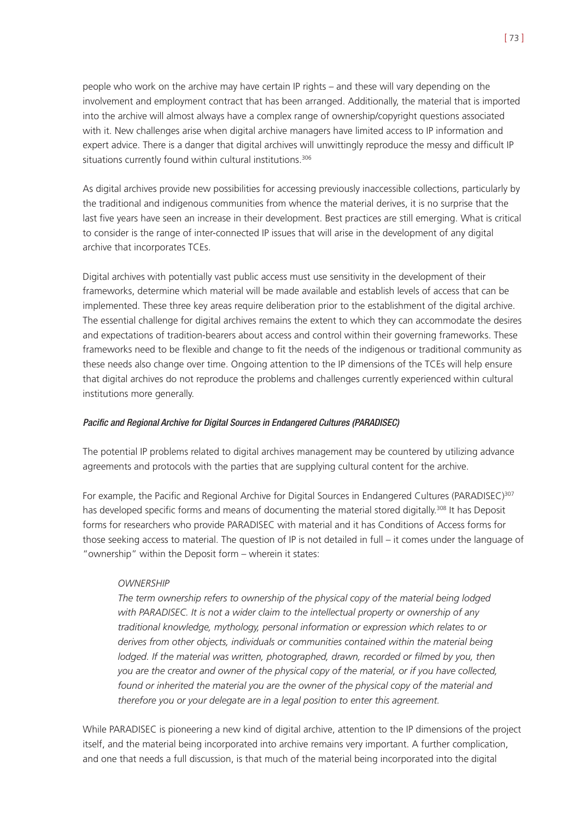people who work on the archive may have certain IP rights – and these will vary depending on the involvement and employment contract that has been arranged. Additionally, the material that is imported into the archive will almost always have a complex range of ownership/copyright questions associated with it. New challenges arise when digital archive managers have limited access to IP information and expert advice. There is a danger that digital archives will unwittingly reproduce the messy and difficult IP situations currently found within cultural institutions.<sup>306</sup>

As digital archives provide new possibilities for accessing previously inaccessible collections, particularly by the traditional and indigenous communities from whence the material derives, it is no surprise that the last five years have seen an increase in their development. Best practices are still emerging. What is critical to consider is the range of inter-connected IP issues that will arise in the development of any digital archive that incorporates TCEs.

Digital archives with potentially vast public access must use sensitivity in the development of their frameworks, determine which material will be made available and establish levels of access that can be implemented. These three key areas require deliberation prior to the establishment of the digital archive. The essential challenge for digital archives remains the extent to which they can accommodate the desires and expectations of tradition-bearers about access and control within their governing frameworks. These frameworks need to be flexible and change to fit the needs of the indigenous or traditional community as these needs also change over time. Ongoing attention to the IP dimensions of the TCEs will help ensure that digital archives do not reproduce the problems and challenges currently experienced within cultural institutions more generally.

#### Pacific and Regional Archive for Digital Sources in Endangered Cultures (PARADISEC)

The potential IP problems related to digital archives management may be countered by utilizing advance agreements and protocols with the parties that are supplying cultural content for the archive.

For example, the Pacific and Regional Archive for Digital Sources in Endangered Cultures (PARADISEC)<sup>307</sup> has developed specific forms and means of documenting the material stored digitally.<sup>308</sup> It has Deposit forms for researchers who provide PARADISEC with material and it has Conditions of Access forms for those seeking access to material. The question of IP is not detailed in full – it comes under the language of "ownership" within the Deposit form – wherein it states:

# *OWNERSHIP*

*The term ownership refers to ownership of the physical copy of the material being lodged with PARADISEC. It is not a wider claim to the intellectual property or ownership of any traditional knowledge, mythology, personal information or expression which relates to or derives from other objects, individuals or communities contained within the material being lodged. If the material was written, photographed, drawn, recorded or filmed by you, then you are the creator and owner of the physical copy of the material, or if you have collected, found or inherited the material you are the owner of the physical copy of the material and therefore you or your delegate are in a legal position to enter this agreement.*

While PARADISEC is pioneering a new kind of digital archive, attention to the IP dimensions of the project itself, and the material being incorporated into archive remains very important. A further complication, and one that needs a full discussion, is that much of the material being incorporated into the digital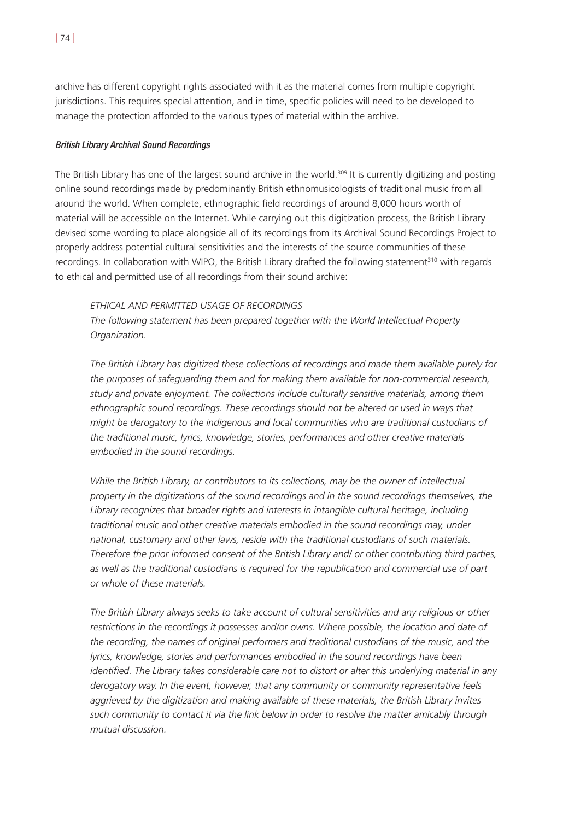archive has different copyright rights associated with it as the material comes from multiple copyright jurisdictions. This requires special attention, and in time, specific policies will need to be developed to manage the protection afforded to the various types of material within the archive.

### British Library Archival Sound Recordings

The British Library has one of the largest sound archive in the world.309 It is currently digitizing and posting online sound recordings made by predominantly British ethnomusicologists of traditional music from all around the world. When complete, ethnographic field recordings of around 8,000 hours worth of material will be accessible on the Internet. While carrying out this digitization process, the British Library devised some wording to place alongside all of its recordings from its Archival Sound Recordings Project to properly address potential cultural sensitivities and the interests of the source communities of these recordings. In collaboration with WIPO, the British Library drafted the following statement<sup>310</sup> with regards to ethical and permitted use of all recordings from their sound archive:

### *ETHICAL AND PERMITTED USAGE OF RECORDINGS*

*The following statement has been prepared together with the World Intellectual Property Organization.*

*The British Library has digitized these collections of recordings and made them available purely for the purposes of safeguarding them and for making them available for non-commercial research, study and private enjoyment. The collections include culturally sensitive materials, among them ethnographic sound recordings. These recordings should not be altered or used in ways that might be derogatory to the indigenous and local communities who are traditional custodians of the traditional music, lyrics, knowledge, stories, performances and other creative materials embodied in the sound recordings.*

*While the British Library, or contributors to its collections, may be the owner of intellectual property in the digitizations of the sound recordings and in the sound recordings themselves, the Library recognizes that broader rights and interests in intangible cultural heritage, including traditional music and other creative materials embodied in the sound recordings may, under national, customary and other laws, reside with the traditional custodians of such materials. Therefore the prior informed consent of the British Library and/ or other contributing third parties, as well as the traditional custodians is required for the republication and commercial use of part or whole of these materials.*

*The British Library always seeks to take account of cultural sensitivities and any religious or other restrictions in the recordings it possesses and/or owns. Where possible, the location and date of the recording, the names of original performers and traditional custodians of the music, and the lyrics, knowledge, stories and performances embodied in the sound recordings have been identified. The Library takes considerable care not to distort or alter this underlying material in any derogatory way. In the event, however, that any community or community representative feels aggrieved by the digitization and making available of these materials, the British Library invites such community to contact it via the link below in order to resolve the matter amicably through mutual discussion.*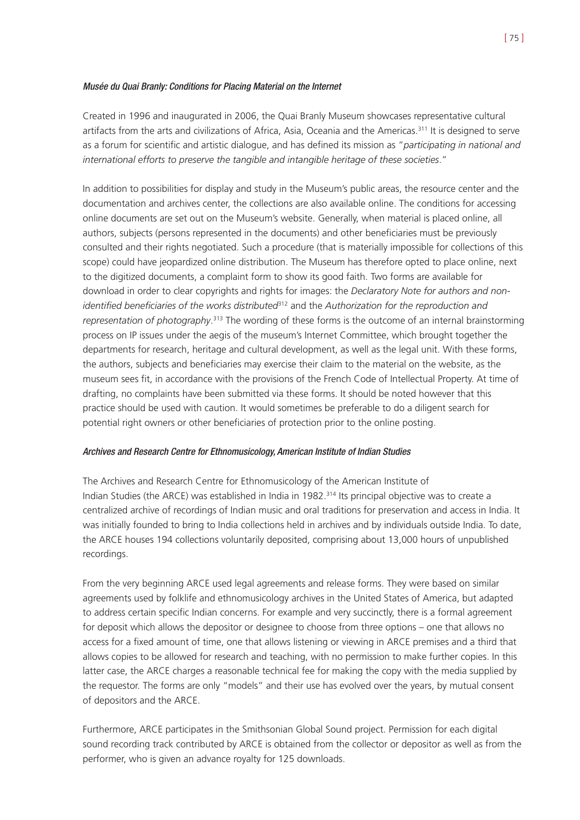### Musée du Quai Branly: Conditions for Placing Material on the Internet

Created in 1996 and inaugurated in 2006, the Quai Branly Museum showcases representative cultural artifacts from the arts and civilizations of Africa, Asia, Oceania and the Americas.<sup>311</sup> It is designed to serve as a forum for scientific and artistic dialogue, and has defined its mission as "*participating in national and international efforts to preserve the tangible and intangible heritage of these societies*."

In addition to possibilities for display and study in the Museum's public areas, the resource center and the documentation and archives center, the collections are also available online. The conditions for accessing online documents are set out on the Museum's website. Generally, when material is placed online, all authors, subjects (persons represented in the documents) and other beneficiaries must be previously consulted and their rights negotiated. Such a procedure (that is materially impossible for collections of this scope) could have jeopardized online distribution. The Museum has therefore opted to place online, next to the digitized documents, a complaint form to show its good faith. Two forms are available for download in order to clear copyrights and rights for images: the *Declaratory Note for authors and nonidentified beneficiaries of the works distributed*<sup>312</sup> and the *Authorization for the reproduction and representation of photography*. <sup>313</sup> The wording of these forms is the outcome of an internal brainstorming process on IP issues under the aegis of the museum's Internet Committee, which brought together the departments for research, heritage and cultural development, as well as the legal unit. With these forms, the authors, subjects and beneficiaries may exercise their claim to the material on the website, as the museum sees fit, in accordance with the provisions of the French Code of Intellectual Property. At time of drafting, no complaints have been submitted via these forms. It should be noted however that this practice should be used with caution. It would sometimes be preferable to do a diligent search for potential right owners or other beneficiaries of protection prior to the online posting.

# Archives and Research Centre for Ethnomusicology, American Institute of Indian Studies

The Archives and Research Centre for Ethnomusicology of the American Institute of Indian Studies (the ARCE) was established in India in 1982.314 Its principal objective was to create a centralized archive of recordings of Indian music and oral traditions for preservation and access in India. It was initially founded to bring to India collections held in archives and by individuals outside India. To date, the ARCE houses 194 collections voluntarily deposited, comprising about 13,000 hours of unpublished recordings.

From the very beginning ARCE used legal agreements and release forms. They were based on similar agreements used by folklife and ethnomusicology archives in the United States of America, but adapted to address certain specific Indian concerns. For example and very succinctly, there is a formal agreement for deposit which allows the depositor or designee to choose from three options – one that allows no access for a fixed amount of time, one that allows listening or viewing in ARCE premises and a third that allows copies to be allowed for research and teaching, with no permission to make further copies. In this latter case, the ARCE charges a reasonable technical fee for making the copy with the media supplied by the requestor. The forms are only "models" and their use has evolved over the years, by mutual consent of depositors and the ARCE.

Furthermore, ARCE participates in the Smithsonian Global Sound project. Permission for each digital sound recording track contributed by ARCE is obtained from the collector or depositor as well as from the performer, who is given an advance royalty for 125 downloads.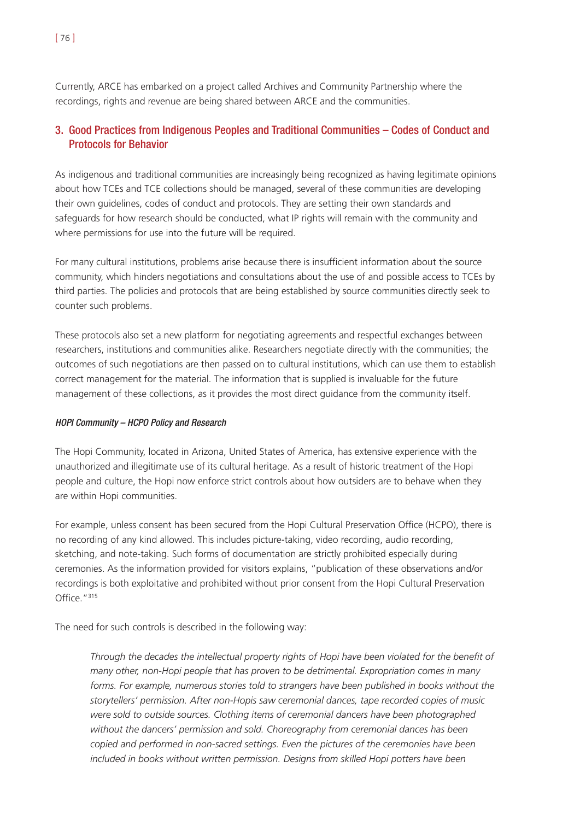Currently, ARCE has embarked on a project called Archives and Community Partnership where the recordings, rights and revenue are being shared between ARCE and the communities.

# 3. Good Practices from Indigenous Peoples and Traditional Communities – Codes of Conduct and Protocols for Behavior

As indigenous and traditional communities are increasingly being recognized as having legitimate opinions about how TCEs and TCE collections should be managed, several of these communities are developing their own guidelines, codes of conduct and protocols. They are setting their own standards and safeguards for how research should be conducted, what IP rights will remain with the community and where permissions for use into the future will be required.

For many cultural institutions, problems arise because there is insufficient information about the source community, which hinders negotiations and consultations about the use of and possible access to TCEs by third parties. The policies and protocols that are being established by source communities directly seek to counter such problems.

These protocols also set a new platform for negotiating agreements and respectful exchanges between researchers, institutions and communities alike. Researchers negotiate directly with the communities; the outcomes of such negotiations are then passed on to cultural institutions, which can use them to establish correct management for the material. The information that is supplied is invaluable for the future management of these collections, as it provides the most direct guidance from the community itself.

# HOPI Community – HCPO Policy and Research

The Hopi Community, located in Arizona, United States of America, has extensive experience with the unauthorized and illegitimate use of its cultural heritage. As a result of historic treatment of the Hopi people and culture, the Hopi now enforce strict controls about how outsiders are to behave when they are within Hopi communities.

For example, unless consent has been secured from the Hopi Cultural Preservation Office (HCPO), there is no recording of any kind allowed. This includes picture-taking, video recording, audio recording, sketching, and note-taking. Such forms of documentation are strictly prohibited especially during ceremonies. As the information provided for visitors explains, "publication of these observations and/or recordings is both exploitative and prohibited without prior consent from the Hopi Cultural Preservation Office."<sup>315</sup>

The need for such controls is described in the following way:

*Through the decades the intellectual property rights of Hopi have been violated for the benefit of many other, non-Hopi people that has proven to be detrimental. Expropriation comes in many forms. For example, numerous stories told to strangers have been published in books without the storytellers' permission. After non-Hopis saw ceremonial dances, tape recorded copies of music were sold to outside sources. Clothing items of ceremonial dancers have been photographed without the dancers' permission and sold. Choreography from ceremonial dances has been copied and performed in non-sacred settings. Even the pictures of the ceremonies have been included in books without written permission. Designs from skilled Hopi potters have been*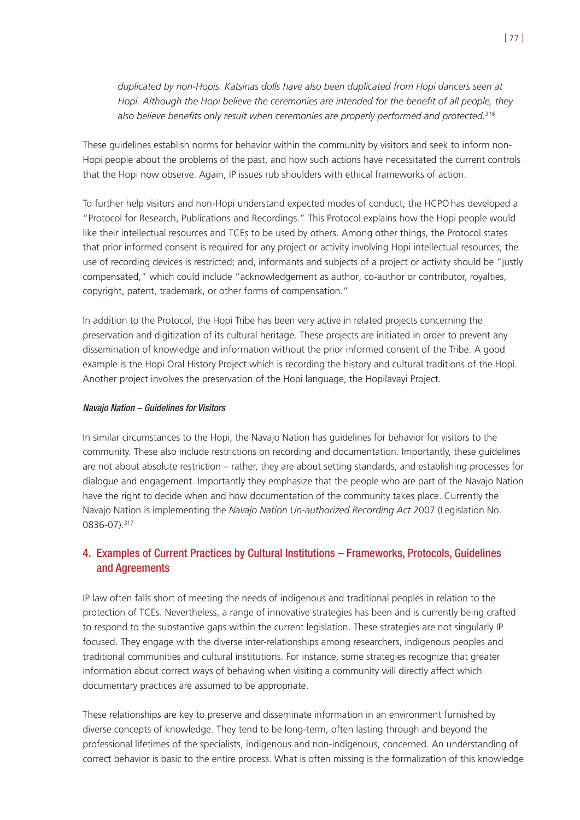*duplicated by non-Hopis. Katsinas dolls have also been duplicated from Hopi dancers seen at Hopi. Although the Hopi believe the ceremonies are intended for the benefit of all people, they also believe benefits only result when ceremonies are properly performed and protected.316*

These guidelines establish norms for behavior within the community by visitors and seek to inform non-Hopi people about the problems of the past, and how such actions have necessitated the current controls that the Hopi now observe. Again, IP issues rub shoulders with ethical frameworks of action.

To further help visitors and non-Hopi understand expected modes of conduct, the HCPO has developed a "Protocol for Research, Publications and Recordings." This Protocol explains how the Hopi people would like their intellectual resources and TCEs to be used by others. Among other things, the Protocol states that prior informed consent is required for any project or activity involving Hopi intellectual resources; the use of recording devices is restricted; and, informants and subjects of a project or activity should be "justly compensated," which could include "acknowledgement as author, co-author or contributor, royalties, copyright, patent, trademark, or other forms of compensation."

In addition to the Protocol, the Hopi Tribe has been very active in related projects concerning the preservation and digitization of its cultural heritage. These projects are initiated in order to prevent any dissemination of knowledge and information without the prior informed consent of the Tribe. A good example is the Hopi Oral History Project which is recording the history and cultural traditions of the Hopi. Another project involves the preservation of the Hopi language, the Hopilavayi Project.

#### Navajo Nation – Guidelines for Visitors

In similar circumstances to the Hopi, the Navajo Nation has guidelines for behavior for visitors to the community. These also include restrictions on recording and documentation. Importantly, these guidelines are not about absolute restriction – rather, they are about setting standards, and establishing processes for dialogue and engagement. Importantly they emphasize that the people who are part of the Navajo Nation have the right to decide when and how documentation of the community takes place. Currently the Navajo Nation is implementing the *Navajo Nation Un-authorized Recording Act* 2007 (Legislation No. 0836-07).317

# 4. Examples of Current Practices by Cultural Institutions – Frameworks, Protocols, Guidelines and Agreements

IP law often falls short of meeting the needs of indigenous and traditional peoples in relation to the protection of TCEs. Nevertheless, a range of innovative strategies has been and is currently being crafted to respond to the substantive gaps within the current legislation. These strategies are not singularly IP focused. They engage with the diverse inter-relationships among researchers, indigenous peoples and traditional communities and cultural institutions. For instance, some strategies recognize that greater information about correct ways of behaving when visiting a community will directly affect which documentary practices are assumed to be appropriate.

These relationships are key to preserve and disseminate information in an environment furnished by diverse concepts of knowledge. They tend to be long-term, often lasting through and beyond the professional lifetimes of the specialists, indigenous and non-indigenous, concerned. An understanding of correct behavior is basic to the entire process. What is often missing is the formalization of this knowledge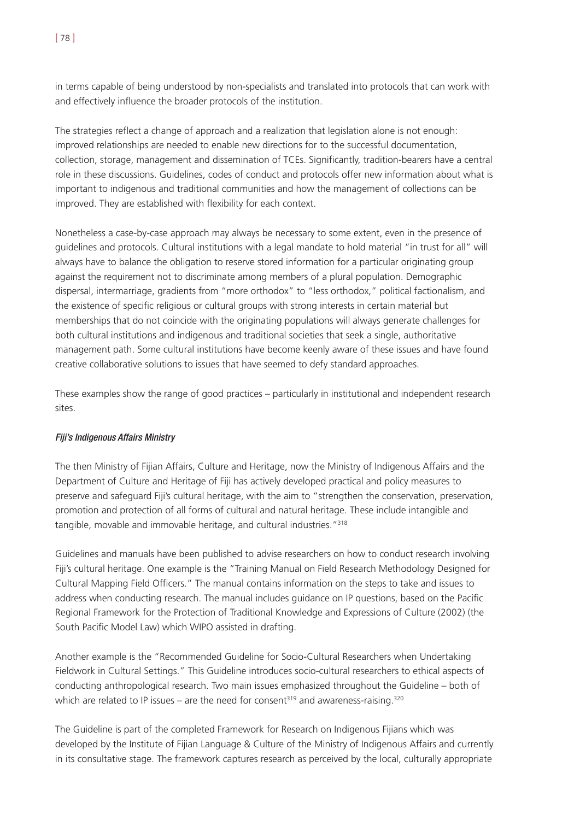in terms capable of being understood by non-specialists and translated into protocols that can work with and effectively influence the broader protocols of the institution.

The strategies reflect a change of approach and a realization that legislation alone is not enough: improved relationships are needed to enable new directions for to the successful documentation, collection, storage, management and dissemination of TCEs. Significantly, tradition-bearers have a central role in these discussions. Guidelines, codes of conduct and protocols offer new information about what is important to indigenous and traditional communities and how the management of collections can be improved. They are established with flexibility for each context.

Nonetheless a case-by-case approach may always be necessary to some extent, even in the presence of guidelines and protocols. Cultural institutions with a legal mandate to hold material "in trust for all" will always have to balance the obligation to reserve stored information for a particular originating group against the requirement not to discriminate among members of a plural population. Demographic dispersal, intermarriage, gradients from "more orthodox" to "less orthodox," political factionalism, and the existence of specific religious or cultural groups with strong interests in certain material but memberships that do not coincide with the originating populations will always generate challenges for both cultural institutions and indigenous and traditional societies that seek a single, authoritative management path. Some cultural institutions have become keenly aware of these issues and have found creative collaborative solutions to issues that have seemed to defy standard approaches.

These examples show the range of good practices – particularly in institutional and independent research sites.

# Fiji's Indigenous Affairs Ministry

The then Ministry of Fijian Affairs, Culture and Heritage, now the Ministry of Indigenous Affairs and the Department of Culture and Heritage of Fiji has actively developed practical and policy measures to preserve and safeguard Fiji's cultural heritage, with the aim to "strengthen the conservation, preservation, promotion and protection of all forms of cultural and natural heritage. These include intangible and tangible, movable and immovable heritage, and cultural industries."318

Guidelines and manuals have been published to advise researchers on how to conduct research involving Fiji's cultural heritage. One example is the "Training Manual on Field Research Methodology Designed for Cultural Mapping Field Officers." The manual contains information on the steps to take and issues to address when conducting research. The manual includes guidance on IP questions, based on the Pacific Regional Framework for the Protection of Traditional Knowledge and Expressions of Culture (2002) (the South Pacific Model Law) which WIPO assisted in drafting.

Another example is the "Recommended Guideline for Socio-Cultural Researchers when Undertaking Fieldwork in Cultural Settings." This Guideline introduces socio-cultural researchers to ethical aspects of conducting anthropological research. Two main issues emphasized throughout the Guideline – both of which are related to IP issues – are the need for consent<sup>319</sup> and awareness-raising.<sup>320</sup>

The Guideline is part of the completed Framework for Research on Indigenous Fijians which was developed by the Institute of Fijian Language & Culture of the Ministry of Indigenous Affairs and currently in its consultative stage. The framework captures research as perceived by the local, culturally appropriate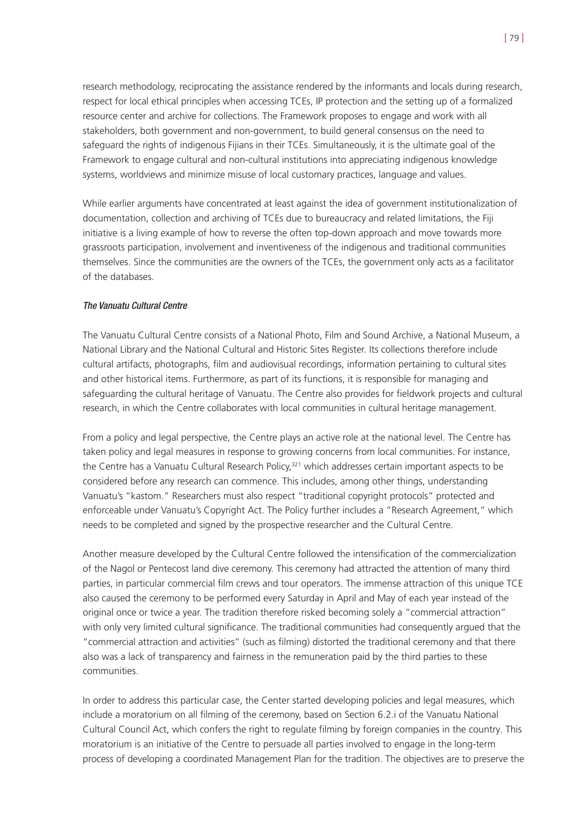research methodology, reciprocating the assistance rendered by the informants and locals during research, respect for local ethical principles when accessing TCEs, IP protection and the setting up of a formalized resource center and archive for collections. The Framework proposes to engage and work with all stakeholders, both government and non-government, to build general consensus on the need to safeguard the rights of indigenous Fijians in their TCEs. Simultaneously, it is the ultimate goal of the Framework to engage cultural and non-cultural institutions into appreciating indigenous knowledge systems, worldviews and minimize misuse of local customary practices, language and values.

While earlier arguments have concentrated at least against the idea of government institutionalization of documentation, collection and archiving of TCEs due to bureaucracy and related limitations, the Fiji initiative is a living example of how to reverse the often top-down approach and move towards more grassroots participation, involvement and inventiveness of the indigenous and traditional communities themselves. Since the communities are the owners of the TCEs, the government only acts as a facilitator of the databases.

#### The Vanuatu Cultural Centre

The Vanuatu Cultural Centre consists of a National Photo, Film and Sound Archive, a National Museum, a National Library and the National Cultural and Historic Sites Register. Its collections therefore include cultural artifacts, photographs, film and audiovisual recordings, information pertaining to cultural sites and other historical items. Furthermore, as part of its functions, it is responsible for managing and safeguarding the cultural heritage of Vanuatu. The Centre also provides for fieldwork projects and cultural research, in which the Centre collaborates with local communities in cultural heritage management.

From a policy and legal perspective, the Centre plays an active role at the national level. The Centre has taken policy and legal measures in response to growing concerns from local communities. For instance, the Centre has a Vanuatu Cultural Research Policy,<sup>321</sup> which addresses certain important aspects to be considered before any research can commence. This includes, among other things, understanding Vanuatu's "kastom." Researchers must also respect "traditional copyright protocols" protected and enforceable under Vanuatu's Copyright Act. The Policy further includes a "Research Agreement," which needs to be completed and signed by the prospective researcher and the Cultural Centre.

Another measure developed by the Cultural Centre followed the intensification of the commercialization of the Nagol or Pentecost land dive ceremony. This ceremony had attracted the attention of many third parties, in particular commercial film crews and tour operators. The immense attraction of this unique TCE also caused the ceremony to be performed every Saturday in April and May of each year instead of the original once or twice a year. The tradition therefore risked becoming solely a "commercial attraction" with only very limited cultural significance. The traditional communities had consequently argued that the "commercial attraction and activities" (such as filming) distorted the traditional ceremony and that there also was a lack of transparency and fairness in the remuneration paid by the third parties to these communities.

In order to address this particular case, the Center started developing policies and legal measures, which include a moratorium on all filming of the ceremony, based on Section 6.2.i of the Vanuatu National Cultural Council Act, which confers the right to regulate filming by foreign companies in the country. This moratorium is an initiative of the Centre to persuade all parties involved to engage in the long-term process of developing a coordinated Management Plan for the tradition. The objectives are to preserve the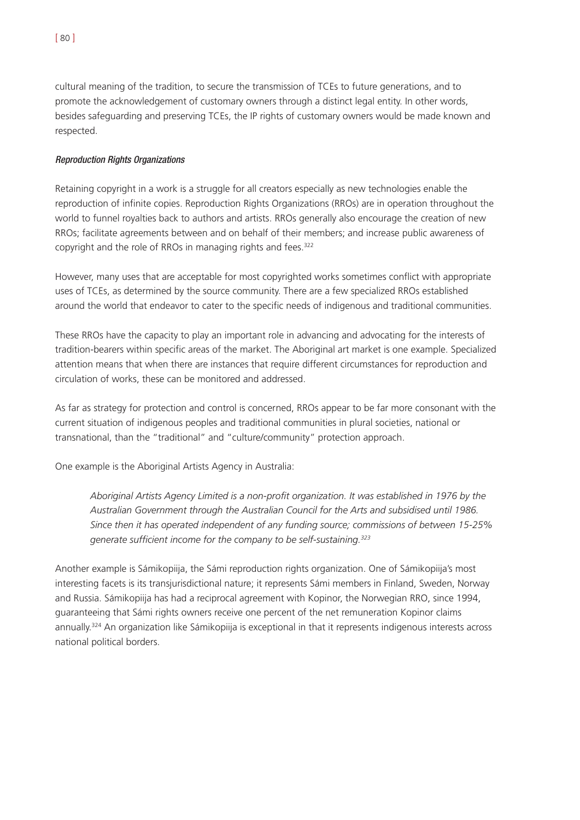cultural meaning of the tradition, to secure the transmission of TCEs to future generations, and to promote the acknowledgement of customary owners through a distinct legal entity. In other words, besides safeguarding and preserving TCEs, the IP rights of customary owners would be made known and respected.

# Reproduction Rights Organizations

Retaining copyright in a work is a struggle for all creators especially as new technologies enable the reproduction of infinite copies. Reproduction Rights Organizations (RROs) are in operation throughout the world to funnel royalties back to authors and artists. RROs generally also encourage the creation of new RROs; facilitate agreements between and on behalf of their members; and increase public awareness of copyright and the role of RROs in managing rights and fees.<sup>322</sup>

However, many uses that are acceptable for most copyrighted works sometimes conflict with appropriate uses of TCEs, as determined by the source community. There are a few specialized RROs established around the world that endeavor to cater to the specific needs of indigenous and traditional communities.

These RROs have the capacity to play an important role in advancing and advocating for the interests of tradition-bearers within specific areas of the market. The Aboriginal art market is one example. Specialized attention means that when there are instances that require different circumstances for reproduction and circulation of works, these can be monitored and addressed.

As far as strategy for protection and control is concerned, RROs appear to be far more consonant with the current situation of indigenous peoples and traditional communities in plural societies, national or transnational, than the "traditional" and "culture/community" protection approach.

One example is the Aboriginal Artists Agency in Australia:

*Aboriginal Artists Agency Limited is a non-profit organization. It was established in 1976 by the Australian Government through the Australian Council for the Arts and subsidised until 1986. Since then it has operated independent of any funding source; commissions of between 15-25% generate sufficient income for the company to be self-sustaining.323*

Another example is Sámikopiija, the Sámi reproduction rights organization. One of Sámikopiija's most interesting facets is its transjurisdictional nature; it represents Sámi members in Finland, Sweden, Norway and Russia. Sámikopiija has had a reciprocal agreement with Kopinor, the Norwegian RRO, since 1994, guaranteeing that Sámi rights owners receive one percent of the net remuneration Kopinor claims annually.<sup>324</sup> An organization like Sámikopiija is exceptional in that it represents indigenous interests across national political borders.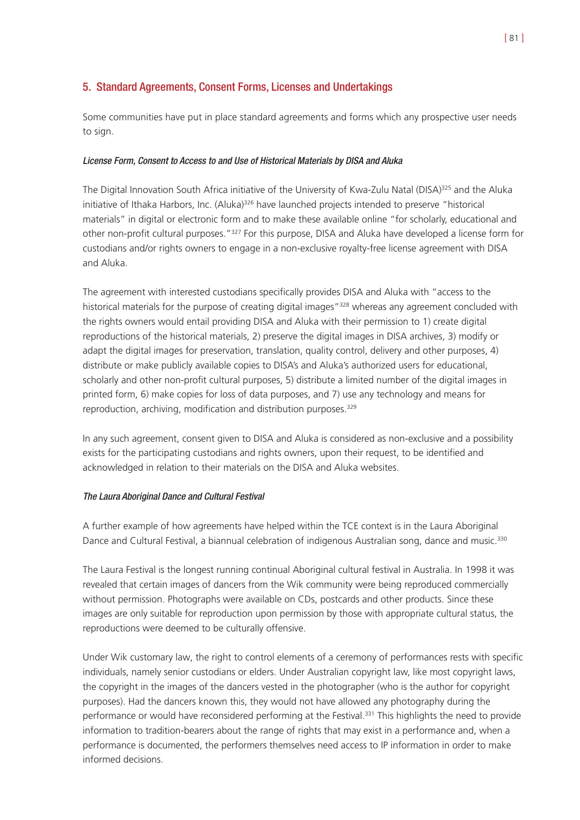# 5. Standard Agreements, Consent Forms, Licenses and Undertakings

Some communities have put in place standard agreements and forms which any prospective user needs to sign.

# License Form, Consent to Access to and Use of Historical Materials by DISA and Aluka

The Digital Innovation South Africa initiative of the University of Kwa-Zulu Natal (DISA)<sup>325</sup> and the Aluka initiative of Ithaka Harbors, Inc. (Aluka)<sup>326</sup> have launched projects intended to preserve "historical materials" in digital or electronic form and to make these available online "for scholarly, educational and other non-profit cultural purposes."327 For this purpose, DISA and Aluka have developed a license form for custodians and/or rights owners to engage in a non-exclusive royalty-free license agreement with DISA and Aluka.

The agreement with interested custodians specifically provides DISA and Aluka with "access to the historical materials for the purpose of creating digital images"<sup>328</sup> whereas any agreement concluded with the rights owners would entail providing DISA and Aluka with their permission to 1) create digital reproductions of the historical materials, 2) preserve the digital images in DISA archives, 3) modify or adapt the digital images for preservation, translation, quality control, delivery and other purposes, 4) distribute or make publicly available copies to DISA's and Aluka's authorized users for educational, scholarly and other non-profit cultural purposes, 5) distribute a limited number of the digital images in printed form, 6) make copies for loss of data purposes, and 7) use any technology and means for reproduction, archiving, modification and distribution purposes.<sup>329</sup>

In any such agreement, consent given to DISA and Aluka is considered as non-exclusive and a possibility exists for the participating custodians and rights owners, upon their request, to be identified and acknowledged in relation to their materials on the DISA and Aluka websites.

# The Laura Aboriginal Dance and Cultural Festival

A further example of how agreements have helped within the TCE context is in the Laura Aboriginal Dance and Cultural Festival, a biannual celebration of indigenous Australian song, dance and music.<sup>330</sup>

The Laura Festival is the longest running continual Aboriginal cultural festival in Australia. In 1998 it was revealed that certain images of dancers from the Wik community were being reproduced commercially without permission. Photographs were available on CDs, postcards and other products. Since these images are only suitable for reproduction upon permission by those with appropriate cultural status, the reproductions were deemed to be culturally offensive.

Under Wik customary law, the right to control elements of a ceremony of performances rests with specific individuals, namely senior custodians or elders. Under Australian copyright law, like most copyright laws, the copyright in the images of the dancers vested in the photographer (who is the author for copyright purposes). Had the dancers known this, they would not have allowed any photography during the performance or would have reconsidered performing at the Festival.<sup>331</sup> This highlights the need to provide information to tradition-bearers about the range of rights that may exist in a performance and, when a performance is documented, the performers themselves need access to IP information in order to make informed decisions.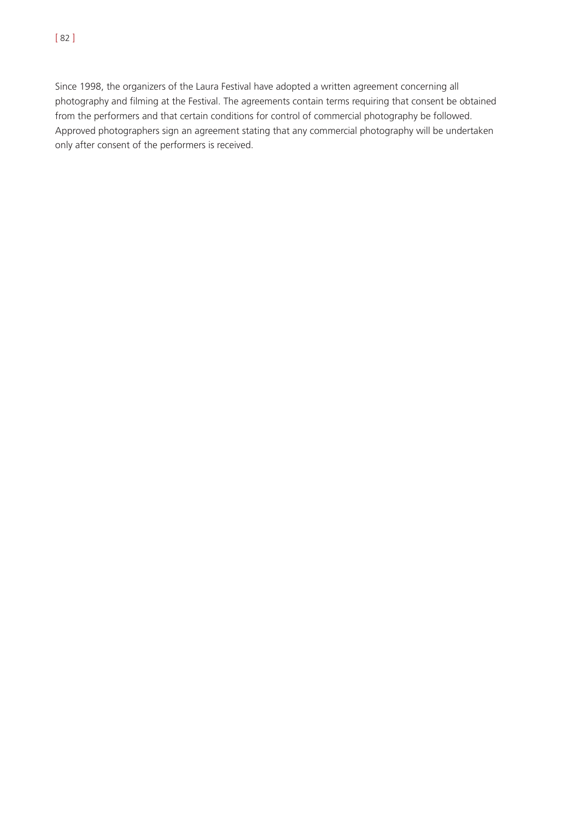Since 1998, the organizers of the Laura Festival have adopted a written agreement concerning all photography and filming at the Festival. The agreements contain terms requiring that consent be obtained from the performers and that certain conditions for control of commercial photography be followed. Approved photographers sign an agreement stating that any commercial photography will be undertaken only after consent of the performers is received.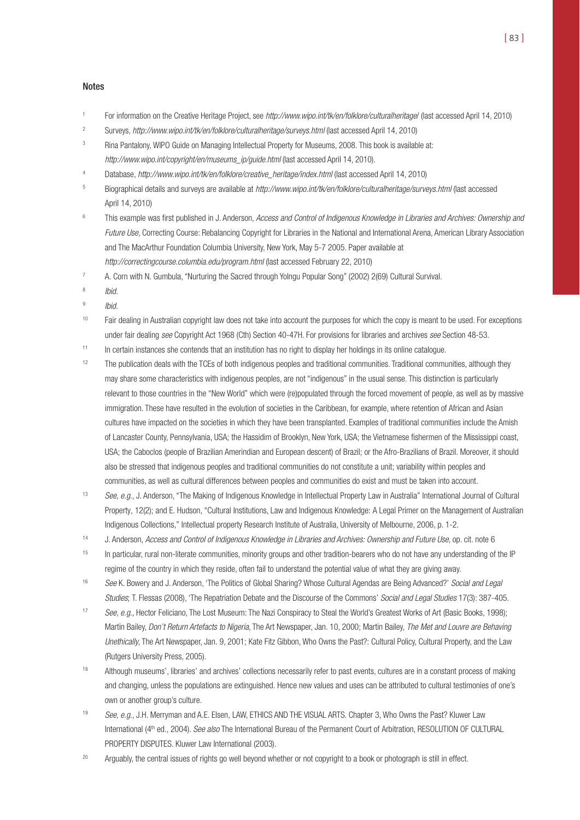#### Notes

- For information on the Creative Heritage Project, see http://www.wipo.int/tk/en/folklore/culturalheritage/ (last accessed April 14, 2010)
- <sup>2</sup> Surveys, http://www.wipo.int/tk/en/folklore/culturalheritage/surveys.html (last accessed April 14, 2010)
- <sup>3</sup> Rina Pantalony, WIPO Guide on Managing Intellectual Property for Museums, 2008. This book is available at: http://www.wipo.int/copyright/en/museums\_ip/guide.html (last accessed April 14, 2010).
- <sup>4</sup> Database, http://www.wipo.int/tk/en/folklore/creative\_heritage/index.html (last accessed April 14, 2010)
- 5 Biographical details and surveys are available at http://www.wipo.int/tk/en/folklore/culturalheritage/surveys.html (last accessed April 14, 2010)
- <sup>6</sup> This example was first published in J. Anderson, Access and Control of Indigenous Knowledge in Libraries and Archives: Ownership and Future Use, Correcting Course: Rebalancing Copyright for Libraries in the National and International Arena, American Library Association and The MacArthur Foundation Columbia University, New York, May 5-7 2005. Paper available at http://correctingcourse.columbia.edu/program.html (last accessed February 22, 2010)
- <sup>7</sup> A. Corn with N. Gumbula, "Nurturing the Sacred through Yolngu Popular Song" (2002) 2(69) Cultural Survival.
- <sup>8</sup> Ibid.
- $9$  Ibid.
- <sup>10</sup> Fair dealing in Australian copyright law does not take into account the purposes for which the copy is meant to be used. For exceptions under fair dealing see Copyright Act 1968 (Cth) Section 40-47H. For provisions for libraries and archives see Section 48-53.
- $11$  In certain instances she contends that an institution has no right to display her holdings in its online catalogue.
- <sup>12</sup> The publication deals with the TCEs of both indigenous peoples and traditional communities. Traditional communities, although they may share some characteristics with indigenous peoples, are not "indigenous" in the usual sense. This distinction is particularly relevant to those countries in the "New World" which were (re)populated through the forced movement of people, as well as by massive immigration. These have resulted in the evolution of societies in the Caribbean, for example, where retention of African and Asian cultures have impacted on the societies in which they have been transplanted. Examples of traditional communities include the Amish of Lancaster County, Pennsylvania, USA; the Hassidim of Brooklyn, New York, USA; the Vietnamese fishermen of the Mississippi coast, USA; the Caboclos (people of Brazilian Amerindian and European descent) of Brazil; or the Afro-Brazilians of Brazil. Moreover, it should also be stressed that indigenous peoples and traditional communities do not constitute a unit; variability within peoples and communities, as well as cultural differences between peoples and communities do exist and must be taken into account.
- 13 See, e.g., J. Anderson, "The Making of Indigenous Knowledge in Intellectual Property Law in Australia" International Journal of Cultural Property, 12(2); and E. Hudson, "Cultural Institutions, Law and Indigenous Knowledge: A Legal Primer on the Management of Australian Indigenous Collections," Intellectual property Research Institute of Australia, University of Melbourne, 2006, p. 1-2.
- 14 J. Anderson, Access and Control of Indigenous Knowledge in Libraries and Archives: Ownership and Future Use, op. cit. note 6
- <sup>15</sup> In particular, rural non-literate communities, minority groups and other tradition-bearers who do not have any understanding of the IP regime of the country in which they reside, often fail to understand the potential value of what they are giving away.
- <sup>16</sup> See K. Bowery and J. Anderson, 'The Politics of Global Sharing? Whose Cultural Agendas are Being Advanced?' Social and Legal Studies; T. Flessas (2008), 'The Repatriation Debate and the Discourse of the Commons' Social and Legal Studies 17(3): 387-405.
- 17 See, e.g., Hector Feliciano, The Lost Museum: The Nazi Conspiracy to Steal the World's Greatest Works of Art (Basic Books, 1998); Martin Bailey, Don't Return Artefacts to Nigeria, The Art Newspaper, Jan. 10, 2000; Martin Bailey, The Met and Louvre are Behaving Unethically, The Art Newspaper, Jan. 9, 2001; Kate Fitz Gibbon, Who Owns the Past?: Cultural Policy, Cultural Property, and the Law (Rutgers University Press, 2005).
- <sup>18</sup> Although museums', libraries' and archives' collections necessarily refer to past events, cultures are in a constant process of making and changing, unless the populations are extinguished. Hence new values and uses can be attributed to cultural testimonies of one's own or another group's culture.
- 19 See, e.g., J.H. Merryman and A.E. Elsen, LAW, ETHICS AND THE VISUAL ARTS. Chapter 3, Who Owns the Past? Kluwer Law International (4<sup>th</sup> ed., 2004). See also The International Bureau of the Permanent Court of Arbitration, RESOLUTION OF CULTURAL PROPERTY DISPUTES. Kluwer Law International (2003).
- <sup>20</sup> Arguably, the central issues of rights go well beyond whether or not copyright to a book or photograph is still in effect.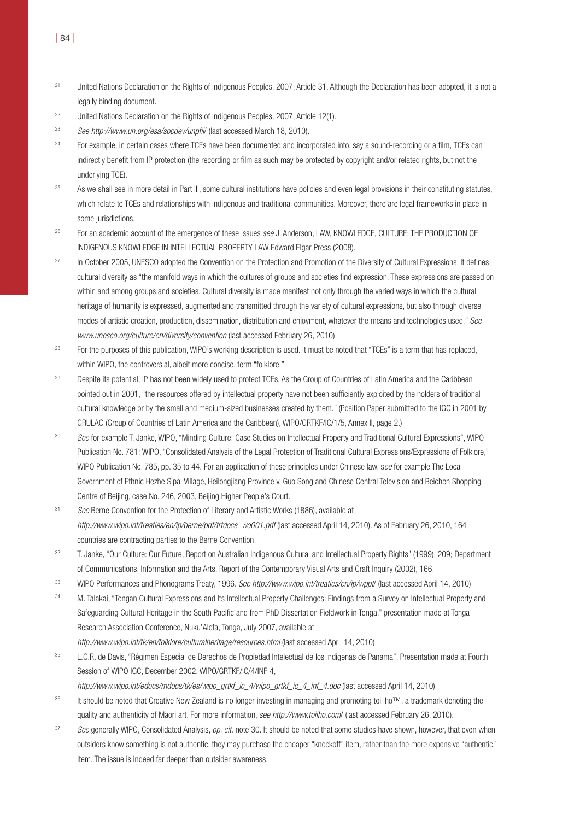- <sup>21</sup> United Nations Declaration on the Rights of Indigenous Peoples, 2007, Article 31. Although the Declaration has been adopted, it is not a legally binding document.
- <sup>22</sup> United Nations Declaration on the Rights of Indigenous Peoples, 2007, Article 12(1).
- <sup>23</sup> See http://www.un.org/esa/socdev/unpfiil (last accessed March 18, 2010).
- <sup>24</sup> For example, in certain cases where TCEs have been documented and incorporated into, say a sound-recording or a film, TCEs can indirectly benefit from IP protection (the recording or film as such may be protected by copyright and/or related rights, but not the underlying TCE).
- <sup>25</sup> As we shall see in more detail in Part III, some cultural institutions have policies and even legal provisions in their constituting statutes, which relate to TCEs and relationships with indigenous and traditional communities. Moreover, there are legal frameworks in place in some jurisdictions.
- <sup>26</sup> For an academic account of the emergence of these issues *see* J. Anderson, LAW, KNOWLEDGE, CULTURE: THE PRODUCTION OF INDIGENOUS KNOWLEDGE IN INTELLECTUAL PROPERTY LAW Edward Elgar Press (2008).
- <sup>27</sup> In October 2005, UNESCO adopted the Convention on the Protection and Promotion of the Diversity of Cultural Expressions, It defines cultural diversity as "the manifold ways in which the cultures of groups and societies find expression. These expressions are passed on within and among groups and societies. Cultural diversity is made manifest not only through the varied ways in which the cultural heritage of humanity is expressed, augmented and transmitted through the variety of cultural expressions, but also through diverse modes of artistic creation, production, dissemination, distribution and enjoyment, whatever the means and technologies used." See www.unesco.org/culture/en/diversity/convention (last accessed February 26, 2010).
- <sup>28</sup> For the purposes of this publication, WIPO's working description is used. It must be noted that "TCEs" is a term that has replaced, within WIPO, the controversial, albeit more concise, term "folklore."
- <sup>29</sup> Despite its potential, IP has not been widely used to protect TCEs. As the Group of Countries of Latin America and the Caribbean pointed out in 2001, "the resources offered by intellectual property have not been sufficiently exploited by the holders of traditional cultural knowledge or by the small and medium-sized businesses created by them." (Position Paper submitted to the IGC in 2001 by GRULAC (Group of Countries of Latin America and the Caribbean), WIPO/GRTKF/IC/1/5, Annex II, page 2.)
- 30 See for example T. Janke, WIPO, "Minding Culture: Case Studies on Intellectual Property and Traditional Cultural Expressions", WIPO Publication No. 781; WIPO, "Consolidated Analysis of the Legal Protection of Traditional Cultural Expressions/Expressions of Folklore," WIPO Publication No. 785, pp. 35 to 44. For an application of these principles under Chinese law, see for example The Local Government of Ethnic Hezhe Sipai Village, Heilongjiang Province v. Guo Song and Chinese Central Television and Beichen Shopping Centre of Beijing, case No. 246, 2003, Beijing Higher People's Court.
- <sup>31</sup> See Berne Convention for the Protection of Literary and Artistic Works (1886), available at http://www.wipo.int/treaties/en/ip/berne/pdf/trtdocs\_wo001.pdf (last accessed April 14, 2010). As of February 26, 2010, 164 countries are contracting parties to the Berne Convention.
- 32 T. Janke, "Our Culture: Our Future, Report on Australian Indigenous Cultural and Intellectual Property Rights" (1999), 209; Department of Communications, Information and the Arts, Report of the Contemporary Visual Arts and Craft Inquiry (2002), 166.
- 33 WIPO Performances and Phonograms Treaty, 1996. See http://www.wipo.int/treaties/en/ip/wppt/ (last accessed April 14, 2010)
- 34 M. Talakai, "Tongan Cultural Expressions and Its Intellectual Property Challenges: Findings from a Survey on Intellectual Property and Safeguarding Cultural Heritage in the South Pacific and from PhD Dissertation Fieldwork in Tonga," presentation made at Tonga Research Association Conference, Nuku'Alofa, Tonga, July 2007, available at http://www.wipo.int/tk/en/folklore/culturalheritage/resources.html (last accessed April 14, 2010)
- 35 L.C.R. de Davis, "Régimen Especial de Derechos de Propiedad Intelectual de los Indigenas de Panama", Presentation made at Fourth Session of WIPO IGC, December 2002, WIPO/GRTKF/IC/4/INF 4,

http://www.wipo.int/edocs/mdocs/tk/es/wipo\_grtkf\_ic\_4/wipo\_grtkf\_ic\_4\_inf\_4.doc (last accessed April 14, 2010)

- <sup>36</sup> It should be noted that Creative New Zealand is no longer investing in managing and promoting toi iho™, a trademark denoting the quality and authenticity of Maori art. For more information, see http://www.toiiho.com/ (last accessed February 26, 2010).
- 37 See generally WIPO, Consolidated Analysis, op. cit. note 30. It should be noted that some studies have shown, however, that even when outsiders know something is not authentic, they may purchase the cheaper "knockoff" item, rather than the more expensive "authentic" item. The issue is indeed far deeper than outsider awareness.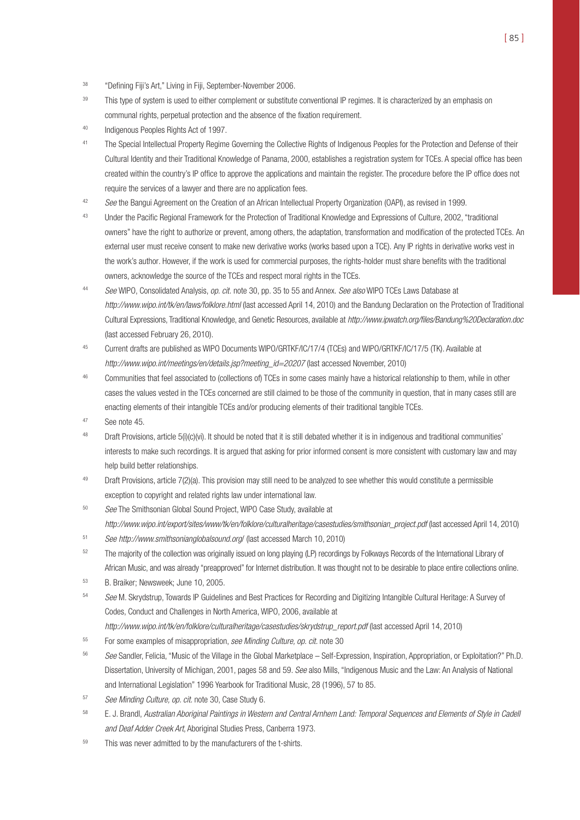- <sup>38</sup> "Defining Fiji's Art," Living in Fiji, September-November 2006.
- <sup>39</sup> This type of system is used to either complement or substitute conventional IP regimes. It is characterized by an emphasis on communal rights, perpetual protection and the absence of the fixation requirement.
- <sup>40</sup> Indigenous Peoples Rights Act of 1997.
- <sup>41</sup> The Special Intellectual Property Regime Governing the Collective Rights of Indigenous Peoples for the Protection and Defense of their Cultural Identity and their Traditional Knowledge of Panama, 2000, establishes a registration system for TCEs. A special office has been created within the country's IP office to approve the applications and maintain the register. The procedure before the IP office does not require the services of a lawyer and there are no application fees.
- 42 See the Bangui Agreement on the Creation of an African Intellectual Property Organization (OAPI), as revised in 1999.
- <sup>43</sup> Under the Pacific Regional Framework for the Protection of Traditional Knowledge and Expressions of Culture, 2002, "traditional owners" have the right to authorize or prevent, among others, the adaptation, transformation and modification of the protected TCEs. An external user must receive consent to make new derivative works (works based upon a TCE). Any IP rights in derivative works vest in the work's author. However, if the work is used for commercial purposes, the rights-holder must share benefits with the traditional owners, acknowledge the source of the TCEs and respect moral rights in the TCEs.
- 44 See WIPO, Consolidated Analysis, op. cit. note 30, pp. 35 to 55 and Annex. See also WIPO TCEs Laws Database at http://www.wipo.int/tk/en/laws/folklore.html (last accessed April 14, 2010) and the Bandung Declaration on the Protection of Traditional Cultural Expressions, Traditional Knowledge, and Genetic Resources, available at http://www.ipwatch.org/files/Bandung%20Declaration.doc (last accessed February 26, 2010).
- <sup>45</sup> Current drafts are published as WIPO Documents WIPO/GRTKF/IC/17/4 (TCEs) and WIPO/GRTKF/IC/17/5 (TK). Available at http://www.wipo.int/meetings/en/details.jsp?meeting\_id=20207 (last accessed November, 2010)
- 46 Communities that feel associated to (collections of) TCEs in some cases mainly have a historical relationship to them, while in other cases the values vested in the TCEs concerned are still claimed to be those of the community in question, that in many cases still are enacting elements of their intangible TCEs and/or producing elements of their traditional tangible TCEs.
- <sup>47</sup> See note 45.
- <sup>48</sup> Draft Provisions, article 5(i)(c)(vi). It should be noted that it is still debated whether it is in indigenous and traditional communities' interests to make such recordings. It is argued that asking for prior informed consent is more consistent with customary law and may help build better relationships.
- 49 Draft Provisions, article 7(2)(a). This provision may still need to be analyzed to see whether this would constitute a permissible exception to copyright and related rights law under international law.
- 50 See The Smithsonian Global Sound Project, WIPO Case Study, available at http://www.wipo.int/export/sites/www/tk/en/folklore/culturalheritage/casestudies/smithsonian\_project.pdf (last accessed April 14, 2010)
- <sup>51</sup> See http://www.smithsonianglobalsound.org/ (last accessed March 10, 2010)
- <sup>52</sup> The majority of the collection was originally issued on long playing (LP) recordings by Folkways Records of the International Library of African Music, and was already "preapproved" for Internet distribution. It was thought not to be desirable to place entire collections online.
- <sup>53</sup> B. Braiker; Newsweek; June 10, 2005.
- 54 See M. Skrydstrup, Towards IP Guidelines and Best Practices for Recording and Digitizing Intangible Cultural Heritage: A Survey of Codes, Conduct and Challenges in North America, WIPO, 2006, available at
	- http://www.wipo.int/tk/en/folklore/culturalheritage/casestudies/skrydstrup\_report.pdf (last accessed April 14, 2010)
- <sup>55</sup> For some examples of misappropriation, see Minding Culture, op. cit. note 30
- 56 See Sandler, Felicia, "Music of the Village in the Global Marketplace Self-Expression, Inspiration, Appropriation, or Exploitation?" Ph.D. Dissertation, University of Michigan, 2001, pages 58 and 59. See also Mills, "Indigenous Music and the Law: An Analysis of National and International Legislation" 1996 Yearbook for Traditional Music, 28 (1996), 57 to 85.
- <sup>57</sup> See Minding Culture, op. cit. note 30, Case Study 6.
- <sup>58</sup> E. J. Brandl, Australian Aboriginal Paintings in Western and Central Arnhem Land: Temporal Sequences and Elements of Style in Cadell and Deaf Adder Creek Art, Aboriginal Studies Press, Canberra 1973.
- $59$  This was never admitted to by the manufacturers of the t-shirts.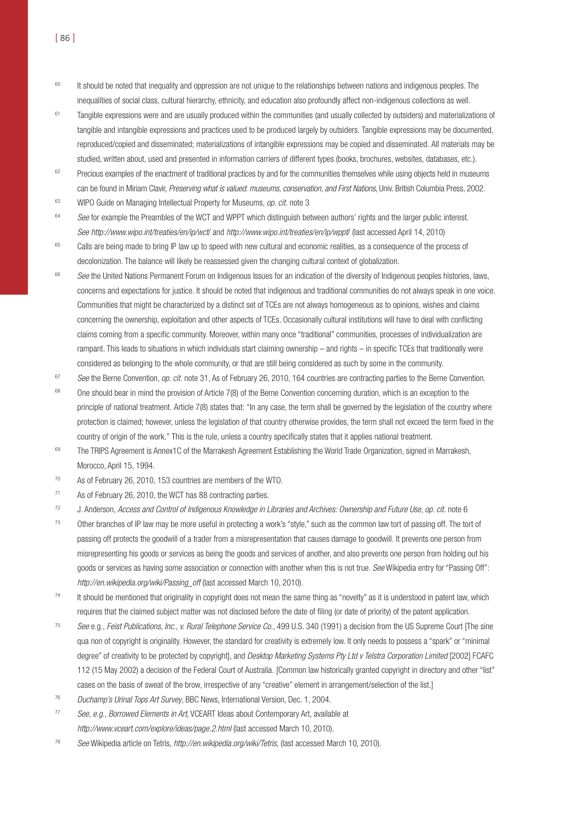- <sup>60</sup> It should be noted that inequality and oppression are not unique to the relationships between nations and indigenous peoples. The inequalities of social class, cultural hierarchy, ethnicity, and education also profoundly affect non-indigenous collections as well.
- <sup>61</sup> Tangible expressions were and are usually produced within the communities (and usually collected by outsiders) and materializations of tangible and intangible expressions and practices used to be produced largely by outsiders. Tangible expressions may be documented, reproduced/copied and disseminated; materializations of intangible expressions may be copied and disseminated. All materials may be studied, written about, used and presented in information carriers of different types (books, brochures, websites, databases, etc.).
- <sup>62</sup> Precious examples of the enactment of traditional practices by and for the communities themselves while using objects held in museums can be found in Miriam Clavir, Preserving what is valued: museums, conservation, and First Nations, Univ. British Columbia Press, 2002.
- <sup>63</sup> WIPO Guide on Managing Intellectual Property for Museums, *op. cit.* note 3
- <sup>64</sup> See for example the Preambles of the WCT and WPPT which distinguish between authors' rights and the larger public interest. See http://www.wipo.int/treaties/en/ip/wct/ and http://www.wipo.int/treaties/en/ip/wppt/ (last accessed April 14, 2010)
- <sup>65</sup> Calls are being made to bring IP law up to speed with new cultural and economic realities, as a consequence of the process of decolonization. The balance will likely be reassessed given the changing cultural context of globalization.
- <sup>66</sup> See the United Nations Permanent Forum on Indigenous Issues for an indication of the diversity of Indigenous peoples histories, laws, concerns and expectations for justice. It should be noted that indigenous and traditional communities do not always speak in one voice. Communities that might be characterized by a distinct set of TCEs are not always homogeneous as to opinions, wishes and claims concerning the ownership, exploitation and other aspects of TCEs. Occasionally cultural institutions will have to deal with conflicting claims coming from a specific community. Moreover, within many once "traditional" communities, processes of individualization are rampant. This leads to situations in which individuals start claiming ownership – and rights – in specific TCEs that traditionally were considered as belonging to the whole community, or that are still being considered as such by some in the community.
- 67 See the Berne Convention, op. cit. note 31, As of February 26, 2010, 164 countries are contracting parties to the Berne Convention.
- <sup>68</sup> One should bear in mind the provision of Article 7(8) of the Berne Convention concerning duration, which is an exception to the principle of national treatment. Article 7(8) states that: "In any case, the term shall be governed by the legislation of the country where protection is claimed; however, unless the legislation of that country otherwise provides, the term shall not exceed the term fixed in the country of origin of the work." This is the rule, unless a country specifically states that it applies national treatment.
- <sup>69</sup> The TRIPS Agreement is Annex1C of the Marrakesh Agreement Establishing the World Trade Organization, signed in Marrakesh, Morocco, April 15, 1994.
- <sup>70</sup> As of February 26, 2010, 153 countries are members of the WTO.
- <sup>71</sup> As of February 26, 2010, the WCT has 88 contracting parties.
- <sup>72</sup> J. Anderson, Access and Control of Indigenous Knowledge in Libraries and Archives: Ownership and Future Use, op. cit. note 6
- <sup>73</sup> Other branches of IP law may be more useful in protecting a work's "style," such as the common law tort of passing off. The tort of passing off protects the goodwill of a trader from a misrepresentation that causes damage to goodwill. It prevents one person from misrepresenting his goods or services as being the goods and services of another, and also prevents one person from holding out his goods or services as having some association or connection with another when this is not true. See Wikipedia entry for "Passing Off": http://en.wikipedia.org/wiki/Passing\_off (last accessed March 10, 2010).
- <sup>74</sup> It should be mentioned that originality in copyright does not mean the same thing as "novelty" as it is understood in patent law, which requires that the claimed subject matter was not disclosed before the date of filing (or date of priority) of the patent application.
- 75 See e.g., Feist Publications, Inc., v. Rural Telephone Service Co., 499 U.S. 340 (1991) a decision from the US Supreme Court [The sine qua non of copyright is originality. However, the standard for creativity is extremely low. It only needs to possess a "spark" or "minimal degree" of creativity to be protected by copyright], and Desktop Marketing Systems Pty Ltd v Telstra Corporation Limited [2002] FCAFC 112 (15 May 2002) a decision of the Federal Court of Australia. [Common law historically granted copyright in directory and other "list" cases on the basis of sweat of the brow, irrespective of any "creative" element in arrangement/selection of the list.]
- <sup>76</sup> Duchamp's Urinal Tops Art Survey, BBC News, International Version, Dec. 1, 2004.
- 77 See, e.g., Borrowed Elements in Art, VCEART Ideas about Contemporary Art, available at http://www.vceart.com/explore/ideas/page.2.html (last accessed March 10, 2010).
- <sup>78</sup> See Wikipedia article on Tetris, http://en.wikipedia.org/wiki/Tetris, (last accessed March 10, 2010).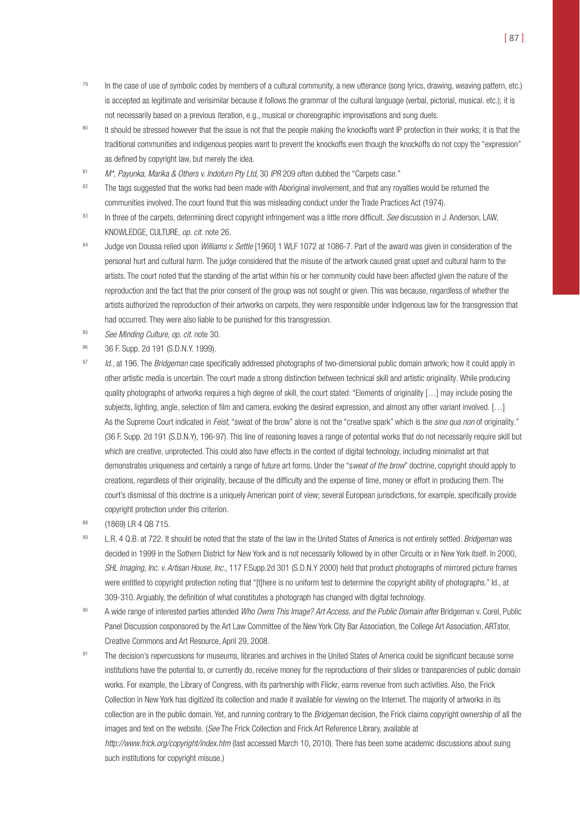- $79$  In the case of use of symbolic codes by members of a cultural community, a new utterance (song lyrics, drawing, weaving pattern, etc.) is accepted as legitimate and verisimilar because it follows the grammar of the cultural language (verbal, pictorial, musical. etc.); it is not necessarily based on a previous iteration, e.g., musical or choreographic improvisations and sung duels.
- <sup>80</sup> It should be stressed however that the issue is not that the people making the knockoffs want IP protection in their works; it is that the traditional communities and indigenous peoples want to prevent the knockoffs even though the knockoffs do not copy the "expression" as defined by copyright law, but merely the idea.
- 81 M\*, Payunka, Marika & Others v. Indofurn Pty Ltd, 30 IPR 209 often dubbed the "Carpets case."
- <sup>82</sup> The tags suggested that the works had been made with Aboriginal involvement, and that any royalties would be returned the communities involved. The court found that this was misleading conduct under the Trade Practices Act (1974).
- 83 In three of the carpets, determining direct copyright infringement was a little more difficult. See discussion in J. Anderson, LAW, KNOWLEDGE, CULTURE, op. cit. note 26.
- 84 Judge von Doussa relied upon Williams v. Settle [1960] 1 WLF 1072 at 1086-7. Part of the award was given in consideration of the personal hurt and cultural harm. The judge considered that the misuse of the artwork caused great upset and cultural harm to the artists. The court noted that the standing of the artist within his or her community could have been affected given the nature of the reproduction and the fact that the prior consent of the group was not sought or given. This was because, regardless of whether the artists authorized the reproduction of their artworks on carpets, they were responsible under Indigenous law for the transgression that had occurred. They were also liable to be punished for this transgression.
- 85 See Minding Culture, op. cit. note 30.
- <sup>86</sup> 36 F. Supp. 2d 191 (S.D.N.Y. 1999).
- 87 Id., at 196. The Bridgeman case specifically addressed photographs of two-dimensional public domain artwork; how it could apply in other artistic media is uncertain. The court made a strong distinction between technical skill and artistic originality. While producing quality photographs of artworks requires a high degree of skill, the court stated: "Elements of originality […] may include posing the subjects, lighting, angle, selection of film and camera, evoking the desired expression, and almost any other variant involved. […] As the Supreme Court indicated in Feist, "sweat of the brow" alone is not the "creative spark" which is the sine qua non of originality." (36 F. Supp. 2d 191 (S.D.N.Y), 196-97). This line of reasoning leaves a range of potential works that do not necessarily require skill but which are creative, unprotected. This could also have effects in the context of digital technology, including minimalist art that demonstrates uniqueness and certainly a range of future art forms. Under the "sweat of the brow" doctrine, copyright should apply to creations, regardless of their originality, because of the difficulty and the expense of time, money or effort in producing them. The court's dismissal of this doctrine is a uniquely American point of view; several European jurisdictions, for example, specifically provide copyright protection under this criterion.
- <sup>88</sup> (1869) LR 4 QB 715.
- 89 L.R. 4 Q.B. at 722. It should be noted that the state of the law in the United States of America is not entirely settled. Bridgeman was decided in 1999 in the Sothern District for New York and is not necessarily followed by in other Circuits or in New York itself. In 2000, SHL Imaging, Inc. v. Artisan House, Inc., 117 F.Supp.2d 301 (S.D.N.Y 2000) held that product photographs of mirrored picture frames were entitled to copyright protection noting that "[t]here is no uniform test to determine the copyright ability of photographs." Id., at 309-310. Arguably, the definition of what constitutes a photograph has changed with digital technology.
- 90 A wide range of interested parties attended Who Owns This Image? Art Access, and the Public Domain after Bridgeman v. Corel, Public Panel Discussion cosponsored by the Art Law Committee of the New York City Bar Association, the College Art Association, ARTstor, Creative Commons and Art Resource, April 29, 2008.
- 91 The decision's repercussions for museums, libraries and archives in the United States of America could be significant because some institutions have the potential to, or currently do, receive money for the reproductions of their slides or transparencies of public domain works. For example, the Library of Congress, with its partnership with Flickr, earns revenue from such activities. Also, the Frick Collection in New York has digitized its collection and made it available for viewing on the Internet. The majority of artworks in its collection are in the public domain. Yet, and running contrary to the *Bridgeman* decision, the Frick claims copyright ownership of all the images and text on the website. (See The Frick Collection and Frick Art Reference Library, available at

http://www.frick.org/copyright/index.htm (last accessed March 10, 2010). There has been some academic discussions about suing such institutions for copyright misuse.)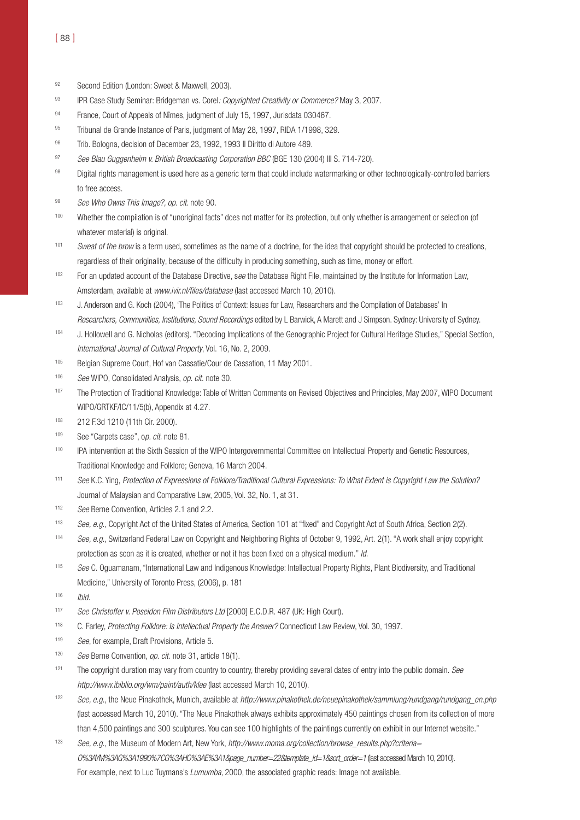- 92 Second Edition (London: Sweet & Maxwell, 2003).
- 93 IPR Case Study Seminar: Bridgeman vs. Corel: Copyrighted Creativity or Commerce? May 3, 2007.
- 94 France, Court of Appeals of Nîmes, judgment of July 15, 1997, Jurisdata 030467.
- 95 Tribunal de Grande Instance of Paris, judgment of May 28, 1997, RIDA 1/1998, 329.
- 96 Trib. Bologna, decision of December 23, 1992, 1993 Il Diritto di Autore 489.
- 97 See Blau Guggenheim v. British Broadcasting Corporation BBC (BGE 130 (2004) III S. 714-720).
- 98 Digital rights management is used here as a generic term that could include watermarking or other technologically-controlled barriers to free access.
- 99 See Who Owns This Image?, op. cit. note 90.
- 100 Whether the compilation is of "unoriginal facts" does not matter for its protection, but only whether is arrangement or selection (of whatever material) is original.
- <sup>101</sup> Sweat of the brow is a term used, sometimes as the name of a doctrine, for the idea that copyright should be protected to creations, regardless of their originality, because of the difficulty in producing something, such as time, money or effort.
- $102$  For an updated account of the Database Directive, see the Database Right File, maintained by the Institute for Information Law, Amsterdam, available at www.ivir.nl/files/database (last accessed March 10, 2010).
- <sup>103</sup> J. Anderson and G. Koch (2004), 'The Politics of Context: Issues for Law, Researchers and the Compilation of Databases' In Researchers, Communities, Institutions, Sound Recordings edited by L Barwick, A Marett and J Simpson. Sydney: University of Sydney.
- <sup>104</sup> J. Hollowell and G. Nicholas (editors). "Decoding Implications of the Genographic Project for Cultural Heritage Studies," Special Section, International Journal of Cultural Property, Vol. 16, No. 2, 2009.
- <sup>105</sup> Belgian Supreme Court, Hof van Cassatie/Cour de Cassation, 11 May 2001.
- 106 See WIPO, Consolidated Analysis, op. cit. note 30.
- 107 The Protection of Traditional Knowledge: Table of Written Comments on Revised Objectives and Principles, May 2007, WIPO Document WIPO/GRTKF/IC/11/5(b), Appendix at 4.27.
- <sup>108</sup> 212 F.3d 1210 (11th Cir. 2000).
- 109 See "Carpets case", op. cit. note 81.
- <sup>110</sup> IPA intervention at the Sixth Session of the WIPO Intergovernmental Committee on Intellectual Property and Genetic Resources, Traditional Knowledge and Folklore; Geneva, 16 March 2004.
- 111 See K.C. Ying, Protection of Expressions of Folklore/Traditional Cultural Expressions: To What Extent is Copyright Law the Solution? Journal of Malaysian and Comparative Law, 2005, Vol. 32, No. 1, at 31.
- 112 See Berne Convention, Articles 2.1 and 2.2.
- 113 See, e.g., Copyright Act of the United States of America, Section 101 at "fixed" and Copyright Act of South Africa, Section 2(2).
- <sup>114</sup> See, e.g., Switzerland Federal Law on Copyright and Neighboring Rights of October 9, 1992, Art. 2(1). "A work shall enjoy copyright protection as soon as it is created, whether or not it has been fixed on a physical medium." Id.
- 115 See C. Oguamanam, "International Law and Indigenous Knowledge: Intellectual Property Rights, Plant Biodiversity, and Traditional Medicine," University of Toronto Press, (2006), p. 181
- $116$  Ibid.
- 117 See Christoffer v. Poseidon Film Distributors Ltd [2000] E.C.D.R. 487 (UK: High Court).
- <sup>118</sup> C. Farley, Protecting Folklore: Is Intellectual Property the Answer? Connecticut Law Review, Vol. 30, 1997.
- 119 See, for example, Draft Provisions, Article 5.
- 120 See Berne Convention, op. cit. note 31, article 18(1).
- $121$  The copyright duration may vary from country to country, thereby providing several dates of entry into the public domain. See http://www.ibiblio.org/wm/paint/auth/klee (last accessed March 10, 2010).
- 122 See, e.g., the Neue Pinakothek, Munich, available at http://www.pinakothek.de/neuepinakothek/sammlung/rundgang/rundgang\_en.php (last accessed March 10, 2010). "The Neue Pinakothek always exhibits approximately 450 paintings chosen from its collection of more than 4,500 paintings and 300 sculptures. You can see 100 highlights of the paintings currently on exhibit in our Internet website."
- <sup>123</sup> See, e.g., the Museum of Modern Art, New York, http://www.moma.org/collection/browse\_results.php?criteria= O%3AYM%3AG%3A1990%7CG%3AHO%3AE%3A1&page\_number=22&template\_id=1&sort\_order=1 (last accessed March 10, 2010). For example, next to Luc Tuymans's Lumumba, 2000, the associated graphic reads: Image not available.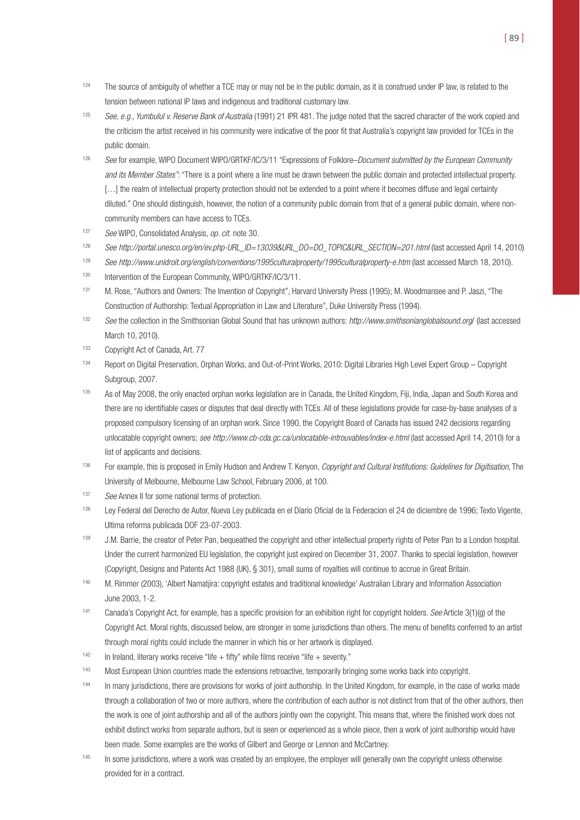- <sup>124</sup> The source of ambiguity of whether a TCE may or may not be in the public domain, as it is construed under IP law, is related to the tension between national IP laws and indigenous and traditional customary law.
- <sup>125</sup> See, e.g., Yumbulul v. Reserve Bank of Australia (1991) 21 IPR 481. The judge noted that the sacred character of the work copied and the criticism the artist received in his community were indicative of the poor fit that Australia's copyright law provided for TCEs in the public domain.
- 126 See for example, WIPO Document WIPO/GRTKF/IC/3/11 "Expressions of Folklore–Document submitted by the European Community and its Member States": "There is a point where a line must be drawn between the public domain and protected intellectual property. [...] the realm of intellectual property protection should not be extended to a point where it becomes diffuse and legal certainty diluted." One should distinguish, however, the notion of a community public domain from that of a general public domain, where noncommunity members can have access to TCEs.
- <sup>127</sup> See WIPO, Consolidated Analysis, op. cit. note 30.
- 128 See http://portal.unesco.org/en/ev.php-URL\_ID=13039&URL\_DO=DO\_TOPIC&URL\_SECTION=201.html (last accessed April 14, 2010)
- <sup>129</sup> See http://www.unidroit.org/english/conventions/1995culturalproperty/1995culturalproperty-e.htm (last accessed March 18, 2010).
- <sup>130</sup> Intervention of the European Community, WIPO/GRTKF/IC/3/11.
- 131 M. Rose, "Authors and Owners: The Invention of Copyright", Harvard University Press (1995); M. Woodmansee and P. Jaszi, "The Construction of Authorship: Textual Appropriation in Law and Literature", Duke University Press (1994).
- 132 See the collection in the Smithsonian Global Sound that has unknown authors: http://www.smithsonianglobalsound.org/ (last accessed March 10, 2010).
- <sup>133</sup> Copyright Act of Canada, Art. 77
- 134 Report on Digital Preservation, Orphan Works, and Out-of-Print Works, 2010: Digital Libraries High Level Expert Group Copyright Subgroup, 2007.
- 135 As of May 2008, the only enacted orphan works legislation are in Canada, the United Kingdom, Fiji, India, Japan and South Korea and there are no identifiable cases or disputes that deal directly with TCEs. All of these legislations provide for case-by-base analyses of a proposed compulsory licensing of an orphan work. Since 1990, the Copyright Board of Canada has issued 242 decisions regarding unlocatable copyright owners; see http://www.cb-cda.gc.ca/unlocatable-introuvables/index-e.html (last accessed April 14, 2010) for a list of applicants and decisions.
- <sup>136</sup> For example, this is proposed in Emily Hudson and Andrew T. Kenyon, *Copyright and Cultural Institutions: Guidelines for Digitisation*, The University of Melbourne, Melbourne Law School, February 2006, at 100.
- 137 See Annex II for some national terms of protection.
- <sup>138</sup> Ley Federal del Derecho de Autor, Nueva Ley publicada en el Diario Oficial de la Federacion el 24 de diciembre de 1996; Texto Vigente, Ultima reforma publicada DOF 23-07-2003.
- 139 J.M. Barrie, the creator of Peter Pan, bequeathed the copyright and other intellectual property rights of Peter Pan to a London hospital. Under the current harmonized EU legislation, the copyright just expired on December 31, 2007. Thanks to special legislation, however (Copyright, Designs and Patents Act 1988 (UK), § 301), small sums of royalties will continue to accrue in Great Britain.
- 140 M. Rimmer (2003), 'Albert Namatjira: copyright estates and traditional knowledge' Australian Library and Information Association June 2003, 1-2.
- <sup>141</sup> Canada's Copyright Act, for example, has a specific provision for an exhibition right for copyright holders. See Article 3(1)(g) of the Copyright Act. Moral rights, discussed below, are stronger in some jurisdictions than others. The menu of benefits conferred to an artist through moral rights could include the manner in which his or her artwork is displayed.
- $142$  In Ireland, literary works receive "life + fifty" while films receive "life + seventy."
- 143 Most European Union countries made the extensions retroactive, temporarily bringing some works back into copyright.
- <sup>144</sup> In many jurisdictions, there are provisions for works of joint authorship. In the United Kingdom, for example, in the case of works made through a collaboration of two or more authors, where the contribution of each author is not distinct from that of the other authors, then the work is one of joint authorship and all of the authors jointly own the copyright. This means that, where the finished work does not exhibit distinct works from separate authors, but is seen or experienced as a whole piece, then a work of joint authorship would have been made. Some examples are the works of Gilbert and George or Lennon and McCartney.
- <sup>145</sup> In some jurisdictions, where a work was created by an employee, the employer will generally own the copyright unless otherwise provided for in a contract.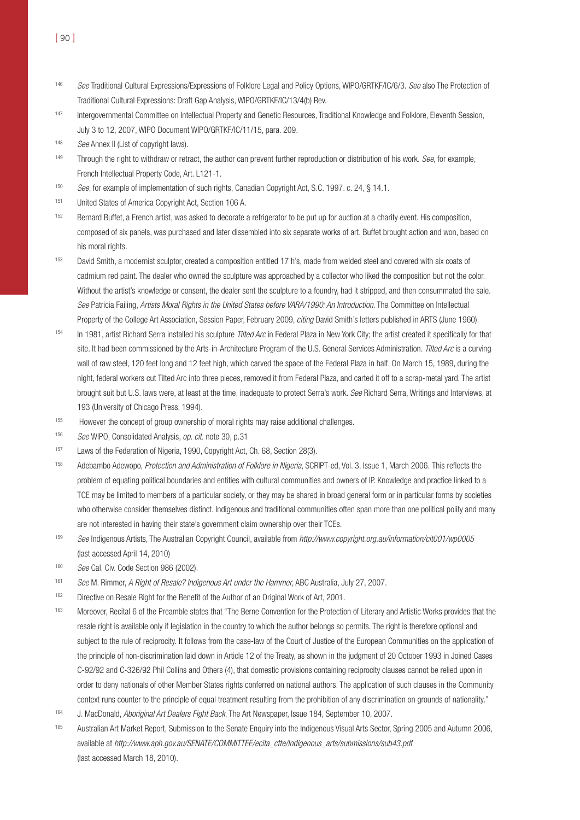- 146 See Traditional Cultural Expressions/Expressions of Folklore Legal and Policy Options, WIPO/GRTKF/IC/6/3. See also The Protection of Traditional Cultural Expressions: Draft Gap Analysis, WIPO/GRTKF/IC/13/4(b) Rev.
- 147 Intergovernmental Committee on Intellectual Property and Genetic Resources, Traditional Knowledge and Folklore, Eleventh Session, July 3 to 12, 2007, WIPO Document WIPO/GRTKF/IC/11/15, para. 209.
- 148 See Annex II (List of copyright laws).
- <sup>149</sup> Through the right to withdraw or retract, the author can prevent further reproduction or distribution of his work. See, for example, French Intellectual Property Code, Art. L121-1.
- 150 See, for example of implementation of such rights, Canadian Copyright Act, S.C. 1997. c. 24, § 14.1.
- 151 United States of America Copyright Act, Section 106 A.
- <sup>152</sup> Bernard Buffet, a French artist, was asked to decorate a refrigerator to be put up for auction at a charity event. His composition, composed of six panels, was purchased and later dissembled into six separate works of art. Buffet brought action and won, based on his moral rights.
- <sup>153</sup> David Smith, a modernist sculptor, created a composition entitled 17 h's, made from welded steel and covered with six coats of cadmium red paint. The dealer who owned the sculpture was approached by a collector who liked the composition but not the color. Without the artist's knowledge or consent, the dealer sent the sculpture to a foundry, had it stripped, and then consummated the sale. See Patricia Failing, Artists Moral Rights in the United States before VARA/1990: An Introduction. The Committee on Intellectual Property of the College Art Association, Session Paper, February 2009, citing David Smith's letters published in ARTS (June 1960).
- 154 In 1981, artist Richard Serra installed his sculpture Tilted Arc in Federal Plaza in New York City; the artist created it specifically for that site. It had been commissioned by the Arts-in-Architecture Program of the U.S. General Services Administration. Tilted Arc is a curving wall of raw steel, 120 feet long and 12 feet high, which carved the space of the Federal Plaza in half. On March 15, 1989, during the night, federal workers cut Tilted Arc into three pieces, removed it from Federal Plaza, and carted it off to a scrap-metal yard. The artist brought suit but U.S. laws were, at least at the time, inadequate to protect Serra's work. See Richard Serra, Writings and Interviews, at 193 (University of Chicago Press, 1994).
- <sup>155</sup> However the concept of group ownership of moral rights may raise additional challenges.
- 156 See WIPO, Consolidated Analysis, op. cit. note 30, p.31
- <sup>157</sup> Laws of the Federation of Nigeria, 1990, Copyright Act, Ch. 68, Section 28(3).
- 158 Adebambo Adewopo, Protection and Administration of Folklore in Nigeria, SCRIPT-ed, Vol. 3, Issue 1, March 2006. This reflects the problem of equating political boundaries and entities with cultural communities and owners of IP. Knowledge and practice linked to a TCE may be limited to members of a particular society, or they may be shared in broad general form or in particular forms by societies who otherwise consider themselves distinct. Indigenous and traditional communities often span more than one political polity and many are not interested in having their state's government claim ownership over their TCEs.
- 159 See Indigenous Artists, The Australian Copyright Council, available from http://www.copyright.org.au/information/cit001/wp0005 (last accessed April 14, 2010)
- 160 See Cal. Civ. Code Section 986 (2002).
- <sup>161</sup> See M. Rimmer, A Right of Resale? Indigenous Art under the Hammer, ABC Australia, July 27, 2007.
- <sup>162</sup> Directive on Resale Right for the Benefit of the Author of an Original Work of Art, 2001.
- 163 Moreover, Recital 6 of the Preamble states that "The Berne Convention for the Protection of Literary and Artistic Works provides that the resale right is available only if legislation in the country to which the author belongs so permits. The right is therefore optional and subject to the rule of reciprocity. It follows from the case-law of the Court of Justice of the European Communities on the application of the principle of non-discrimination laid down in Article 12 of the Treaty, as shown in the judgment of 20 October 1993 in Joined Cases C-92/92 and C-326/92 Phil Collins and Others (4), that domestic provisions containing reciprocity clauses cannot be relied upon in order to deny nationals of other Member States rights conferred on national authors. The application of such clauses in the Community context runs counter to the principle of equal treatment resulting from the prohibition of any discrimination on grounds of nationality."
- 164 J. MacDonald, Aboriginal Art Dealers Fight Back, The Art Newspaper, Issue 184, September 10, 2007.
- <sup>165</sup> Australian Art Market Report, Submission to the Senate Enquiry into the Indigenous Visual Arts Sector, Spring 2005 and Autumn 2006, available at http://www.aph.gov.au/SENATE/COMMITTEE/ecita\_ctte/Indigenous\_arts/submissions/sub43.pdf (last accessed March 18, 2010).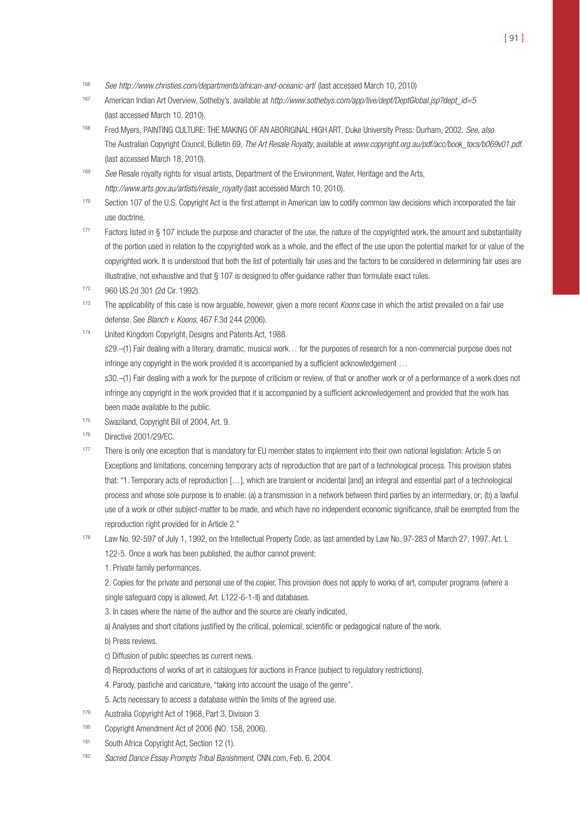- 166 See http://www.christies.com/departments/african-and-oceanic-art/ (last accessed March 10, 2010)
- 167 American Indian Art Overview, Sotheby's, available at http://www.sothebys.com/app/live/dept/DeptGlobal.jsp?dept\_id=5 (last accessed March 10, 2010).
- 168 Fred Myers, PAINTING CULTURE: THE MAKING OF AN ABORIGINAL HIGH ART, Duke University Press: Durham, 2002. See, also The Australian Copyright Council, Bulletin 69, The Art Resale Royalty, available at www.copyright.org.au/pdf/acc/book\_tocs/b069v01.pdf. (last accessed March 18, 2010).
- 169 See Resale royalty rights for visual artists, Department of the Environment, Water, Heritage and the Arts, http://www.arts.gov.au/artists/resale\_royalty (last accessed March 10, 2010).
- <sup>170</sup> Section 107 of the U.S. Copyright Act is the first attempt in American law to codify common law decisions which incorporated the fair use doctrine.
- 171 Factors listed in § 107 include the purpose and character of the use, the nature of the copyrighted work, the amount and substantiality of the portion used in relation to the copyrighted work as a whole, and the effect of the use upon the potential market for or value of the copyrighted work. It is understood that both the list of potentially fair uses and the factors to be considered in determining fair uses are illustrative, not exhaustive and that § 107 is designed to offer guidance rather than formulate exact rules.
- <sup>172</sup> 960 US.2d 301 (2d Cir. 1992).
- <sup>173</sup> The applicability of this case is now arguable, however, given a more recent *Koons* case in which the artist prevailed on a fair use defense. See Blanch v. Koons, 467 F.3d 244 (2006).
- 174 United Kingdom Copyright, Designs and Patents Act, 1988. s29.–(1) Fair dealing with a literary, dramatic, musical work… for the purposes of research for a non-commercial purpose does not infringe any copyright in the work provided it is accompanied by a sufficient acknowledgement … s30.–(1) Fair dealing with a work for the purpose of criticism or review, of that or another work or of a performance of a work does not infringe any copyright in the work provided that it is accompanied by a sufficient acknowledgement and provided that the work has

been made available to the public.

- <sup>175</sup> Swaziland, Copyright Bill of 2004, Art. 9.
- <sup>176</sup> Directive 2001/29/EC.
- <sup>177</sup> There is only one exception that is mandatory for EU member states to implement into their own national legislation: Article 5 on Exceptions and limitations, concerning temporary acts of reproduction that are part of a technological process. This provision states that: "1. Temporary acts of reproduction […], which are transient or incidental [and] an integral and essential part of a technological process and whose sole purpose is to enable: (a) a transmission in a network between third parties by an intermediary, or; (b) a lawful use of a work or other subject-matter to be made, and which have no independent economic significance, shall be exempted from the reproduction right provided for in Article 2."
- <sup>178</sup> Law No. 92-597 of July 1, 1992, on the Intellectual Property Code, as last amended by Law No. 97-283 of March 27, 1997. Art. L 122-5. Once a work has been published, the author cannot prevent:

1. Private family performances.

2. Copies for the private and personal use of the copier. This provision does not apply to works of art, computer programs (where a single safeguard copy is allowed, Art. L122-6-1-II) and databases.

- 3. In cases where the name of the author and the source are clearly indicated,
- a) Analyses and short citations justified by the critical, polemical, scientific or pedagogical nature of the work.

b) Press reviews.

- c) Diffusion of public speeches as current news.
- d) Reproductions of works of art in catalogues for auctions in France (subject to regulatory restrictions).
- 4. Parody, pastiche and caricature, "taking into account the usage of the genre".
- 5. Acts necessary to access a database within the limits of the agreed use.
- <sup>179</sup> Australia Copyright Act of 1968, Part 3, Division 3.
- <sup>180</sup> Copyright Amendment Act of 2006 (NO. 158, 2006).
- 181 South Africa Copyright Act, Section 12 (1).
- <sup>182</sup> Sacred Dance Essay Prompts Tribal Banishment, CNN.com, Feb. 6, 2004.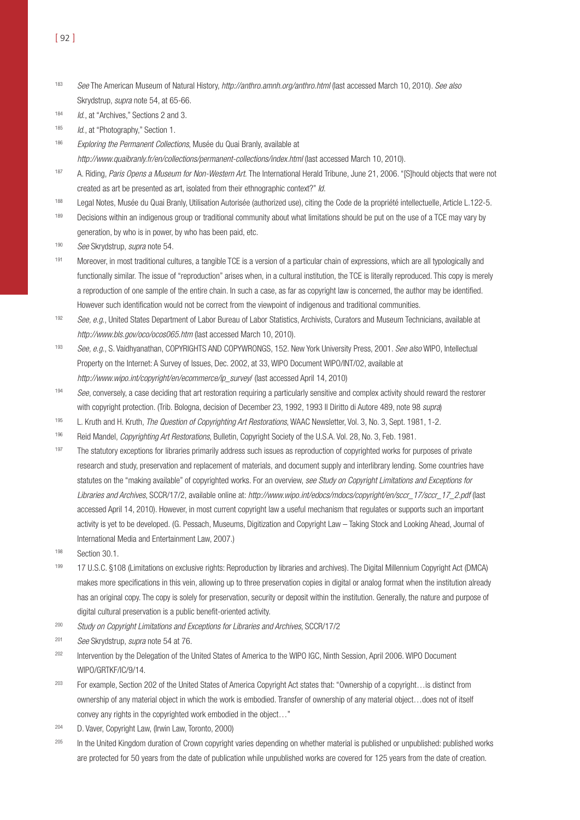- 183 See The American Museum of Natural History, http://anthro.amnh.org/anthro.html (last accessed March 10, 2010). See also Skrydstrup, supra note 54, at 65-66.
- 184 *Id.*, at "Archives," Sections 2 and 3.
- 185 Id., at "Photography," Section 1.
- <sup>186</sup> Exploring the Permanent Collections, Musée du Quai Branly, available at

http://www.quaibranly.fr/en/collections/permanent-collections/index.html (last accessed March 10, 2010).

- 187 A. Riding, Paris Opens a Museum for Non-Western Art. The International Herald Tribune, June 21, 2006. "[S]hould objects that were not created as art be presented as art, isolated from their ethnographic context?" Id.
- <sup>188</sup> Legal Notes, Musée du Quai Branly, Utilisation Autorisée (authorized use), citing the Code de la propriété intellectuelle, Article L.122-5.
- <sup>189</sup> Decisions within an indigenous group or traditional community about what limitations should be put on the use of a TCE may vary by generation, by who is in power, by who has been paid, etc.
- 190 See Skrydstrup, supra note 54.
- <sup>191</sup> Moreover, in most traditional cultures, a tangible TCE is a version of a particular chain of expressions, which are all typologically and functionally similar. The issue of "reproduction" arises when, in a cultural institution, the TCE is literally reproduced. This copy is merely a reproduction of one sample of the entire chain. In such a case, as far as copyright law is concerned, the author may be identified. However such identification would not be correct from the viewpoint of indigenous and traditional communities.
- 192 See, e.g., United States Department of Labor Bureau of Labor Statistics, Archivists, Curators and Museum Technicians, available at http://www.bls.gov/oco/ocos065.htm (last accessed March 10, 2010).
- 193 See, e.g., S. Vaidhyanathan, COPYRIGHTS AND COPYWRONGS, 152. New York University Press, 2001. See also WIPO, Intellectual Property on the Internet: A Survey of Issues, Dec. 2002, at 33, WIPO Document WIPO/INT/02, available at http://www.wipo.int/copyright/en/ecommerce/ip\_survey/ (last accessed April 14, 2010)
- 194 See, conversely, a case deciding that art restoration requiring a particularly sensitive and complex activity should reward the restorer with copyright protection. (Trib. Bologna, decision of December 23, 1992, 1993 Il Diritto di Autore 489, note 98 supra)
- <sup>195</sup> L. Kruth and H. Kruth, The Question of Copyrighting Art Restorations, WAAC Newsletter, Vol. 3, No. 3, Sept. 1981, 1-2.
- 196 Reid Mandel, *Copyrighting Art Restorations*, Bulletin, Copyright Society of the U.S.A. Vol. 28, No. 3, Feb. 1981.
- <sup>197</sup> The statutory exceptions for libraries primarily address such issues as reproduction of copyrighted works for purposes of private research and study, preservation and replacement of materials, and document supply and interlibrary lending. Some countries have statutes on the "making available" of copyrighted works. For an overview, see Study on Copyright Limitations and Exceptions for Libraries and Archives, SCCR/17/2, available online at: http://www.wipo.int/edocs/mdocs/copyright/en/sccr\_17/sccr\_17\_2.pdf (last accessed April 14, 2010). However, in most current copyright law a useful mechanism that regulates or supports such an important activity is yet to be developed. (G. Pessach, Museums, Digitization and Copyright Law – Taking Stock and Looking Ahead, Journal of International Media and Entertainment Law, 2007.)
- <sup>198</sup> Section 30.1.
- 199 17 U.S.C. §108 (Limitations on exclusive rights: Reproduction by libraries and archives). The Digital Millennium Copyright Act (DMCA) makes more specifications in this vein, allowing up to three preservation copies in digital or analog format when the institution already has an original copy. The copy is solely for preservation, security or deposit within the institution. Generally, the nature and purpose of digital cultural preservation is a public benefit-oriented activity.
- <sup>200</sup> Study on Copyright Limitations and Exceptions for Libraries and Archives, SCCR/17/2
- <sup>201</sup> See Skrydstrup, supra note 54 at 76.
- 202 Intervention by the Delegation of the United States of America to the WIPO IGC, Ninth Session, April 2006. WIPO Document WIPO/GRTKF/IC/9/14.
- <sup>203</sup> For example, Section 202 of the United States of America Copyright Act states that: "Ownership of a copyright…is distinct from ownership of any material object in which the work is embodied. Transfer of ownership of any material object…does not of itself convey any rights in the copyrighted work embodied in the object…"
- <sup>204</sup> D. Vaver, Copyright Law, (Irwin Law, Toronto, 2000)
- <sup>205</sup> In the United Kingdom duration of Crown copyright varies depending on whether material is published or unpublished: published works are protected for 50 years from the date of publication while unpublished works are covered for 125 years from the date of creation.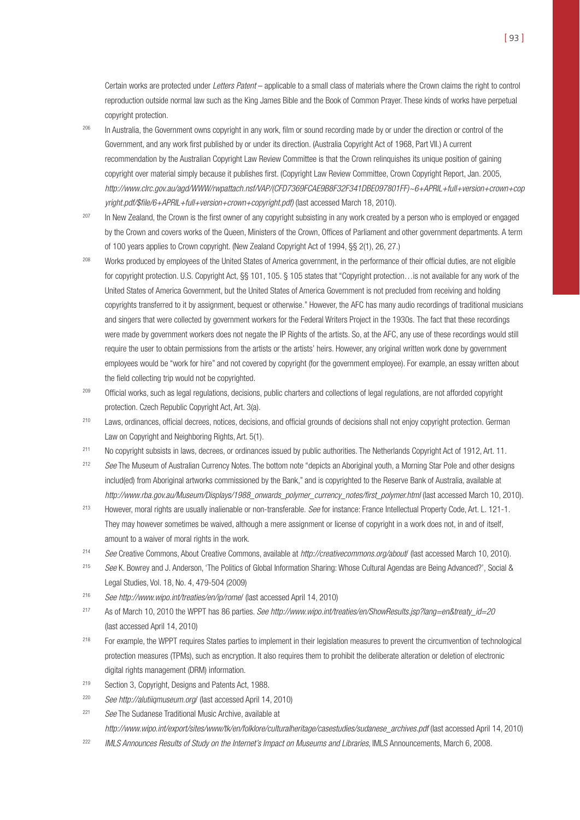Certain works are protected under Letters Patent – applicable to a small class of materials where the Crown claims the right to control reproduction outside normal law such as the King James Bible and the Book of Common Prayer. These kinds of works have perpetual copyright protection.

- 206 In Australia, the Government owns copyright in any work, film or sound recording made by or under the direction or control of the Government, and any work first published by or under its direction. (Australia Copyright Act of 1968, Part VII.) A current recommendation by the Australian Copyright Law Review Committee is that the Crown relinquishes its unique position of gaining copyright over material simply because it publishes first. (Copyright Law Review Committee, Crown Copyright Report, Jan. 2005, http://www.clrc.gov.au/agd/WWW/rwpattach.nsf/VAP/(CFD7369FCAE9B8F32F341DBE097801FF)~6+APRIL+full+version+crown+cop yright.pdf/\$file/6+APRIL+full+version+crown+copyright.pdf) (last accessed March 18, 2010).
- <sup>207</sup> In New Zealand, the Crown is the first owner of any copyright subsisting in any work created by a person who is employed or engaged by the Crown and covers works of the Queen, Ministers of the Crown, Offices of Parliament and other government departments. A term of 100 years applies to Crown copyright. (New Zealand Copyright Act of 1994, §§ 2(1), 26, 27.)
- <sup>208</sup> Works produced by employees of the United States of America government, in the performance of their official duties, are not eligible for copyright protection. U.S. Copyright Act, §§ 101, 105. § 105 states that "Copyright protection... is not available for any work of the United States of America Government, but the United States of America Government is not precluded from receiving and holding copyrights transferred to it by assignment, bequest or otherwise." However, the AFC has many audio recordings of traditional musicians and singers that were collected by government workers for the Federal Writers Project in the 1930s. The fact that these recordings were made by government workers does not negate the IP Rights of the artists. So, at the AFC, any use of these recordings would still require the user to obtain permissions from the artists or the artists' heirs. However, any original written work done by government employees would be "work for hire" and not covered by copyright (for the government employee). For example, an essay written about the field collecting trip would not be copyrighted.
- <sup>209</sup> Official works, such as legal regulations, decisions, public charters and collections of legal regulations, are not afforded copyright protection. Czech Republic Copyright Act, Art. 3(a).
- <sup>210</sup> Laws, ordinances, official decrees, notices, decisions, and official grounds of decisions shall not enjoy copyright protection. German Law on Copyright and Neighboring Rights, Art. 5(1).
- <sup>211</sup> No copyright subsists in laws, decrees, or ordinances issued by public authorities. The Netherlands Copyright Act of 1912, Art. 11.
- <sup>212</sup> See The Museum of Australian Currency Notes. The bottom note "depicts an Aboriginal youth, a Morning Star Pole and other designs includ(ed) from Aboriginal artworks commissioned by the Bank," and is copyrighted to the Reserve Bank of Australia, available at http://www.rba.gov.au/Museum/Displays/1988\_onwards\_polymer\_currency\_notes/first\_polymer.html (last accessed March 10, 2010).
- <sup>213</sup> However, moral rights are usually inalienable or non-transferable. See for instance: France Intellectual Property Code, Art. L. 121-1. They may however sometimes be waived, although a mere assignment or license of copyright in a work does not, in and of itself, amount to a waiver of moral rights in the work.
- <sup>214</sup> See Creative Commons, About Creative Commons, available at http://creativecommons.org/about/ (last accessed March 10, 2010).
- <sup>215</sup> See K. Bowrey and J. Anderson, 'The Politics of Global Information Sharing: Whose Cultural Agendas are Being Advanced?', Social & Legal Studies, Vol. 18, No. 4, 479-504 (2009)
- <sup>216</sup> See http://www.wipo.int/treaties/en/ip/rome/ (last accessed April 14, 2010)
- <sup>217</sup> As of March 10, 2010 the WPPT has 86 parties. See http://www.wipo.int/treaties/en/ShowResults.jsp?lang=en&treaty\_id=20 (last accessed April 14, 2010)
- <sup>218</sup> For example, the WPPT requires States parties to implement in their legislation measures to prevent the circumvention of technological protection measures (TPMs), such as encryption. It also requires them to prohibit the deliberate alteration or deletion of electronic digital rights management (DRM) information.
- <sup>219</sup> Section 3, Copyright, Designs and Patents Act, 1988.
- <sup>220</sup> See http://alutiiqmuseum.org/ (last accessed April 14, 2010)
- <sup>221</sup> See The Sudanese Traditional Music Archive, available at http://www.wipo.int/export/sites/www/tk/en/folklore/culturalheritage/casestudies/sudanese\_archives.pdf (last accessed April 14, 2010)
- <sup>222</sup> IMLS Announces Results of Study on the Internet's Impact on Museums and Libraries, IMLS Announcements, March 6, 2008.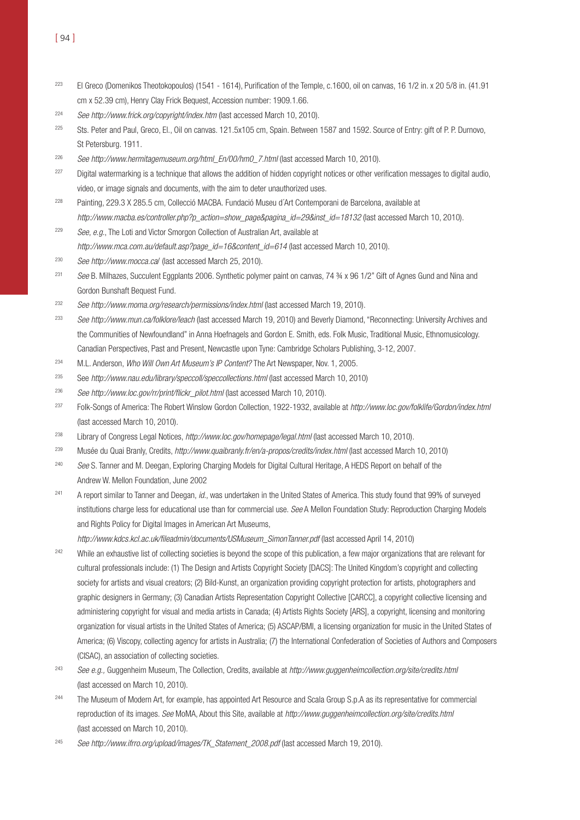- <sup>223</sup> El Greco (Domenikos Theotokopoulos) (1541 1614), Purification of the Temple, c.1600, oil on canvas, 16 1/2 in. x 20 5/8 in. (41.91 cm x 52.39 cm), Henry Clay Frick Bequest, Accession number: 1909.1.66.
- <sup>224</sup> See http://www.frick.org/copyright/index.htm (last accessed March 10, 2010).
- <sup>225</sup> Sts. Peter and Paul, Greco, El., Oil on canvas. 121.5x105 cm, Spain. Between 1587 and 1592. Source of Entry: gift of P. P. Durnovo, St Petersburg. 1911.
- <sup>226</sup> See http://www.hermitagemuseum.org/html En/00/hm0\_7.html (last accessed March 10, 2010).
- <sup>227</sup> Digital watermarking is a technique that allows the addition of hidden copyright notices or other verification messages to digital audio, video, or image signals and documents, with the aim to deter unauthorized uses.
- <sup>228</sup> Painting, 229.3 X 285.5 cm, Collecció MACBA. Fundació Museu d´Art Contemporani de Barcelona, available at http://www.macba.es/controller.php?p\_action=show\_page&pagina\_id=29&inst\_id=18132 (last accessed March 10, 2010).
- <sup>229</sup> See, e.g., The Loti and Victor Smorgon Collection of Australian Art, available at http://www.mca.com.au/default.asp?page\_id=16&content\_id=614 (last accessed March 10, 2010).
- <sup>230</sup> See http://www.mocca.ca/ (last accessed March 25, 2010).
- <sup>231</sup> See B. Milhazes, Succulent Eggplants 2006. Synthetic polymer paint on canvas, 74 ¾ x 96 1/2" Gift of Agnes Gund and Nina and Gordon Bunshaft Bequest Fund.
- <sup>232</sup> See http://www.moma.org/research/permissions/index.html (last accessed March 19, 2010).
- <sup>233</sup> See http://www.mun.ca/folklore/leach (last accessed March 19, 2010) and Beverly Diamond, "Reconnecting: University Archives and the Communities of Newfoundland" in Anna Hoefnagels and Gordon E. Smith, eds. Folk Music, Traditional Music, Ethnomusicology. Canadian Perspectives, Past and Present, Newcastle upon Tyne: Cambridge Scholars Publishing, 3-12, 2007.
- <sup>234</sup> M.L. Anderson, Who Will Own Art Museum's IP Content? The Art Newspaper, Nov. 1, 2005.
- <sup>235</sup> See http://www.nau.edu/library/speccoll/speccollections.html (last accessed March 10, 2010)
- <sup>236</sup> See http://www.loc.gov/rr/print/flickr\_pilot.html (last accessed March 10, 2010).
- <sup>237</sup> Folk-Songs of America: The Robert Winslow Gordon Collection, 1922-1932, available at http://www.loc.gov/folklife/Gordon/index.html (last accessed March 10, 2010).
- <sup>238</sup> Library of Congress Legal Notices, http://www.loc.gov/homepage/legal.html (last accessed March 10, 2010).
- <sup>239</sup> Musée du Quai Branly, Credits, http://www.quaibranly.fr/en/a-propos/credits/index.html (last accessed March 10, 2010)
- <sup>240</sup> See S. Tanner and M. Deegan, Exploring Charging Models for Digital Cultural Heritage, A HEDS Report on behalf of the Andrew W. Mellon Foundation, June 2002
- <sup>241</sup> A report similar to Tanner and Deegan, id., was undertaken in the United States of America. This study found that 99% of surveyed institutions charge less for educational use than for commercial use. See A Mellon Foundation Study: Reproduction Charging Models and Rights Policy for Digital Images in American Art Museums,

http://www.kdcs.kcl.ac.uk/fileadmin/documents/USMuseum\_SimonTanner.pdf (last accessed April 14, 2010)

- <sup>242</sup> While an exhaustive list of collecting societies is beyond the scope of this publication, a few major organizations that are relevant for cultural professionals include: (1) The Design and Artists Copyright Society [DACS]: The United Kingdom's copyright and collecting society for artists and visual creators; (2) Bild-Kunst, an organization providing copyright protection for artists, photographers and graphic designers in Germany; (3) Canadian Artists Representation Copyright Collective [CARCC], a copyright collective licensing and administering copyright for visual and media artists in Canada; (4) Artists Rights Society [ARS], a copyright, licensing and monitoring organization for visual artists in the United States of America; (5) ASCAP/BMI, a licensing organization for music in the United States of America; (6) Viscopy, collecting agency for artists in Australia; (7) the International Confederation of Societies of Authors and Composers (CISAC), an association of collecting societies.
- <sup>243</sup> See e.g., Guggenheim Museum, The Collection, Credits, available at http://www.guggenheimcollection.org/site/credits.html (last accessed on March 10, 2010).
- <sup>244</sup> The Museum of Modern Art, for example, has appointed Art Resource and Scala Group S.p.A as its representative for commercial reproduction of its images. See MoMA, About this Site, available at http://www.guggenheimcollection.org/site/credits.html (last accessed on March 10, 2010).
- <sup>245</sup> See http://www.ifrro.org/upload/images/TK\_Statement\_2008.pdf (last accessed March 19, 2010).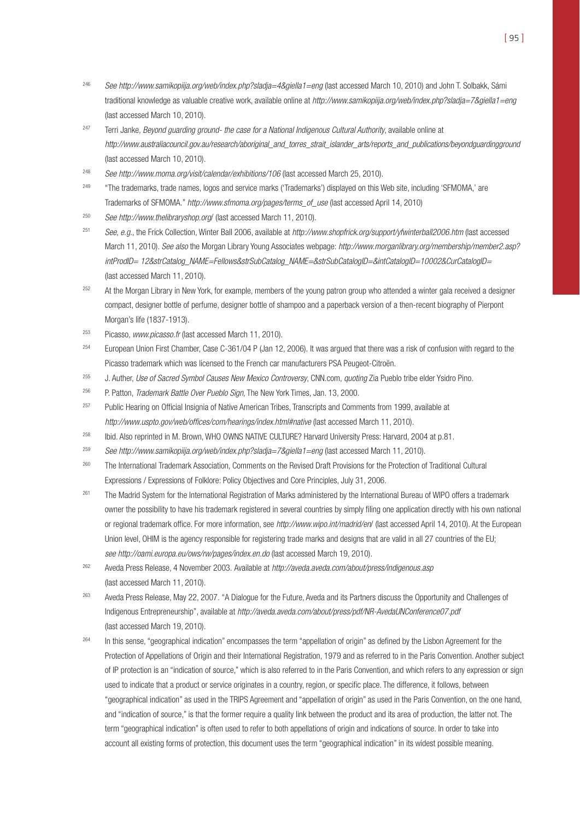- <sup>246</sup> See http://www.samikopiija.org/web/index.php?sladja=4&giella1=eng (last accessed March 10, 2010) and John T. Solbakk, Sámi traditional knowledge as valuable creative work, available online at http://www.samikopiija.org/web/index.php?sladja=7&giella1=eng (last accessed March 10, 2010).
- <sup>247</sup> Terri Janke, Beyond guarding ground- the case for a National Indigenous Cultural Authority, available online at http://www.australiacouncil.gov.au/research/aboriginal\_and\_torres\_strait\_islander\_arts/reports\_and\_publications/beyondguardingground (last accessed March 10, 2010).
- <sup>248</sup> See http://www.moma.org/visit/calendar/exhibitions/106 (last accessed March 25, 2010).
- <sup>249</sup> "The trademarks, trade names, logos and service marks ('Trademarks') displayed on this Web site, including 'SFMOMA,' are Trademarks of SFMOMA." http://www.sfmoma.org/pages/terms\_of\_use (last accessed April 14, 2010)
- <sup>250</sup> See http://www.thelibraryshop.org/ (last accessed March 11, 2010).
- $251$  See, e.g., the Frick Collection, Winter Ball 2006, available at http://www.shopfrick.org/support/yfwinterball2006.htm (last accessed March 11, 2010). See also the Morgan Library Young Associates webpage: http://www.morganlibrary.org/membership/member2.asp? intProdID= 12&strCatalog\_NAME=Fellows&strSubCatalog\_NAME=&strSubCatalogID=&intCatalogID=10002&CurCatalogID= (last accessed March 11, 2010).
- <sup>252</sup> At the Morgan Library in New York, for example, members of the young patron group who attended a winter gala received a designer compact, designer bottle of perfume, designer bottle of shampoo and a paperback version of a then-recent biography of Pierpont Morgan's life (1837-1913).
- <sup>253</sup> Picasso, www.picasso.fr (last accessed March 11, 2010).
- <sup>254</sup> European Union First Chamber, Case C-361/04 P (Jan 12, 2006). It was argued that there was a risk of confusion with regard to the Picasso trademark which was licensed to the French car manufacturers PSA Peugeot-Citroën.
- <sup>255</sup> J. Auther, Use of Sacred Symbol Causes New Mexico Controversy, CNN.com, quoting Zia Pueblo tribe elder Ysidro Pino.
- <sup>256</sup> P. Patton, *Trademark Battle Over Pueblo Sign*, The New York Times, Jan. 13, 2000.
- <sup>257</sup> Public Hearing on Official Insignia of Native American Tribes, Transcripts and Comments from 1999, available at http://www.uspto.gov/web/offices/com/hearings/index.html#native (last accessed March 11, 2010).
- <sup>258</sup> Ibid. Also reprinted in M. Brown, WHO OWNS NATIVE CULTURE? Harvard University Press: Harvard, 2004 at p.81.
- <sup>259</sup> See http://www.samikopiija.org/web/index.php?sladja=7&giella1=eng (last accessed March 11, 2010).
- <sup>260</sup> The International Trademark Association, Comments on the Revised Draft Provisions for the Protection of Traditional Cultural Expressions / Expressions of Folklore: Policy Objectives and Core Principles, July 31, 2006.
- <sup>261</sup> The Madrid System for the International Registration of Marks administered by the International Bureau of WIPO offers a trademark owner the possibility to have his trademark registered in several countries by simply filing one application directly with his own national or regional trademark office. For more information, see http://www.wipo.int/madrid/en/ (last accessed April 14, 2010). At the European Union level, OHIM is the agency responsible for registering trade marks and designs that are valid in all 27 countries of the EU; see http://oami.europa.eu/ows/rw/pages/index.en.do (last accessed March 19, 2010).
- <sup>262</sup> Aveda Press Release, 4 November 2003. Available at http://aveda.aveda.com/about/press/indigenous.asp (last accessed March 11, 2010).
- <sup>263</sup> Aveda Press Release, May 22, 2007. "A Dialogue for the Future, Aveda and its Partners discuss the Opportunity and Challenges of Indigenous Entrepreneurship", available at http://aveda.aveda.com/about/press/pdf/NR-AvedaUNConference07.pdf (last accessed March 19, 2010).
- <sup>264</sup> In this sense, "geographical indication" encompasses the term "appellation of origin" as defined by the Lisbon Agreement for the Protection of Appellations of Origin and their International Registration, 1979 and as referred to in the Paris Convention. Another subject of IP protection is an "indication of source," which is also referred to in the Paris Convention, and which refers to any expression or sign used to indicate that a product or service originates in a country, region, or specific place. The difference, it follows, between "geographical indication" as used in the TRIPS Agreement and "appellation of origin" as used in the Paris Convention, on the one hand, and "indication of source," is that the former require a quality link between the product and its area of production, the latter not. The term "geographical indication" is often used to refer to both appellations of origin and indications of source. In order to take into account all existing forms of protection, this document uses the term "geographical indication" in its widest possible meaning.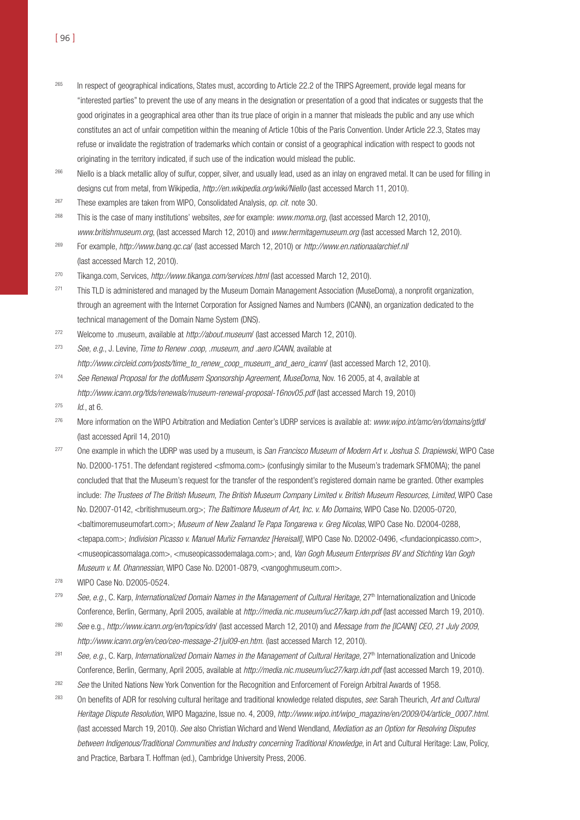265 In respect of geographical indications, States must, according to Article 22.2 of the TRIPS Agreement, provide legal means for "interested parties" to prevent the use of any means in the designation or presentation of a good that indicates or suggests that the good originates in a geographical area other than its true place of origin in a manner that misleads the public and any use which constitutes an act of unfair competition within the meaning of Article 10bis of the Paris Convention. Under Article 22.3, States may refuse or invalidate the registration of trademarks which contain or consist of a geographical indication with respect to goods not originating in the territory indicated, if such use of the indication would mislead the public.

<sup>266</sup> Niello is a black metallic alloy of sulfur, copper, silver, and usually lead, used as an inlay on engraved metal. It can be used for filling in designs cut from metal, from Wikipedia, http://en.wikipedia.org/wiki/Niello (last accessed March 11, 2010).

- $267$  These examples are taken from WIPO, Consolidated Analysis, *op. cit.* note 30.
- <sup>268</sup> This is the case of many institutions' websites, see for example: www.moma.org, (last accessed March 12, 2010), www.britishmuseum.org, (last accessed March 12, 2010) and www.hermitagemuseum.org (last accessed March 12, 2010).
- <sup>269</sup> For example, http://www.banq.qc.ca/ (last accessed March 12, 2010) or http://www.en.nationaalarchief.nl/ (last accessed March 12, 2010).
- <sup>270</sup> Tikanga.com, Services, http://www.tikanga.com/services.html (last accessed March 12, 2010).
- <sup>271</sup> This TLD is administered and managed by the Museum Domain Management Association (MuseDoma), a nonprofit organization, through an agreement with the Internet Corporation for Assigned Names and Numbers (ICANN), an organization dedicated to the technical management of the Domain Name System (DNS).
- <sup>272</sup> Welcome to .museum, available at *http://about.museum/* (last accessed March 12, 2010).
- $273$  See, e.g., J. Levine, Time to Renew .coop, .museum, and .aero ICANN, available at http://www.circleid.com/posts/time\_to\_renew\_coop\_museum\_and\_aero\_icann/ (last accessed March 12, 2010).
- <sup>274</sup> See Renewal Proposal for the dotMusem Sponsorship Agreement, MuseDoma, Nov. 16 2005, at 4, available at http://www.icann.org/tlds/renewals/museum-renewal-proposal-16nov05.pdf (last accessed March 19, 2010)
- $1^{275}$  *Id.*, at 6.
- <sup>276</sup> More information on the WIPO Arbitration and Mediation Center's UDRP services is available at: www.wipo.int/amc/en/domains/gtld/ (last accessed April 14, 2010)
- <sup>277</sup> One example in which the UDRP was used by a museum, is San Francisco Museum of Modern Art v. Joshua S. Drapiewski, WIPO Case No. D2000-1751. The defendant registered <sfmoma.com> (confusingly similar to the Museum's trademark SFMOMA); the panel concluded that that the Museum's request for the transfer of the respondent's registered domain name be granted. Other examples include: The Trustees of The British Museum, The British Museum Company Limited v. British Museum Resources, Limited, WIPO Case No. D2007-0142, <britishmuseum.org>; The Baltimore Museum of Art, Inc. v. Mo Domains, WIPO Case No. D2005-0720, <baltimoremuseumofart.com>; Museum of New Zealand Te Papa Tongarewa v. Greg Nicolas, WIPO Case No. D2004-0288, <tepapa.com>; Indivision Picasso v. Manuel Muñiz Fernandez [Hereisall], WIPO Case No. D2002-0496, <fundacionpicasso.com>, <museopicassomalaga.com>, <museopicassodemalaga.com>; and, Van Gogh Museum Enterprises BV and Stichting Van Gogh Museum v. M. Ohannessian, WIPO Case No. D2001-0879, <vangoghmuseum.com>.
- <sup>278</sup> WIPO Case No. D2005-0524.
- $279$  See, e.g., C. Karp, Internationalized Domain Names in the Management of Cultural Heritage,  $27<sup>th</sup>$  Internationalization and Unicode Conference, Berlin, Germany, April 2005, available at http://media.nic.museum/iuc27/karp.idn.pdf (last accessed March 19, 2010).
- <sup>280</sup> See e.g., http://www.icann.org/en/topics/idn/ (last accessed March 12, 2010) and Message from the [ICANN] CEO, 21 July 2009, http://www.icann.org/en/ceo/ceo-message-21jul09-en.htm. (last accessed March 12, 2010).
- <sup>281</sup> See, e.g., C. Karp, Internationalized Domain Names in the Management of Cultural Heritage, 27<sup>th</sup> Internationalization and Unicode Conference, Berlin, Germany, April 2005, available at http://media.nic.museum/iuc27/karp.idn.pdf (last accessed March 19, 2010).
- <sup>282</sup> See the United Nations New York Convention for the Recognition and Enforcement of Foreign Arbitral Awards of 1958.
- <sup>283</sup> On benefits of ADR for resolving cultural heritage and traditional knowledge related disputes, see: Sarah Theurich, Art and Cultural Heritage Dispute Resolution, WIPO Magazine, Issue no. 4, 2009, http://www.wipo.int/wipo\_magazine/en/2009/04/article\_0007.html. (last accessed March 19, 2010). See also Christian Wichard and Wend Wendland, Mediation as an Option for Resolving Disputes between Indigenous/Traditional Communities and Industry concerning Traditional Knowledge, in Art and Cultural Heritage: Law, Policy, and Practice, Barbara T. Hoffman (ed.), Cambridge University Press, 2006.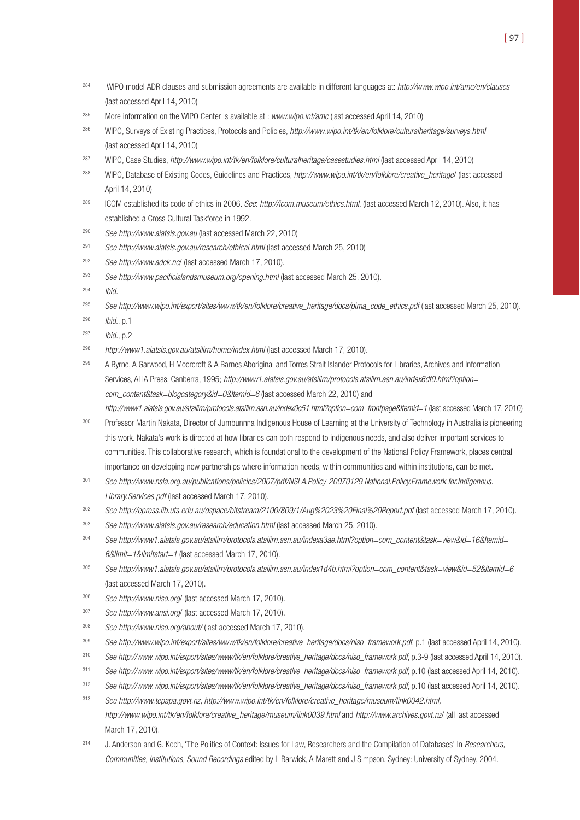- <sup>284</sup> WIPO model ADR clauses and submission agreements are available in different languages at: http://www.wipo.int/amc/en/clauses (last accessed April 14, 2010)
- <sup>285</sup> More information on the WIPO Center is available at : www.wipo.int/amc (last accessed April 14, 2010)
- <sup>286</sup> WIPO, Surveys of Existing Practices, Protocols and Policies, http://www.wipo.int/tk/en/folklore/culturalheritage/surveys.html (last accessed April 14, 2010)
- <sup>287</sup> WIPO, Case Studies, http://www.wipo.int/tk/en/folklore/culturalheritage/casestudies.html (last accessed April 14, 2010)
- 288 WIPO, Database of Existing Codes, Guidelines and Practices, http://www.wipo.int/tk/en/folklore/creative\_heritage/ (last accessed April 14, 2010)
- <sup>289</sup> ICOM established its code of ethics in 2006. See: http://icom.museum/ethics.html. (last accessed March 12, 2010). Also, it has established a Cross Cultural Taskforce in 1992.
- <sup>290</sup> See http://www.aiatsis.gov.au (last accessed March 22, 2010)
- <sup>291</sup> See http://www.aiatsis.gov.au/research/ethical.html (last accessed March 25, 2010)
- <sup>292</sup> See http://www.adck.nc/ (last accessed March 17, 2010).
- <sup>293</sup> See http://www.pacificislandsmuseum.org/opening.html (last accessed March 25, 2010).
- <sup>294</sup> Ibid.
- <sup>295</sup> See http://www.wipo.int/export/sites/www/tk/en/folklore/creative\_heritage/docs/pima\_code\_ethics.pdf (last accessed March 25, 2010).
- <sup>296</sup> Ibid., p.1
- <sup>297</sup> Ibid., p.2

<sup>298</sup> http://www1.aiatsis.gov.au/atsilirn/home/index.html (last accessed March 17, 2010).

<sup>299</sup> A Byrne, A Garwood, H Moorcroft & A Barnes Aboriginal and Torres Strait Islander Protocols for Libraries, Archives and Information Services, ALIA Press, Canberra, 1995; http://www1.aiatsis.gov.au/atsilirn/protocols.atsilirn.asn.au/index6df0.html?option= com\_content&task=blogcategory&id=0&Itemid=6 (last accessed March 22, 2010) and

http://www1.aiatsis.gov.au/atsilirn/protocols.atsilirn.asn.au/index0c51.html?option=com\_frontpage&Itemid=1 (last accessed March 17, 2010)

- <sup>300</sup> Professor Martin Nakata, Director of Jumbunnna Indigenous House of Learning at the University of Technology in Australia is pioneering this work. Nakata's work is directed at how libraries can both respond to indigenous needs, and also deliver important services to communities. This collaborative research, which is foundational to the development of the National Policy Framework, places central importance on developing new partnerships where information needs, within communities and within institutions, can be met.
- <sup>301</sup> See http://www.nsla.org.au/publications/policies/2007/pdf/NSLA.Policy-20070129 National.Policy.Framework.for.Indigenous. Library.Services.pdf (last accessed March 17, 2010).
- <sup>302</sup> See http://epress.lib.uts.edu.au/dspace/bitstream/2100/809/1/Aug%2023%20Final%20Report.pdf (last accessed March 17, 2010).
- 303 See http://www.aiatsis.gov.au/research/education.html (last accessed March 25, 2010).
- <sup>304</sup> See http://www1.aiatsis.gov.au/atsilirn/protocols.atsilirn.asn.au/indexa3ae.html?option=com\_content&task=view&id=16&Itemid= 6&limit=1&limitstart=1 (last accessed March 17, 2010).
- 305 See http://www1.aiatsis.gov.au/atsilirn/protocols.atsilirn.asn.au/index1d4b.html?option=com\_content&task=view&id=52&Itemid=6 (last accessed March 17, 2010).
- <sup>306</sup> See http://www.niso.org/ (last accessed March 17, 2010).
- <sup>307</sup> See http://www.ansi.org/ (last accessed March 17, 2010).
- <sup>308</sup> See http://www.niso.org/about/ (last accessed March 17, 2010).
- 309 See http://www.wipo.int/export/sites/www/tk/en/folklore/creative\_heritage/docs/niso\_framework.pdf, p.1 (last accessed April 14, 2010).
- 310 See http://www.wipo.int/export/sites/www/tk/en/folklore/creative\_heritage/docs/niso\_framework.pdf, p.3-9 (last accessed April 14, 2010).
- 311 See http://www.wipo.int/export/sites/www/tk/en/folklore/creative\_heritage/docs/niso\_framework.pdf, p.10 (last accessed April 14, 2010).
- 312 See http://www.wipo.int/export/sites/www/tk/en/folklore/creative\_heritage/docs/niso\_framework.pdf, p.10 (last accessed April 14, 2010).
- <sup>313</sup> See http://www.tepapa.govt.nz, http://www.wipo.int/tk/en/folklore/creative\_heritage/museum/link0042.html, http://www.wipo.int/tk/en/folklore/creative\_heritage/museum/link0039.html and http://www.archives.govt.nz/ (all last accessed March 17, 2010).
- 314 J. Anderson and G. Koch, 'The Politics of Context: Issues for Law, Researchers and the Compilation of Databases' In Researchers, Communities, Institutions, Sound Recordings edited by L Barwick, A Marett and J Simpson. Sydney: University of Sydney, 2004.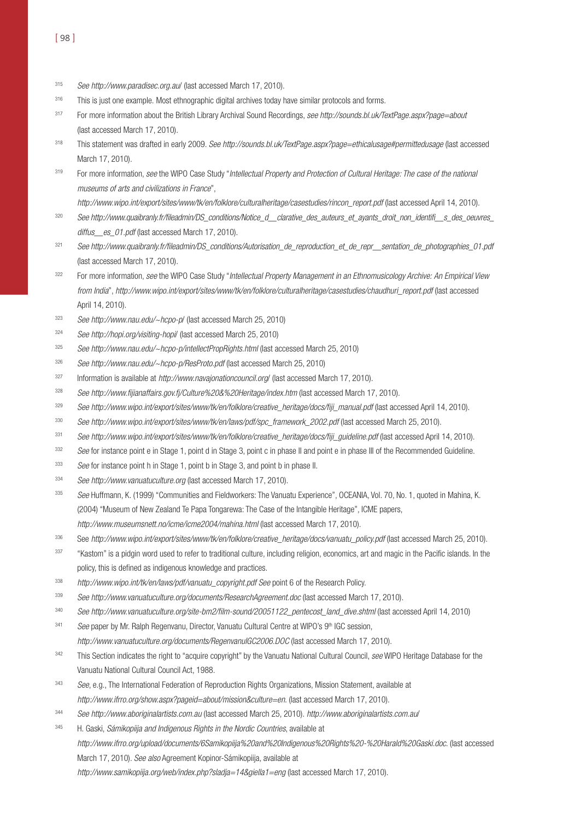- <sup>315</sup> See http://www.paradisec.org.au/ (last accessed March 17, 2010).
- 316 This is just one example. Most ethnographic digital archives today have similar protocols and forms.
- 317 For more information about the British Library Archival Sound Recordings, see http://sounds.bl.uk/TextPage.aspx?page=about (last accessed March 17, 2010).
- 318 This statement was drafted in early 2009. See http://sounds.bl.uk/TextPage.aspx?page=ethicalusage#permittedusage (last accessed March 17, 2010).
- 319 For more information, see the WIPO Case Study "Intellectual Property and Protection of Cultural Heritage: The case of the national museums of arts and civilizations in France",
- http://www.wipo.int/export/sites/www/tk/en/folklore/culturalheritage/casestudies/rincon\_report.pdf (last accessed April 14, 2010).
- 320 See http://www.quaibranly.fr/fileadmin/DS\_conditions/Notice\_d\_\_clarative\_des\_auteurs\_et\_ayants\_droit\_non\_identifi\_s\_des\_oeuvres\_ diffus es 01.pdf (last accessed March 17, 2010).
- 321 See http://www.quaibranly.fr/fileadmin/DS\_conditions/Autorisation\_de\_reproduction\_et\_de\_repr\_\_sentation\_de\_photographies\_01.pdf (last accessed March 17, 2010).
- 322 For more information, see the WIPO Case Study "Intellectual Property Management in an Ethnomusicology Archive: An Empirical View from India", http://www.wipo.int/export/sites/www/tk/en/folklore/culturalheritage/casestudies/chaudhuri\_report.pdf (last accessed April 14, 2010).
- <sup>323</sup> See http://www.nau.edu/~hcpo-p/ (last accessed March 25, 2010)
- <sup>324</sup> See http://hopi.org/visiting-hopi/ (last accessed March 25, 2010)
- <sup>325</sup> See http://www.nau.edu/~hcpo-p/intellectPropRights.html (last accessed March 25, 2010)
- <sup>326</sup> See http://www.nau.edu/~hcpo-p/ResProto.pdf (last accessed March 25, 2010)
- 327 Information is available at http://www.navajonationcouncil.org/ (last accessed March 17, 2010).
- <sup>328</sup> See http://www.fijianaffairs.gov.fj/Culture%20&%20Heritage/index.htm (last accessed March 17, 2010).
- 329 See http://www.wipo.int/export/sites/www/tk/en/folklore/creative\_heritage/docs/fiji\_manual.pdf (last accessed April 14, 2010).
- 330 See http://www.wipo.int/export/sites/www/tk/en/laws/pdf/spc\_framework\_2002.pdf (last accessed March 25, 2010).
- 331 See http://www.wipo.int/export/sites/www/tk/en/folklore/creative\_heritage/docs/fiji\_guideline.pdf (last accessed April 14, 2010).
- 332 See for instance point e in Stage 1, point d in Stage 3, point c in phase II and point e in phase III of the Recommended Guideline.
- 333 See for instance point h in Stage 1, point b in Stage 3, and point b in phase II.
- <sup>334</sup> See http://www.vanuatuculture.org (last accessed March 17, 2010).
- 335 See Huffmann, K. (1999) "Communities and Fieldworkers: The Vanuatu Experience", OCEANIA, Vol. 70, No. 1, quoted in Mahina, K. (2004) "Museum of New Zealand Te Papa Tongarewa: The Case of the Intangible Heritage", ICME papers, http://www.museumsnett.no/icme/icme2004/mahina.html (last accessed March 17, 2010).
- 336 See http://www.wipo.int/export/sites/www/tk/en/folklore/creative\_heritage/docs/vanuatu\_policy.pdf (last accessed March 25, 2010).
- <sup>337</sup> "Kastom" is a pidgin word used to refer to traditional culture, including religion, economics, art and magic in the Pacific islands. In the policy, this is defined as indigenous knowledge and practices.
- <sup>338</sup> http://www.wipo.int/tk/en/laws/pdf/vanuatu\_copyright.pdf See point 6 of the Research Policy.
- 339 See http://www.vanuatuculture.org/documents/ResearchAgreement.doc (last accessed March 17, 2010).
- <sup>340</sup> See http://www.vanuatuculture.org/site-bm2/film-sound/20051122\_pentecost\_land\_dive.shtml (last accessed April 14, 2010)
- $341$  See paper by Mr. Ralph Regenvanu, Director, Vanuatu Cultural Centre at WIPO's  $9<sup>th</sup>$  IGC session, http://www.vanuatuculture.org/documents/RegenvanuIGC2006.DOC (last accessed March 17, 2010).
- 342 This Section indicates the right to "acquire copyright" by the Vanuatu National Cultural Council, see WIPO Heritage Database for the Vanuatu National Cultural Council Act, 1988.
- 343 See, e.g., The International Federation of Reproduction Rights Organizations, Mission Statement, available at http://www.ifrro.org/show.aspx?pageid=about/mission&culture=en. (last accessed March 17, 2010).
- <sup>344</sup> See http://www.aboriginalartists.com.au (last accessed March 25, 2010). http://www.aboriginalartists.com.au/
- <sup>345</sup> H. Gaski, Sámikopiija and Indigenous Rights in the Nordic Countries, available at http://www.ifrro.org/upload/documents/6Samikopiija%20and%20Indigenous%20Rights%20-%20Harald%20Gaski.doc. (last accessed March 17, 2010). See also Agreement Kopinor-Sámikopiija, available at http://www.samikopiija.org/web/index.php?sladja=14&giella1=eng (last accessed March 17, 2010).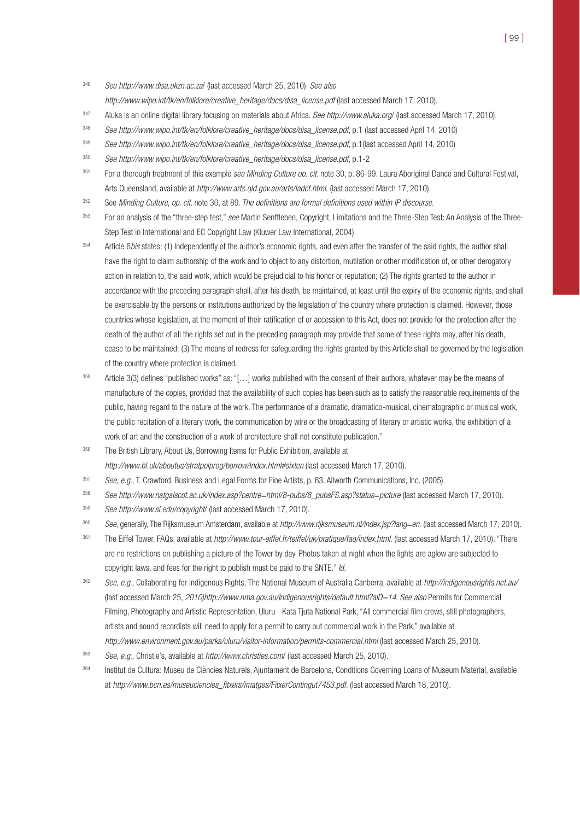<sup>346</sup> See http://www.disa.ukzn.ac.za/ (last accessed March 25, 2010). See also

http://www.wipo.int/tk/en/folklore/creative\_heritage/docs/disa\_license.pdf (last accessed March 17, 2010).

- 347 Aluka is an online digital library focusing on materials about Africa. See http://www.aluka.org/ (last accessed March 17, 2010).
- 348 See http://www.wipo.int/tk/en/folklore/creative\_heritage/docs/disa\_license.pdf, p.1 (last accessed April 14, 2010)
- <sup>349</sup> See http://www.wipo.int/tk/en/folklore/creative\_heritage/docs/disa\_license.pdf, p.1(last accessed April 14, 2010)
- <sup>350</sup> See http://www.wipo.int/tk/en/folklore/creative\_heritage/docs/disa\_license.pdf, p.1-2
- <sup>351</sup> For a thorough treatment of this example see Minding Culture op. cit. note 30, p. 86-99. Laura Aboriginal Dance and Cultural Festival, Arts Queensland, available at http://www.arts.qld.gov.au/arts/ladcf.html. (last accessed March 17, 2010).
- 352 See Minding Culture, op. cit. note 30, at 89. The definitions are formal definitions used within IP discourse.
- <sup>353</sup> For an analysis of the "three-step test," see Martin Senftleben, Copyright, Limitations and the Three-Step Test: An Analysis of the Three-Step Test in International and EC Copyright Law (Kluwer Law International, 2004).
- <sup>354</sup> Article 6*bis* states: (1) Independently of the author's economic rights, and even after the transfer of the said rights, the author shall have the right to claim authorship of the work and to object to any distortion, mutilation or other modification of, or other derogatory action in relation to, the said work, which would be prejudicial to his honor or reputation; (2) The rights granted to the author in accordance with the preceding paragraph shall, after his death, be maintained, at least until the expiry of the economic rights, and shall be exercisable by the persons or institutions authorized by the legislation of the country where protection is claimed. However, those countries whose legislation, at the moment of their ratification of or accession to this Act, does not provide for the protection after the death of the author of all the rights set out in the preceding paragraph may provide that some of these rights may, after his death, cease to be maintained; (3) The means of redress for safeguarding the rights granted by this Article shall be governed by the legislation of the country where protection is claimed.
- <sup>355</sup> Article 3(3) defines "published works" as: "[...] works published with the consent of their authors, whatever may be the means of manufacture of the copies, provided that the availability of such copies has been such as to satisfy the reasonable requirements of the public, having regard to the nature of the work. The performance of a dramatic, dramatico-musical, cinematographic or musical work, the public recitation of a literary work, the communication by wire or the broadcasting of literary or artistic works, the exhibition of a work of art and the construction of a work of architecture shall not constitute publication."
- <sup>356</sup> The British Library, About Us, Borrowing Items for Public Exhibition, available at http://www.bl.uk/aboutus/stratpolprog/borrow/index.html#sixten (last accessed March 17, 2010).
- $357$  See, e.g., T. Crawford, Business and Legal Forms for Fine Artists, p. 63. Allworth Communications, Inc. (2005).
- <sup>358</sup> See http://www.natgalscot.ac.uk/index.asp?centre=html/8-pubs/8\_pubsFS.asp?status=picture (last accessed March 17, 2010).
- <sup>359</sup> See http://www.si.edu/copyright/ (last accessed March 17, 2010).
- 360 See, generally, The Rijksmuseum Amsterdam, available at http://www.rijksmuseum.nl/index.jsp?lang=en. (last accessed March 17, 2010).
- <sup>361</sup> The Eiffel Tower, FAQs, available at http://www.tour-eiffel.fr/teiffel/uk/pratique/faq/index.html. (last accessed March 17, 2010). "There are no restrictions on publishing a picture of the Tower by day. Photos taken at night when the lights are aglow are subjected to copyright laws, and fees for the right to publish must be paid to the SNTE." Id.
- 362 See, e.g., Collaborating for Indigenous Rights, The National Museum of Australia Canberra, available at http://indigenousrights.net.au/ (last accessed March 25, 2010)http://www.nma.gov.au/Indigenousrights/default.html?aID=14. See also Permits for Commercial Filming, Photography and Artistic Representation, Uluru - Kata Tjuta National Park, "All commercial film crews, still photographers, artists and sound recordists will need to apply for a permit to carry out commercial work in the Park," available at http://www.environment.gov.au/parks/uluru/visitor-information/permits-commercial.html (last accessed March 25, 2010).
- 363 See, e.g., Christie's, available at http://www.christies.com/ (last accessed March 25, 2010).
- <sup>364</sup> Institut de Cultura: Museu de Ciències Naturels, Ajuntament de Barcelona, Conditions Governing Loans of Museum Material, available at http://www.bcn.es/museuciencies\_fitxers/imatges/FitxerContingut7453.pdf. (last accessed March 18, 2010).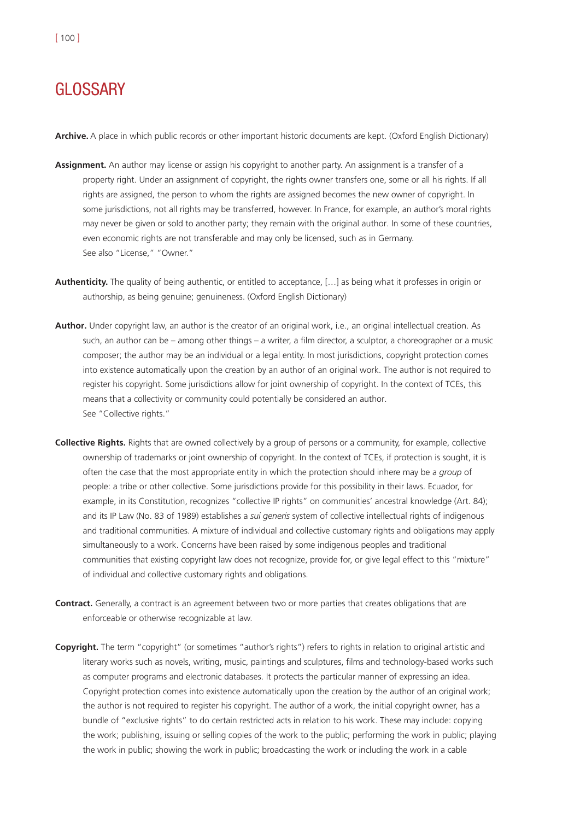# **GLOSSARY**

**Archive.** A place in which public records or other important historic documents are kept. (Oxford English Dictionary)

- **Assignment.** An author may license or assign his copyright to another party. An assignment is a transfer of a property right. Under an assignment of copyright, the rights owner transfers one, some or all his rights. If all rights are assigned, the person to whom the rights are assigned becomes the new owner of copyright. In some jurisdictions, not all rights may be transferred, however. In France, for example, an author's moral rights may never be given or sold to another party; they remain with the original author. In some of these countries, even economic rights are not transferable and may only be licensed, such as in Germany. See also "License," "Owner."
- **Authenticity.** The quality of being authentic, or entitled to acceptance, […] as being what it professes in origin or authorship, as being genuine; genuineness. (Oxford English Dictionary)
- **Author.** Under copyright law, an author is the creator of an original work, i.e., an original intellectual creation. As such, an author can be – among other things – a writer, a film director, a sculptor, a choreographer or a music composer; the author may be an individual or a legal entity. In most jurisdictions, copyright protection comes into existence automatically upon the creation by an author of an original work. The author is not required to register his copyright. Some jurisdictions allow for joint ownership of copyright. In the context of TCEs, this means that a collectivity or community could potentially be considered an author. See "Collective rights."
- **Collective Rights.** Rights that are owned collectively by a group of persons or a community, for example, collective ownership of trademarks or joint ownership of copyright. In the context of TCEs, if protection is sought, it is often the case that the most appropriate entity in which the protection should inhere may be a *group* of people: a tribe or other collective. Some jurisdictions provide for this possibility in their laws. Ecuador, for example, in its Constitution, recognizes "collective IP rights" on communities' ancestral knowledge (Art. 84); and its IP Law (No. 83 of 1989) establishes a *sui generis* system of collective intellectual rights of indigenous and traditional communities. A mixture of individual and collective customary rights and obligations may apply simultaneously to a work. Concerns have been raised by some indigenous peoples and traditional communities that existing copyright law does not recognize, provide for, or give legal effect to this "mixture" of individual and collective customary rights and obligations.
- **Contract.** Generally, a contract is an agreement between two or more parties that creates obligations that are enforceable or otherwise recognizable at law.
- **Copyright.** The term "copyright" (or sometimes "author's rights") refers to rights in relation to original artistic and literary works such as novels, writing, music, paintings and sculptures, films and technology-based works such as computer programs and electronic databases. It protects the particular manner of expressing an idea. Copyright protection comes into existence automatically upon the creation by the author of an original work; the author is not required to register his copyright. The author of a work, the initial copyright owner, has a bundle of "exclusive rights" to do certain restricted acts in relation to his work. These may include: copying the work; publishing, issuing or selling copies of the work to the public; performing the work in public; playing the work in public; showing the work in public; broadcasting the work or including the work in a cable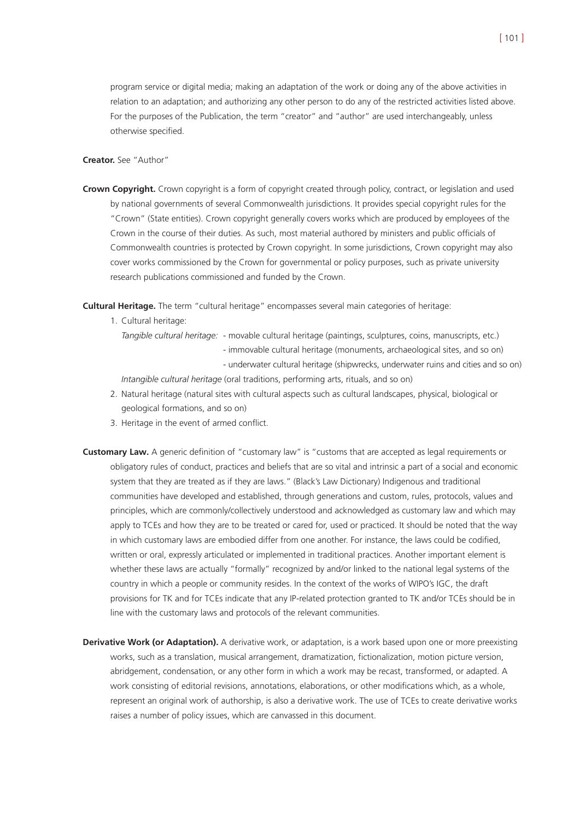program service or digital media; making an adaptation of the work or doing any of the above activities in relation to an adaptation; and authorizing any other person to do any of the restricted activities listed above. For the purposes of the Publication, the term "creator" and "author" are used interchangeably, unless otherwise specified.

#### **Creator.** See "Author"

**Crown Copyright.** Crown copyright is a form of copyright created through policy, contract, or legislation and used by national governments of several Commonwealth jurisdictions. It provides special copyright rules for the "Crown" (State entities). Crown copyright generally covers works which are produced by employees of the Crown in the course of their duties. As such, most material authored by ministers and public officials of Commonwealth countries is protected by Crown copyright. In some jurisdictions, Crown copyright may also cover works commissioned by the Crown for governmental or policy purposes, such as private university research publications commissioned and funded by the Crown.

**Cultural Heritage.** The term "cultural heritage" encompasses several main categories of heritage:

1. Cultural heritage:

*Tangible cultural heritage:* - movable cultural heritage (paintings, sculptures, coins, manuscripts, etc.) - immovable cultural heritage (monuments, archaeological sites, and so on)

- underwater cultural heritage (shipwrecks, underwater ruins and cities and so on)

*Intangible cultural heritage* (oral traditions, performing arts, rituals, and so on)

- 2. Natural heritage (natural sites with cultural aspects such as cultural landscapes, physical, biological or geological formations, and so on)
- 3. Heritage in the event of armed conflict.
- **Customary Law.** A generic definition of "customary law" is "customs that are accepted as legal requirements or obligatory rules of conduct, practices and beliefs that are so vital and intrinsic a part of a social and economic system that they are treated as if they are laws." (Black's Law Dictionary) Indigenous and traditional communities have developed and established, through generations and custom, rules, protocols, values and principles, which are commonly/collectively understood and acknowledged as customary law and which may apply to TCEs and how they are to be treated or cared for, used or practiced. It should be noted that the way in which customary laws are embodied differ from one another. For instance, the laws could be codified, written or oral, expressly articulated or implemented in traditional practices. Another important element is whether these laws are actually "formally" recognized by and/or linked to the national legal systems of the country in which a people or community resides. In the context of the works of WIPO's IGC, the draft provisions for TK and for TCEs indicate that any IP-related protection granted to TK and/or TCEs should be in line with the customary laws and protocols of the relevant communities.
- **Derivative Work (or Adaptation).** A derivative work, or adaptation, is a work based upon one or more preexisting works, such as a translation, musical arrangement, dramatization, fictionalization, motion picture version, abridgement, condensation, or any other form in which a work may be recast, transformed, or adapted. A work consisting of editorial revisions, annotations, elaborations, or other modifications which, as a whole, represent an original work of authorship, is also a derivative work. The use of TCEs to create derivative works raises a number of policy issues, which are canvassed in this document.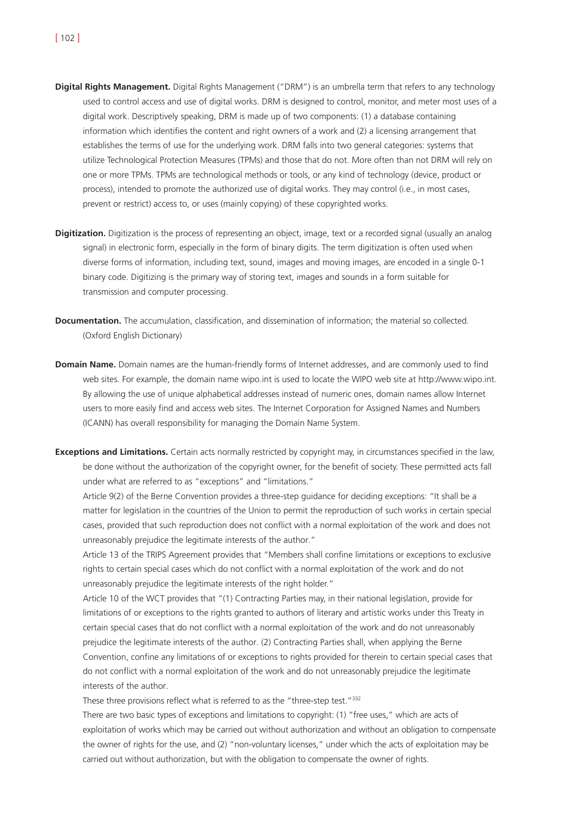- **Digital Rights Management.** Digital Rights Management ("DRM") is an umbrella term that refers to any technology used to control access and use of digital works. DRM is designed to control, monitor, and meter most uses of a digital work. Descriptively speaking, DRM is made up of two components: (1) a database containing information which identifies the content and right owners of a work and (2) a licensing arrangement that establishes the terms of use for the underlying work. DRM falls into two general categories: systems that utilize Technological Protection Measures (TPMs) and those that do not. More often than not DRM will rely on one or more TPMs. TPMs are technological methods or tools, or any kind of technology (device, product or process), intended to promote the authorized use of digital works. They may control (i.e., in most cases, prevent or restrict) access to, or uses (mainly copying) of these copyrighted works.
- **Digitization.** Digitization is the process of representing an object, image, text or a recorded signal (usually an analog signal) in electronic form, especially in the form of binary digits. The term digitization is often used when diverse forms of information, including text, sound, images and moving images, are encoded in a single 0-1 binary code. Digitizing is the primary way of storing text, images and sounds in a form suitable for transmission and computer processing.
- **Documentation.** The accumulation, classification, and dissemination of information; the material so collected. (Oxford English Dictionary)
- **Domain Name.** Domain names are the human-friendly forms of Internet addresses, and are commonly used to find web sites. For example, the domain name wipo.int is used to locate the WIPO web site at http://www.wipo.int. By allowing the use of unique alphabetical addresses instead of numeric ones, domain names allow Internet users to more easily find and access web sites. The Internet Corporation for Assigned Names and Numbers (ICANN) has overall responsibility for managing the Domain Name System.
- **Exceptions and Limitations.** Certain acts normally restricted by copyright may, in circumstances specified in the law, be done without the authorization of the copyright owner, for the benefit of society. These permitted acts fall under what are referred to as "exceptions" and "limitations."

Article 9(2) of the Berne Convention provides a three-step guidance for deciding exceptions: "It shall be a matter for legislation in the countries of the Union to permit the reproduction of such works in certain special cases, provided that such reproduction does not conflict with a normal exploitation of the work and does not unreasonably prejudice the legitimate interests of the author."

Article 13 of the TRIPS Agreement provides that "Members shall confine limitations or exceptions to exclusive rights to certain special cases which do not conflict with a normal exploitation of the work and do not unreasonably prejudice the legitimate interests of the right holder."

Article 10 of the WCT provides that "(1) Contracting Parties may, in their national legislation, provide for limitations of or exceptions to the rights granted to authors of literary and artistic works under this Treaty in certain special cases that do not conflict with a normal exploitation of the work and do not unreasonably prejudice the legitimate interests of the author. (2) Contracting Parties shall, when applying the Berne Convention, confine any limitations of or exceptions to rights provided for therein to certain special cases that do not conflict with a normal exploitation of the work and do not unreasonably prejudice the legitimate interests of the author.

These three provisions reflect what is referred to as the "three-step test."<sup>332</sup>

There are two basic types of exceptions and limitations to copyright: (1) "free uses," which are acts of exploitation of works which may be carried out without authorization and without an obligation to compensate the owner of rights for the use, and (2) "non-voluntary licenses," under which the acts of exploitation may be carried out without authorization, but with the obligation to compensate the owner of rights.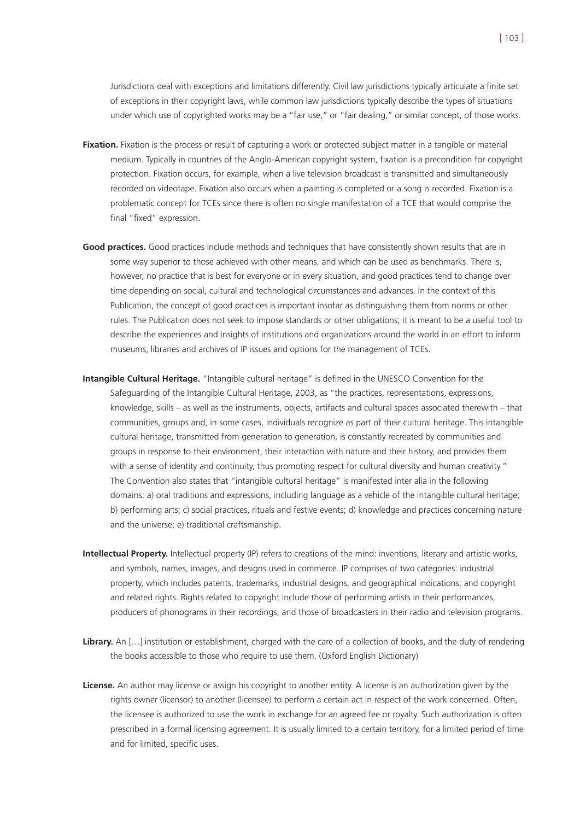Jurisdictions deal with exceptions and limitations differently. Civil law jurisdictions typically articulate a finite set of exceptions in their copyright laws, while common law jurisdictions typically describe the types of situations under which use of copyrighted works may be a "fair use," or "fair dealing," or similar concept, of those works.

- **Fixation.** Fixation is the process or result of capturing a work or protected subject matter in a tangible or material medium. Typically in countries of the Anglo-American copyright system, fixation is a precondition for copyright protection. Fixation occurs, for example, when a live television broadcast is transmitted and simultaneously recorded on videotape. Fixation also occurs when a painting is completed or a song is recorded. Fixation is a problematic concept for TCEs since there is often no single manifestation of a TCE that would comprise the final "fixed" expression.
- **Good practices.** Good practices include methods and techniques that have consistently shown results that are in some way superior to those achieved with other means, and which can be used as benchmarks. There is, however, no practice that is best for everyone or in every situation, and good practices tend to change over time depending on social, cultural and technological circumstances and advances. In the context of this Publication, the concept of good practices is important insofar as distinguishing them from norms or other rules. The Publication does not seek to impose standards or other obligations; it is meant to be a useful tool to describe the experiences and insights of institutions and organizations around the world in an effort to inform museums, libraries and archives of IP issues and options for the management of TCEs.
- **Intangible Cultural Heritage.** "Intangible cultural heritage" is defined in the UNESCO Convention for the Safeguarding of the Intangible Cultural Heritage, 2003, as "the practices, representations, expressions, knowledge, skills – as well as the instruments, objects, artifacts and cultural spaces associated therewith – that communities, groups and, in some cases, individuals recognize as part of their cultural heritage. This intangible cultural heritage, transmitted from generation to generation, is constantly recreated by communities and groups in response to their environment, their interaction with nature and their history, and provides them with a sense of identity and continuity, thus promoting respect for cultural diversity and human creativity." The Convention also states that "intangible cultural heritage" is manifested inter alia in the following domains: a) oral traditions and expressions, including language as a vehicle of the intangible cultural heritage; b) performing arts; c) social practices, rituals and festive events; d) knowledge and practices concerning nature and the universe; e) traditional craftsmanship.
- **Intellectual Property.** Intellectual property (IP) refers to creations of the mind: inventions, literary and artistic works, and symbols, names, images, and designs used in commerce. IP comprises of two categories: industrial property, which includes patents, trademarks, industrial designs, and geographical indications; and copyright and related rights. Rights related to copyright include those of performing artists in their performances, producers of phonograms in their recordings, and those of broadcasters in their radio and television programs.
- **Library.** An […] institution or establishment, charged with the care of a collection of books, and the duty of rendering the books accessible to those who require to use them. (Oxford English Dictionary)
- **License.** An author may license or assign his copyright to another entity. A license is an authorization given by the rights owner (licensor) to another (licensee) to perform a certain act in respect of the work concerned. Often, the licensee is authorized to use the work in exchange for an agreed fee or royalty. Such authorization is often prescribed in a formal licensing agreement. It is usually limited to a certain territory, for a limited period of time and for limited, specific uses.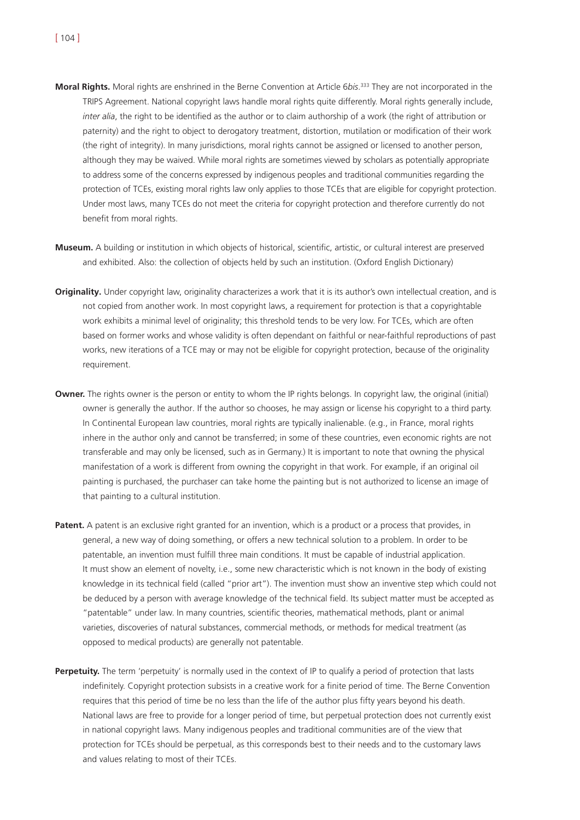- **Moral Rights.** Moral rights are enshrined in the Berne Convention at Article 6*bis*. <sup>333</sup> They are not incorporated in the TRIPS Agreement. National copyright laws handle moral rights quite differently. Moral rights generally include, *inter alia*, the right to be identified as the author or to claim authorship of a work (the right of attribution or paternity) and the right to object to derogatory treatment, distortion, mutilation or modification of their work (the right of integrity). In many jurisdictions, moral rights cannot be assigned or licensed to another person, although they may be waived. While moral rights are sometimes viewed by scholars as potentially appropriate to address some of the concerns expressed by indigenous peoples and traditional communities regarding the protection of TCEs, existing moral rights law only applies to those TCEs that are eligible for copyright protection. Under most laws, many TCEs do not meet the criteria for copyright protection and therefore currently do not benefit from moral rights.
- **Museum.** A building or institution in which objects of historical, scientific, artistic, or cultural interest are preserved and exhibited. Also: the collection of objects held by such an institution. (Oxford English Dictionary)
- **Originality.** Under copyright law, originality characterizes a work that it is its author's own intellectual creation, and is not copied from another work. In most copyright laws, a requirement for protection is that a copyrightable work exhibits a minimal level of originality; this threshold tends to be very low. For TCEs, which are often based on former works and whose validity is often dependant on faithful or near-faithful reproductions of past works, new iterations of a TCE may or may not be eligible for copyright protection, because of the originality requirement.
- **Owner.** The rights owner is the person or entity to whom the IP rights belongs. In copyright law, the original (initial) owner is generally the author. If the author so chooses, he may assign or license his copyright to a third party. In Continental European law countries, moral rights are typically inalienable. (e.g., in France, moral rights inhere in the author only and cannot be transferred; in some of these countries, even economic rights are not transferable and may only be licensed, such as in Germany.) It is important to note that owning the physical manifestation of a work is different from owning the copyright in that work. For example, if an original oil painting is purchased, the purchaser can take home the painting but is not authorized to license an image of that painting to a cultural institution.
- **Patent.** A patent is an exclusive right granted for an invention, which is a product or a process that provides, in general, a new way of doing something, or offers a new technical solution to a problem. In order to be patentable, an invention must fulfill three main conditions. It must be capable of industrial application. It must show an element of novelty, i.e., some new characteristic which is not known in the body of existing knowledge in its technical field (called "prior art"). The invention must show an inventive step which could not be deduced by a person with average knowledge of the technical field. Its subject matter must be accepted as "patentable" under law. In many countries, scientific theories, mathematical methods, plant or animal varieties, discoveries of natural substances, commercial methods, or methods for medical treatment (as opposed to medical products) are generally not patentable.
- **Perpetuity.** The term 'perpetuity' is normally used in the context of IP to qualify a period of protection that lasts indefinitely. Copyright protection subsists in a creative work for a finite period of time. The Berne Convention requires that this period of time be no less than the life of the author plus fifty years beyond his death. National laws are free to provide for a longer period of time, but perpetual protection does not currently exist in national copyright laws. Many indigenous peoples and traditional communities are of the view that protection for TCEs should be perpetual, as this corresponds best to their needs and to the customary laws and values relating to most of their TCEs.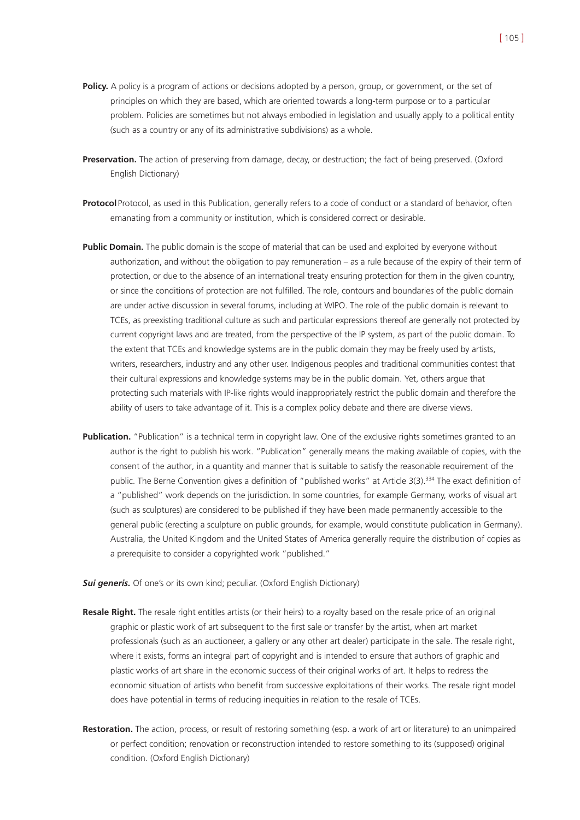- **Policy.** A policy is a program of actions or decisions adopted by a person, group, or government, or the set of principles on which they are based, which are oriented towards a long-term purpose or to a particular problem. Policies are sometimes but not always embodied in legislation and usually apply to a political entity (such as a country or any of its administrative subdivisions) as a whole.
- **Preservation.** The action of preserving from damage, decay, or destruction; the fact of being preserved. (Oxford English Dictionary)
- **Protocol** Protocol, as used in this Publication, generally refers to a code of conduct or a standard of behavior, often emanating from a community or institution, which is considered correct or desirable.
- **Public Domain.** The public domain is the scope of material that can be used and exploited by everyone without authorization, and without the obligation to pay remuneration – as a rule because of the expiry of their term of protection, or due to the absence of an international treaty ensuring protection for them in the given country, or since the conditions of protection are not fulfilled. The role, contours and boundaries of the public domain are under active discussion in several forums, including at WIPO. The role of the public domain is relevant to TCEs, as preexisting traditional culture as such and particular expressions thereof are generally not protected by current copyright laws and are treated, from the perspective of the IP system, as part of the public domain. To the extent that TCEs and knowledge systems are in the public domain they may be freely used by artists, writers, researchers, industry and any other user. Indigenous peoples and traditional communities contest that their cultural expressions and knowledge systems may be in the public domain. Yet, others argue that protecting such materials with IP-like rights would inappropriately restrict the public domain and therefore the ability of users to take advantage of it. This is a complex policy debate and there are diverse views.
- **Publication.** "Publication" is a technical term in copyright law. One of the exclusive rights sometimes granted to an author is the right to publish his work. "Publication" generally means the making available of copies, with the consent of the author, in a quantity and manner that is suitable to satisfy the reasonable requirement of the public. The Berne Convention gives a definition of "published works" at Article 3(3).<sup>334</sup> The exact definition of a "published" work depends on the jurisdiction. In some countries, for example Germany, works of visual art (such as sculptures) are considered to be published if they have been made permanently accessible to the general public (erecting a sculpture on public grounds, for example, would constitute publication in Germany). Australia, the United Kingdom and the United States of America generally require the distribution of copies as a prerequisite to consider a copyrighted work "published."

**Sui generis.** Of one's or its own kind; peculiar. (Oxford English Dictionary)

- **Resale Right.** The resale right entitles artists (or their heirs) to a royalty based on the resale price of an original graphic or plastic work of art subsequent to the first sale or transfer by the artist, when art market professionals (such as an auctioneer, a gallery or any other art dealer) participate in the sale. The resale right, where it exists, forms an integral part of copyright and is intended to ensure that authors of graphic and plastic works of art share in the economic success of their original works of art. It helps to redress the economic situation of artists who benefit from successive exploitations of their works. The resale right model does have potential in terms of reducing inequities in relation to the resale of TCEs.
- **Restoration.** The action, process, or result of restoring something (esp. a work of art or literature) to an unimpaired or perfect condition; renovation or reconstruction intended to restore something to its (supposed) original condition. (Oxford English Dictionary)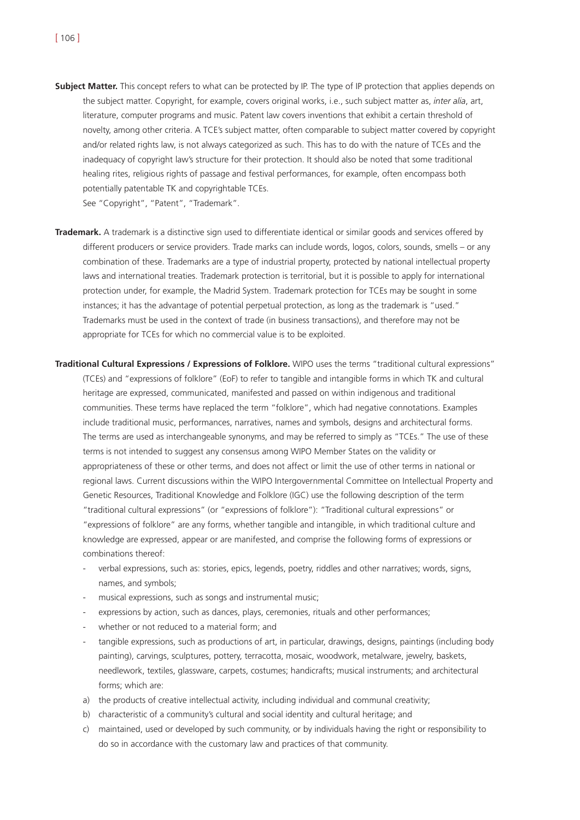**Subject Matter.** This concept refers to what can be protected by IP. The type of IP protection that applies depends on the subject matter. Copyright, for example, covers original works, i.e., such subject matter as, *inter alia*, art, literature, computer programs and music. Patent law covers inventions that exhibit a certain threshold of novelty, among other criteria. A TCE's subject matter, often comparable to subject matter covered by copyright and/or related rights law, is not always categorized as such. This has to do with the nature of TCEs and the inadequacy of copyright law's structure for their protection. It should also be noted that some traditional healing rites, religious rights of passage and festival performances, for example, often encompass both potentially patentable TK and copyrightable TCEs.

See "Copyright", "Patent", "Trademark".

- **Trademark.** A trademark is a distinctive sign used to differentiate identical or similar goods and services offered by different producers or service providers. Trade marks can include words, logos, colors, sounds, smells – or any combination of these. Trademarks are a type of industrial property, protected by national intellectual property laws and international treaties. Trademark protection is territorial, but it is possible to apply for international protection under, for example, the Madrid System. Trademark protection for TCEs may be sought in some instances; it has the advantage of potential perpetual protection, as long as the trademark is "used." Trademarks must be used in the context of trade (in business transactions), and therefore may not be appropriate for TCEs for which no commercial value is to be exploited.
- **Traditional Cultural Expressions / Expressions of Folklore.** WIPO uses the terms "traditional cultural expressions" (TCEs) and "expressions of folklore" (EoF) to refer to tangible and intangible forms in which TK and cultural heritage are expressed, communicated, manifested and passed on within indigenous and traditional communities. These terms have replaced the term "folklore", which had negative connotations. Examples include traditional music, performances, narratives, names and symbols, designs and architectural forms. The terms are used as interchangeable synonyms, and may be referred to simply as "TCEs." The use of these terms is not intended to suggest any consensus among WIPO Member States on the validity or appropriateness of these or other terms, and does not affect or limit the use of other terms in national or regional laws. Current discussions within the WIPO Intergovernmental Committee on Intellectual Property and Genetic Resources, Traditional Knowledge and Folklore (IGC) use the following description of the term "traditional cultural expressions" (or "expressions of folklore"): "Traditional cultural expressions" or "expressions of folklore" are any forms, whether tangible and intangible, in which traditional culture and knowledge are expressed, appear or are manifested, and comprise the following forms of expressions or combinations thereof:
	- verbal expressions, such as: stories, epics, legends, poetry, riddles and other narratives; words, signs, names, and symbols;
	- musical expressions, such as songs and instrumental music;
	- expressions by action, such as dances, plays, ceremonies, rituals and other performances;
	- whether or not reduced to a material form; and
	- tangible expressions, such as productions of art, in particular, drawings, designs, paintings (including body painting), carvings, sculptures, pottery, terracotta, mosaic, woodwork, metalware, jewelry, baskets, needlework, textiles, glassware, carpets, costumes; handicrafts; musical instruments; and architectural forms; which are:
	- a) the products of creative intellectual activity, including individual and communal creativity;
	- b) characteristic of a community's cultural and social identity and cultural heritage; and
	- c) maintained, used or developed by such community, or by individuals having the right or responsibility to do so in accordance with the customary law and practices of that community.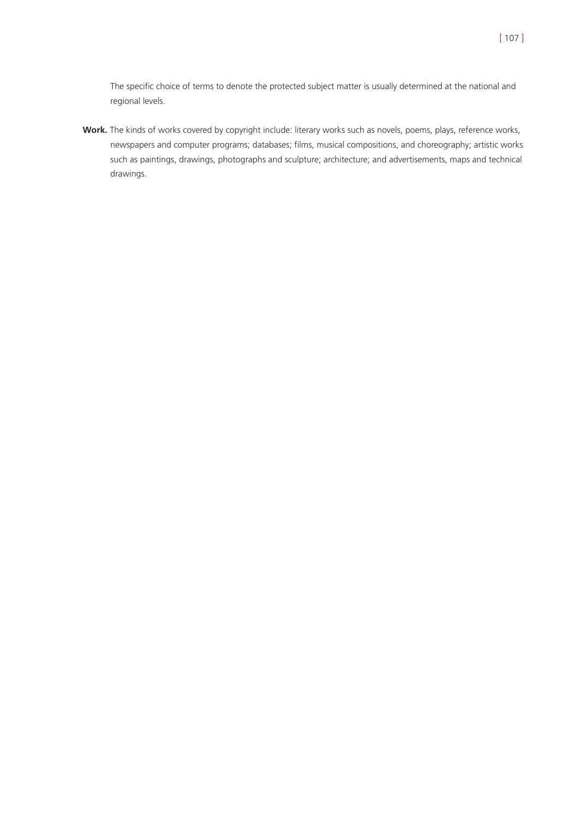The specific choice of terms to denote the protected subject matter is usually determined at the national and regional levels.

**Work.** The kinds of works covered by copyright include: literary works such as novels, poems, plays, reference works, newspapers and computer programs; databases; films, musical compositions, and choreography; artistic works such as paintings, drawings, photographs and sculpture; architecture; and advertisements, maps and technical drawings.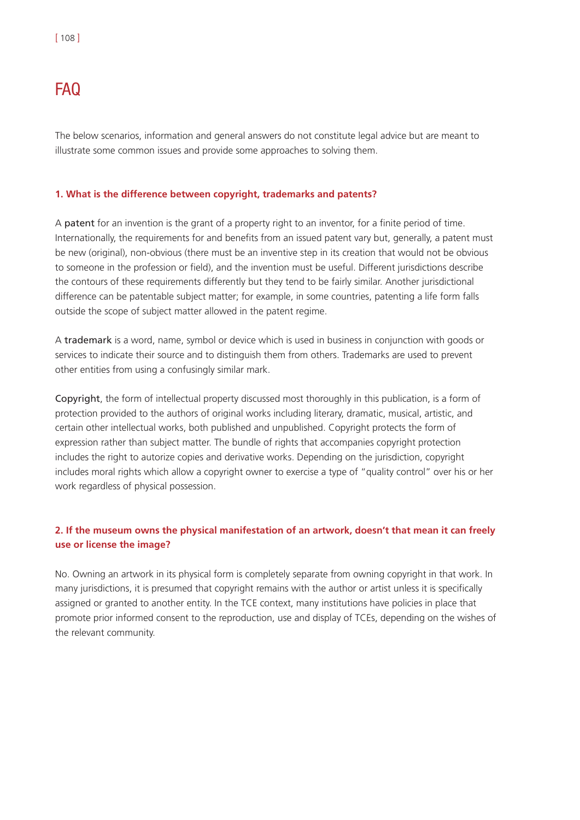# FAQ

The below scenarios, information and general answers do not constitute legal advice but are meant to illustrate some common issues and provide some approaches to solving them.

#### **1. What is the difference between copyright, trademarks and patents?**

A patent for an invention is the grant of a property right to an inventor, for a finite period of time. Internationally, the requirements for and benefits from an issued patent vary but, generally, a patent must be new (original), non-obvious (there must be an inventive step in its creation that would not be obvious to someone in the profession or field), and the invention must be useful. Different jurisdictions describe the contours of these requirements differently but they tend to be fairly similar. Another jurisdictional difference can be patentable subject matter; for example, in some countries, patenting a life form falls outside the scope of subject matter allowed in the patent regime.

A trademark is a word, name, symbol or device which is used in business in conjunction with goods or services to indicate their source and to distinguish them from others. Trademarks are used to prevent other entities from using a confusingly similar mark.

Copyright, the form of intellectual property discussed most thoroughly in this publication, is a form of protection provided to the authors of original works including literary, dramatic, musical, artistic, and certain other intellectual works, both published and unpublished. Copyright protects the form of expression rather than subject matter. The bundle of rights that accompanies copyright protection includes the right to autorize copies and derivative works. Depending on the jurisdiction, copyright includes moral rights which allow a copyright owner to exercise a type of "quality control" over his or her work regardless of physical possession.

## **2. If the museum owns the physical manifestation of an artwork, doesn't that mean it can freely use or license the image?**

No. Owning an artwork in its physical form is completely separate from owning copyright in that work. In many jurisdictions, it is presumed that copyright remains with the author or artist unless it is specifically assigned or granted to another entity. In the TCE context, many institutions have policies in place that promote prior informed consent to the reproduction, use and display of TCEs, depending on the wishes of the relevant community.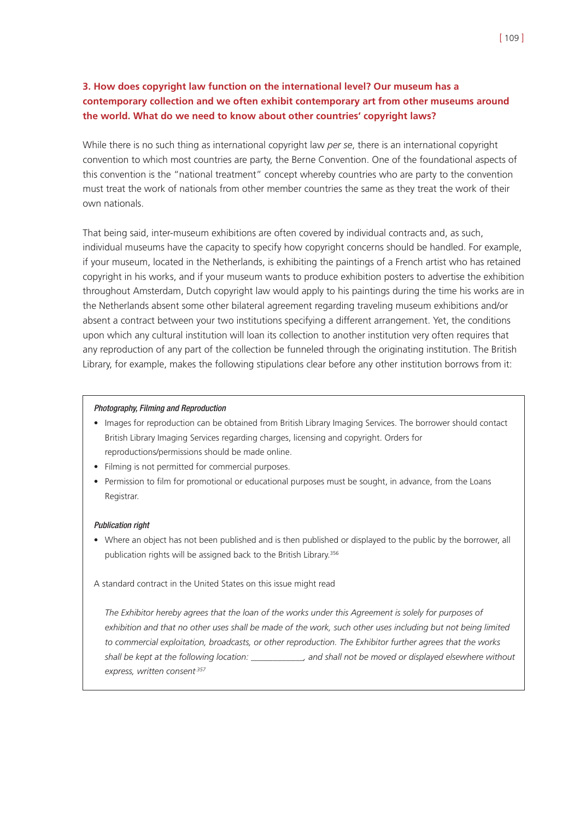## **3. How does copyright law function on the international level? Our museum has a contemporary collection and we often exhibit contemporary art from other museums around the world. What do we need to know about other countries' copyright laws?**

While there is no such thing as international copyright law *per se*, there is an international copyright convention to which most countries are party, the Berne Convention. One of the foundational aspects of this convention is the "national treatment" concept whereby countries who are party to the convention must treat the work of nationals from other member countries the same as they treat the work of their own nationals.

That being said, inter-museum exhibitions are often covered by individual contracts and, as such, individual museums have the capacity to specify how copyright concerns should be handled. For example, if your museum, located in the Netherlands, is exhibiting the paintings of a French artist who has retained copyright in his works, and if your museum wants to produce exhibition posters to advertise the exhibition throughout Amsterdam, Dutch copyright law would apply to his paintings during the time his works are in the Netherlands absent some other bilateral agreement regarding traveling museum exhibitions and/or absent a contract between your two institutions specifying a different arrangement. Yet, the conditions upon which any cultural institution will loan its collection to another institution very often requires that any reproduction of any part of the collection be funneled through the originating institution. The British Library, for example, makes the following stipulations clear before any other institution borrows from it:

#### Photography, Filming and Reproduction

- Images for reproduction can be obtained from British Library Imaging Services. The borrower should contact British Library Imaging Services regarding charges, licensing and copyright. Orders for reproductions/permissions should be made online.
- Filming is not permitted for commercial purposes.
- Permission to film for promotional or educational purposes must be sought, in advance, from the Loans Registrar.

#### Publication right

• Where an object has not been published and is then published or displayed to the public by the borrower, all publication rights will be assigned back to the British Library.<sup>356</sup>

A standard contract in the United States on this issue might read

*The Exhibitor hereby agrees that the loan of the works under this Agreement is solely for purposes of exhibition and that no other uses shall be made of the work, such other uses including but not being limited to commercial exploitation, broadcasts, or other reproduction. The Exhibitor further agrees that the works shall be kept at the following location: \_\_\_\_\_\_\_\_\_\_\_\_, and shall not be moved or displayed elsewhere without express, written consent.357*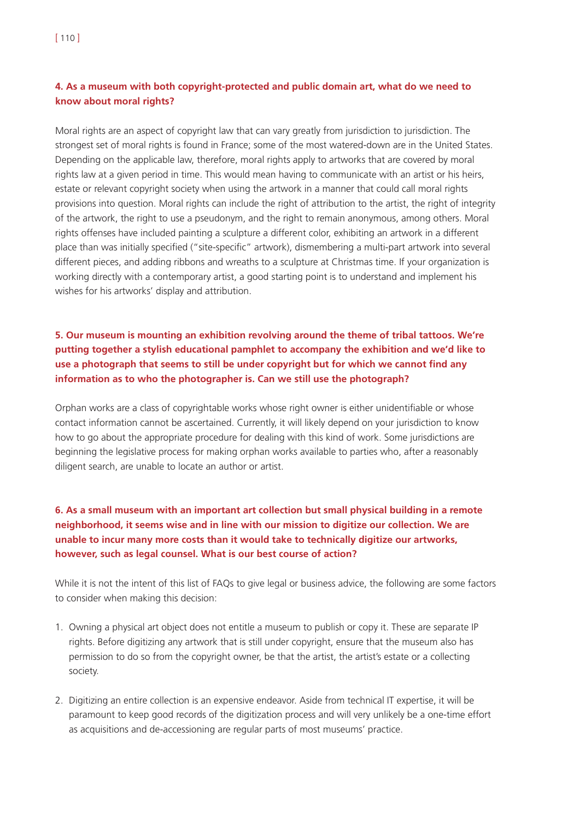# **4. As a museum with both copyright-protected and public domain art, what do we need to know about moral rights?**

Moral rights are an aspect of copyright law that can vary greatly from jurisdiction to jurisdiction. The strongest set of moral rights is found in France; some of the most watered-down are in the United States. Depending on the applicable law, therefore, moral rights apply to artworks that are covered by moral rights law at a given period in time. This would mean having to communicate with an artist or his heirs, estate or relevant copyright society when using the artwork in a manner that could call moral rights provisions into question. Moral rights can include the right of attribution to the artist, the right of integrity of the artwork, the right to use a pseudonym, and the right to remain anonymous, among others. Moral rights offenses have included painting a sculpture a different color, exhibiting an artwork in a different place than was initially specified ("site-specific" artwork), dismembering a multi-part artwork into several different pieces, and adding ribbons and wreaths to a sculpture at Christmas time. If your organization is working directly with a contemporary artist, a good starting point is to understand and implement his wishes for his artworks' display and attribution.

# **5. Our museum is mounting an exhibition revolving around the theme of tribal tattoos. We're putting together a stylish educational pamphlet to accompany the exhibition and we'd like to use a photograph that seems to still be under copyright but for which we cannot find any information as to who the photographer is. Can we still use the photograph?**

Orphan works are a class of copyrightable works whose right owner is either unidentifiable or whose contact information cannot be ascertained. Currently, it will likely depend on your jurisdiction to know how to go about the appropriate procedure for dealing with this kind of work. Some jurisdictions are beginning the legislative process for making orphan works available to parties who, after a reasonably diligent search, are unable to locate an author or artist.

**6. As a small museum with an important art collection but small physical building in a remote neighborhood, it seems wise and in line with our mission to digitize our collection. We are unable to incur many more costs than it would take to technically digitize our artworks, however, such as legal counsel. What is our best course of action?**

While it is not the intent of this list of FAQs to give legal or business advice, the following are some factors to consider when making this decision:

- 1. Owning a physical art object does not entitle a museum to publish or copy it. These are separate IP rights. Before digitizing any artwork that is still under copyright, ensure that the museum also has permission to do so from the copyright owner, be that the artist, the artist's estate or a collecting society.
- 2. Digitizing an entire collection is an expensive endeavor. Aside from technical IT expertise, it will be paramount to keep good records of the digitization process and will very unlikely be a one-time effort as acquisitions and de-accessioning are regular parts of most museums' practice.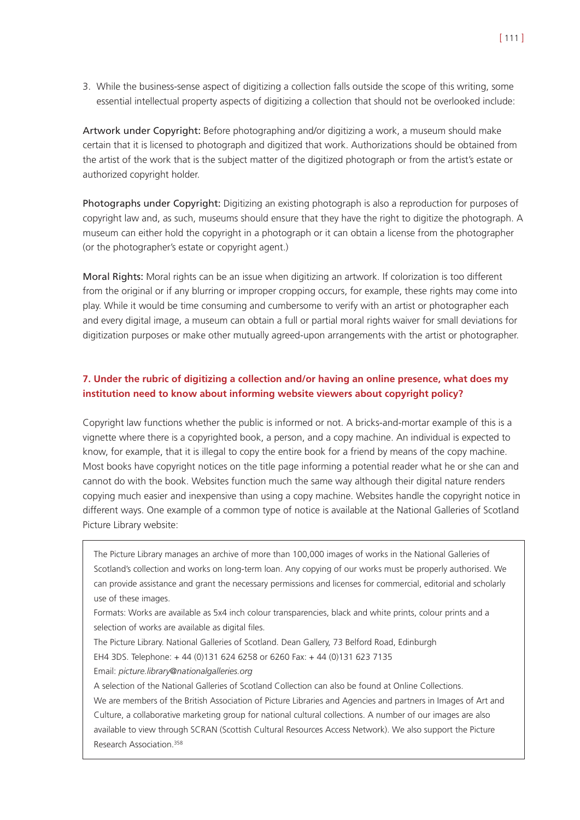3. While the business-sense aspect of digitizing a collection falls outside the scope of this writing, some essential intellectual property aspects of digitizing a collection that should not be overlooked include:

Artwork under Copyright: Before photographing and/or digitizing a work, a museum should make certain that it is licensed to photograph and digitized that work. Authorizations should be obtained from the artist of the work that is the subject matter of the digitized photograph or from the artist's estate or authorized copyright holder.

Photographs under Copyright: Digitizing an existing photograph is also a reproduction for purposes of copyright law and, as such, museums should ensure that they have the right to digitize the photograph. A museum can either hold the copyright in a photograph or it can obtain a license from the photographer (or the photographer's estate or copyright agent.)

Moral Rights: Moral rights can be an issue when digitizing an artwork. If colorization is too different from the original or if any blurring or improper cropping occurs, for example, these rights may come into play. While it would be time consuming and cumbersome to verify with an artist or photographer each and every digital image, a museum can obtain a full or partial moral rights waiver for small deviations for digitization purposes or make other mutually agreed-upon arrangements with the artist or photographer.

## **7. Under the rubric of digitizing a collection and/or having an online presence, what does my institution need to know about informing website viewers about copyright policy?**

Copyright law functions whether the public is informed or not. A bricks-and-mortar example of this is a vignette where there is a copyrighted book, a person, and a copy machine. An individual is expected to know, for example, that it is illegal to copy the entire book for a friend by means of the copy machine. Most books have copyright notices on the title page informing a potential reader what he or she can and cannot do with the book. Websites function much the same way although their digital nature renders copying much easier and inexpensive than using a copy machine. Websites handle the copyright notice in different ways. One example of a common type of notice is available at the National Galleries of Scotland Picture Library website:

The Picture Library manages an archive of more than 100,000 images of works in the National Galleries of Scotland's collection and works on long-term loan. Any copying of our works must be properly authorised. We can provide assistance and grant the necessary permissions and licenses for commercial, editorial and scholarly use of these images.

Formats: Works are available as 5x4 inch colour transparencies, black and white prints, colour prints and a selection of works are available as digital files.

The Picture Library. National Galleries of Scotland. Dean Gallery, 73 Belford Road, Edinburgh

- EH4 3DS. Telephone: + 44 (0)131 624 6258 or 6260 Fax: + 44 (0)131 623 7135
- Email: *picture.library@nationalgalleries.org*

A selection of the National Galleries of Scotland Collection can also be found at Online Collections. We are members of the British Association of Picture Libraries and Agencies and partners in Images of Art and Culture, a collaborative marketing group for national cultural collections. A number of our images are also available to view through SCRAN (Scottish Cultural Resources Access Network). We also support the Picture Research Association<sup>358</sup>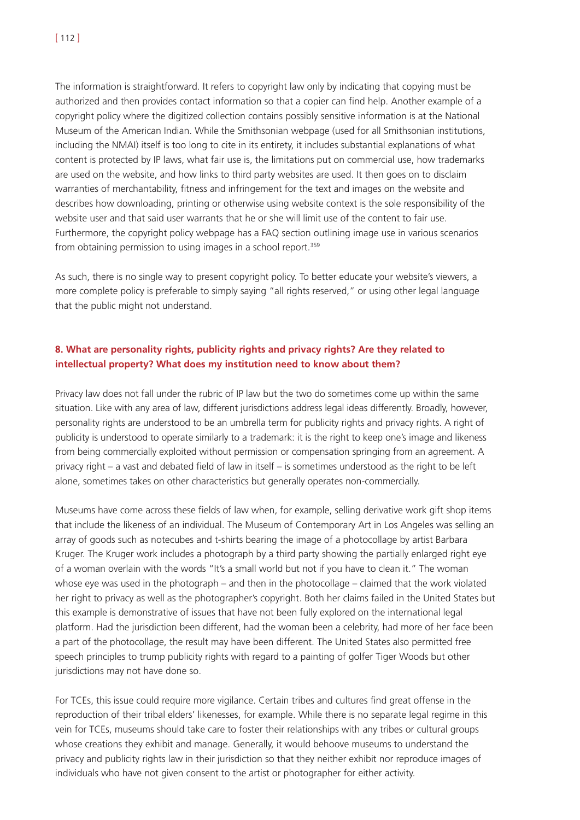The information is straightforward. It refers to copyright law only by indicating that copying must be authorized and then provides contact information so that a copier can find help. Another example of a copyright policy where the digitized collection contains possibly sensitive information is at the National Museum of the American Indian. While the Smithsonian webpage (used for all Smithsonian institutions, including the NMAI) itself is too long to cite in its entirety, it includes substantial explanations of what content is protected by IP laws, what fair use is, the limitations put on commercial use, how trademarks are used on the website, and how links to third party websites are used. It then goes on to disclaim warranties of merchantability, fitness and infringement for the text and images on the website and describes how downloading, printing or otherwise using website context is the sole responsibility of the website user and that said user warrants that he or she will limit use of the content to fair use. Furthermore, the copyright policy webpage has a FAQ section outlining image use in various scenarios from obtaining permission to using images in a school report.<sup>359</sup>

As such, there is no single way to present copyright policy. To better educate your website's viewers, a more complete policy is preferable to simply saying "all rights reserved," or using other legal language that the public might not understand.

## **8. What are personality rights, publicity rights and privacy rights? Are they related to intellectual property? What does my institution need to know about them?**

Privacy law does not fall under the rubric of IP law but the two do sometimes come up within the same situation. Like with any area of law, different jurisdictions address legal ideas differently. Broadly, however, personality rights are understood to be an umbrella term for publicity rights and privacy rights. A right of publicity is understood to operate similarly to a trademark: it is the right to keep one's image and likeness from being commercially exploited without permission or compensation springing from an agreement. A privacy right – a vast and debated field of law in itself – is sometimes understood as the right to be left alone, sometimes takes on other characteristics but generally operates non-commercially.

Museums have come across these fields of law when, for example, selling derivative work gift shop items that include the likeness of an individual. The Museum of Contemporary Art in Los Angeles was selling an array of goods such as notecubes and t-shirts bearing the image of a photocollage by artist Barbara Kruger. The Kruger work includes a photograph by a third party showing the partially enlarged right eye of a woman overlain with the words "It's a small world but not if you have to clean it." The woman whose eye was used in the photograph – and then in the photocollage – claimed that the work violated her right to privacy as well as the photographer's copyright. Both her claims failed in the United States but this example is demonstrative of issues that have not been fully explored on the international legal platform. Had the jurisdiction been different, had the woman been a celebrity, had more of her face been a part of the photocollage, the result may have been different. The United States also permitted free speech principles to trump publicity rights with regard to a painting of golfer Tiger Woods but other jurisdictions may not have done so.

For TCEs, this issue could require more vigilance. Certain tribes and cultures find great offense in the reproduction of their tribal elders' likenesses, for example. While there is no separate legal regime in this vein for TCEs, museums should take care to foster their relationships with any tribes or cultural groups whose creations they exhibit and manage. Generally, it would behoove museums to understand the privacy and publicity rights law in their jurisdiction so that they neither exhibit nor reproduce images of individuals who have not given consent to the artist or photographer for either activity.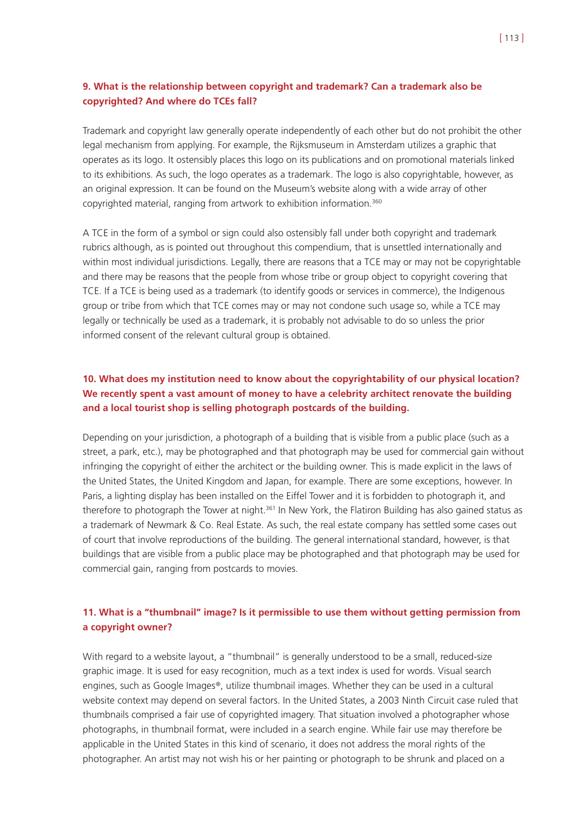## **9. What is the relationship between copyright and trademark? Can a trademark also be copyrighted? And where do TCEs fall?**

Trademark and copyright law generally operate independently of each other but do not prohibit the other legal mechanism from applying. For example, the Rijksmuseum in Amsterdam utilizes a graphic that operates as its logo. It ostensibly places this logo on its publications and on promotional materials linked to its exhibitions. As such, the logo operates as a trademark. The logo is also copyrightable, however, as an original expression. It can be found on the Museum's website along with a wide array of other copyrighted material, ranging from artwork to exhibition information.360

A TCE in the form of a symbol or sign could also ostensibly fall under both copyright and trademark rubrics although, as is pointed out throughout this compendium, that is unsettled internationally and within most individual jurisdictions. Legally, there are reasons that a TCE may or may not be copyrightable and there may be reasons that the people from whose tribe or group object to copyright covering that TCE. If a TCE is being used as a trademark (to identify goods or services in commerce), the Indigenous group or tribe from which that TCE comes may or may not condone such usage so, while a TCE may legally or technically be used as a trademark, it is probably not advisable to do so unless the prior informed consent of the relevant cultural group is obtained.

# **10. What does my institution need to know about the copyrightability of our physical location? We recently spent a vast amount of money to have a celebrity architect renovate the building and a local tourist shop is selling photograph postcards of the building.**

Depending on your jurisdiction, a photograph of a building that is visible from a public place (such as a street, a park, etc.), may be photographed and that photograph may be used for commercial gain without infringing the copyright of either the architect or the building owner. This is made explicit in the laws of the United States, the United Kingdom and Japan, for example. There are some exceptions, however. In Paris, a lighting display has been installed on the Eiffel Tower and it is forbidden to photograph it, and therefore to photograph the Tower at night.<sup>361</sup> In New York, the Flatiron Building has also gained status as a trademark of Newmark & Co. Real Estate. As such, the real estate company has settled some cases out of court that involve reproductions of the building. The general international standard, however, is that buildings that are visible from a public place may be photographed and that photograph may be used for commercial gain, ranging from postcards to movies.

### **11. What is a "thumbnail" image? Is it permissible to use them without getting permission from a copyright owner?**

With regard to a website layout, a "thumbnail" is generally understood to be a small, reduced-size graphic image. It is used for easy recognition, much as a text index is used for words. Visual search engines, such as Google Images®, utilize thumbnail images. Whether they can be used in a cultural website context may depend on several factors. In the United States, a 2003 Ninth Circuit case ruled that thumbnails comprised a fair use of copyrighted imagery. That situation involved a photographer whose photographs, in thumbnail format, were included in a search engine. While fair use may therefore be applicable in the United States in this kind of scenario, it does not address the moral rights of the photographer. An artist may not wish his or her painting or photograph to be shrunk and placed on a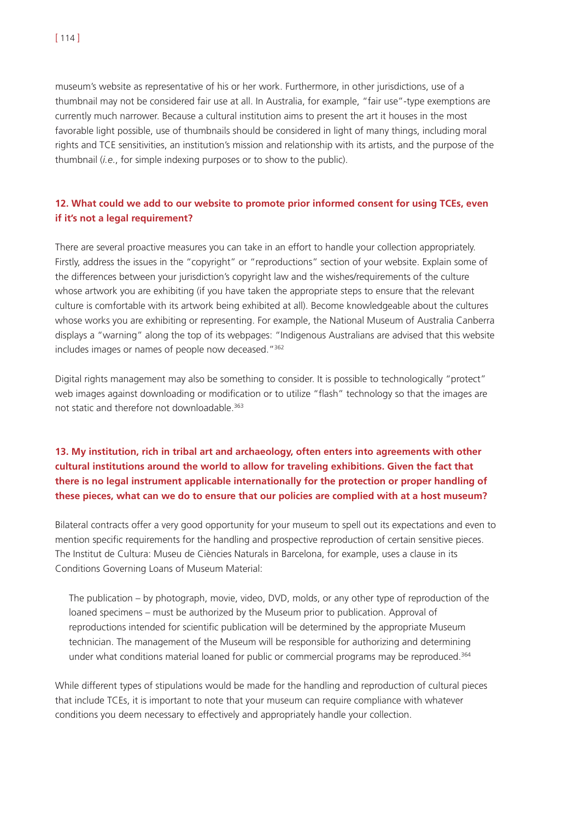museum's website as representative of his or her work. Furthermore, in other jurisdictions, use of a thumbnail may not be considered fair use at all. In Australia, for example, "fair use"-type exemptions are currently much narrower. Because a cultural institution aims to present the art it houses in the most favorable light possible, use of thumbnails should be considered in light of many things, including moral rights and TCE sensitivities, an institution's mission and relationship with its artists, and the purpose of the thumbnail (*i.e*., for simple indexing purposes or to show to the public).

## **12. What could we add to our website to promote prior informed consent for using TCEs, even if it's not a legal requirement?**

There are several proactive measures you can take in an effort to handle your collection appropriately. Firstly, address the issues in the "copyright" or "reproductions" section of your website. Explain some of the differences between your jurisdiction's copyright law and the wishes/requirements of the culture whose artwork you are exhibiting (if you have taken the appropriate steps to ensure that the relevant culture is comfortable with its artwork being exhibited at all). Become knowledgeable about the cultures whose works you are exhibiting or representing. For example, the National Museum of Australia Canberra displays a "warning" along the top of its webpages: "Indigenous Australians are advised that this website includes images or names of people now deceased."362

Digital rights management may also be something to consider. It is possible to technologically "protect" web images against downloading or modification or to utilize "flash" technology so that the images are not static and therefore not downloadable.363

# **13. My institution, rich in tribal art and archaeology, often enters into agreements with other cultural institutions around the world to allow for traveling exhibitions. Given the fact that there is no legal instrument applicable internationally for the protection or proper handling of these pieces, what can we do to ensure that our policies are complied with at a host museum?**

Bilateral contracts offer a very good opportunity for your museum to spell out its expectations and even to mention specific requirements for the handling and prospective reproduction of certain sensitive pieces. The Institut de Cultura: Museu de Ciències Naturals in Barcelona, for example, uses a clause in its Conditions Governing Loans of Museum Material:

The publication – by photograph, movie, video, DVD, molds, or any other type of reproduction of the loaned specimens – must be authorized by the Museum prior to publication. Approval of reproductions intended for scientific publication will be determined by the appropriate Museum technician. The management of the Museum will be responsible for authorizing and determining under what conditions material loaned for public or commercial programs may be reproduced.<sup>364</sup>

While different types of stipulations would be made for the handling and reproduction of cultural pieces that include TCEs, it is important to note that your museum can require compliance with whatever conditions you deem necessary to effectively and appropriately handle your collection.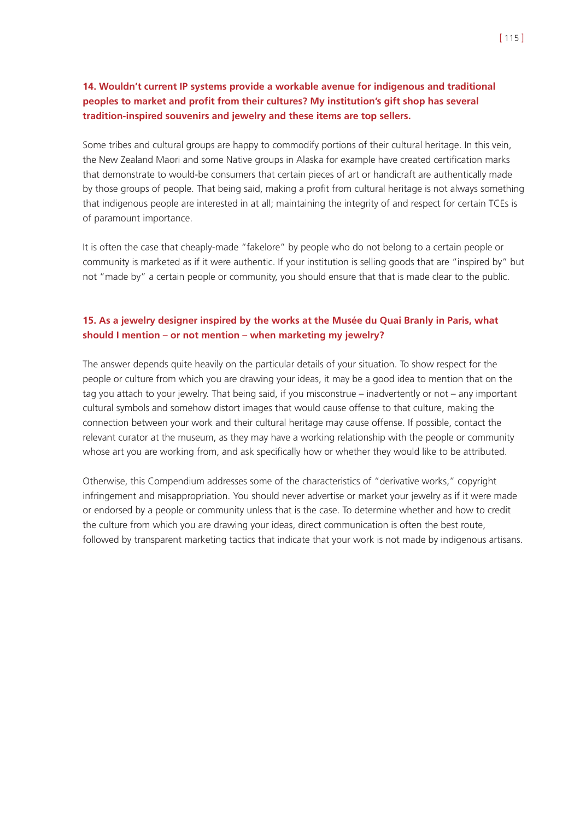### **14. Wouldn't current IP systems provide a workable avenue for indigenous and traditional peoples to market and profit from their cultures? My institution's gift shop has several tradition-inspired souvenirs and jewelry and these items are top sellers.**

Some tribes and cultural groups are happy to commodify portions of their cultural heritage. In this vein, the New Zealand Maori and some Native groups in Alaska for example have created certification marks that demonstrate to would-be consumers that certain pieces of art or handicraft are authentically made by those groups of people. That being said, making a profit from cultural heritage is not always something that indigenous people are interested in at all; maintaining the integrity of and respect for certain TCEs is of paramount importance.

It is often the case that cheaply-made "fakelore" by people who do not belong to a certain people or community is marketed as if it were authentic. If your institution is selling goods that are "inspired by" but not "made by" a certain people or community, you should ensure that that is made clear to the public.

### **15. As a jewelry designer inspired by the works at the Musée du Quai Branly in Paris, what should I mention – or not mention – when marketing my jewelry?**

The answer depends quite heavily on the particular details of your situation. To show respect for the people or culture from which you are drawing your ideas, it may be a good idea to mention that on the tag you attach to your jewelry. That being said, if you misconstrue – inadvertently or not – any important cultural symbols and somehow distort images that would cause offense to that culture, making the connection between your work and their cultural heritage may cause offense. If possible, contact the relevant curator at the museum, as they may have a working relationship with the people or community whose art you are working from, and ask specifically how or whether they would like to be attributed.

Otherwise, this Compendium addresses some of the characteristics of "derivative works," copyright infringement and misappropriation. You should never advertise or market your jewelry as if it were made or endorsed by a people or community unless that is the case. To determine whether and how to credit the culture from which you are drawing your ideas, direct communication is often the best route, followed by transparent marketing tactics that indicate that your work is not made by indigenous artisans.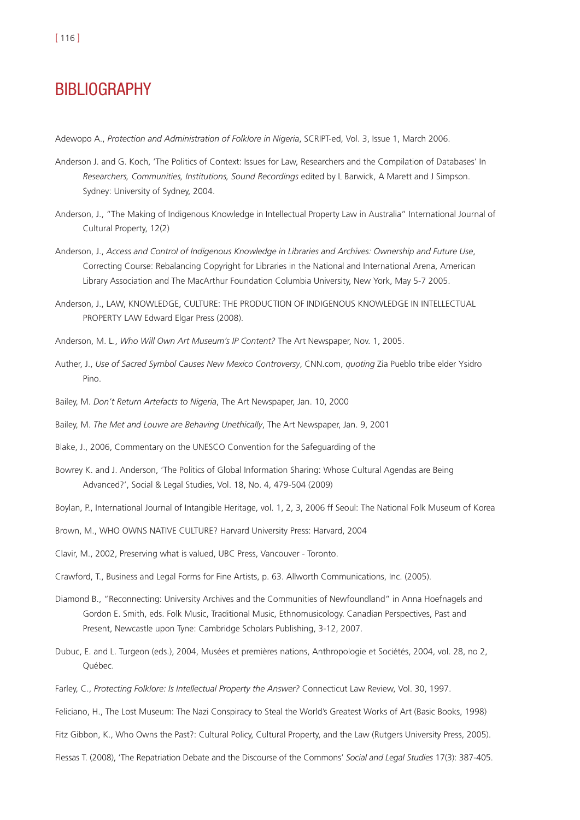- Adewopo A., *Protection and Administration of Folklore in Nigeria*, SCRIPT-ed, Vol. 3, Issue 1, March 2006.
- Anderson J. and G. Koch, 'The Politics of Context: Issues for Law, Researchers and the Compilation of Databases' In *Researchers, Communities, Institutions, Sound Recordings* edited by L Barwick, A Marett and J Simpson. Sydney: University of Sydney, 2004.
- Anderson, J., "The Making of Indigenous Knowledge in Intellectual Property Law in Australia" International Journal of Cultural Property, 12(2)
- Anderson, J., *Access and Control of Indigenous Knowledge in Libraries and Archives: Ownership and Future Use*, Correcting Course: Rebalancing Copyright for Libraries in the National and International Arena, American Library Association and The MacArthur Foundation Columbia University, New York, May 5-7 2005.
- Anderson, J., LAW, KNOWLEDGE, CULTURE: THE PRODUCTION OF INDIGENOUS KNOWLEDGE IN INTELLECTUAL PROPERTY LAW Edward Elgar Press (2008).
- Anderson, M. L., *Who Will Own Art Museum's IP Content?* The Art Newspaper, Nov. 1, 2005.
- Auther, J., *Use of Sacred Symbol Causes New Mexico Controversy*, CNN.com, *quoting* Zia Pueblo tribe elder Ysidro Pino.
- Bailey, M. *Don't Return Artefacts to Nigeria*, The Art Newspaper, Jan. 10, 2000
- Bailey, M. *The Met and Louvre are Behaving Unethically*, The Art Newspaper, Jan. 9, 2001
- Blake, J., 2006, Commentary on the UNESCO Convention for the Safeguarding of the
- Bowrey K. and J. Anderson, 'The Politics of Global Information Sharing: Whose Cultural Agendas are Being Advanced?', Social & Legal Studies, Vol. 18, No. 4, 479-504 (2009)
- Boylan, P., International Journal of Intangible Heritage, vol. 1, 2, 3, 2006 ff Seoul: The National Folk Museum of Korea
- Brown, M., WHO OWNS NATIVE CULTURE? Harvard University Press: Harvard, 2004
- Clavir, M., 2002, Preserving what is valued, UBC Press, Vancouver Toronto.
- Crawford, T., Business and Legal Forms for Fine Artists, p. 63. Allworth Communications, Inc. (2005).
- Diamond B., "Reconnecting: University Archives and the Communities of Newfoundland" in Anna Hoefnagels and Gordon E. Smith, eds. Folk Music, Traditional Music, Ethnomusicology. Canadian Perspectives, Past and Present, Newcastle upon Tyne: Cambridge Scholars Publishing, 3-12, 2007.
- Dubuc, E. and L. Turgeon (eds.), 2004, Musées et premières nations, Anthropologie et Sociétés, 2004, vol. 28, no 2, Québec.
- Farley, C., *Protecting Folklore: Is Intellectual Property the Answer?* Connecticut Law Review, Vol. 30, 1997.
- Feliciano, H., The Lost Museum: The Nazi Conspiracy to Steal the World's Greatest Works of Art (Basic Books, 1998)
- Fitz Gibbon, K., Who Owns the Past?: Cultural Policy, Cultural Property, and the Law (Rutgers University Press, 2005).
- Flessas T. (2008), 'The Repatriation Debate and the Discourse of the Commons' *Social and Legal Studies* 17(3): 387-405.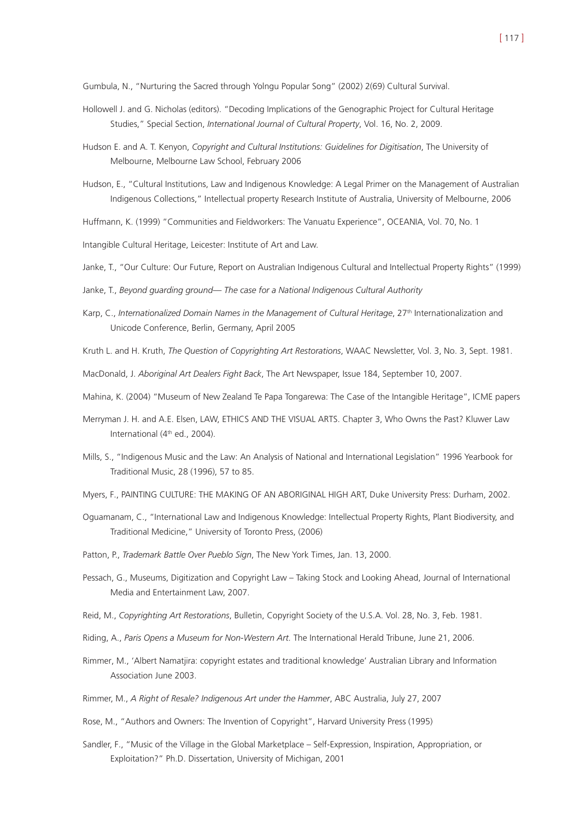Gumbula, N., "Nurturing the Sacred through Yolngu Popular Song" (2002) 2(69) Cultural Survival.

- Hollowell J. and G. Nicholas (editors). "Decoding Implications of the Genographic Project for Cultural Heritage Studies," Special Section, *International Journal of Cultural Property*, Vol. 16, No. 2, 2009.
- Hudson E. and A. T. Kenyon, *Copyright and Cultural Institutions: Guidelines for Digitisation*, The University of Melbourne, Melbourne Law School, February 2006
- Hudson, E., "Cultural Institutions, Law and Indigenous Knowledge: A Legal Primer on the Management of Australian Indigenous Collections," Intellectual property Research Institute of Australia, University of Melbourne, 2006

Huffmann, K. (1999) "Communities and Fieldworkers: The Vanuatu Experience", OCEANIA, Vol. 70, No. 1

Intangible Cultural Heritage, Leicester: Institute of Art and Law.

Janke, T., "Our Culture: Our Future, Report on Australian Indigenous Cultural and Intellectual Property Rights" (1999)

Janke, T., *Beyond guarding ground— The case for a National Indigenous Cultural Authority*

- Karp, C., *Internationalized Domain Names in the Management of Cultural Heritage*, 27<sup>th</sup> Internationalization and Unicode Conference, Berlin, Germany, April 2005
- Kruth L. and H. Kruth, *The Question of Copyrighting Art Restorations*, WAAC Newsletter, Vol. 3, No. 3, Sept. 1981.

MacDonald, J. *Aboriginal Art Dealers Fight Back*, The Art Newspaper, Issue 184, September 10, 2007.

- Mahina, K. (2004) "Museum of New Zealand Te Papa Tongarewa: The Case of the Intangible Heritage", ICME papers
- Merryman J. H. and A.E. Elsen, LAW, ETHICS AND THE VISUAL ARTS. Chapter 3, Who Owns the Past? Kluwer Law International (4<sup>th</sup> ed., 2004).
- Mills, S., "Indigenous Music and the Law: An Analysis of National and International Legislation" 1996 Yearbook for Traditional Music, 28 (1996), 57 to 85.

Myers, F., PAINTING CULTURE: THE MAKING OF AN ABORIGINAL HIGH ART, Duke University Press: Durham, 2002.

- Oguamanam, C., "International Law and Indigenous Knowledge: Intellectual Property Rights, Plant Biodiversity, and Traditional Medicine," University of Toronto Press, (2006)
- Patton, P., *Trademark Battle Over Pueblo Sign*, The New York Times, Jan. 13, 2000.
- Pessach, G., Museums, Digitization and Copyright Law Taking Stock and Looking Ahead, Journal of International Media and Entertainment Law, 2007.
- Reid, M., *Copyrighting Art Restorations*, Bulletin, Copyright Society of the U.S.A. Vol. 28, No. 3, Feb. 1981.
- Riding, A., *Paris Opens a Museum for Non-Western Art.* The International Herald Tribune, June 21, 2006.
- Rimmer, M., 'Albert Namatjira: copyright estates and traditional knowledge' Australian Library and Information Association June 2003.
- Rimmer, M., *A Right of Resale? Indigenous Art under the Hammer*, ABC Australia, July 27, 2007
- Rose, M., "Authors and Owners: The Invention of Copyright", Harvard University Press (1995)
- Sandler, F., "Music of the Village in the Global Marketplace Self-Expression, Inspiration, Appropriation, or Exploitation?" Ph.D. Dissertation, University of Michigan, 2001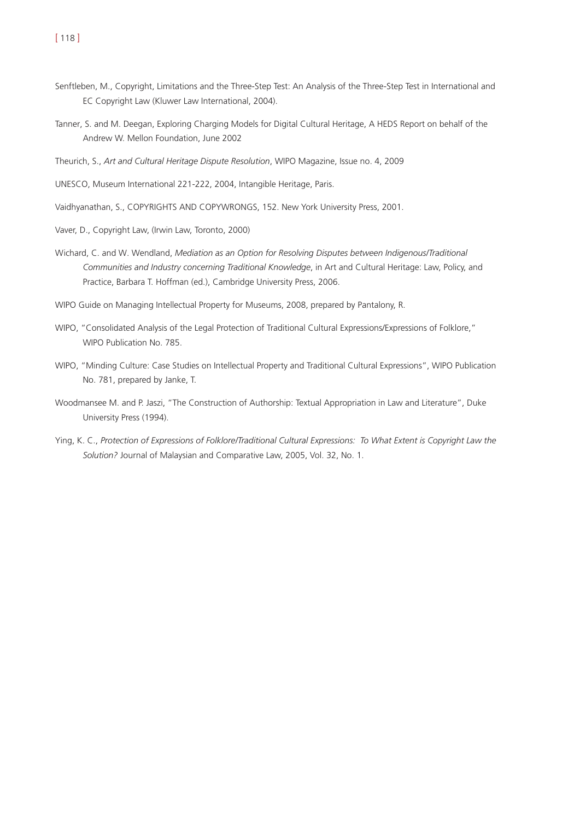- Senftleben, M., Copyright, Limitations and the Three-Step Test: An Analysis of the Three-Step Test in International and EC Copyright Law (Kluwer Law International, 2004).
- Tanner, S. and M. Deegan, Exploring Charging Models for Digital Cultural Heritage, A HEDS Report on behalf of the Andrew W. Mellon Foundation, June 2002
- Theurich, S., *Art and Cultural Heritage Dispute Resolution*, WIPO Magazine, Issue no. 4, 2009
- UNESCO, Museum International 221-222, 2004, Intangible Heritage, Paris.
- Vaidhyanathan, S., COPYRIGHTS AND COPYWRONGS, 152. New York University Press, 2001.
- Vaver, D., Copyright Law, (Irwin Law, Toronto, 2000)
- Wichard, C. and W. Wendland, *Mediation as an Option for Resolving Disputes between Indigenous/Traditional Communities and Industry concerning Traditional Knowledge*, in Art and Cultural Heritage: Law, Policy, and Practice, Barbara T. Hoffman (ed.), Cambridge University Press, 2006.
- WIPO Guide on Managing Intellectual Property for Museums, 2008, prepared by Pantalony, R.
- WIPO, "Consolidated Analysis of the Legal Protection of Traditional Cultural Expressions/Expressions of Folklore," WIPO Publication No. 785.
- WIPO, "Minding Culture: Case Studies on Intellectual Property and Traditional Cultural Expressions", WIPO Publication No. 781, prepared by Janke, T.
- Woodmansee M. and P. Jaszi, "The Construction of Authorship: Textual Appropriation in Law and Literature", Duke University Press (1994).
- Ying, K. C., *Protection of Expressions of Folklore/Traditional Cultural Expressions: To What Extent is Copyright Law the Solution?* Journal of Malaysian and Comparative Law, 2005, Vol. 32, No. 1.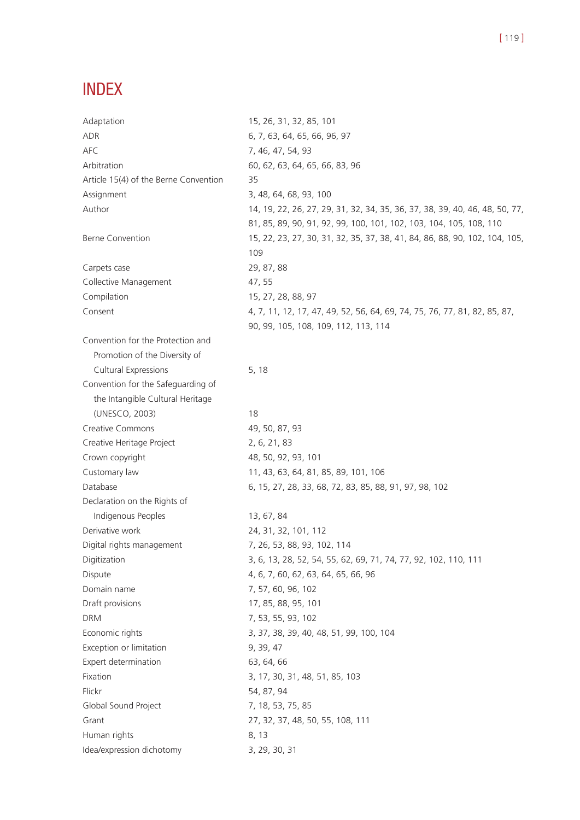# INDEX

| Adaptation                            | 15, 26, 31, 32, 85, 101                                                     |
|---------------------------------------|-----------------------------------------------------------------------------|
| <b>ADR</b>                            | 6, 7, 63, 64, 65, 66, 96, 97                                                |
| <b>AFC</b>                            | 7, 46, 47, 54, 93                                                           |
| Arbitration                           | 60, 62, 63, 64, 65, 66, 83, 96                                              |
| Article 15(4) of the Berne Convention | 35                                                                          |
| Assignment                            | 3, 48, 64, 68, 93, 100                                                      |
| Author                                | 14, 19, 22, 26, 27, 29, 31, 32, 34, 35, 36, 37, 38, 39, 40, 46, 48, 50, 77, |
|                                       | 81, 85, 89, 90, 91, 92, 99, 100, 101, 102, 103, 104, 105, 108, 110          |
| <b>Berne Convention</b>               | 15, 22, 23, 27, 30, 31, 32, 35, 37, 38, 41, 84, 86, 88, 90, 102, 104, 105,  |
|                                       | 109                                                                         |
| Carpets case                          | 29, 87, 88                                                                  |
| Collective Management                 | 47, 55                                                                      |
| Compilation                           | 15, 27, 28, 88, 97                                                          |
| Consent                               | 4, 7, 11, 12, 17, 47, 49, 52, 56, 64, 69, 74, 75, 76, 77, 81, 82, 85, 87,   |
|                                       | 90, 99, 105, 108, 109, 112, 113, 114                                        |
| Convention for the Protection and     |                                                                             |
| Promotion of the Diversity of         |                                                                             |
| Cultural Expressions                  | 5, 18                                                                       |
| Convention for the Safeguarding of    |                                                                             |
| the Intangible Cultural Heritage      |                                                                             |
| (UNESCO, 2003)                        | 18                                                                          |
| <b>Creative Commons</b>               | 49, 50, 87, 93                                                              |
| Creative Heritage Project             | 2, 6, 21, 83                                                                |
| Crown copyright                       | 48, 50, 92, 93, 101                                                         |
| Customary law                         | 11, 43, 63, 64, 81, 85, 89, 101, 106                                        |
| Database                              | 6, 15, 27, 28, 33, 68, 72, 83, 85, 88, 91, 97, 98, 102                      |
| Declaration on the Rights of          |                                                                             |
| Indigenous Peoples                    | 13, 67, 84                                                                  |
| Derivative work                       | 24, 31, 32, 101, 112                                                        |
| Digital rights management             | 7, 26, 53, 88, 93, 102, 114                                                 |
| Digitization                          | 3, 6, 13, 28, 52, 54, 55, 62, 69, 71, 74, 77, 92, 102, 110, 111             |
| Dispute                               | 4, 6, 7, 60, 62, 63, 64, 65, 66, 96                                         |
| Domain name                           | 7, 57, 60, 96, 102                                                          |
| Draft provisions                      | 17, 85, 88, 95, 101                                                         |
| <b>DRM</b>                            | 7, 53, 55, 93, 102                                                          |
| Economic rights                       | 3, 37, 38, 39, 40, 48, 51, 99, 100, 104                                     |
| Exception or limitation               | 9, 39, 47                                                                   |
| Expert determination                  | 63, 64, 66                                                                  |
| Fixation                              | 3, 17, 30, 31, 48, 51, 85, 103                                              |
| Flickr                                | 54, 87, 94                                                                  |
| Global Sound Project                  | 7, 18, 53, 75, 85                                                           |
| Grant                                 | 27, 32, 37, 48, 50, 55, 108, 111                                            |
| Human rights                          | 8, 13                                                                       |
| Idea/expression dichotomy             | 3, 29, 30, 31                                                               |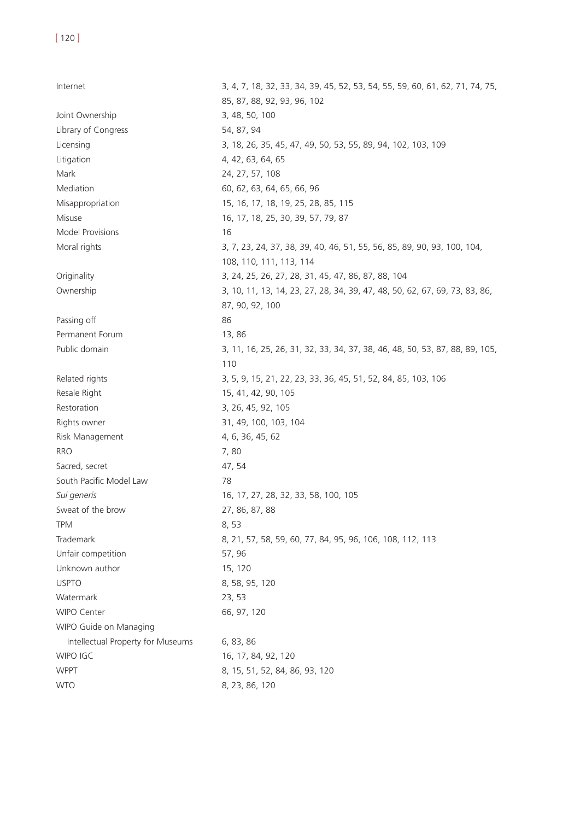Internet 3, 4, 7, 18, 32, 33, 34, 39, 45, 52, 53, 54, 55, 59, 60, 61, 62, 71, 74, 75, 85, 87, 88, 92, 93, 96, 102 Joint Ownership 3, 48, 50, 100 Library of Congress 54, 87, 94 Licensing 3, 18, 26, 35, 45, 47, 49, 50, 53, 55, 89, 94, 102, 103, 109 Litigation 4, 42, 63, 64, 65 Mark 24, 27, 57, 108 Mediation 60, 62, 63, 64, 65, 66, 96 Misappropriation 15, 16, 17, 18, 19, 25, 28, 85, 115 Misuse 16, 17, 18, 25, 30, 39, 57, 79, 87 Model Provisions 16 Moral rights 3, 7, 23, 24, 37, 38, 39, 40, 46, 51, 55, 56, 85, 89, 90, 93, 100, 104, 108, 110, 111, 113, 114 Originality 3, 24, 25, 26, 27, 28, 31, 45, 47, 86, 87, 88, 104 Ownership 3, 10, 11, 13, 14, 23, 27, 28, 34, 39, 47, 48, 50, 62, 67, 69, 73, 83, 86, 87, 90, 92, 100 Passing off 86 Permanent Forum 13, 86 Public domain 3, 11, 16, 25, 26, 31, 32, 33, 34, 37, 38, 46, 48, 50, 53, 87, 88, 89, 105, 110 Related rights 3, 5, 9, 15, 21, 22, 23, 33, 36, 45, 51, 52, 84, 85, 103, 106 Resale Right 15, 41, 42, 90, 105 Restoration 3, 26, 45, 92, 105 Rights owner 31, 49, 100, 103, 104 Risk Management 4, 6, 36, 45, 62 RRO 7, 80 Sacred, secret 47, 54 South Pacific Model Law 78 *Sui generis* 16, 17, 27, 28, 32, 33, 58, 100, 105 Sweat of the brow 27, 86, 87, 88 TPM 8, 53 Trademark 8, 21, 57, 58, 59, 60, 77, 84, 95, 96, 106, 108, 112, 113 Unfair competition 57, 96 Unknown author 15, 120 USPTO 8, 58, 95, 120 Watermark 23, 53 WIPO Center 66, 97, 120 WIPO Guide on Managing Intellectual Property for Museums 6, 83, 86 WIPO IGC 16, 17, 84, 92, 120 WPPT 8, 15, 51, 52, 84, 86, 93, 120 WTO 8, 23, 86, 120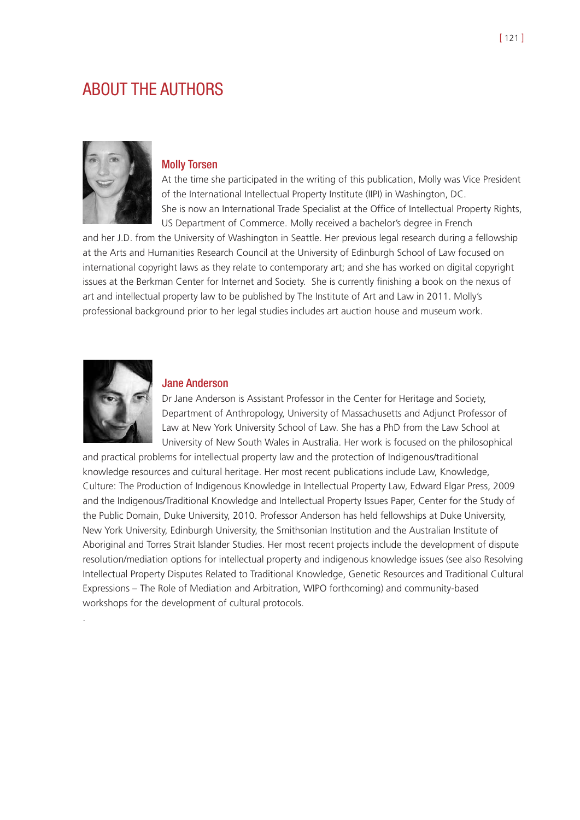# ABOUT THE AUTHORS



#### Molly Torsen

At the time she participated in the writing of this publication, Molly was Vice President of the International Intellectual Property Institute (IIPI) in Washington, DC. She is now an International Trade Specialist at the Office of Intellectual Property Rights, US Department of Commerce. Molly received a bachelor's degree in French

and her J.D. from the University of Washington in Seattle. Her previous legal research during a fellowship at the Arts and Humanities Research Council at the University of Edinburgh School of Law focused on international copyright laws as they relate to contemporary art; and she has worked on digital copyright issues at the Berkman Center for Internet and Society. She is currently finishing a book on the nexus of art and intellectual property law to be published by The Institute of Art and Law in 2011. Molly's professional background prior to her legal studies includes art auction house and museum work.



.

#### Jane Anderson

Dr Jane Anderson is Assistant Professor in the Center for Heritage and Society, Department of Anthropology, University of Massachusetts and Adjunct Professor of Law at New York University School of Law. She has a PhD from the Law School at University of New South Wales in Australia. Her work is focused on the philosophical

and practical problems for intellectual property law and the protection of Indigenous/traditional knowledge resources and cultural heritage. Her most recent publications include Law, Knowledge, Culture: The Production of Indigenous Knowledge in Intellectual Property Law, Edward Elgar Press, 2009 and the Indigenous/Traditional Knowledge and Intellectual Property Issues Paper, Center for the Study of the Public Domain, Duke University, 2010. Professor Anderson has held fellowships at Duke University, New York University, Edinburgh University, the Smithsonian Institution and the Australian Institute of Aboriginal and Torres Strait Islander Studies. Her most recent projects include the development of dispute resolution/mediation options for intellectual property and indigenous knowledge issues (see also Resolving Intellectual Property Disputes Related to Traditional Knowledge, Genetic Resources and Traditional Cultural Expressions – The Role of Mediation and Arbitration, WIPO forthcoming) and community-based workshops for the development of cultural protocols.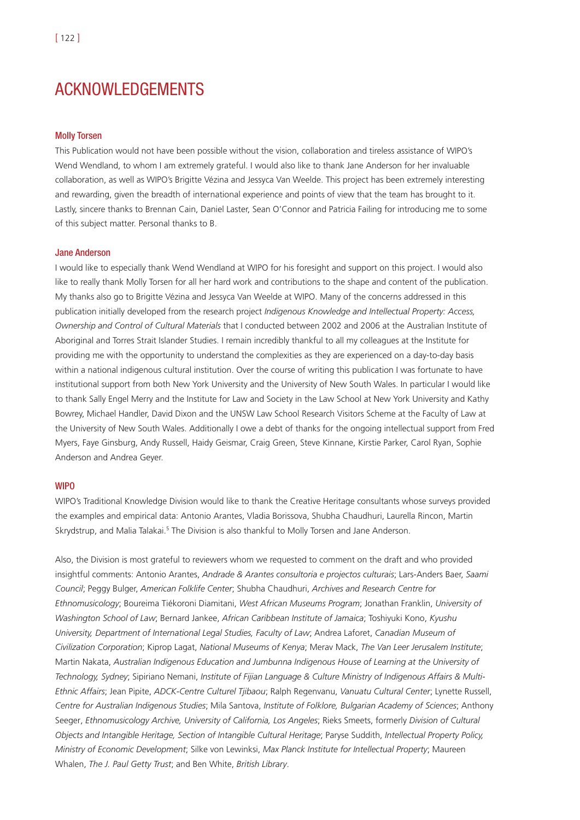# ACKNOWLEDGEMENTS

#### Molly Torsen

This Publication would not have been possible without the vision, collaboration and tireless assistance of WIPO's Wend Wendland, to whom I am extremely grateful. I would also like to thank Jane Anderson for her invaluable collaboration, as well as WIPO's Brigitte Vézina and Jessyca Van Weelde. This project has been extremely interesting and rewarding, given the breadth of international experience and points of view that the team has brought to it. Lastly, sincere thanks to Brennan Cain, Daniel Laster, Sean O'Connor and Patricia Failing for introducing me to some of this subject matter. Personal thanks to B.

#### Jane Anderson

I would like to especially thank Wend Wendland at WIPO for his foresight and support on this project. I would also like to really thank Molly Torsen for all her hard work and contributions to the shape and content of the publication. My thanks also go to Brigitte Vézina and Jessyca Van Weelde at WIPO. Many of the concerns addressed in this publication initially developed from the research project *Indigenous Knowledge and Intellectual Property: Access, Ownership and Control of Cultural Materials* that I conducted between 2002 and 2006 at the Australian Institute of Aboriginal and Torres Strait Islander Studies. I remain incredibly thankful to all my colleagues at the Institute for providing me with the opportunity to understand the complexities as they are experienced on a day-to-day basis within a national indigenous cultural institution. Over the course of writing this publication I was fortunate to have institutional support from both New York University and the University of New South Wales. In particular I would like to thank Sally Engel Merry and the Institute for Law and Society in the Law School at New York University and Kathy Bowrey, Michael Handler, David Dixon and the UNSW Law School Research Visitors Scheme at the Faculty of Law at the University of New South Wales. Additionally I owe a debt of thanks for the ongoing intellectual support from Fred Myers, Faye Ginsburg, Andy Russell, Haidy Geismar, Craig Green, Steve Kinnane, Kirstie Parker, Carol Ryan, Sophie Anderson and Andrea Geyer.

#### **WIPO**

WIPO's Traditional Knowledge Division would like to thank the Creative Heritage consultants whose surveys provided the examples and empirical data: Antonio Arantes, Vladia Borissova, Shubha Chaudhuri, Laurella Rincon, Martin Skrydstrup, and Malia Talakai.<sup>5</sup> The Division is also thankful to Molly Torsen and Jane Anderson.

Also, the Division is most grateful to reviewers whom we requested to comment on the draft and who provided insightful comments: Antonio Arantes, *Andrade & Arantes consultoria e projectos culturais*; Lars-Anders Baer, *Saami Council*; Peggy Bulger, *American Folklife Center*; Shubha Chaudhuri, *Archives and Research Centre for Ethnomusicology*; Boureima Tiékoroni Diamitani, *West African Museums Program*; Jonathan Franklin, *University of Washington School of Law*; Bernard Jankee, *African Caribbean Institute of Jamaica*; Toshiyuki Kono, *Kyushu University, Department of International Legal Studies, Faculty of Law*; Andrea Laforet, *Canadian Museum of Civilization Corporation*; Kiprop Lagat, *National Museums of Kenya*; Merav Mack, *The Van Leer Jerusalem Institute*; Martin Nakata, *Australian Indigenous Education and Jumbunna Indigenous House of Learning at the University of Technology, Sydney*; Sipiriano Nemani, *Institute of Fijian Language & Culture Ministry of Indigenous Affairs & Multi-Ethnic Affairs*; Jean Pipite, *ADCK-Centre Culturel Tjibaou*; Ralph Regenvanu, *Vanuatu Cultural Center*; Lynette Russell, *Centre for Australian Indigenous Studies*; Mila Santova, *Institute of Folklore, Bulgarian Academy of Sciences*; Anthony Seeger, *Ethnomusicology Archive, University of California, Los Angeles*; Rieks Smeets, formerly *Division of Cultural Objects and Intangible Heritage, Section of Intangible Cultural Heritage*; Paryse Suddith, *Intellectual Property Policy, Ministry of Economic Development*; Silke von Lewinksi, *Max Planck Institute for Intellectual Property*; Maureen Whalen, *The J. Paul Getty Trust*; and Ben White, *British Library*.